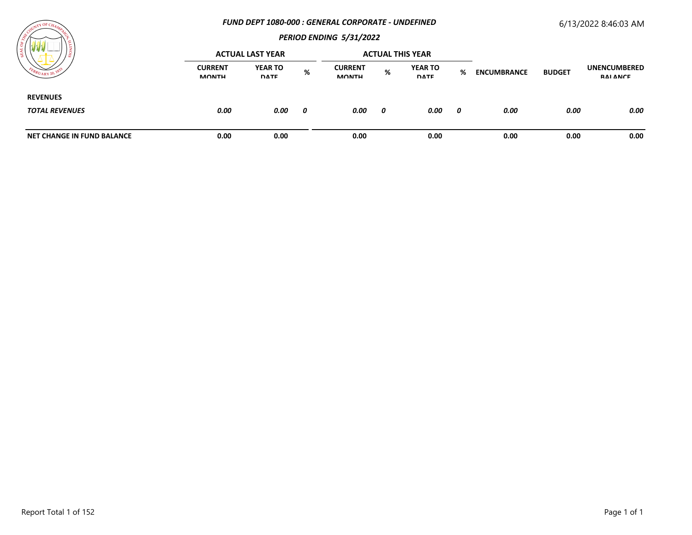#### *FUND DEPT 1080-000 : GENERAL CORPORATE - UNDEFINED*

# 6/13/2022 8:46:03 AM



| / ដ                                      |                                | <b>ACTUAL LAST YEAR</b>       |   |                                |   | <b>ACTUAL THIS YEAR</b>       |   |                    |               |                                 |
|------------------------------------------|--------------------------------|-------------------------------|---|--------------------------------|---|-------------------------------|---|--------------------|---------------|---------------------------------|
|                                          | <b>CURRENT</b><br><b>MONTH</b> | <b>YEAR TO</b><br><b>DATE</b> | % | <b>CURRENT</b><br><b>MONTH</b> | % | <b>YEAR TO</b><br><b>DATE</b> | % | <b>ENCUMBRANCE</b> | <b>BUDGET</b> | <b>UNENCUMBERED</b><br>RAI ANCE |
| <b>REVENUES</b><br><b>TOTAL REVENUES</b> | 0.00                           | 0.00                          | 0 | 0.00                           | 0 | 0.00                          | 0 | 0.00               | 0.00          | 0.00                            |
| <b>NET CHANGE IN FUND BALANCE</b>        | 0.00                           | 0.00                          |   | 0.00                           |   | 0.00                          |   | 0.00               | 0.00          | 0.00                            |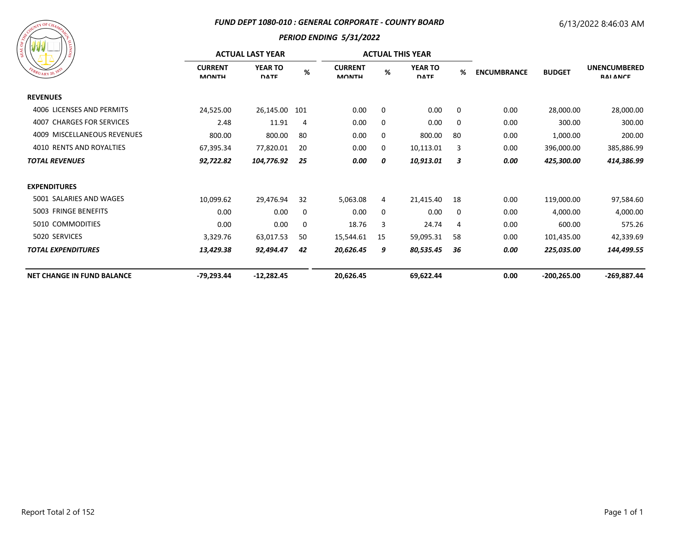#### *FUND DEPT 1080-010 : GENERAL CORPORATE - COUNTY BOARD*

# 6/13/2022 8:46:03 AM



| /៖                                |                                | <b>ACTUAL LAST YEAR</b>       |     |                                |    | <b>ACTUAL THIS YEAR</b>       |    |                    |                |                                        |
|-----------------------------------|--------------------------------|-------------------------------|-----|--------------------------------|----|-------------------------------|----|--------------------|----------------|----------------------------------------|
| EBRUARY 20, 183                   | <b>CURRENT</b><br><b>MONTH</b> | <b>YEAR TO</b><br><b>DATE</b> | %   | <b>CURRENT</b><br><b>MONTH</b> | %  | <b>YEAR TO</b><br><b>DATE</b> | %  | <b>ENCUMBRANCE</b> | <b>BUDGET</b>  | <b>UNENCUMBERED</b><br><b>RAI ANCE</b> |
| <b>REVENUES</b>                   |                                |                               |     |                                |    |                               |    |                    |                |                                        |
| 4006 LICENSES AND PERMITS         | 24,525.00                      | 26,145.00                     | 101 | 0.00                           | 0  | 0.00                          | 0  | 0.00               | 28,000.00      | 28,000.00                              |
| 4007 CHARGES FOR SERVICES         | 2.48                           | 11.91                         | 4   | 0.00                           | 0  | 0.00                          | 0  | 0.00               | 300.00         | 300.00                                 |
| 4009 MISCELLANEOUS REVENUES       | 800.00                         | 800.00                        | 80  | 0.00                           | 0  | 800.00                        | 80 | 0.00               | 1,000.00       | 200.00                                 |
| 4010 RENTS AND ROYALTIES          | 67,395.34                      | 77,820.01                     | 20  | 0.00                           | 0  | 10,113.01                     | 3  | 0.00               | 396,000.00     | 385,886.99                             |
| <b>TOTAL REVENUES</b>             | 92,722.82                      | 104,776.92                    | 25  | 0.00                           | 0  | 10,913.01                     | 3  | 0.00               | 425,300.00     | 414,386.99                             |
| <b>EXPENDITURES</b>               |                                |                               |     |                                |    |                               |    |                    |                |                                        |
| 5001 SALARIES AND WAGES           | 10,099.62                      | 29,476.94                     | 32  | 5,063.08                       | 4  | 21,415.40                     | 18 | 0.00               | 119,000.00     | 97,584.60                              |
| 5003 FRINGE BENEFITS              | 0.00                           | 0.00                          | 0   | 0.00                           | 0  | 0.00                          | 0  | 0.00               | 4,000.00       | 4,000.00                               |
| 5010 COMMODITIES                  | 0.00                           | 0.00                          | 0   | 18.76                          | 3  | 24.74                         | 4  | 0.00               | 600.00         | 575.26                                 |
| 5020 SERVICES                     | 3,329.76                       | 63,017.53                     | 50  | 15,544.61                      | 15 | 59,095.31                     | 58 | 0.00               | 101,435.00     | 42,339.69                              |
| <b>TOTAL EXPENDITURES</b>         | 13,429.38                      | 92,494.47                     | 42  | 20,626.45                      | 9  | 80,535.45                     | 36 | 0.00               | 225,035.00     | 144,499.55                             |
| <b>NET CHANGE IN FUND BALANCE</b> | -79,293.44                     | $-12,282.45$                  |     | 20,626.45                      |    | 69,622.44                     |    | 0.00               | $-200, 265.00$ | $-269,887.44$                          |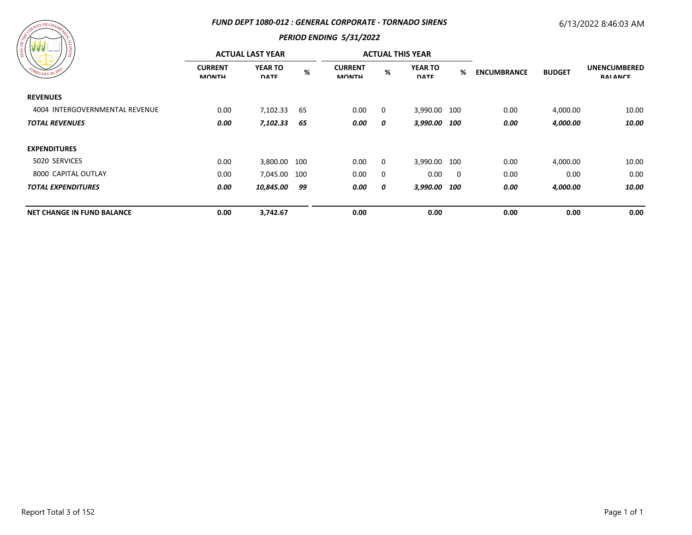#### *FUND DEPT 1080-012 : GENERAL CORPORATE - TORNADO SIRENS*

# 6/13/2022 8:46:03 AM



| / ដូ                              |                                | <b>ACTUAL LAST YEAR</b>       |      |                                |   | <b>ACTUAL THIS YEAR</b>       |                          |                    |               |                                        |
|-----------------------------------|--------------------------------|-------------------------------|------|--------------------------------|---|-------------------------------|--------------------------|--------------------|---------------|----------------------------------------|
| EBRUARY 20, 1833                  | <b>CURRENT</b><br><b>MONTH</b> | <b>YEAR TO</b><br><b>DATE</b> | $\%$ | <b>CURRENT</b><br><b>MONTH</b> | % | <b>YEAR TO</b><br><b>DATE</b> | %                        | <b>ENCUMBRANCE</b> | <b>BUDGET</b> | <b>UNENCUMBERED</b><br><b>RAI ANCE</b> |
| <b>REVENUES</b>                   |                                |                               |      |                                |   |                               |                          |                    |               |                                        |
| 4004 INTERGOVERNMENTAL REVENUE    | 0.00                           | 7,102.33                      | 65   | $0.00\,$                       | 0 | 3,990.00 100                  |                          | 0.00               | 4,000.00      | 10.00                                  |
| <b>TOTAL REVENUES</b>             | 0.00                           | 7,102.33                      | 65   | 0.00                           | 0 | 3,990.00 100                  |                          | 0.00               | 4,000.00      | 10.00                                  |
| <b>EXPENDITURES</b>               |                                |                               |      |                                |   |                               |                          |                    |               |                                        |
| 5020 SERVICES                     | 0.00                           | 3,800.00 100                  |      | 0.00                           | 0 | 3,990.00 100                  |                          | 0.00               | 4,000.00      | 10.00                                  |
| 8000 CAPITAL OUTLAY               | 0.00                           | 7,045.00                      | 100  | 0.00                           | 0 | 0.00                          | $\overline{\phantom{0}}$ | 0.00               | 0.00          | 0.00                                   |
| <b>TOTAL EXPENDITURES</b>         | 0.00                           | 10,845.00                     | 99   | 0.00                           | 0 | 3,990.00 100                  |                          | 0.00               | 4,000.00      | 10.00                                  |
| <b>NET CHANGE IN FUND BALANCE</b> | 0.00                           | 3,742.67                      |      | 0.00                           |   | 0.00                          |                          | 0.00               | 0.00          | 0.00                                   |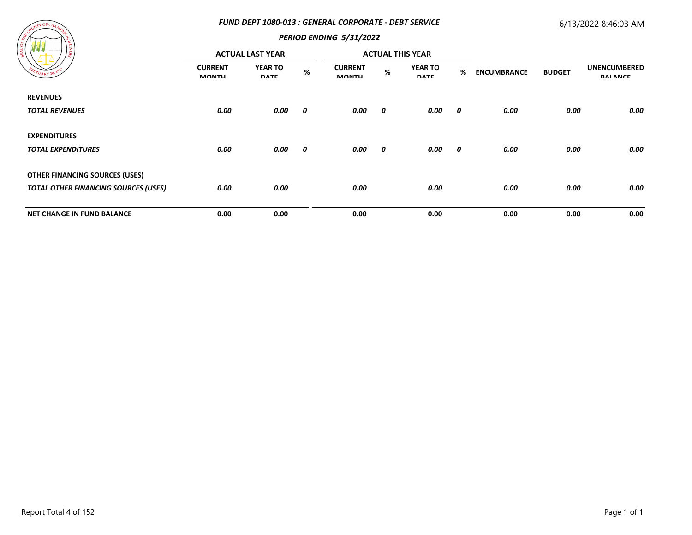#### *FUND DEPT 1080-013 : GENERAL CORPORATE - DEBT SERVICE*

# 6/13/2022 8:46:03 AM



| '≌                                          | <b>ACTUAL LAST YEAR</b>        |                               |      |                                |   | <b>ACTUAL THIS YEAR</b>       |                  |                    |               |                                        |
|---------------------------------------------|--------------------------------|-------------------------------|------|--------------------------------|---|-------------------------------|------------------|--------------------|---------------|----------------------------------------|
| EBRUARY 20, 183                             | <b>CURRENT</b><br><b>MONTH</b> | <b>YEAR TO</b><br><b>DATE</b> | $\%$ | <b>CURRENT</b><br><b>MONTH</b> | % | <b>YEAR TO</b><br><b>DATE</b> | %                | <b>ENCUMBRANCE</b> | <b>BUDGET</b> | <b>UNENCUMBERED</b><br><b>RAI ANCE</b> |
| <b>REVENUES</b>                             |                                |                               |      |                                |   |                               |                  |                    |               |                                        |
| <b>TOTAL REVENUES</b>                       | 0.00                           | 0.00                          | 0    | 0.00                           | 0 | 0.00                          | 0                | 0.00               | 0.00          | 0.00                                   |
| <b>EXPENDITURES</b>                         |                                |                               |      |                                |   |                               |                  |                    |               |                                        |
| <b>TOTAL EXPENDITURES</b>                   | 0.00                           | 0.00                          | 0    | 0.00                           | 0 | 0.00                          | $\boldsymbol{o}$ | 0.00               | 0.00          | 0.00                                   |
| <b>OTHER FINANCING SOURCES (USES)</b>       |                                |                               |      |                                |   |                               |                  |                    |               |                                        |
| <b>TOTAL OTHER FINANCING SOURCES (USES)</b> | 0.00                           | 0.00                          |      | 0.00                           |   | 0.00                          |                  | 0.00               | 0.00          | 0.00                                   |
| <b>NET CHANGE IN FUND BALANCE</b>           | 0.00                           | 0.00                          |      | 0.00                           |   | 0.00                          |                  | 0.00               | 0.00          | 0.00                                   |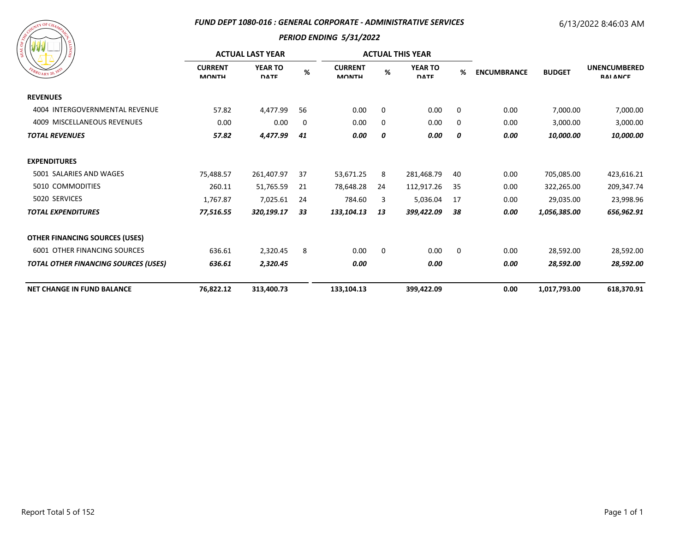#### *FUND DEPT 1080-016 : GENERAL CORPORATE - ADMINISTRATIVE SERVICES*

# 6/13/2022 8:46:03 AM

| A SOUTH OF CHAMPAGE<br>FEBRUARY 20, 1833 | SIONITY |
|------------------------------------------|---------|
|                                          |         |

| $B_{RU_{\text{ARY}}}$ 20, $18$              |                                | <b>ACTUAL LAST YEAR</b>       |     |                                | <b>ACTUAL THIS YEAR</b> |                               |    |                    |               |                                        |
|---------------------------------------------|--------------------------------|-------------------------------|-----|--------------------------------|-------------------------|-------------------------------|----|--------------------|---------------|----------------------------------------|
|                                             | <b>CURRENT</b><br><b>MONTH</b> | <b>YEAR TO</b><br><b>DATE</b> | %   | <b>CURRENT</b><br><b>MONTH</b> | %                       | <b>YEAR TO</b><br><b>DATE</b> | %  | <b>ENCUMBRANCE</b> | <b>BUDGET</b> | <b>UNENCUMBERED</b><br><b>RAI ANCE</b> |
| <b>REVENUES</b>                             |                                |                               |     |                                |                         |                               |    |                    |               |                                        |
| 4004 INTERGOVERNMENTAL REVENUE              | 57.82                          | 4,477.99                      | 56  | 0.00                           | 0                       | 0.00                          | 0  | 0.00               | 7,000.00      | 7,000.00                               |
| 4009 MISCELLANEOUS REVENUES                 | 0.00                           | 0.00                          | 0   | 0.00                           | 0                       | 0.00                          | 0  | 0.00               | 3,000.00      | 3,000.00                               |
| <b>TOTAL REVENUES</b>                       | 57.82                          | 4,477.99                      | 41  | 0.00                           | 0                       | 0.00                          | 0  | 0.00               | 10,000.00     | 10,000.00                              |
| <b>EXPENDITURES</b>                         |                                |                               |     |                                |                         |                               |    |                    |               |                                        |
| 5001 SALARIES AND WAGES                     | 75,488.57                      | 261,407.97                    | -37 | 53,671.25                      | 8                       | 281,468.79                    | 40 | 0.00               | 705,085.00    | 423,616.21                             |
| 5010 COMMODITIES                            | 260.11                         | 51,765.59                     | 21  | 78,648.28                      | 24                      | 112,917.26                    | 35 | 0.00               | 322,265.00    | 209,347.74                             |
| 5020 SERVICES                               | 1,767.87                       | 7,025.61                      | 24  | 784.60                         | 3                       | 5,036.04                      | 17 | 0.00               | 29,035.00     | 23,998.96                              |
| <b>TOTAL EXPENDITURES</b>                   | 77,516.55                      | 320,199.17                    | 33  | 133,104.13                     | 13                      | 399,422.09                    | 38 | 0.00               | 1,056,385.00  | 656,962.91                             |
| <b>OTHER FINANCING SOURCES (USES)</b>       |                                |                               |     |                                |                         |                               |    |                    |               |                                        |
| <b>6001 OTHER FINANCING SOURCES</b>         | 636.61                         | 2,320.45                      | 8   | 0.00                           | 0                       | 0.00                          | 0  | 0.00               | 28,592.00     | 28,592.00                              |
| <b>TOTAL OTHER FINANCING SOURCES (USES)</b> | 636.61                         | 2,320.45                      |     | 0.00                           |                         | 0.00                          |    | 0.00               | 28,592.00     | 28,592.00                              |
| <b>NET CHANGE IN FUND BALANCE</b>           | 76,822.12                      | 313,400.73                    |     | 133,104.13                     |                         | 399,422.09                    |    | 0.00               | 1,017,793.00  | 618,370.91                             |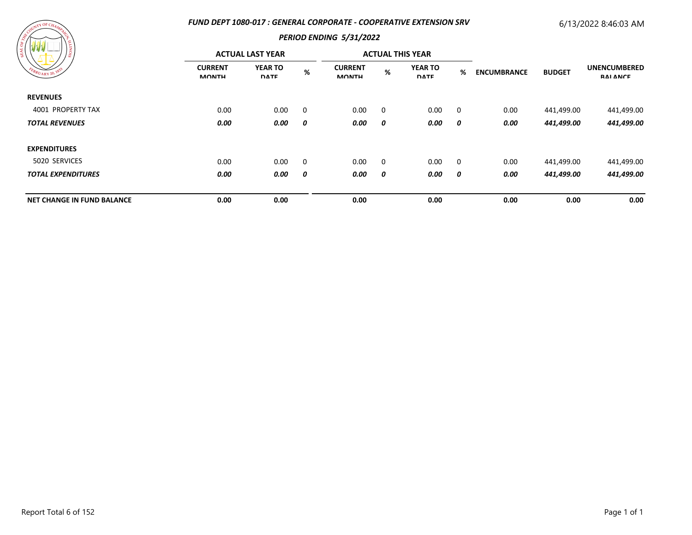#### *FUND DEPT 1080-017 : GENERAL CORPORATE - COOPERATIVE EXTENSION SRV*

# 6/13/2022 8:46:03 AM



| ၊ ဇွ<br>FEBRUARY 20, 1835         |                                | <b>ACTUAL LAST YEAR</b>       |                |                                |             | <b>ACTUAL THIS YEAR</b>       |             |                    |               |                                        |
|-----------------------------------|--------------------------------|-------------------------------|----------------|--------------------------------|-------------|-------------------------------|-------------|--------------------|---------------|----------------------------------------|
|                                   | <b>CURRENT</b><br><b>MONTH</b> | <b>YEAR TO</b><br><b>DATE</b> | %              | <b>CURRENT</b><br><b>MONTH</b> | %           | <b>YEAR TO</b><br><b>DATE</b> | %           | <b>ENCUMBRANCE</b> | <b>BUDGET</b> | <b>UNENCUMBERED</b><br><b>RAI ANCE</b> |
| <b>REVENUES</b>                   |                                |                               |                |                                |             |                               |             |                    |               |                                        |
| 4001 PROPERTY TAX                 | 0.00                           | 0.00                          | $\overline{0}$ | 0.00                           | 0           | 0.00                          | $\mathbf 0$ | 0.00               | 441,499.00    | 441,499.00                             |
| <b>TOTAL REVENUES</b>             | 0.00                           | 0.00                          | 0              | 0.00                           | 0           | 0.00                          | 0           | 0.00               | 441,499.00    | 441,499.00                             |
| <b>EXPENDITURES</b>               |                                |                               |                |                                |             |                               |             |                    |               |                                        |
| 5020 SERVICES                     | 0.00                           | 0.00                          | $\mathbf 0$    | 0.00                           | $\mathbf 0$ | 0.00                          | 0           | 0.00               | 441,499.00    | 441,499.00                             |
| <b>TOTAL EXPENDITURES</b>         | 0.00                           | 0.00                          | 0              | 0.00                           | 0           | 0.00                          | 0           | 0.00               | 441,499.00    | 441,499.00                             |
| <b>NET CHANGE IN FUND BALANCE</b> | 0.00                           | 0.00                          |                | 0.00                           |             | 0.00                          |             | 0.00               | 0.00          | 0.00                                   |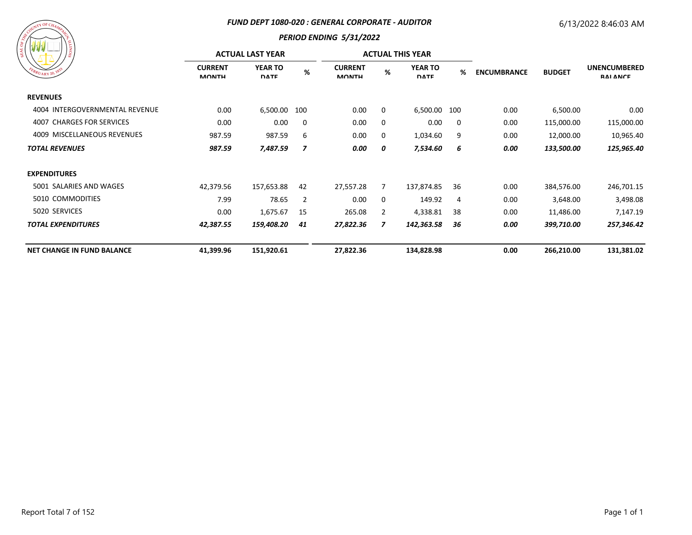#### *FUND DEPT 1080-020 : GENERAL CORPORATE - AUDITOR*

# 6/13/2022 8:46:03 AM



| / ≋                               |                                | <b>ACTUAL LAST YEAR</b>       |                |                                |   | <b>ACTUAL THIS YEAR</b>       |                |                    |               |                                        |
|-----------------------------------|--------------------------------|-------------------------------|----------------|--------------------------------|---|-------------------------------|----------------|--------------------|---------------|----------------------------------------|
| EBRUARY 20, 1833                  | <b>CURRENT</b><br><b>MONTH</b> | <b>YEAR TO</b><br><b>DATE</b> | $\%$           | <b>CURRENT</b><br><b>MONTH</b> | % | <b>YEAR TO</b><br><b>DATE</b> | %              | <b>ENCUMBRANCE</b> | <b>BUDGET</b> | <b>UNENCUMBERED</b><br><b>RAI ANCE</b> |
| <b>REVENUES</b>                   |                                |                               |                |                                |   |                               |                |                    |               |                                        |
| 4004 INTERGOVERNMENTAL REVENUE    | 0.00                           | 6,500.00                      | 100            | 0.00                           | 0 | 6,500.00 100                  |                | 0.00               | 6,500.00      | 0.00                                   |
| 4007 CHARGES FOR SERVICES         | 0.00                           | 0.00                          | $\Omega$       | 0.00                           | 0 | 0.00                          | 0              | 0.00               | 115,000.00    | 115,000.00                             |
| 4009 MISCELLANEOUS REVENUES       | 987.59                         | 987.59                        | 6              | 0.00                           | 0 | 1,034.60                      | 9              | 0.00               | 12,000.00     | 10,965.40                              |
| <b>TOTAL REVENUES</b>             | 987.59                         | 7,487.59                      | 7              | 0.00                           | 0 | 7,534.60                      | 6              | 0.00               | 133,500.00    | 125,965.40                             |
| <b>EXPENDITURES</b>               |                                |                               |                |                                |   |                               |                |                    |               |                                        |
| 5001 SALARIES AND WAGES           | 42,379.56                      | 157,653.88                    | 42             | 27,557.28                      | 7 | 137,874.85                    | 36             | 0.00               | 384,576.00    | 246,701.15                             |
| 5010 COMMODITIES                  | 7.99                           | 78.65                         | $\overline{2}$ | 0.00                           | 0 | 149.92                        | $\overline{4}$ | 0.00               | 3,648.00      | 3,498.08                               |
| 5020 SERVICES                     | 0.00                           | 1,675.67                      | 15             | 265.08                         | 2 | 4,338.81                      | 38             | 0.00               | 11,486.00     | 7,147.19                               |
| <b>TOTAL EXPENDITURES</b>         | 42,387.55                      | 159,408.20                    | 41             | 27,822.36                      | 7 | 142,363.58                    | 36             | 0.00               | 399,710.00    | 257,346.42                             |
| <b>NET CHANGE IN FUND BALANCE</b> | 41,399.96                      | 151,920.61                    |                | 27,822.36                      |   | 134,828.98                    |                | 0.00               | 266,210.00    | 131,381.02                             |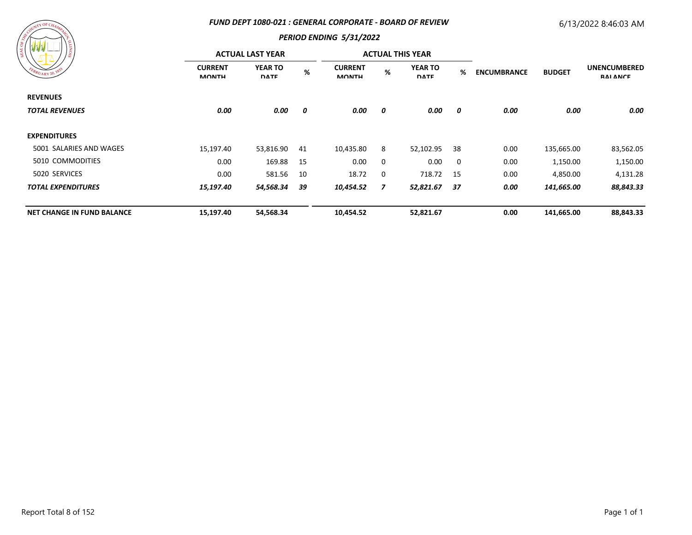#### *FUND DEPT 1080-021 : GENERAL CORPORATE - BOARD OF REVIEW*

# 6/13/2022 8:46:03 AM



| /ខ្ល                              | <b>ACTUAL LAST YEAR</b>        |                               |      |                                |   | <b>ACTUAL THIS YEAR</b>       |     |                    |               |                                        |
|-----------------------------------|--------------------------------|-------------------------------|------|--------------------------------|---|-------------------------------|-----|--------------------|---------------|----------------------------------------|
| FEBRUARY 20, 1833                 | <b>CURRENT</b><br><b>MONTH</b> | <b>YEAR TO</b><br><b>DATE</b> | $\%$ | <b>CURRENT</b><br><b>MONTH</b> | % | <b>YEAR TO</b><br><b>DATE</b> | %   | <b>ENCUMBRANCE</b> | <b>BUDGET</b> | <b>UNENCUMBERED</b><br><b>RAI ANCE</b> |
| <b>REVENUES</b>                   |                                |                               |      |                                |   |                               |     |                    |               |                                        |
| <b>TOTAL REVENUES</b>             | 0.00                           | 0.00                          | 0    | 0.00                           | 0 | 0.00                          | 0   | 0.00               | 0.00          | 0.00                                   |
| <b>EXPENDITURES</b>               |                                |                               |      |                                |   |                               |     |                    |               |                                        |
| 5001 SALARIES AND WAGES           | 15,197.40                      | 53,816.90                     | 41   | 10,435.80                      | 8 | 52,102.95                     | -38 | 0.00               | 135,665.00    | 83,562.05                              |
| 5010 COMMODITIES                  | 0.00                           | 169.88                        | 15   | 0.00                           | 0 | 0.00                          | 0   | 0.00               | 1,150.00      | 1,150.00                               |
| 5020 SERVICES                     | 0.00                           | 581.56                        | 10   | 18.72                          | 0 | 718.72 15                     |     | 0.00               | 4,850.00      | 4,131.28                               |
| <b>TOTAL EXPENDITURES</b>         | 15,197.40                      | 54,568.34                     | 39   | 10,454.52                      | 7 | 52,821.67                     | 37  | 0.00               | 141,665.00    | 88,843.33                              |
| <b>NET CHANGE IN FUND BALANCE</b> | 15,197.40                      | 54,568.34                     |      | 10,454.52                      |   | 52,821.67                     |     | 0.00               | 141,665.00    | 88,843.33                              |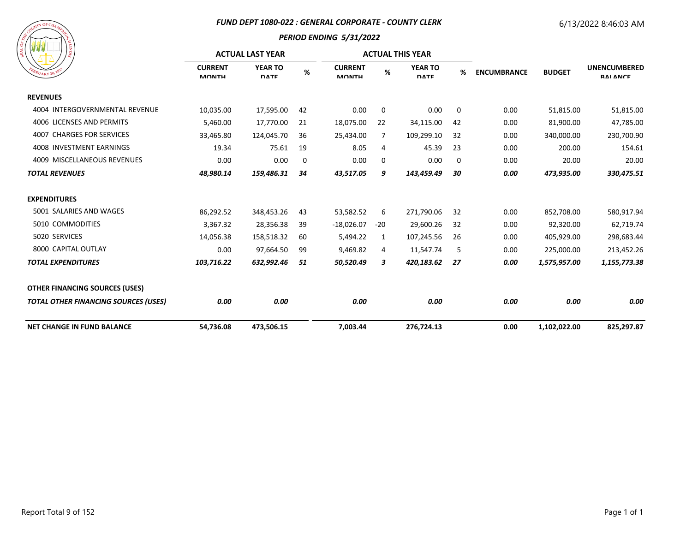#### *FUND DEPT 1080-022 : GENERAL CORPORATE - COUNTY CLERK*

# 6/13/2022 8:46:03 AM



|                                             |                                | <b>ACTUAL LAST YEAR</b>       |      |                                |       | <b>ACTUAL THIS YEAR</b>       |    |                    | <b>BUDGET</b> | <b>UNENCUMBERED</b><br><b>RAI ANCE</b> |
|---------------------------------------------|--------------------------------|-------------------------------|------|--------------------------------|-------|-------------------------------|----|--------------------|---------------|----------------------------------------|
| $R_{U_{\text{ARY}}20}$ , $\mathcal{V}$      | <b>CURRENT</b><br><b>MONTH</b> | <b>YEAR TO</b><br><b>DATE</b> | $\%$ | <b>CURRENT</b><br><b>MONTH</b> | %     | <b>YEAR TO</b><br><b>DATE</b> | %  | <b>ENCUMBRANCE</b> |               |                                        |
| <b>REVENUES</b>                             |                                |                               |      |                                |       |                               |    |                    |               |                                        |
| 4004 INTERGOVERNMENTAL REVENUE              | 10,035.00                      | 17,595.00                     | 42   | 0.00                           | 0     | 0.00                          | 0  | 0.00               | 51,815.00     | 51,815.00                              |
| 4006 LICENSES AND PERMITS                   | 5,460.00                       | 17,770.00                     | 21   | 18,075.00                      | 22    | 34,115.00                     | 42 | 0.00               | 81,900.00     | 47,785.00                              |
| <b>4007 CHARGES FOR SERVICES</b>            | 33,465.80                      | 124,045.70                    | 36   | 25,434.00                      | 7     | 109,299.10                    | 32 | 0.00               | 340,000.00    | 230,700.90                             |
| 4008 INVESTMENT EARNINGS                    | 19.34                          | 75.61                         | 19   | 8.05                           | 4     | 45.39                         | 23 | 0.00               | 200.00        | 154.61                                 |
| 4009 MISCELLANEOUS REVENUES                 | 0.00                           | 0.00                          | 0    | 0.00                           | 0     | 0.00                          | 0  | 0.00               | 20.00         | 20.00                                  |
| <b>TOTAL REVENUES</b>                       | 48,980.14                      | 159,486.31                    | 34   | 43,517.05                      | 9     | 143,459.49                    | 30 | 0.00               | 473,935.00    | 330,475.51                             |
| <b>EXPENDITURES</b>                         |                                |                               |      |                                |       |                               |    |                    |               |                                        |
| 5001 SALARIES AND WAGES                     | 86,292.52                      | 348,453.26                    | 43   | 53,582.52                      | 6     | 271,790.06                    | 32 | 0.00               | 852,708.00    | 580,917.94                             |
| 5010 COMMODITIES                            | 3,367.32                       | 28,356.38                     | 39   | $-18,026.07$                   | $-20$ | 29,600.26                     | 32 | 0.00               | 92,320.00     | 62,719.74                              |
| 5020 SERVICES                               | 14,056.38                      | 158,518.32                    | 60   | 5,494.22                       | 1     | 107,245.56                    | 26 | 0.00               | 405,929.00    | 298,683.44                             |
| 8000 CAPITAL OUTLAY                         | 0.00                           | 97,664.50                     | 99   | 9,469.82                       | 4     | 11,547.74                     | 5  | 0.00               | 225,000.00    | 213,452.26                             |
| <b>TOTAL EXPENDITURES</b>                   | 103,716.22                     | 632,992.46                    | 51   | 50,520.49                      | 3     | 420,183.62                    | 27 | 0.00               | 1,575,957.00  | 1,155,773.38                           |
| <b>OTHER FINANCING SOURCES (USES)</b>       |                                |                               |      |                                |       |                               |    |                    |               |                                        |
| <b>TOTAL OTHER FINANCING SOURCES (USES)</b> | 0.00                           | 0.00                          |      | 0.00                           |       | 0.00                          |    | 0.00               | 0.00          | 0.00                                   |
| <b>NET CHANGE IN FUND BALANCE</b>           | 54,736.08                      | 473,506.15                    |      | 7,003.44                       |       | 276,724.13                    |    | 0.00               | 1,102,022.00  | 825,297.87                             |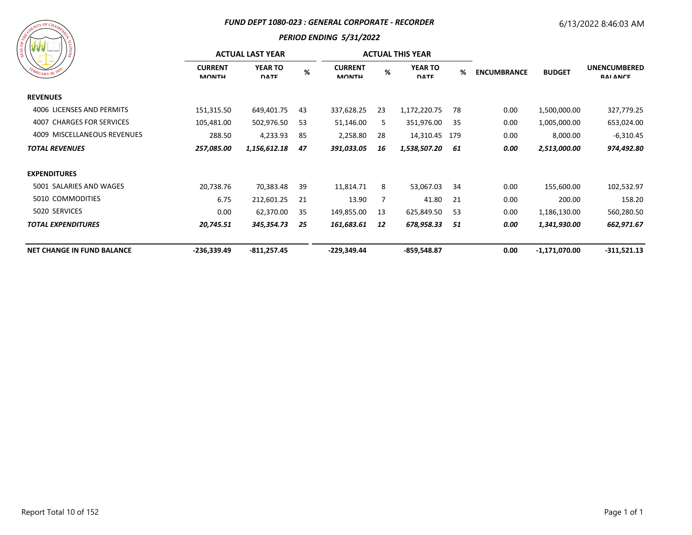#### *FUND DEPT 1080-023 : GENERAL CORPORATE - RECORDER*

# 6/13/2022 8:46:03 AM

# $\alpha$  OF C

| <b>WWW</b>                        |                                | <b>ACTUAL LAST YEAR</b>       |     |                                |    | <b>ACTUAL THIS YEAR</b>       |     | <b>ENCUMBRANCE</b><br><b>BUDGET</b> |                 | <b>UNENCUMBERED</b><br><b>RAI ANCE</b> |
|-----------------------------------|--------------------------------|-------------------------------|-----|--------------------------------|----|-------------------------------|-----|-------------------------------------|-----------------|----------------------------------------|
| EBRUARY 20, 183                   | <b>CURRENT</b><br><b>MONTH</b> | <b>YEAR TO</b><br><b>DATE</b> | %   | <b>CURRENT</b><br><b>MONTH</b> | %  | <b>YEAR TO</b><br><b>DATE</b> | %   |                                     |                 |                                        |
| <b>REVENUES</b>                   |                                |                               |     |                                |    |                               |     |                                     |                 |                                        |
| 4006 LICENSES AND PERMITS         | 151,315.50                     | 649,401.75                    | 43  | 337,628.25                     | 23 | 1,172,220.75                  | 78  | 0.00                                | 1,500,000.00    | 327,779.25                             |
| 4007 CHARGES FOR SERVICES         | 105,481.00                     | 502,976.50                    | 53  | 51,146.00                      | 5  | 351,976.00                    | 35  | 0.00                                | 1,005,000.00    | 653,024.00                             |
| 4009 MISCELLANEOUS REVENUES       | 288.50                         | 4,233.93                      | -85 | 2,258.80                       | 28 | 14,310.45 179                 |     | 0.00                                | 8,000.00        | $-6,310.45$                            |
| <b>TOTAL REVENUES</b>             | 257,085.00                     | 1,156,612.18                  | 47  | 391,033.05                     | 16 | 1,538,507.20                  | 61  | 0.00                                | 2,513,000.00    | 974,492.80                             |
| <b>EXPENDITURES</b>               |                                |                               |     |                                |    |                               |     |                                     |                 |                                        |
| 5001 SALARIES AND WAGES           | 20,738.76                      | 70,383.48                     | 39  | 11,814.71                      | 8  | 53,067.03                     | 34  | 0.00                                | 155,600.00      | 102,532.97                             |
| 5010 COMMODITIES                  | 6.75                           | 212,601.25                    | 21  | 13.90                          |    | 41.80                         | 21  | 0.00                                | 200.00          | 158.20                                 |
| 5020 SERVICES                     | 0.00                           | 62,370.00                     | -35 | 149,855.00                     | 13 | 625,849.50                    | 53  | 0.00                                | 1,186,130.00    | 560,280.50                             |
| <b>TOTAL EXPENDITURES</b>         | 20,745.51                      | 345,354.73                    | 25  | 161,683.61                     | 12 | 678,958.33                    | -51 | 0.00                                | 1,341,930.00    | 662,971.67                             |
| <b>NET CHANGE IN FUND BALANCE</b> | $-236,339.49$                  | $-811,257.45$                 |     | -229,349.44                    |    | $-859,548.87$                 |     | 0.00                                | $-1,171,070.00$ | $-311,521.13$                          |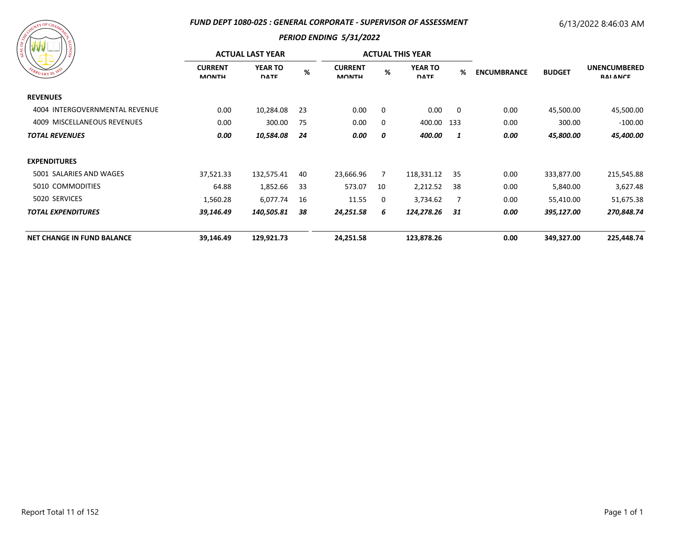#### *FUND DEPT 1080-025 : GENERAL CORPORATE - SUPERVISOR OF ASSESSMENT*

# 6/13/2022 8:46:03 AM



| na na na<br>/ន                    | <b>ACTUAL LAST YEAR</b>        |                               |     |                                |             | <b>ACTUAL THIS YEAR</b>       |                |                                     |            |                                        |
|-----------------------------------|--------------------------------|-------------------------------|-----|--------------------------------|-------------|-------------------------------|----------------|-------------------------------------|------------|----------------------------------------|
| EBRUARY 20, 183                   | <b>CURRENT</b><br><b>MONTH</b> | <b>YEAR TO</b><br><b>DATE</b> | %   | <b>CURRENT</b><br><b>MONTH</b> | %           | <b>YEAR TO</b><br><b>DATE</b> | %              | <b>ENCUMBRANCE</b><br><b>BUDGET</b> |            | <b>UNENCUMBERED</b><br><b>RAI ANCE</b> |
| <b>REVENUES</b>                   |                                |                               |     |                                |             |                               |                |                                     |            |                                        |
| 4004 INTERGOVERNMENTAL REVENUE    | 0.00                           | 10,284.08                     | -23 | 0.00                           | $\mathbf 0$ | 0.00                          | $\overline{0}$ | 0.00                                | 45,500.00  | 45,500.00                              |
| 4009 MISCELLANEOUS REVENUES       | 0.00                           | 300.00                        | 75  | 0.00                           | 0           | 400.00 133                    |                | 0.00                                | 300.00     | $-100.00$                              |
| <b>TOTAL REVENUES</b>             | 0.00                           | 10,584.08                     | 24  | 0.00                           | 0           | 400.00                        | 1              | 0.00                                | 45,800.00  | 45,400.00                              |
| <b>EXPENDITURES</b>               |                                |                               |     |                                |             |                               |                |                                     |            |                                        |
| 5001 SALARIES AND WAGES           | 37,521.33                      | 132,575.41                    | 40  | 23,666.96                      | 7           | 118,331.12                    | -35            | 0.00                                | 333,877.00 | 215,545.88                             |
| 5010 COMMODITIES                  | 64.88                          | 1,852.66                      | -33 | 573.07                         | 10          | 2,212.52                      | -38            | 0.00                                | 5,840.00   | 3,627.48                               |
| 5020 SERVICES                     | 1,560.28                       | 6,077.74                      | 16  | 11.55                          | 0           | 3,734.62                      | 7              | 0.00                                | 55,410.00  | 51,675.38                              |
| <b>TOTAL EXPENDITURES</b>         | 39,146.49                      | 140,505.81                    | 38  | 24,251.58                      | 6           | 124,278.26                    | 31             | 0.00                                | 395,127.00 | 270,848.74                             |
| <b>NET CHANGE IN FUND BALANCE</b> | 39,146.49                      | 129,921.73                    |     | 24,251.58                      |             | 123,878.26                    |                | 0.00                                | 349,327.00 | 225,448.74                             |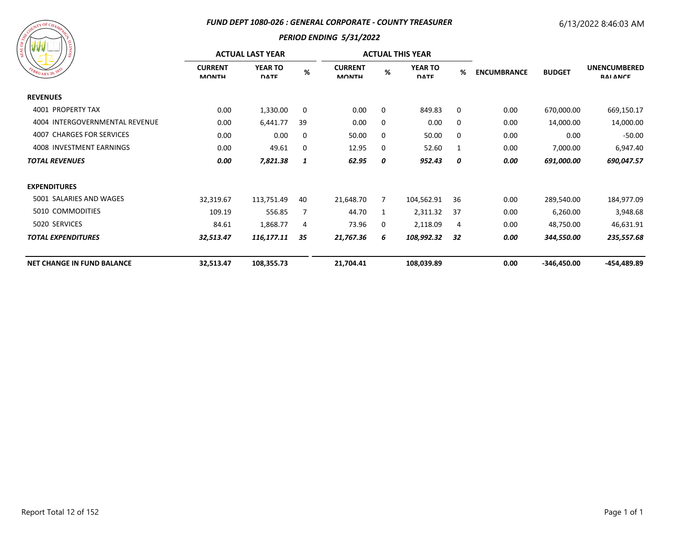#### *FUND DEPT 1080-026 : GENERAL CORPORATE - COUNTY TREASURER*

# 6/13/2022 8:46:03 AM



|                                   | <b>ACTUAL LAST YEAR</b>        |                               |      |                                |   | <b>ACTUAL THIS YEAR</b>       |    |                                     |                                        |             |
|-----------------------------------|--------------------------------|-------------------------------|------|--------------------------------|---|-------------------------------|----|-------------------------------------|----------------------------------------|-------------|
| EBRUARY 20, 1833                  | <b>CURRENT</b><br><b>MONTH</b> | <b>YEAR TO</b><br><b>DATE</b> | $\%$ | <b>CURRENT</b><br><b>MONTH</b> | % | <b>YEAR TO</b><br><b>DATE</b> | %  | <b>ENCUMBRANCE</b><br><b>BUDGET</b> | <b>UNENCUMBERED</b><br><b>RAI ANCE</b> |             |
| <b>REVENUES</b>                   |                                |                               |      |                                |   |                               |    |                                     |                                        |             |
| 4001 PROPERTY TAX                 | 0.00                           | 1,330.00                      | 0    | 0.00                           | 0 | 849.83                        | 0  | 0.00                                | 670,000.00                             | 669,150.17  |
| 4004 INTERGOVERNMENTAL REVENUE    | 0.00                           | 6,441.77                      | 39   | 0.00                           | 0 | 0.00                          | 0  | 0.00                                | 14,000.00                              | 14,000.00   |
| 4007 CHARGES FOR SERVICES         | 0.00                           | 0.00                          | 0    | 50.00                          | 0 | 50.00                         | 0  | 0.00                                | 0.00                                   | $-50.00$    |
| 4008 INVESTMENT EARNINGS          | 0.00                           | 49.61                         | 0    | 12.95                          | 0 | 52.60                         | 1  | 0.00                                | 7,000.00                               | 6,947.40    |
| <b>TOTAL REVENUES</b>             | 0.00                           | 7,821.38                      | 1    | 62.95                          | 0 | 952.43                        | 0  | 0.00                                | 691,000.00                             | 690,047.57  |
| <b>EXPENDITURES</b>               |                                |                               |      |                                |   |                               |    |                                     |                                        |             |
| 5001 SALARIES AND WAGES           | 32,319.67                      | 113,751.49                    | 40   | 21,648.70                      | 7 | 104,562.91                    | 36 | 0.00                                | 289,540.00                             | 184,977.09  |
| 5010 COMMODITIES                  | 109.19                         | 556.85                        | 7    | 44.70                          | 1 | 2,311.32                      | 37 | 0.00                                | 6,260.00                               | 3,948.68    |
| 5020 SERVICES                     | 84.61                          | 1,868.77                      | 4    | 73.96                          | 0 | 2,118.09                      | 4  | 0.00                                | 48,750.00                              | 46,631.91   |
| <b>TOTAL EXPENDITURES</b>         | 32,513.47                      | 116,177.11                    | 35   | 21,767.36                      | 6 | 108,992.32                    | 32 | 0.00                                | 344,550.00                             | 235,557.68  |
| <b>NET CHANGE IN FUND BALANCE</b> | 32,513.47                      | 108,355.73                    |      | 21,704.41                      |   | 108,039.89                    |    | 0.00                                | -346,450.00                            | -454,489.89 |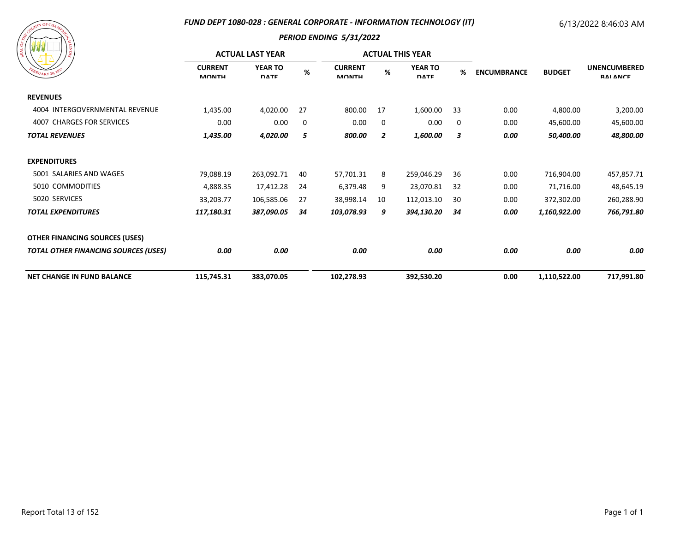#### *FUND DEPT 1080-028 : GENERAL CORPORATE - INFORMATION TECHNOLOGY (IT)*

# 6/13/2022 8:46:03 AM

| ARANGEMENT CHAMPY CR<br>SIONITY<br>EBRUARY 20, 1833 |
|-----------------------------------------------------|
|                                                     |

| / ដី                                        |                                | <b>ACTUAL LAST YEAR</b>       |      |                                |                | <b>ACTUAL THIS YEAR</b>       |    |                                     |                                        |            |
|---------------------------------------------|--------------------------------|-------------------------------|------|--------------------------------|----------------|-------------------------------|----|-------------------------------------|----------------------------------------|------------|
| EBRUARY 20, 183                             | <b>CURRENT</b><br><b>MONTH</b> | <b>YEAR TO</b><br><b>DATE</b> | $\%$ | <b>CURRENT</b><br><b>MONTH</b> | %              | <b>YEAR TO</b><br><b>DATE</b> | %  | <b>ENCUMBRANCE</b><br><b>BUDGET</b> | <b>UNENCUMBERED</b><br><b>RAI ANCE</b> |            |
| <b>REVENUES</b>                             |                                |                               |      |                                |                |                               |    |                                     |                                        |            |
| 4004 INTERGOVERNMENTAL REVENUE              | 1,435.00                       | 4,020.00                      | 27   | 800.00                         | 17             | 1,600.00                      | 33 | 0.00                                | 4,800.00                               | 3,200.00   |
| 4007 CHARGES FOR SERVICES                   | 0.00                           | 0.00                          | 0    | 0.00                           | 0              | 0.00                          | 0  | 0.00                                | 45,600.00                              | 45,600.00  |
| <b>TOTAL REVENUES</b>                       | 1,435.00                       | 4,020.00                      | 5    | 800.00                         | $\overline{2}$ | 1,600.00                      | 3  | 0.00                                | 50,400.00                              | 48,800.00  |
| <b>EXPENDITURES</b>                         |                                |                               |      |                                |                |                               |    |                                     |                                        |            |
| 5001 SALARIES AND WAGES                     | 79,088.19                      | 263,092.71                    | 40   | 57,701.31                      | 8              | 259,046.29                    | 36 | 0.00                                | 716,904.00                             | 457,857.71 |
| 5010 COMMODITIES                            | 4,888.35                       | 17,412.28                     | -24  | 6,379.48                       | 9              | 23,070.81                     | 32 | 0.00                                | 71,716.00                              | 48,645.19  |
| 5020 SERVICES                               | 33,203.77                      | 106,585.06                    | 27   | 38,998.14                      | 10             | 112,013.10                    | 30 | 0.00                                | 372,302.00                             | 260,288.90 |
| <b>TOTAL EXPENDITURES</b>                   | 117,180.31                     | 387,090.05                    | 34   | 103,078.93                     | 9              | 394,130.20                    | 34 | 0.00                                | 1,160,922.00                           | 766,791.80 |
| <b>OTHER FINANCING SOURCES (USES)</b>       |                                |                               |      |                                |                |                               |    |                                     |                                        |            |
| <b>TOTAL OTHER FINANCING SOURCES (USES)</b> | 0.00                           | 0.00                          |      | 0.00                           |                | 0.00                          |    | 0.00                                | 0.00                                   | 0.00       |
| <b>NET CHANGE IN FUND BALANCE</b>           | 115,745.31                     | 383,070.05                    |      | 102,278.93                     |                | 392,530.20                    |    | 0.00                                | 1,110,522.00                           | 717,991.80 |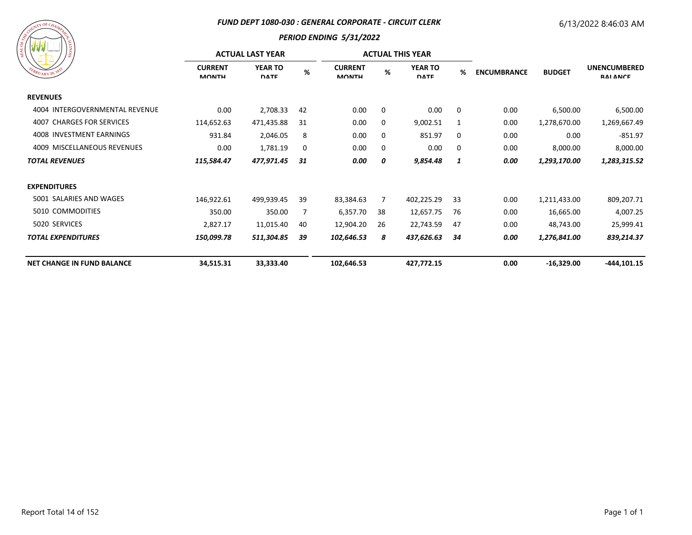#### *FUND DEPT 1080-030 : GENERAL CORPORATE - CIRCUIT CLERK*

# 6/13/2022 8:46:03 AM



| । ខ្ល                             | <b>ACTUAL LAST YEAR</b>        |                               |      |                                |    | <b>ACTUAL THIS YEAR</b>       |    |                    |               |                                        |
|-----------------------------------|--------------------------------|-------------------------------|------|--------------------------------|----|-------------------------------|----|--------------------|---------------|----------------------------------------|
| EBRUARY 20, 1833                  | <b>CURRENT</b><br><b>MONTH</b> | <b>YEAR TO</b><br><b>DATE</b> | $\%$ | <b>CURRENT</b><br><b>MONTH</b> | %  | <b>YEAR TO</b><br><b>DATE</b> | %  | <b>ENCUMBRANCE</b> | <b>BUDGET</b> | <b>UNENCUMBERED</b><br><b>RAI ANCE</b> |
| <b>REVENUES</b>                   |                                |                               |      |                                |    |                               |    |                    |               |                                        |
| 4004 INTERGOVERNMENTAL REVENUE    | 0.00                           | 2,708.33                      | 42   | 0.00                           | 0  | 0.00                          | 0  | 0.00               | 6,500.00      | 6,500.00                               |
| 4007 CHARGES FOR SERVICES         | 114,652.63                     | 471,435.88                    | 31   | 0.00                           | 0  | 9,002.51                      | 1  | 0.00               | 1,278,670.00  | 1,269,667.49                           |
| 4008 INVESTMENT EARNINGS          | 931.84                         | 2,046.05                      | 8    | 0.00                           | 0  | 851.97                        | 0  | 0.00               | 0.00          | $-851.97$                              |
| 4009 MISCELLANEOUS REVENUES       | 0.00                           | 1,781.19                      | 0    | 0.00                           | 0  | 0.00                          | 0  | 0.00               | 8,000.00      | 8,000.00                               |
| <b>TOTAL REVENUES</b>             | 115,584.47                     | 477,971.45                    | 31   | 0.00                           | 0  | 9,854.48                      | 1  | 0.00               | 1,293,170.00  | 1,283,315.52                           |
| <b>EXPENDITURES</b>               |                                |                               |      |                                |    |                               |    |                    |               |                                        |
| 5001 SALARIES AND WAGES           | 146,922.61                     | 499,939.45                    | 39   | 83,384.63                      | 7  | 402,225.29                    | 33 | 0.00               | 1,211,433.00  | 809,207.71                             |
| 5010 COMMODITIES                  | 350.00                         | 350.00                        | 7    | 6,357.70                       | 38 | 12,657.75                     | 76 | 0.00               | 16,665.00     | 4,007.25                               |
| 5020 SERVICES                     | 2,827.17                       | 11,015.40                     | 40   | 12,904.20                      | 26 | 22,743.59                     | 47 | 0.00               | 48,743.00     | 25,999.41                              |
| <b>TOTAL EXPENDITURES</b>         | 150,099.78                     | 511,304.85                    | 39   | 102,646.53                     | 8  | 437,626.63                    | 34 | 0.00               | 1,276,841.00  | 839,214.37                             |
| <b>NET CHANGE IN FUND BALANCE</b> | 34,515.31                      | 33,333.40                     |      | 102,646.53                     |    | 427,772.15                    |    | 0.00               | $-16,329.00$  | $-444, 101.15$                         |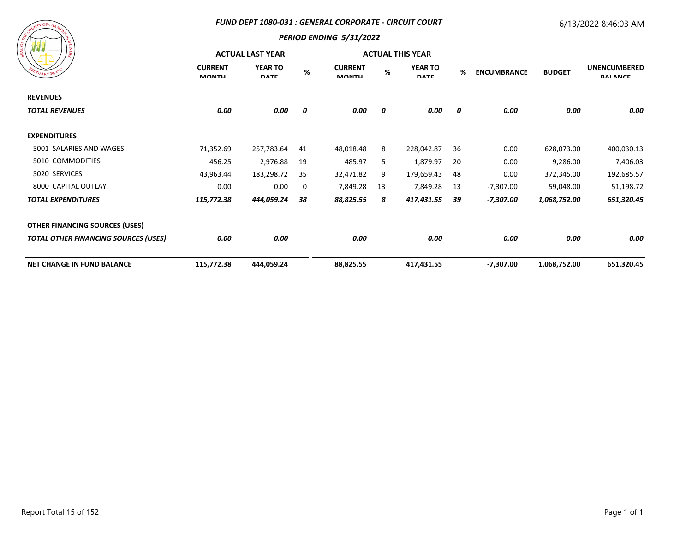#### *FUND DEPT 1080-031 : GENERAL CORPORATE - CIRCUIT COURT*

# 6/13/2022 8:46:03 AM



|                                             |                                | <b>ACTUAL LAST YEAR</b>       |      |                                |    | <b>ACTUAL THIS YEAR</b>       |    |                    |               |                                        |
|---------------------------------------------|--------------------------------|-------------------------------|------|--------------------------------|----|-------------------------------|----|--------------------|---------------|----------------------------------------|
| EBRUARY 20, 1833                            | <b>CURRENT</b><br><b>MONTH</b> | <b>YEAR TO</b><br><b>DATE</b> | $\%$ | <b>CURRENT</b><br><b>MONTH</b> | %  | <b>YEAR TO</b><br><b>DATE</b> | %  | <b>ENCUMBRANCE</b> | <b>BUDGET</b> | <b>UNENCUMBERED</b><br><b>RAI ANCE</b> |
| <b>REVENUES</b>                             |                                |                               |      |                                |    |                               |    |                    |               |                                        |
| <b>TOTAL REVENUES</b>                       | 0.00                           | 0.00                          | 0    | 0.00                           | 0  | 0.00                          | 0  | 0.00               | 0.00          | 0.00                                   |
| <b>EXPENDITURES</b>                         |                                |                               |      |                                |    |                               |    |                    |               |                                        |
| 5001 SALARIES AND WAGES                     | 71,352.69                      | 257,783.64                    | 41   | 48,018.48                      | 8  | 228,042.87                    | 36 | 0.00               | 628,073.00    | 400,030.13                             |
| 5010 COMMODITIES                            | 456.25                         | 2,976.88                      | 19   | 485.97                         | 5  | 1,879.97                      | 20 | 0.00               | 9,286.00      | 7,406.03                               |
| 5020 SERVICES                               | 43,963.44                      | 183,298.72                    | 35   | 32,471.82                      | 9  | 179,659.43                    | 48 | 0.00               | 372,345.00    | 192,685.57                             |
| 8000 CAPITAL OUTLAY                         | 0.00                           | 0.00                          | 0    | 7,849.28                       | 13 | 7,849.28                      | 13 | $-7,307.00$        | 59,048.00     | 51,198.72                              |
| <b>TOTAL EXPENDITURES</b>                   | 115,772.38                     | 444,059.24                    | 38   | 88,825.55                      | 8  | 417,431.55                    | 39 | -7,307.00          | 1,068,752.00  | 651,320.45                             |
| <b>OTHER FINANCING SOURCES (USES)</b>       |                                |                               |      |                                |    |                               |    |                    |               |                                        |
| <b>TOTAL OTHER FINANCING SOURCES (USES)</b> | 0.00                           | 0.00                          |      | 0.00                           |    | 0.00                          |    | 0.00               | 0.00          | 0.00                                   |
| <b>NET CHANGE IN FUND BALANCE</b>           | 115,772.38                     | 444,059.24                    |      | 88,825.55                      |    | 417,431.55                    |    | $-7,307.00$        | 1,068,752.00  | 651,320.45                             |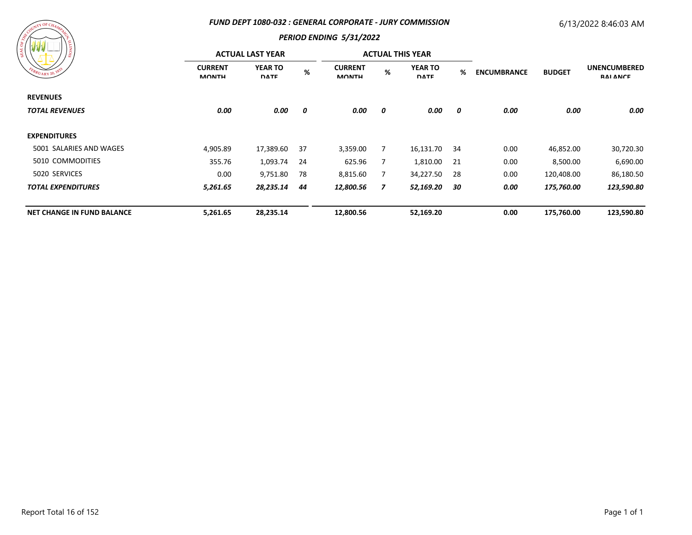#### *FUND DEPT 1080-032 : GENERAL CORPORATE - JURY COMMISSION*

# 6/13/2022 8:46:03 AM



| /៖                                |                                | <b>ACTUAL LAST YEAR</b>       |      |                                |   | <b>ACTUAL THIS YEAR</b>       |      |                    |               |                                        |
|-----------------------------------|--------------------------------|-------------------------------|------|--------------------------------|---|-------------------------------|------|--------------------|---------------|----------------------------------------|
| EBRUARY 20, 1833                  | <b>CURRENT</b><br><b>MONTH</b> | <b>YEAR TO</b><br><b>DATE</b> | $\%$ | <b>CURRENT</b><br><b>MONTH</b> | % | <b>YEAR TO</b><br><b>DATE</b> | %    | <b>ENCUMBRANCE</b> | <b>BUDGET</b> | <b>UNENCUMBERED</b><br><b>RAI ANCE</b> |
| <b>REVENUES</b>                   |                                |                               |      |                                |   |                               |      |                    |               |                                        |
| <b>TOTAL REVENUES</b>             | 0.00                           | 0.00                          | 0    | 0.00                           | 0 | 0.00                          | 0    | 0.00               | 0.00          | 0.00                                   |
| <b>EXPENDITURES</b>               |                                |                               |      |                                |   |                               |      |                    |               |                                        |
| 5001 SALARIES AND WAGES           | 4,905.89                       | 17,389.60                     | -37  | 3,359.00                       |   | 16,131.70                     | - 34 | 0.00               | 46,852.00     | 30,720.30                              |
| 5010 COMMODITIES                  | 355.76                         | 1,093.74                      | 24   | 625.96                         |   | 1,810.00 21                   |      | 0.00               | 8,500.00      | 6,690.00                               |
| 5020 SERVICES                     | 0.00                           | 9,751.80                      | 78   | 8,815.60                       |   | 34,227.50                     | -28  | 0.00               | 120,408.00    | 86,180.50                              |
| <b>TOTAL EXPENDITURES</b>         | 5,261.65                       | 28,235.14                     | 44   | 12,800.56                      | 7 | 52,169.20                     | 30   | 0.00               | 175,760.00    | 123,590.80                             |
| <b>NET CHANGE IN FUND BALANCE</b> | 5,261.65                       | 28,235.14                     |      | 12,800.56                      |   | 52,169.20                     |      | 0.00               | 175,760.00    | 123,590.80                             |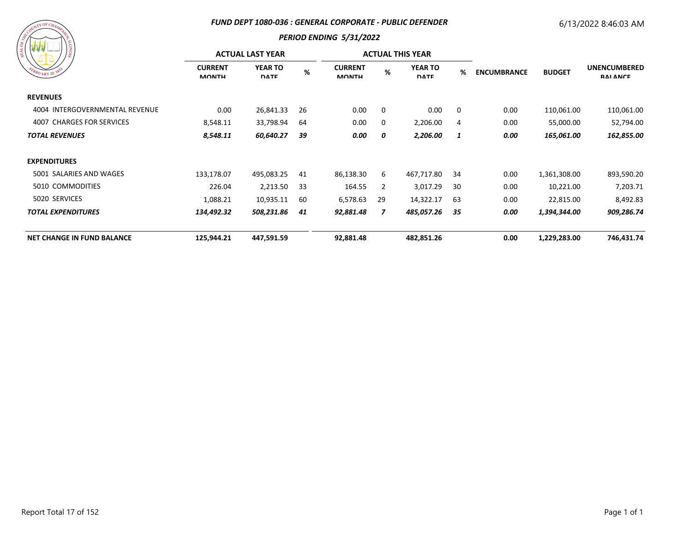#### *FUND DEPT 1080-036 : GENERAL CORPORATE - PUBLIC DEFENDER*

# 6/13/2022 8:46:03 AM

# $\tau Y$  OF C

| / ≋                               |                                | <b>ACTUAL LAST YEAR</b>       |     |                                |          | <b>ACTUAL THIS YEAR</b>       |     |                                     |                                        |            |
|-----------------------------------|--------------------------------|-------------------------------|-----|--------------------------------|----------|-------------------------------|-----|-------------------------------------|----------------------------------------|------------|
| EBRUARY 20, 1833                  | <b>CURRENT</b><br><b>MONTH</b> | <b>YEAR TO</b><br><b>DATE</b> | %   | <b>CURRENT</b><br><b>MONTH</b> | $\%$     | <b>YEAR TO</b><br><b>DATE</b> | %   | <b>BUDGET</b><br><b>ENCUMBRANCE</b> | <b>UNENCUMBERED</b><br><b>RAI ANCE</b> |            |
| <b>REVENUES</b>                   |                                |                               |     |                                |          |                               |     |                                     |                                        |            |
| 4004 INTERGOVERNMENTAL REVENUE    | 0.00                           | 26,841.33                     | 26  | 0.00                           | $\Omega$ | 0.00                          | 0   | 0.00                                | 110,061.00                             | 110,061.00 |
| 4007 CHARGES FOR SERVICES         | 8,548.11                       | 33,798.94                     | -64 | 0.00                           | 0        | 2,206.00                      | 4   | 0.00                                | 55,000.00                              | 52,794.00  |
| <b>TOTAL REVENUES</b>             | 8,548.11                       | 60,640.27                     | 39  | 0.00                           | 0        | 2,206.00                      | 1   | 0.00                                | 165,061.00                             | 162,855.00 |
| <b>EXPENDITURES</b>               |                                |                               |     |                                |          |                               |     |                                     |                                        |            |
| 5001 SALARIES AND WAGES           | 133,178.07                     | 495,083.25                    | 41  | 86,138.30                      | 6        | 467,717.80                    | -34 | 0.00                                | 1,361,308.00                           | 893,590.20 |
| 5010 COMMODITIES                  | 226.04                         | 2,213.50                      | 33  | 164.55                         | 2        | 3,017.29                      | -30 | 0.00                                | 10,221.00                              | 7,203.71   |
| 5020 SERVICES                     | 1,088.21                       | 10,935.11                     | -60 | 6,578.63                       | 29       | 14,322.17                     | 63  | 0.00                                | 22,815.00                              | 8,492.83   |
| <b>TOTAL EXPENDITURES</b>         | 134,492.32                     | 508,231.86                    | 41  | 92,881.48                      | 7        | 485,057.26                    | 35  | 0.00                                | 1,394,344.00                           | 909,286.74 |
| <b>NET CHANGE IN FUND BALANCE</b> | 125,944.21                     | 447,591.59                    |     | 92,881.48                      |          | 482,851.26                    |     | 0.00                                | 1,229,283.00                           | 746,431.74 |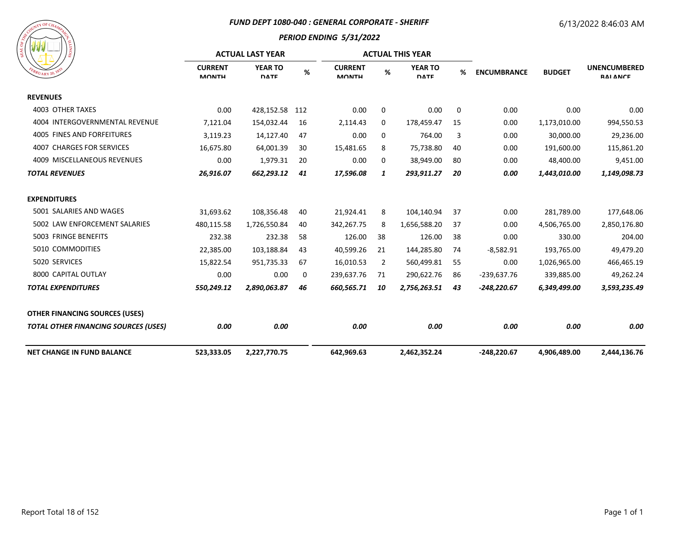#### *FUND DEPT 1080-040 : GENERAL CORPORATE - SHERIFF*

# 6/13/2022 8:46:03 AM



|                                             |                                | <b>ACTUAL LAST YEAR</b>       |     |                                | <b>ACTUAL THIS YEAR</b> |                               |    |                    |               |                                        |
|---------------------------------------------|--------------------------------|-------------------------------|-----|--------------------------------|-------------------------|-------------------------------|----|--------------------|---------------|----------------------------------------|
| $R_{U_{\text{ARY 20}}}.$                    | <b>CURRENT</b><br><b>MONTH</b> | <b>YEAR TO</b><br><b>DATE</b> | %   | <b>CURRENT</b><br><b>MONTH</b> | %                       | <b>YEAR TO</b><br><b>DATE</b> | %  | <b>ENCUMBRANCE</b> | <b>BUDGET</b> | <b>UNENCUMBERED</b><br><b>RAI ANCE</b> |
| <b>REVENUES</b>                             |                                |                               |     |                                |                         |                               |    |                    |               |                                        |
| 4003 OTHER TAXES                            | 0.00                           | 428,152.58                    | 112 | 0.00                           | 0                       | 0.00                          | 0  | 0.00               | 0.00          | 0.00                                   |
| 4004 INTERGOVERNMENTAL REVENUE              | 7,121.04                       | 154,032.44                    | 16  | 2,114.43                       | 0                       | 178,459.47                    | 15 | 0.00               | 1,173,010.00  | 994,550.53                             |
| 4005 FINES AND FORFEITURES                  | 3,119.23                       | 14,127.40                     | 47  | 0.00                           | 0                       | 764.00                        | 3  | 0.00               | 30,000.00     | 29,236.00                              |
| <b>4007 CHARGES FOR SERVICES</b>            | 16,675.80                      | 64,001.39                     | 30  | 15,481.65                      | 8                       | 75,738.80                     | 40 | 0.00               | 191,600.00    | 115,861.20                             |
| 4009 MISCELLANEOUS REVENUES                 | 0.00                           | 1,979.31                      | 20  | 0.00                           | 0                       | 38,949.00                     | 80 | 0.00               | 48,400.00     | 9,451.00                               |
| <b>TOTAL REVENUES</b>                       | 26,916.07                      | 662,293.12                    | 41  | 17,596.08                      | 1                       | 293,911.27                    | 20 | 0.00               | 1,443,010.00  | 1,149,098.73                           |
| <b>EXPENDITURES</b>                         |                                |                               |     |                                |                         |                               |    |                    |               |                                        |
| 5001 SALARIES AND WAGES                     | 31,693.62                      | 108,356.48                    | 40  | 21,924.41                      | 8                       | 104,140.94                    | 37 | 0.00               | 281,789.00    | 177,648.06                             |
| 5002 LAW ENFORCEMENT SALARIES               | 480,115.58                     | 1,726,550.84                  | 40  | 342,267.75                     | 8                       | 1,656,588.20                  | 37 | 0.00               | 4,506,765.00  | 2,850,176.80                           |
| 5003 FRINGE BENEFITS                        | 232.38                         | 232.38                        | 58  | 126.00                         | 38                      | 126.00                        | 38 | 0.00               | 330.00        | 204.00                                 |
| 5010 COMMODITIES                            | 22,385.00                      | 103,188.84                    | 43  | 40,599.26                      | 21                      | 144,285.80                    | 74 | $-8,582.91$        | 193,765.00    | 49,479.20                              |
| 5020 SERVICES                               | 15,822.54                      | 951,735.33                    | 67  | 16,010.53                      | 2                       | 560,499.81                    | 55 | 0.00               | 1,026,965.00  | 466,465.19                             |
| 8000 CAPITAL OUTLAY                         | 0.00                           | 0.00                          | 0   | 239,637.76                     | 71                      | 290,622.76                    | 86 | $-239,637.76$      | 339,885.00    | 49,262.24                              |
| <b>TOTAL EXPENDITURES</b>                   | 550,249.12                     | 2,890,063.87                  | 46  | 660,565.71                     | 10                      | 2,756,263.51                  | 43 | $-248,220.67$      | 6,349,499.00  | 3,593,235.49                           |
| <b>OTHER FINANCING SOURCES (USES)</b>       |                                |                               |     |                                |                         |                               |    |                    |               |                                        |
| <b>TOTAL OTHER FINANCING SOURCES (USES)</b> | 0.00                           | 0.00                          |     | 0.00                           |                         | 0.00                          |    | 0.00               | 0.00          | 0.00                                   |
| <b>NET CHANGE IN FUND BALANCE</b>           | 523,333.05                     | 2,227,770.75                  |     | 642,969.63                     |                         | 2,462,352.24                  |    | -248,220.67        | 4,906,489.00  | 2,444,136.76                           |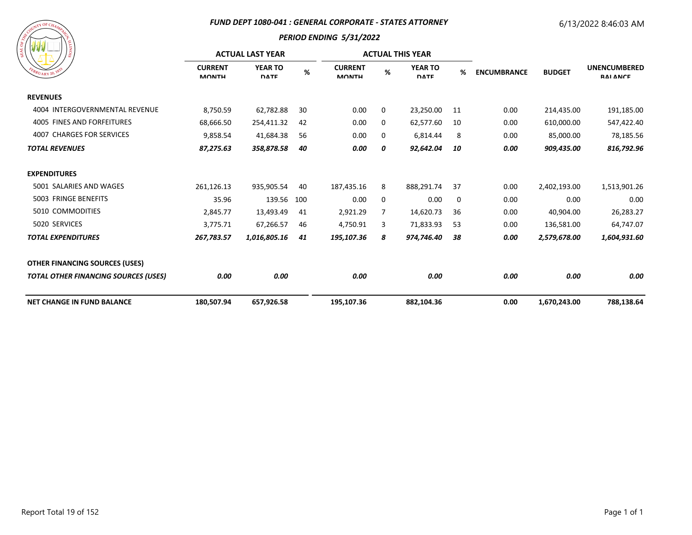#### *FUND DEPT 1080-041 : GENERAL CORPORATE - STATES ATTORNEY*

# 6/13/2022 8:46:03 AM



|                                             |                                | <b>ACTUAL LAST YEAR</b>       |      |                                |   | <b>ACTUAL THIS YEAR</b>       |    |                    |               |                                        |
|---------------------------------------------|--------------------------------|-------------------------------|------|--------------------------------|---|-------------------------------|----|--------------------|---------------|----------------------------------------|
| $B_{RU_{\text{ARY}}20}$ , 18                | <b>CURRENT</b><br><b>MONTH</b> | <b>YEAR TO</b><br><b>DATE</b> | $\%$ | <b>CURRENT</b><br><b>MONTH</b> | % | <b>YEAR TO</b><br><b>DATE</b> | %  | <b>ENCUMBRANCE</b> | <b>BUDGET</b> | <b>UNENCUMBERED</b><br><b>RAI ANCE</b> |
| <b>REVENUES</b>                             |                                |                               |      |                                |   |                               |    |                    |               |                                        |
| 4004 INTERGOVERNMENTAL REVENUE              | 8,750.59                       | 62,782.88                     | 30   | 0.00                           | 0 | 23,250.00                     | 11 | 0.00               | 214,435.00    | 191,185.00                             |
| <b>4005 FINES AND FORFEITURES</b>           | 68,666.50                      | 254,411.32                    | 42   | 0.00                           | 0 | 62,577.60                     | 10 | 0.00               | 610,000.00    | 547,422.40                             |
| <b>4007 CHARGES FOR SERVICES</b>            | 9,858.54                       | 41,684.38                     | 56   | 0.00                           | 0 | 6,814.44                      | 8  | 0.00               | 85,000.00     | 78,185.56                              |
| <b>TOTAL REVENUES</b>                       | 87,275.63                      | 358,878.58                    | 40   | 0.00                           | 0 | 92,642.04                     | 10 | 0.00               | 909,435.00    | 816,792.96                             |
| <b>EXPENDITURES</b>                         |                                |                               |      |                                |   |                               |    |                    |               |                                        |
| 5001 SALARIES AND WAGES                     | 261,126.13                     | 935,905.54                    | 40   | 187,435.16                     | 8 | 888,291.74                    | 37 | 0.00               | 2,402,193.00  | 1,513,901.26                           |
| 5003 FRINGE BENEFITS                        | 35.96                          | 139.56                        | 100  | 0.00                           | 0 | 0.00                          | 0  | 0.00               | 0.00          | 0.00                                   |
| 5010 COMMODITIES                            | 2,845.77                       | 13,493.49                     | 41   | 2,921.29                       | 7 | 14,620.73                     | 36 | 0.00               | 40,904.00     | 26,283.27                              |
| 5020 SERVICES                               | 3,775.71                       | 67,266.57                     | 46   | 4,750.91                       | 3 | 71,833.93                     | 53 | 0.00               | 136,581.00    | 64,747.07                              |
| <b>TOTAL EXPENDITURES</b>                   | 267,783.57                     | 1,016,805.16                  | 41   | 195,107.36                     | 8 | 974,746.40                    | 38 | 0.00               | 2,579,678.00  | 1,604,931.60                           |
| <b>OTHER FINANCING SOURCES (USES)</b>       |                                |                               |      |                                |   |                               |    |                    |               |                                        |
| <b>TOTAL OTHER FINANCING SOURCES (USES)</b> | 0.00                           | 0.00                          |      | 0.00                           |   | 0.00                          |    | 0.00               | 0.00          | 0.00                                   |
| <b>NET CHANGE IN FUND BALANCE</b>           | 180,507.94                     | 657,926.58                    |      | 195,107.36                     |   | 882,104.36                    |    | 0.00               | 1,670,243.00  | 788,138.64                             |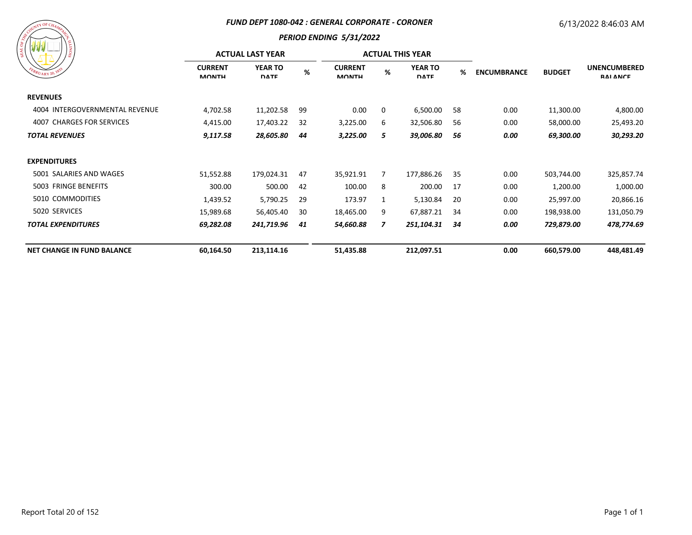#### *FUND DEPT 1080-042 : GENERAL CORPORATE - CORONER*

# 6/13/2022 8:46:03 AM

| COF CHAMPAGE<br>COUNTY<br>4 |   |
|-----------------------------|---|
| $\sigma_{F_{R_0}}$          |   |
| <b>SEAL</b>                 | g |
|                             | ã |

| WWW                               | <b>ACTUAL LAST YEAR</b>        |                               |      |                                |   | <b>ACTUAL THIS YEAR</b>       |    |                    |               |                                        |
|-----------------------------------|--------------------------------|-------------------------------|------|--------------------------------|---|-------------------------------|----|--------------------|---------------|----------------------------------------|
| EBRUARY 20, 1833                  | <b>CURRENT</b><br><b>MONTH</b> | <b>YEAR TO</b><br><b>DATE</b> | $\%$ | <b>CURRENT</b><br><b>MONTH</b> | % | <b>YEAR TO</b><br><b>DATE</b> | %  | <b>ENCUMBRANCE</b> | <b>BUDGET</b> | <b>UNENCUMBERED</b><br><b>RAI ANCE</b> |
| <b>REVENUES</b>                   |                                |                               |      |                                |   |                               |    |                    |               |                                        |
| 4004 INTERGOVERNMENTAL REVENUE    | 4,702.58                       | 11,202.58                     | 99   | 0.00                           | 0 | 6,500.00                      | 58 | 0.00               | 11,300.00     | 4,800.00                               |
| 4007 CHARGES FOR SERVICES         | 4,415.00                       | 17,403.22                     | 32   | 3,225.00                       | 6 | 32,506.80                     | 56 | 0.00               | 58,000.00     | 25,493.20                              |
| <b>TOTAL REVENUES</b>             | 9,117.58                       | 28,605.80                     | 44   | 3,225.00                       | 5 | 39,006.80                     | 56 | 0.00               | 69,300.00     | 30,293.20                              |
| <b>EXPENDITURES</b>               |                                |                               |      |                                |   |                               |    |                    |               |                                        |
| 5001 SALARIES AND WAGES           | 51,552.88                      | 179,024.31                    | 47   | 35,921.91                      | 7 | 177,886.26                    | 35 | 0.00               | 503,744.00    | 325,857.74                             |
| 5003 FRINGE BENEFITS              | 300.00                         | 500.00                        | 42   | 100.00                         | 8 | 200.00                        | 17 | 0.00               | 1,200.00      | 1,000.00                               |
| 5010 COMMODITIES                  | 1,439.52                       | 5,790.25                      | 29   | 173.97                         | 1 | 5,130.84                      | 20 | 0.00               | 25,997.00     | 20,866.16                              |
| 5020 SERVICES                     | 15,989.68                      | 56,405.40                     | 30   | 18,465.00                      | 9 | 67,887.21                     | 34 | 0.00               | 198,938.00    | 131,050.79                             |
| <b>TOTAL EXPENDITURES</b>         | 69,282.08                      | 241,719.96                    | 41   | 54,660.88                      | 7 | 251,104.31                    | 34 | 0.00               | 729,879.00    | 478,774.69                             |
| <b>NET CHANGE IN FUND BALANCE</b> | 60,164.50                      | 213,114.16                    |      | 51,435.88                      |   | 212,097.51                    |    | 0.00               | 660,579.00    | 448,481.49                             |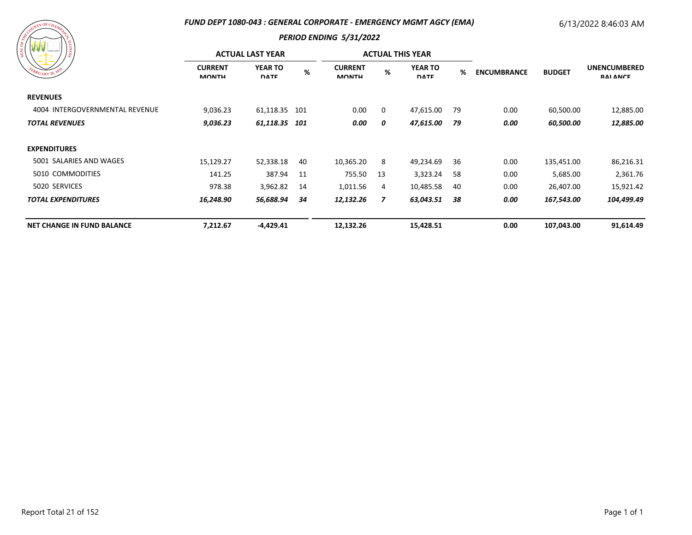#### *FUND DEPT 1080-043 : GENERAL CORPORATE - EMERGENCY MGMT AGCY (EMA)*

# 6/13/2022 8:46:03 AM

| ASSESSMANT DECHAMANCE<br>FEBRUARY 20, 1833 | <b>SIONIT</b> |
|--------------------------------------------|---------------|
|                                            |               |

|                                   |                                | <b>ACTUAL LAST YEAR</b>       |     |                                |     | <b>ACTUAL THIS YEAR</b>       |      |                    |               |                                        |
|-----------------------------------|--------------------------------|-------------------------------|-----|--------------------------------|-----|-------------------------------|------|--------------------|---------------|----------------------------------------|
| EBRUARY 20, 1833                  | <b>CURRENT</b><br><b>MONTH</b> | <b>YEAR TO</b><br><b>DATE</b> | %   | <b>CURRENT</b><br><b>MONTH</b> | %   | <b>YEAR TO</b><br><b>DATE</b> | %    | <b>ENCUMBRANCE</b> | <b>BUDGET</b> | <b>UNENCUMBERED</b><br><b>RAI ANCE</b> |
| <b>REVENUES</b>                   |                                |                               |     |                                |     |                               |      |                    |               |                                        |
| 4004 INTERGOVERNMENTAL REVENUE    | 9,036.23                       | 61,118.35                     | 101 | 0.00                           | 0   | 47,615.00                     | -79  | 0.00               | 60,500.00     | 12,885.00                              |
| <b>TOTAL REVENUES</b>             | 9,036.23                       | 61,118.35                     | 101 | 0.00                           | 0   | 47,615.00                     | - 79 | 0.00               | 60,500.00     | 12,885.00                              |
| <b>EXPENDITURES</b>               |                                |                               |     |                                |     |                               |      |                    |               |                                        |
| 5001 SALARIES AND WAGES           | 15,129.27                      | 52,338.18                     | 40  | 10,365.20                      | 8   | 49,234.69                     | 36   | 0.00               | 135,451.00    | 86,216.31                              |
| 5010 COMMODITIES                  | 141.25                         | 387.94                        | 11  | 755.50                         | -13 | 3,323.24                      | -58  | 0.00               | 5,685.00      | 2,361.76                               |
| 5020 SERVICES                     | 978.38                         | 3,962.82                      | 14  | 1,011.56                       | 4   | 10,485.58                     | 40   | 0.00               | 26,407.00     | 15,921.42                              |
| <b>TOTAL EXPENDITURES</b>         | 16,248.90                      | 56,688.94                     | 34  | 12,132.26                      | 7   | 63,043.51                     | 38   | 0.00               | 167,543.00    | 104,499.49                             |
| <b>NET CHANGE IN FUND BALANCE</b> | 7,212.67                       | $-4,429.41$                   |     | 12,132.26                      |     | 15,428.51                     |      | 0.00               | 107,043.00    | 91,614.49                              |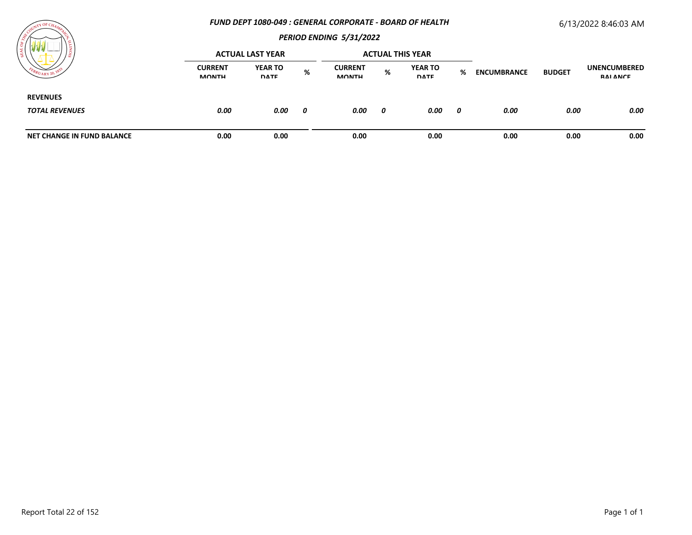#### *FUND DEPT 1080-049 : GENERAL CORPORATE - BOARD OF HEALTH*

# 6/13/2022 8:46:03 AM



| । ខ្ល                             |                                | <b>ACTUAL LAST YEAR</b>       |   |                                |   | <b>ACTUAL THIS YEAR</b>       |   |                    |               |                                 |
|-----------------------------------|--------------------------------|-------------------------------|---|--------------------------------|---|-------------------------------|---|--------------------|---------------|---------------------------------|
| $v_{UARY20}$                      | <b>CURRENT</b><br><b>MONTH</b> | <b>YEAR TO</b><br><b>DATE</b> | % | <b>CURRENT</b><br><b>MONTH</b> | % | <b>YEAR TO</b><br><b>DATE</b> | % | <b>ENCUMBRANCE</b> | <b>BUDGET</b> | <b>UNENCUMBERED</b><br>RAI ANCE |
| <b>REVENUES</b>                   |                                |                               |   |                                |   |                               |   |                    |               |                                 |
| <b>TOTAL REVENUES</b>             | 0.00                           | 0.00                          | 0 | 0.00                           | 0 | 0.00                          | 0 | 0.00               | 0.00          | 0.00                            |
| <b>NET CHANGE IN FUND BALANCE</b> | 0.00                           | 0.00                          |   | 0.00                           |   | 0.00                          |   | 0.00               | 0.00          | 0.00                            |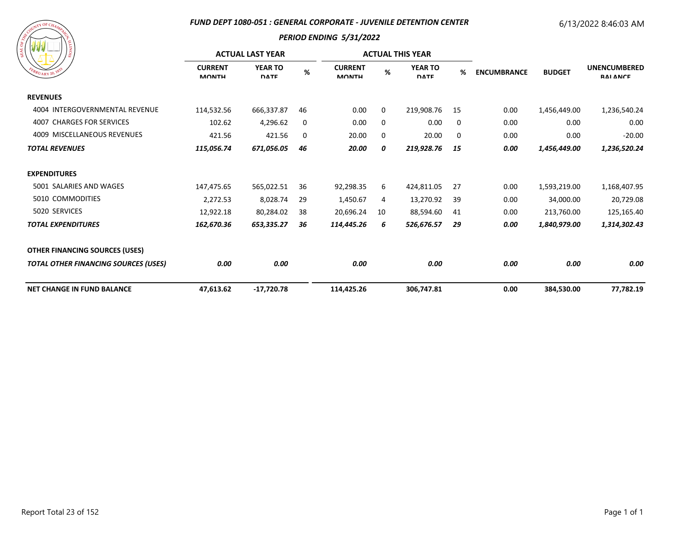#### *FUND DEPT 1080-051 : GENERAL CORPORATE - JUVENILE DETENTION CENTER*

#### 6/13/2022 8:46:03 AM

| A SOURI LUF CHAMPAGE<br>SIONITY<br>FEBRUARY 20, 1833 |  |
|------------------------------------------------------|--|
|                                                      |  |

| / డ                                         |                                | <b>ACTUAL LAST YEAR</b>       |      |                                |    | <b>ACTUAL THIS YEAR</b>       |    |                    |               |                                        |
|---------------------------------------------|--------------------------------|-------------------------------|------|--------------------------------|----|-------------------------------|----|--------------------|---------------|----------------------------------------|
| BRUARY 20, 182                              | <b>CURRENT</b><br><b>MONTH</b> | <b>YEAR TO</b><br><b>DATE</b> | $\%$ | <b>CURRENT</b><br><b>MONTH</b> | %  | <b>YEAR TO</b><br><b>DATE</b> | %  | <b>ENCUMBRANCE</b> | <b>BUDGET</b> | <b>UNENCUMBERED</b><br><b>RAI ANCE</b> |
| <b>REVENUES</b>                             |                                |                               |      |                                |    |                               |    |                    |               |                                        |
| 4004 INTERGOVERNMENTAL REVENUE              | 114,532.56                     | 666,337.87                    | 46   | 0.00                           | 0  | 219,908.76                    | 15 | 0.00               | 1,456,449.00  | 1,236,540.24                           |
| <b>CHARGES FOR SERVICES</b><br>4007         | 102.62                         | 4,296.62                      | 0    | 0.00                           | 0  | 0.00                          | 0  | 0.00               | 0.00          | 0.00                                   |
| 4009 MISCELLANEOUS REVENUES                 | 421.56                         | 421.56                        | 0    | 20.00                          | 0  | 20.00                         | 0  | 0.00               | 0.00          | $-20.00$                               |
| <b>TOTAL REVENUES</b>                       | 115,056.74                     | 671,056.05                    | 46   | 20.00                          | 0  | 219,928.76                    | 15 | 0.00               | 1,456,449.00  | 1,236,520.24                           |
| <b>EXPENDITURES</b>                         |                                |                               |      |                                |    |                               |    |                    |               |                                        |
| 5001 SALARIES AND WAGES                     | 147,475.65                     | 565,022.51                    | 36   | 92,298.35                      | 6  | 424,811.05                    | 27 | 0.00               | 1,593,219.00  | 1,168,407.95                           |
| 5010 COMMODITIES                            | 2,272.53                       | 8,028.74                      | 29   | 1,450.67                       | 4  | 13,270.92                     | 39 | 0.00               | 34,000.00     | 20,729.08                              |
| 5020 SERVICES                               | 12,922.18                      | 80,284.02                     | 38   | 20,696.24                      | 10 | 88,594.60                     | 41 | 0.00               | 213,760.00    | 125,165.40                             |
| <b>TOTAL EXPENDITURES</b>                   | 162,670.36                     | 653,335.27                    | 36   | 114,445.26                     | 6  | 526,676.57                    | 29 | 0.00               | 1,840,979.00  | 1,314,302.43                           |
| <b>OTHER FINANCING SOURCES (USES)</b>       |                                |                               |      |                                |    |                               |    |                    |               |                                        |
| <b>TOTAL OTHER FINANCING SOURCES (USES)</b> | 0.00                           | 0.00                          |      | 0.00                           |    | 0.00                          |    | 0.00               | 0.00          | 0.00                                   |
| <b>NET CHANGE IN FUND BALANCE</b>           | 47,613.62                      | $-17,720.78$                  |      | 114,425.26                     |    | 306,747.81                    |    | 0.00               | 384,530.00    | 77,782.19                              |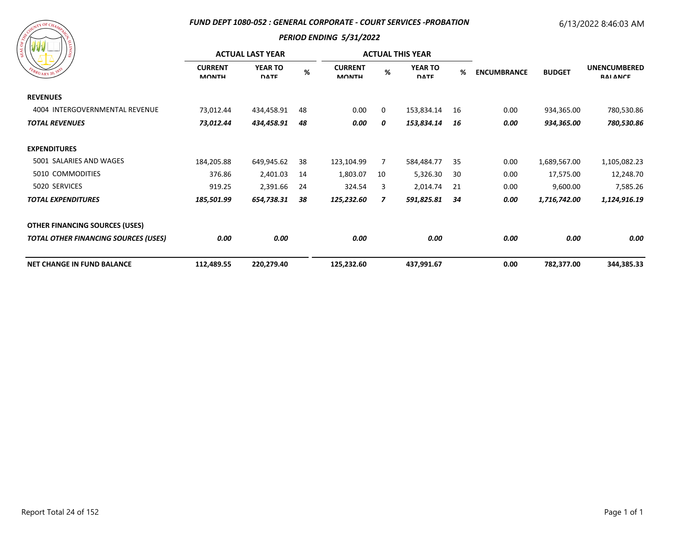#### *FUND DEPT 1080-052 : GENERAL CORPORATE - COURT SERVICES -PROBATION*

# 6/13/2022 8:46:03 AM

| ARANGEMAN AND CHAMPITER<br>SIONIT!<br>FEBRUARY 20, 1833 |
|---------------------------------------------------------|
|---------------------------------------------------------|

|                                             |                                | <b>ACTUAL LAST YEAR</b>       |    |                                |    | <b>ACTUAL THIS YEAR</b>       |    |                    |               |                                        |
|---------------------------------------------|--------------------------------|-------------------------------|----|--------------------------------|----|-------------------------------|----|--------------------|---------------|----------------------------------------|
| FEBRUARY 20, 183                            | <b>CURRENT</b><br><b>MONTH</b> | <b>YEAR TO</b><br><b>DATE</b> | %  | <b>CURRENT</b><br><b>MONTH</b> | %  | <b>YEAR TO</b><br><b>DATE</b> | %  | <b>ENCUMBRANCE</b> | <b>BUDGET</b> | <b>UNENCUMBERED</b><br><b>RAI ANCE</b> |
| <b>REVENUES</b>                             |                                |                               |    |                                |    |                               |    |                    |               |                                        |
| 4004 INTERGOVERNMENTAL REVENUE              | 73,012.44                      | 434,458.91                    | 48 | 0.00                           | 0  | 153,834.14                    | 16 | 0.00               | 934,365.00    | 780,530.86                             |
| <b>TOTAL REVENUES</b>                       | 73,012.44                      | 434,458.91                    | 48 | 0.00                           | 0  | 153,834.14                    | 16 | 0.00               | 934,365.00    | 780,530.86                             |
| <b>EXPENDITURES</b>                         |                                |                               |    |                                |    |                               |    |                    |               |                                        |
| 5001 SALARIES AND WAGES                     | 184,205.88                     | 649,945.62                    | 38 | 123,104.99                     | 7  | 584,484.77                    | 35 | 0.00               | 1,689,567.00  | 1,105,082.23                           |
| 5010 COMMODITIES                            | 376.86                         | 2,401.03                      | 14 | 1,803.07                       | 10 | 5,326.30                      | 30 | 0.00               | 17,575.00     | 12,248.70                              |
| 5020 SERVICES                               | 919.25                         | 2,391.66                      | 24 | 324.54                         | 3  | 2,014.74                      | 21 | 0.00               | 9,600.00      | 7,585.26                               |
| <b>TOTAL EXPENDITURES</b>                   | 185,501.99                     | 654,738.31                    | 38 | 125,232.60                     | 7  | 591,825.81                    | 34 | 0.00               | 1,716,742.00  | 1,124,916.19                           |
| <b>OTHER FINANCING SOURCES (USES)</b>       |                                |                               |    |                                |    |                               |    |                    |               |                                        |
| <b>TOTAL OTHER FINANCING SOURCES (USES)</b> | 0.00                           | 0.00                          |    | 0.00                           |    | 0.00                          |    | 0.00               | 0.00          | 0.00                                   |
| <b>NET CHANGE IN FUND BALANCE</b>           | 112,489.55                     | 220,279.40                    |    | 125,232.60                     |    | 437,991.67                    |    | 0.00               | 782,377.00    | 344,385.33                             |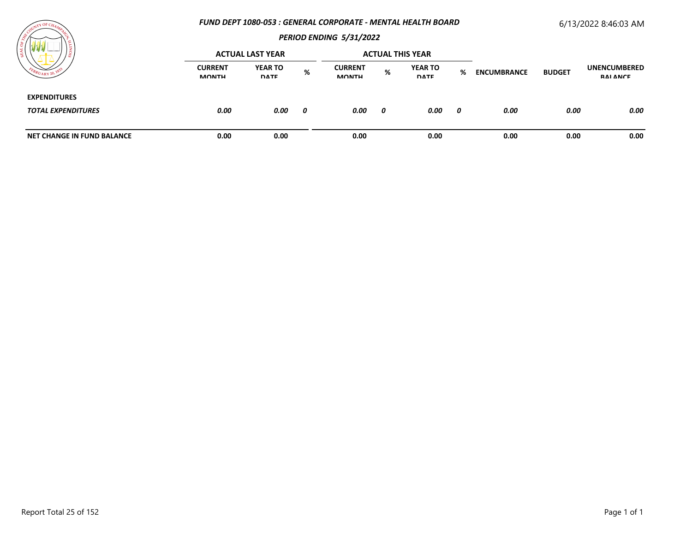#### *FUND DEPT 1080-053 : GENERAL CORPORATE - MENTAL HEALTH BOARD*

# 6/13/2022 8:46:03 AM



|                                                  |                                | <b>ACTUAL LAST YEAR</b>       |   |                                |   | <b>ACTUAL THIS YEAR</b>       |   |                    |               |                                        |
|--------------------------------------------------|--------------------------------|-------------------------------|---|--------------------------------|---|-------------------------------|---|--------------------|---------------|----------------------------------------|
|                                                  | <b>CURRENT</b><br><b>MONTH</b> | <b>YEAR TO</b><br><b>DATE</b> | % | <b>CURRENT</b><br><b>MONTH</b> | % | <b>YEAR TO</b><br><b>DATE</b> | % | <b>ENCUMBRANCE</b> | <b>BUDGET</b> | <b>UNENCUMBERED</b><br><b>RAI ANCE</b> |
| <b>EXPENDITURES</b><br><b>TOTAL EXPENDITURES</b> | 0.00                           | 0.00                          | 0 | 0.00                           | 0 | 0.00                          | 0 | 0.00               | 0.00          | 0.00                                   |
| NET CHANGE IN FUND BALANCE                       | 0.00                           | 0.00                          |   | 0.00                           |   | 0.00                          |   | 0.00               | 0.00          | 0.00                                   |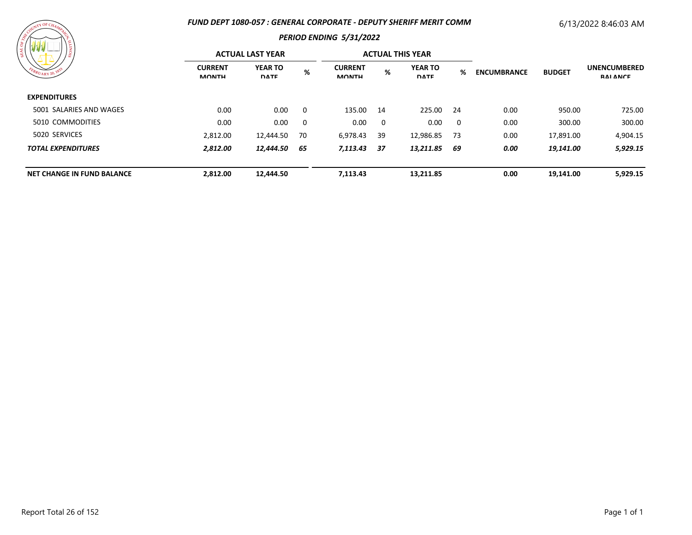#### *FUND DEPT 1080-057 : GENERAL CORPORATE - DEPUTY SHERIFF MERIT COMM*

# 6/13/2022 8:46:03 AM



| .                                 |                                | <b>ACTUAL LAST YEAR</b>       |    |                                |             | <b>ACTUAL THIS YEAR</b>       |      |                    |               |                                        |
|-----------------------------------|--------------------------------|-------------------------------|----|--------------------------------|-------------|-------------------------------|------|--------------------|---------------|----------------------------------------|
| FEBRUARY 20, 1833                 | <b>CURRENT</b><br><b>MONTH</b> | <b>YEAR TO</b><br><b>DATE</b> | %  | <b>CURRENT</b><br><b>MONTH</b> | %           | <b>YEAR TO</b><br><b>DATE</b> | ℅    | <b>ENCUMBRANCE</b> | <b>BUDGET</b> | <b>UNENCUMBERED</b><br><b>RAI ANCE</b> |
| <b>EXPENDITURES</b>               |                                |                               |    |                                |             |                               |      |                    |               |                                        |
| 5001 SALARIES AND WAGES           | 0.00                           | 0.00                          | 0  | 135.00 14                      |             | 225.00 24                     |      | 0.00               | 950.00        | 725.00                                 |
| 5010 COMMODITIES                  | 0.00                           | 0.00                          | 0  | 0.00                           | $\mathbf 0$ | 0.00                          | 0    | 0.00               | 300.00        | 300.00                                 |
| 5020 SERVICES                     | 2,812.00                       | 12,444.50                     | 70 | 6,978.43                       | -39         | 12,986.85                     | - 73 | 0.00               | 17,891.00     | 4,904.15                               |
| <b>TOTAL EXPENDITURES</b>         | 2,812.00                       | 12,444.50                     | 65 | 7,113.43                       | 37          | 13,211.85                     | 69   | 0.00               | 19,141.00     | 5,929.15                               |
| <b>NET CHANGE IN FUND BALANCE</b> | 2,812.00                       | 12,444.50                     |    | 7,113.43                       |             | 13.211.85                     |      | 0.00               | 19.141.00     | 5,929.15                               |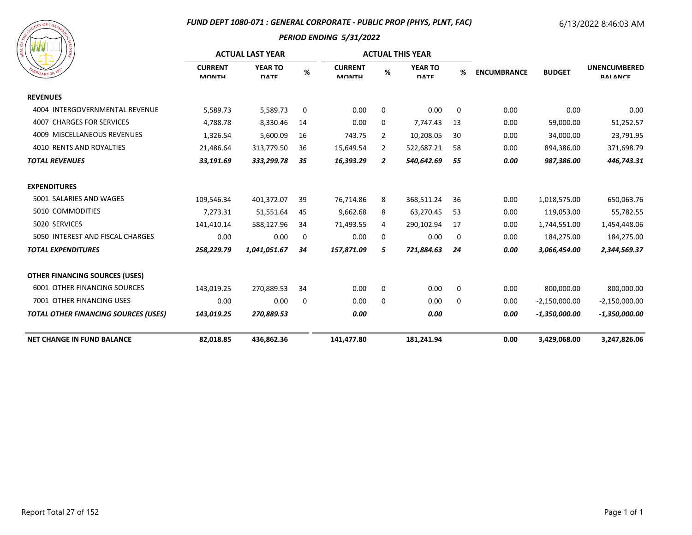# *FUND DEPT 1080-071 : GENERAL CORPORATE - PUBLIC PROP (PHYS, PLNT, FAC)*

# 6/13/2022 8:46:03 AM



|                                             |                                | <b>ACTUAL LAST YEAR</b>       |    |                                |                | <b>ACTUAL THIS YEAR</b>       |    |                    |                 |                                        |
|---------------------------------------------|--------------------------------|-------------------------------|----|--------------------------------|----------------|-------------------------------|----|--------------------|-----------------|----------------------------------------|
| $R_{U_{\text{ARY}}20}$ , $\chi^2$           | <b>CURRENT</b><br><b>MONTH</b> | <b>YEAR TO</b><br><b>DATE</b> | %  | <b>CURRENT</b><br><b>MONTH</b> | %              | <b>YEAR TO</b><br><b>DATE</b> | %  | <b>ENCUMBRANCE</b> | <b>BUDGET</b>   | <b>UNENCUMBERED</b><br><b>RAI ANCE</b> |
| <b>REVENUES</b>                             |                                |                               |    |                                |                |                               |    |                    |                 |                                        |
| 4004 INTERGOVERNMENTAL REVENUE              | 5,589.73                       | 5,589.73                      | 0  | 0.00                           | 0              | 0.00                          | 0  | 0.00               | 0.00            | 0.00                                   |
| <b>4007 CHARGES FOR SERVICES</b>            | 4,788.78                       | 8,330.46                      | 14 | 0.00                           | 0              | 7,747.43                      | 13 | 0.00               | 59,000.00       | 51,252.57                              |
| 4009 MISCELLANEOUS REVENUES                 | 1,326.54                       | 5,600.09                      | 16 | 743.75                         | $\overline{2}$ | 10,208.05                     | 30 | 0.00               | 34,000.00       | 23,791.95                              |
| 4010 RENTS AND ROYALTIES                    | 21,486.64                      | 313,779.50                    | 36 | 15,649.54                      | $\overline{2}$ | 522,687.21                    | 58 | 0.00               | 894,386.00      | 371,698.79                             |
| <b>TOTAL REVENUES</b>                       | 33,191.69                      | 333,299.78                    | 35 | 16,393.29                      | 2              | 540,642.69                    | 55 | 0.00               | 987,386.00      | 446,743.31                             |
| <b>EXPENDITURES</b>                         |                                |                               |    |                                |                |                               |    |                    |                 |                                        |
| 5001 SALARIES AND WAGES                     | 109,546.34                     | 401,372.07                    | 39 | 76,714.86                      | 8              | 368,511.24                    | 36 | 0.00               | 1,018,575.00    | 650,063.76                             |
| 5010 COMMODITIES                            | 7,273.31                       | 51,551.64                     | 45 | 9,662.68                       | 8              | 63,270.45                     | 53 | 0.00               | 119,053.00      | 55,782.55                              |
| 5020 SERVICES                               | 141,410.14                     | 588,127.96                    | 34 | 71,493.55                      | 4              | 290,102.94                    | 17 | 0.00               | 1,744,551.00    | 1,454,448.06                           |
| 5050 INTEREST AND FISCAL CHARGES            | 0.00                           | 0.00                          | 0  | 0.00                           | 0              | 0.00                          | 0  | 0.00               | 184,275.00      | 184,275.00                             |
| <b>TOTAL EXPENDITURES</b>                   | 258,229.79                     | 1,041,051.67                  | 34 | 157,871.09                     | 5              | 721,884.63                    | 24 | 0.00               | 3,066,454.00    | 2,344,569.37                           |
| <b>OTHER FINANCING SOURCES (USES)</b>       |                                |                               |    |                                |                |                               |    |                    |                 |                                        |
| <b>6001 OTHER FINANCING SOURCES</b>         | 143,019.25                     | 270,889.53                    | 34 | 0.00                           | 0              | 0.00                          | 0  | 0.00               | 800,000.00      | 800,000.00                             |
| 7001 OTHER FINANCING USES                   | 0.00                           | 0.00                          | 0  | 0.00                           | 0              | 0.00                          | 0  | 0.00               | $-2,150,000.00$ | $-2,150,000.00$                        |
| <b>TOTAL OTHER FINANCING SOURCES (USES)</b> | 143,019.25                     | 270,889.53                    |    | 0.00                           |                | 0.00                          |    | 0.00               | $-1,350,000.00$ | $-1,350,000.00$                        |
| <b>NET CHANGE IN FUND BALANCE</b>           | 82,018.85                      | 436,862.36                    |    | 141,477.80                     |                | 181,241.94                    |    | 0.00               | 3,429,068.00    | 3,247,826.06                           |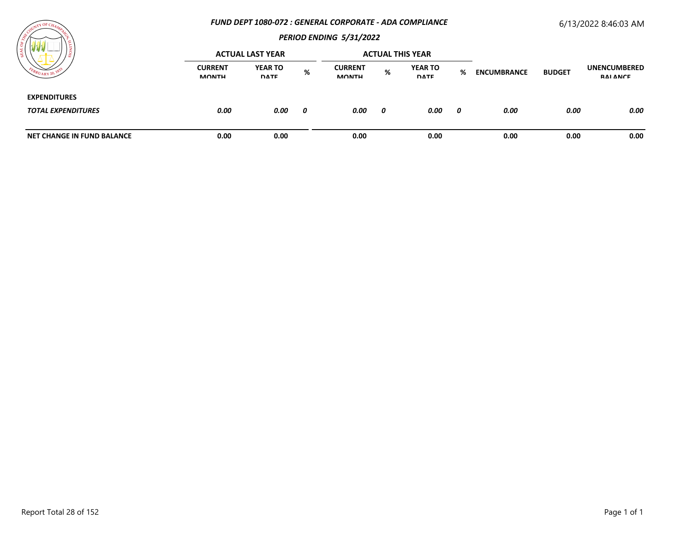#### *FUND DEPT 1080-072 : GENERAL CORPORATE - ADA COMPLIANCE*

# 6/13/2022 8:46:03 AM



|                                                  |                                | <b>ACTUAL LAST YEAR</b>       |     |                                |   | <b>ACTUAL THIS YEAR</b>       |   |                    |               |                                 |
|--------------------------------------------------|--------------------------------|-------------------------------|-----|--------------------------------|---|-------------------------------|---|--------------------|---------------|---------------------------------|
| 404RY20                                          | <b>CURRENT</b><br><b>MONTH</b> | <b>YEAR TO</b><br><b>DATE</b> | %   | <b>CURRENT</b><br><b>MONTH</b> | % | <b>YEAR TO</b><br><b>DATE</b> | % | <b>ENCUMBRANCE</b> | <b>BUDGET</b> | <b>UNENCUMBERED</b><br>RAI ANCE |
| <b>EXPENDITURES</b><br><b>TOTAL EXPENDITURES</b> | 0.00                           | 0.00                          | - 0 | 0.00                           | 0 | 0.00                          | 0 | 0.00               | 0.00          | 0.00                            |
| <b>NET CHANGE IN FUND BALANCE</b>                | 0.00                           | 0.00                          |     | 0.00                           |   | 0.00                          |   | 0.00               | 0.00          | 0.00                            |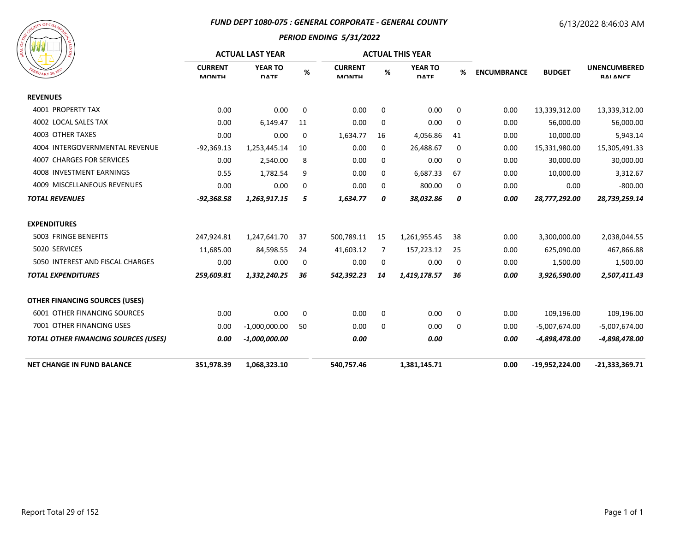#### *FUND DEPT 1080-075 : GENERAL CORPORATE - GENERAL COUNTY*

# 6/13/2022 8:46:03 AM



|                                             |                                | <b>ACTUAL LAST YEAR</b>       |    |                                |             | <b>ACTUAL THIS YEAR</b>       |             |                    |                  | <b>UNENCUMBERED</b><br>RAI ANCE |
|---------------------------------------------|--------------------------------|-------------------------------|----|--------------------------------|-------------|-------------------------------|-------------|--------------------|------------------|---------------------------------|
| <b>PUARY 20, 18</b>                         | <b>CURRENT</b><br><b>MONTH</b> | <b>YEAR TO</b><br><b>DATE</b> | %  | <b>CURRENT</b><br><b>MONTH</b> | %           | <b>YEAR TO</b><br><b>DATE</b> | %           | <b>ENCUMBRANCE</b> | <b>BUDGET</b>    |                                 |
| <b>REVENUES</b>                             |                                |                               |    |                                |             |                               |             |                    |                  |                                 |
| 4001 PROPERTY TAX                           | 0.00                           | 0.00                          | 0  | 0.00                           | $\mathbf 0$ | 0.00                          | 0           | 0.00               | 13,339,312.00    | 13,339,312.00                   |
| 4002 LOCAL SALES TAX                        | 0.00                           | 6,149.47                      | 11 | 0.00                           | $\mathbf 0$ | 0.00                          | $\mathbf 0$ | 0.00               | 56,000.00        | 56,000.00                       |
| 4003 OTHER TAXES                            | 0.00                           | 0.00                          | 0  | 1,634.77                       | 16          | 4,056.86                      | 41          | 0.00               | 10,000.00        | 5,943.14                        |
| 4004 INTERGOVERNMENTAL REVENUE              | $-92,369.13$                   | 1,253,445.14                  | 10 | 0.00                           | 0           | 26,488.67                     | 0           | 0.00               | 15,331,980.00    | 15,305,491.33                   |
| 4007 CHARGES FOR SERVICES                   | 0.00                           | 2,540.00                      | 8  | 0.00                           | 0           | 0.00                          | 0           | 0.00               | 30,000.00        | 30,000.00                       |
| 4008 INVESTMENT EARNINGS                    | 0.55                           | 1,782.54                      | 9  | 0.00                           | 0           | 6,687.33                      | 67          | 0.00               | 10,000.00        | 3,312.67                        |
| 4009 MISCELLANEOUS REVENUES                 | 0.00                           | 0.00                          | 0  | 0.00                           | 0           | 800.00                        | 0           | 0.00               | 0.00             | $-800.00$                       |
| <b>TOTAL REVENUES</b>                       | $-92,368.58$                   | 1,263,917.15                  | 5  | 1,634.77                       | 0           | 38,032.86                     | 0           | 0.00               | 28,777,292.00    | 28,739,259.14                   |
| <b>EXPENDITURES</b>                         |                                |                               |    |                                |             |                               |             |                    |                  |                                 |
| 5003 FRINGE BENEFITS                        | 247,924.81                     | 1,247,641.70                  | 37 | 500,789.11                     | 15          | 1,261,955.45                  | 38          | 0.00               | 3,300,000.00     | 2,038,044.55                    |
| 5020 SERVICES                               | 11,685.00                      | 84,598.55                     | 24 | 41,603.12                      | 7           | 157,223.12                    | 25          | 0.00               | 625,090.00       | 467,866.88                      |
| 5050 INTEREST AND FISCAL CHARGES            | 0.00                           | 0.00                          | 0  | 0.00                           | 0           | 0.00                          | 0           | 0.00               | 1,500.00         | 1,500.00                        |
| <b>TOTAL EXPENDITURES</b>                   | 259,609.81                     | 1,332,240.25                  | 36 | 542,392.23                     | 14          | 1,419,178.57                  | 36          | 0.00               | 3,926,590.00     | 2,507,411.43                    |
| <b>OTHER FINANCING SOURCES (USES)</b>       |                                |                               |    |                                |             |                               |             |                    |                  |                                 |
| <b>6001 OTHER FINANCING SOURCES</b>         | 0.00                           | 0.00                          | 0  | 0.00                           | $\mathbf 0$ | 0.00                          | $\mathbf 0$ | 0.00               | 109,196.00       | 109,196.00                      |
| 7001 OTHER FINANCING USES                   | 0.00                           | $-1,000,000.00$               | 50 | 0.00                           | $\mathbf 0$ | 0.00                          | $\mathbf 0$ | 0.00               | $-5,007,674.00$  | $-5,007,674.00$                 |
| <b>TOTAL OTHER FINANCING SOURCES (USES)</b> | 0.00                           | $-1,000,000.00$               |    | 0.00                           |             | 0.00                          |             | 0.00               | -4,898,478.00    | -4,898,478.00                   |
| <b>NET CHANGE IN FUND BALANCE</b>           | 351,978.39                     | 1,068,323.10                  |    | 540,757.46                     |             | 1,381,145.71                  |             | 0.00               | $-19,952,224.00$ | $-21,333,369.71$                |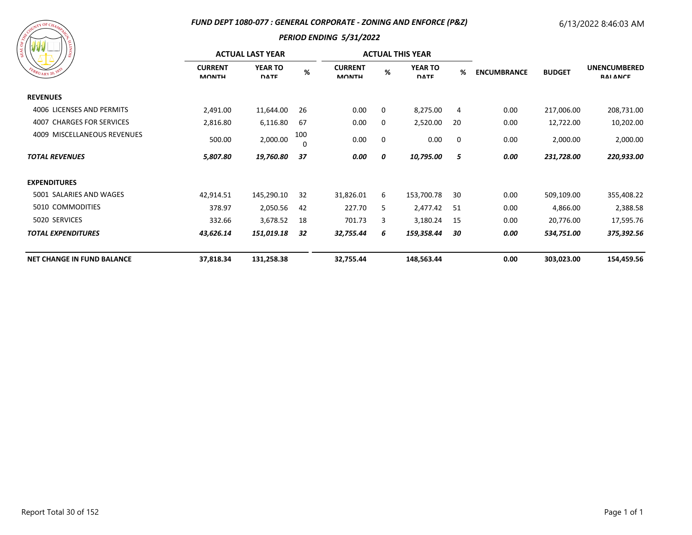#### *FUND DEPT 1080-077 : GENERAL CORPORATE - ZONING AND ENFORCE (P&Z)*

# 6/13/2022 8:46:03 AM

| A COURT OF CHAMPY CH<br>SIONITY<br>FEBRUARY 20, 1833 |
|------------------------------------------------------|
|------------------------------------------------------|

| 18                                  |                                | <b>ACTUAL LAST YEAR</b>       |                 |                                |   | <b>ACTUAL THIS YEAR</b>       |     |                                     |                                        |            |
|-------------------------------------|--------------------------------|-------------------------------|-----------------|--------------------------------|---|-------------------------------|-----|-------------------------------------|----------------------------------------|------------|
| BRUARY 20, 183                      | <b>CURRENT</b><br><b>MONTH</b> | <b>YEAR TO</b><br><b>DATE</b> | $\%$            | <b>CURRENT</b><br><b>MONTH</b> | % | <b>YEAR TO</b><br><b>DATE</b> | %   | <b>ENCUMBRANCE</b><br><b>BUDGET</b> | <b>UNENCUMBERED</b><br><b>RAI ANCE</b> |            |
| <b>REVENUES</b>                     |                                |                               |                 |                                |   |                               |     |                                     |                                        |            |
| 4006 LICENSES AND PERMITS           | 2,491.00                       | 11,644.00                     | 26              | 0.00                           | 0 | 8,275.00                      | 4   | 0.00                                | 217,006.00                             | 208,731.00 |
| <b>CHARGES FOR SERVICES</b><br>4007 | 2,816.80                       | 6,116.80                      | -67             | 0.00                           | 0 | 2,520.00                      | 20  | 0.00                                | 12,722.00                              | 10,202.00  |
| 4009 MISCELLANEOUS REVENUES         | 500.00                         | 2,000.00                      | 100<br>$\Omega$ | 0.00                           | 0 | 0.00                          | 0   | 0.00                                | 2,000.00                               | 2,000.00   |
| <b>TOTAL REVENUES</b>               | 5,807.80                       | 19,760.80                     | 37              | 0.00                           | 0 | 10,795.00                     | 5   | 0.00                                | 231,728.00                             | 220,933.00 |
| <b>EXPENDITURES</b>                 |                                |                               |                 |                                |   |                               |     |                                     |                                        |            |
| 5001 SALARIES AND WAGES             | 42,914.51                      | 145,290.10                    | 32              | 31,826.01                      | 6 | 153,700.78                    | 30  | 0.00                                | 509,109.00                             | 355,408.22 |
| 5010 COMMODITIES                    | 378.97                         | 2,050.56                      | 42              | 227.70                         | 5 | 2,477.42                      | -51 | 0.00                                | 4,866.00                               | 2,388.58   |
| 5020 SERVICES                       | 332.66                         | 3,678.52                      | 18              | 701.73                         | 3 | 3,180.24                      | -15 | 0.00                                | 20,776.00                              | 17,595.76  |
| <b>TOTAL EXPENDITURES</b>           | 43,626.14                      | 151,019.18                    | 32              | 32,755.44                      | 6 | 159,358.44                    | 30  | 0.00                                | 534,751.00                             | 375,392.56 |
| <b>NET CHANGE IN FUND BALANCE</b>   | 37,818.34                      | 131,258.38                    |                 | 32,755.44                      |   | 148,563.44                    |     | 0.00                                | 303,023.00                             | 154,459.56 |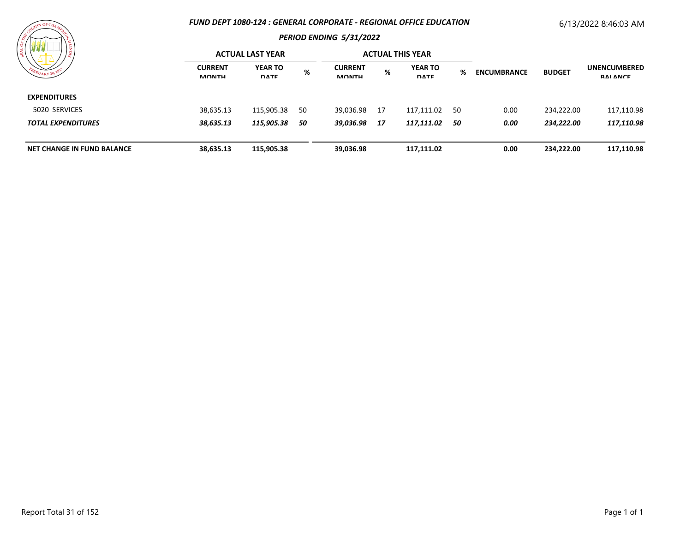#### *FUND DEPT 1080-124 : GENERAL CORPORATE - REGIONAL OFFICE EDUCATION*

# 6/13/2022 8:46:03 AM



| $R_{UARY\,20}$                         |                                | <b>ACTUAL LAST YEAR</b>       |           |                                |            | <b>ACTUAL THIS YEAR</b>       |      |                    |               |                                        |
|----------------------------------------|--------------------------------|-------------------------------|-----------|--------------------------------|------------|-------------------------------|------|--------------------|---------------|----------------------------------------|
|                                        | <b>CURRENT</b><br><b>MONTH</b> | <b>YEAR TO</b><br><b>DATE</b> | %         | <b>CURRENT</b><br><b>MONTH</b> | %          | <b>YEAR TO</b><br><b>DATE</b> | %    | <b>ENCUMBRANCE</b> | <b>BUDGET</b> | <b>UNENCUMBERED</b><br><b>RAI ANCE</b> |
| <b>EXPENDITURES</b>                    |                                |                               |           |                                |            |                               |      |                    |               |                                        |
| 5020 SERVICES                          | 38,635.13                      | 115,905.38                    | -50       | 39,036.98                      | - 17       | 117,111.02                    | - 50 | 0.00               | 234,222.00    | 117,110.98                             |
| 38,635.13<br><b>TOTAL EXPENDITURES</b> | 115,905.38                     | 50                            | 39,036.98 | - 17                           | 117,111.02 | -50                           | 0.00 | 234,222.00         | 117,110.98    |                                        |
| <b>NET CHANGE IN FUND BALANCE</b>      | 38,635.13                      | 115,905.38                    |           | 39,036.98                      |            | 117,111.02                    |      | 0.00               | 234,222.00    | 117,110.98                             |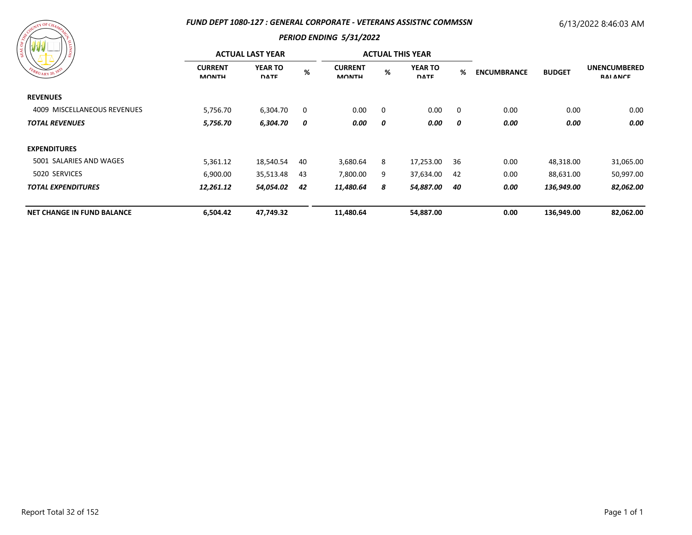#### *FUND DEPT 1080-127 : GENERAL CORPORATE - VETERANS ASSISTNC COMMSSN*

# 6/13/2022 8:46:03 AM

| $\mathbb{R}^{T}$ Y OF CHA         | FUND DEPT 1080-127 : GENERAL CORPORATE - VETERANS ASSISTNC COMMSSN | 6/13/2022 8:46:03 AM           |          |                                |   |                               |                |                    |               |                                        |
|-----------------------------------|--------------------------------------------------------------------|--------------------------------|----------|--------------------------------|---|-------------------------------|----------------|--------------------|---------------|----------------------------------------|
|                                   | <b>ACTUAL LAST YEAR</b>                                            | <b>PERIOD ENDING 5/31/2022</b> |          | <b>ACTUAL THIS YEAR</b>        |   |                               |                |                    |               |                                        |
| ERUARY 20, 183                    | <b>CURRENT</b><br><b>MONTH</b>                                     | <b>YEAR TO</b><br><b>DATE</b>  | %        | <b>CURRENT</b><br><b>MONTH</b> | % | <b>YEAR TO</b><br><b>DATE</b> | %              | <b>ENCUMBRANCE</b> | <b>BUDGET</b> | <b>UNENCUMBERED</b><br><b>RAI ANCE</b> |
| <b>REVENUES</b>                   |                                                                    |                                |          |                                |   |                               |                |                    |               |                                        |
| 4009 MISCELLANEOUS REVENUES       | 5,756.70                                                           | 6,304.70                       | $\Omega$ | 0.00                           | 0 | 0.00                          | $\overline{0}$ | 0.00               | 0.00          | 0.00                                   |
| <b>TOTAL REVENUES</b>             | 5,756.70                                                           | 6,304.70                       | 0        | 0.00                           | 0 | 0.00                          | 0              | 0.00               | 0.00          | 0.00                                   |
| <b>EXPENDITURES</b>               |                                                                    |                                |          |                                |   |                               |                |                    |               |                                        |
| 5001 SALARIES AND WAGES           | 5,361.12                                                           | 18,540.54                      | 40       | 3,680.64                       | 8 | 17,253.00                     | 36             | 0.00               | 48,318.00     | 31,065.00                              |
| 5020 SERVICES                     | 6,900.00                                                           | 35,513.48                      | 43       | 7,800.00                       | 9 | 37,634.00                     | 42             | 0.00               | 88,631.00     | 50,997.00                              |
| <b>TOTAL EXPENDITURES</b>         | 12,261.12                                                          | 54,054.02                      | -42      | 11,480.64                      | 8 | 54,887.00                     | 40             | 0.00               | 136,949.00    | 82,062.00                              |
| <b>NET CHANGE IN FUND BALANCE</b> | 6,504.42                                                           | 47,749.32                      |          | 11,480.64                      |   | 54,887.00                     |                | 0.00               | 136,949.00    | 82,062.00                              |

# Report Total 32 of 152 Page 1 of 1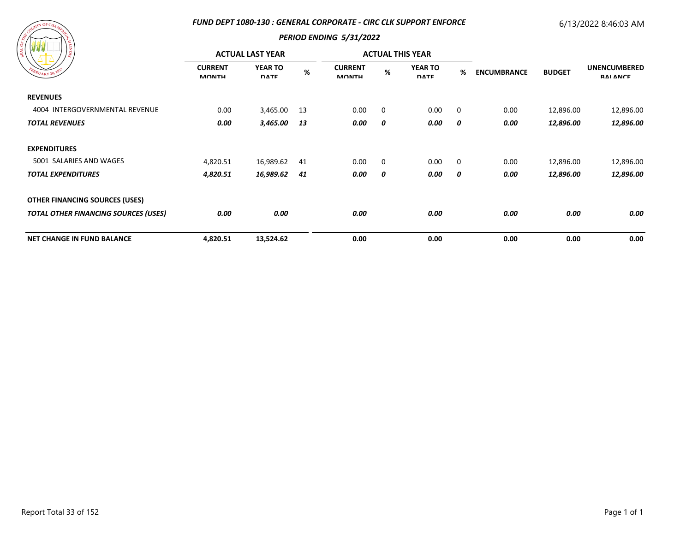#### *FUND DEPT 1080-130 : GENERAL CORPORATE - CIRC CLK SUPPORT ENFORCE*

# 6/13/2022 8:46:03 AM



| 79 79 79<br>18<br>EBRUARY 20, 1833          |                                | <b>ACTUAL LAST YEAR</b>       |     |                                |             | <b>ACTUAL THIS YEAR</b> |                |      | <b>ENCUMBRANCE</b><br><b>BUDGET</b> | <b>UNENCUMBERED</b><br><b>RAI ANCE</b> |
|---------------------------------------------|--------------------------------|-------------------------------|-----|--------------------------------|-------------|-------------------------|----------------|------|-------------------------------------|----------------------------------------|
|                                             | <b>CURRENT</b><br><b>MONTH</b> | <b>YEAR TO</b><br><b>DATE</b> | %   | <b>CURRENT</b><br><b>MONTH</b> | %           | YEAR TO<br><b>DATE</b>  | %              |      |                                     |                                        |
| <b>REVENUES</b>                             |                                |                               |     |                                |             |                         |                |      |                                     |                                        |
| 4004 INTERGOVERNMENTAL REVENUE              | 0.00                           | 3,465.00                      | -13 | 0.00                           | $\mathbf 0$ | 0.00                    | $\overline{0}$ | 0.00 | 12,896.00                           | 12,896.00                              |
| <b>TOTAL REVENUES</b>                       | 0.00                           | 3,465.00                      | 13  | 0.00                           | 0           | 0.00                    | 0              | 0.00 | 12,896.00                           | 12,896.00                              |
| <b>EXPENDITURES</b>                         |                                |                               |     |                                |             |                         |                |      |                                     |                                        |
| 5001 SALARIES AND WAGES                     | 4,820.51                       | 16,989.62                     | 41  | 0.00                           | $\mathbf 0$ | 0.00                    | $\overline{0}$ | 0.00 | 12,896.00                           | 12,896.00                              |
| <b>TOTAL EXPENDITURES</b>                   | 4,820.51                       | 16,989.62                     | 41  | 0.00                           | 0           | 0.00                    | 0              | 0.00 | 12,896.00                           | 12,896.00                              |
| <b>OTHER FINANCING SOURCES (USES)</b>       |                                |                               |     |                                |             |                         |                |      |                                     |                                        |
| <b>TOTAL OTHER FINANCING SOURCES (USES)</b> | 0.00                           | 0.00                          |     | 0.00                           |             | 0.00                    |                | 0.00 | 0.00                                | 0.00                                   |
| <b>NET CHANGE IN FUND BALANCE</b>           | 4,820.51                       | 13,524.62                     |     | 0.00                           |             | 0.00                    |                | 0.00 | 0.00                                | 0.00                                   |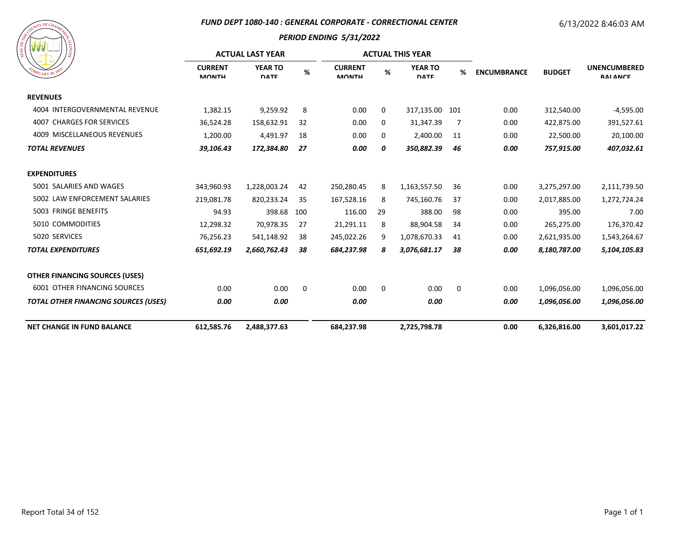#### *FUND DEPT 1080-140 : GENERAL CORPORATE - CORRECTIONAL CENTER*

# 6/13/2022 8:46:03 AM

| A COURT OF CHAMPY CR<br>SIONITI<br>FEBRUARY 20, 1833 |
|------------------------------------------------------|
|------------------------------------------------------|

|                                             |                                | <b>ACTUAL LAST YEAR</b>       |     | <b>ACTUAL THIS YEAR</b>        |      |                               |     |                                     |                                        |              |
|---------------------------------------------|--------------------------------|-------------------------------|-----|--------------------------------|------|-------------------------------|-----|-------------------------------------|----------------------------------------|--------------|
| $R_{UARY}$ 20, $\mathcal{V}$                | <b>CURRENT</b><br><b>MONTH</b> | <b>YEAR TO</b><br><b>DATE</b> | %   | <b>CURRENT</b><br><b>MONTH</b> | $\%$ | <b>YEAR TO</b><br><b>DATE</b> | %   | <b>ENCUMBRANCE</b><br><b>BUDGET</b> | <b>UNENCUMBERED</b><br><b>RAI ANCE</b> |              |
| <b>REVENUES</b>                             |                                |                               |     |                                |      |                               |     |                                     |                                        |              |
| 4004 INTERGOVERNMENTAL REVENUE              | 1,382.15                       | 9,259.92                      | 8   | 0.00                           | 0    | 317,135.00                    | 101 | 0.00                                | 312,540.00                             | $-4,595.00$  |
| 4007 CHARGES FOR SERVICES                   | 36,524.28                      | 158,632.91                    | 32  | 0.00                           | 0    | 31,347.39                     | 7   | 0.00                                | 422,875.00                             | 391,527.61   |
| 4009 MISCELLANEOUS REVENUES                 | 1,200.00                       | 4,491.97                      | 18  | 0.00                           | 0    | 2,400.00                      | 11  | 0.00                                | 22,500.00                              | 20,100.00    |
| <b>TOTAL REVENUES</b>                       | 39,106.43                      | 172,384.80                    | 27  | 0.00                           | 0    | 350,882.39                    | 46  | 0.00                                | 757,915.00                             | 407,032.61   |
| <b>EXPENDITURES</b>                         |                                |                               |     |                                |      |                               |     |                                     |                                        |              |
| 5001 SALARIES AND WAGES                     | 343,960.93                     | 1,228,003.24                  | 42  | 250,280.45                     | 8    | 1,163,557.50                  | 36  | 0.00                                | 3,275,297.00                           | 2,111,739.50 |
| 5002 LAW ENFORCEMENT SALARIES               | 219,081.78                     | 820,233.24                    | 35  | 167,528.16                     | 8    | 745,160.76                    | 37  | 0.00                                | 2,017,885.00                           | 1,272,724.24 |
| 5003 FRINGE BENEFITS                        | 94.93                          | 398.68                        | 100 | 116.00                         | 29   | 388.00                        | 98  | 0.00                                | 395.00                                 | 7.00         |
| 5010 COMMODITIES                            | 12,298.32                      | 70,978.35                     | 27  | 21,291.11                      | 8    | 88,904.58                     | 34  | 0.00                                | 265,275.00                             | 176,370.42   |
| 5020 SERVICES                               | 76,256.23                      | 541,148.92                    | 38  | 245,022.26                     | 9    | 1,078,670.33                  | 41  | 0.00                                | 2,621,935.00                           | 1,543,264.67 |
| <b>TOTAL EXPENDITURES</b>                   | 651,692.19                     | 2,660,762.43                  | 38  | 684,237.98                     | 8    | 3,076,681.17                  | 38  | 0.00                                | 8,180,787.00                           | 5,104,105.83 |
| <b>OTHER FINANCING SOURCES (USES)</b>       |                                |                               |     |                                |      |                               |     |                                     |                                        |              |
| 6001 OTHER FINANCING SOURCES                | 0.00                           | 0.00                          | 0   | 0.00                           | 0    | 0.00                          | 0   | 0.00                                | 1,096,056.00                           | 1,096,056.00 |
| <b>TOTAL OTHER FINANCING SOURCES (USES)</b> | 0.00                           | 0.00                          |     | 0.00                           |      | 0.00                          |     | 0.00                                | 1,096,056.00                           | 1,096,056.00 |
| <b>NET CHANGE IN FUND BALANCE</b>           | 612,585.76                     | 2,488,377.63                  |     | 684,237.98                     |      | 2,725,798.78                  |     | 0.00                                | 6,326,816.00                           | 3,601,017.22 |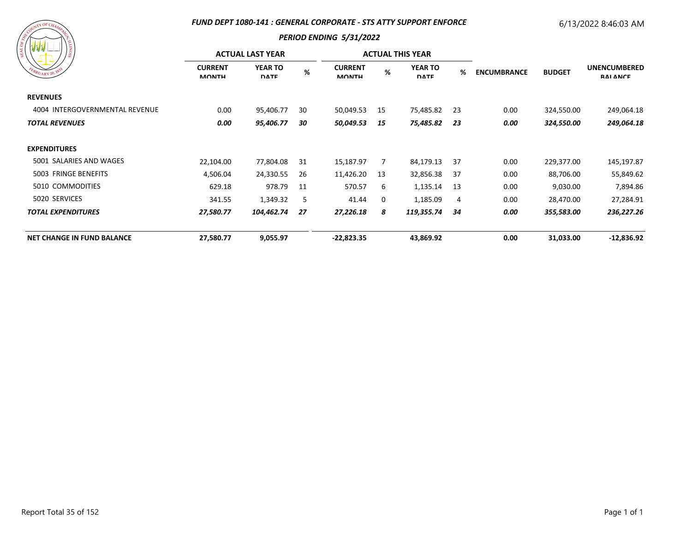#### *FUND DEPT 1080-141 : GENERAL CORPORATE - STS ATTY SUPPORT ENFORCE*

# 6/13/2022 8:46:03 AM

| A COUNT OF CHAMAZER<br>SIONIT <sup>1</sup><br>FEBRUARY 20, 1833 |
|-----------------------------------------------------------------|
|-----------------------------------------------------------------|

| EBRUARY 20, 1833                  |                                | <b>ACTUAL LAST YEAR</b>       |     |                                |    | <b>ACTUAL THIS YEAR</b>       |      |                                     |                                        |              |
|-----------------------------------|--------------------------------|-------------------------------|-----|--------------------------------|----|-------------------------------|------|-------------------------------------|----------------------------------------|--------------|
|                                   | <b>CURRENT</b><br><b>MONTH</b> | <b>YEAR TO</b><br><b>DATE</b> | %   | <b>CURRENT</b><br><b>MONTH</b> | %  | <b>YEAR TO</b><br><b>DATE</b> | %    | <b>ENCUMBRANCE</b><br><b>BUDGET</b> | <b>UNENCUMBERED</b><br><b>RAI ANCE</b> |              |
| <b>REVENUES</b>                   |                                |                               |     |                                |    |                               |      |                                     |                                        |              |
| 4004 INTERGOVERNMENTAL REVENUE    | 0.00                           | 95,406.77                     | 30  | 50,049.53                      | 15 | 75,485.82                     | -23  | 0.00                                | 324,550.00                             | 249,064.18   |
| <b>TOTAL REVENUES</b>             | 0.00                           | 95,406.77                     | 30  | 50,049.53                      | 15 | 75,485.82                     | - 23 | 0.00                                | 324,550.00                             | 249,064.18   |
| <b>EXPENDITURES</b>               |                                |                               |     |                                |    |                               |      |                                     |                                        |              |
| 5001 SALARIES AND WAGES           | 22,104.00                      | 77,804.08                     | 31  | 15,187.97                      | 7  | 84,179.13                     | 37   | 0.00                                | 229,377.00                             | 145,197.87   |
| 5003 FRINGE BENEFITS              | 4,506.04                       | 24,330.55                     | -26 | 11,426.20                      | 13 | 32,856.38                     | -37  | 0.00                                | 88,706.00                              | 55,849.62    |
| 5010 COMMODITIES                  | 629.18                         | 978.79                        | 11  | 570.57                         | 6  | 1,135.14                      | 13   | 0.00                                | 9,030.00                               | 7,894.86     |
| 5020 SERVICES                     | 341.55                         | 1,349.32                      | 5   | 41.44                          | 0  | 1,185.09                      | 4    | 0.00                                | 28,470.00                              | 27,284.91    |
| <b>TOTAL EXPENDITURES</b>         | 27,580.77                      | 104,462.74                    | 27  | 27,226.18                      | 8  | 119,355.74                    | 34   | 0.00                                | 355,583.00                             | 236,227.26   |
| <b>NET CHANGE IN FUND BALANCE</b> | 27,580.77                      | 9,055.97                      |     | $-22,823.35$                   |    | 43,869.92                     |      | 0.00                                | 31,033.00                              | $-12,836.92$ |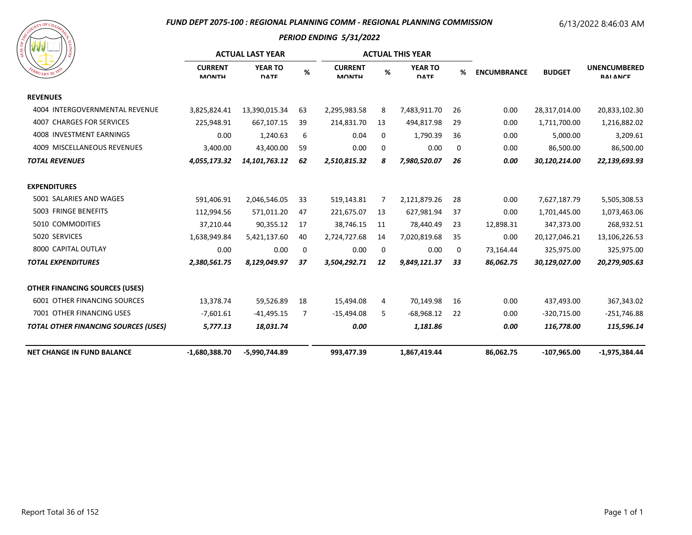#### *FUND DEPT 2075-100 : REGIONAL PLANNING COMM - REGIONAL PLANNING COMMISSION*

# 6/13/2022 8:46:03 AM



| <b>MARINA</b>                                  | <b>ACTUAL LAST YEAR</b>        |                               |    |                                |             | <b>ACTUAL THIS YEAR</b>       |    |                                     |                                        |                 |
|------------------------------------------------|--------------------------------|-------------------------------|----|--------------------------------|-------------|-------------------------------|----|-------------------------------------|----------------------------------------|-----------------|
| $R_{U_{\text{ARY}}$ 20, $\Lambda$ <sup>8</sup> | <b>CURRENT</b><br><b>MONTH</b> | <b>YEAR TO</b><br><b>DATE</b> | %  | <b>CURRENT</b><br><b>MONTH</b> | %           | <b>YEAR TO</b><br><b>DATE</b> | %  | <b>BUDGET</b><br><b>ENCUMBRANCE</b> | <b>UNENCUMBERED</b><br><b>RAI ANCE</b> |                 |
| <b>REVENUES</b>                                |                                |                               |    |                                |             |                               |    |                                     |                                        |                 |
| 4004 INTERGOVERNMENTAL REVENUE                 | 3,825,824.41                   | 13,390,015.34                 | 63 | 2,295,983.58                   | 8           | 7,483,911.70                  | 26 | 0.00                                | 28,317,014.00                          | 20,833,102.30   |
| 4007 CHARGES FOR SERVICES                      | 225,948.91                     | 667,107.15                    | 39 | 214,831.70                     | 13          | 494,817.98                    | 29 | 0.00                                | 1,711,700.00                           | 1,216,882.02    |
| 4008 INVESTMENT EARNINGS                       | 0.00                           | 1,240.63                      | 6  | 0.04                           | 0           | 1,790.39                      | 36 | 0.00                                | 5,000.00                               | 3,209.61        |
| 4009 MISCELLANEOUS REVENUES                    | 3,400.00                       | 43,400.00                     | 59 | 0.00                           | $\mathbf 0$ | 0.00                          | 0  | 0.00                                | 86,500.00                              | 86,500.00       |
| <b>TOTAL REVENUES</b>                          | 4,055,173.32                   | 14, 101, 763. 12              | 62 | 2,510,815.32                   | 8           | 7,980,520.07                  | 26 | 0.00                                | 30,120,214.00                          | 22,139,693.93   |
| <b>EXPENDITURES</b>                            |                                |                               |    |                                |             |                               |    |                                     |                                        |                 |
| 5001 SALARIES AND WAGES                        | 591,406.91                     | 2,046,546.05                  | 33 | 519,143.81                     | 7           | 2,121,879.26                  | 28 | 0.00                                | 7,627,187.79                           | 5,505,308.53    |
| 5003 FRINGE BENEFITS                           | 112,994.56                     | 571,011.20                    | 47 | 221,675.07                     | 13          | 627,981.94                    | 37 | 0.00                                | 1,701,445.00                           | 1,073,463.06    |
| 5010 COMMODITIES                               | 37,210.44                      | 90,355.12                     | 17 | 38,746.15                      | 11          | 78,440.49                     | 23 | 12,898.31                           | 347,373.00                             | 268,932.51      |
| 5020 SERVICES                                  | 1,638,949.84                   | 5,421,137.60                  | 40 | 2,724,727.68                   | 14          | 7,020,819.68                  | 35 | 0.00                                | 20,127,046.21                          | 13,106,226.53   |
| 8000 CAPITAL OUTLAY                            | 0.00                           | 0.00                          | 0  | 0.00                           | 0           | 0.00                          | 0  | 73,164.44                           | 325,975.00                             | 325,975.00      |
| <b>TOTAL EXPENDITURES</b>                      | 2,380,561.75                   | 8,129,049.97                  | 37 | 3,504,292.71                   | 12          | 9,849,121.37                  | 33 | 86,062.75                           | 30,129,027.00                          | 20,279,905.63   |
| <b>OTHER FINANCING SOURCES (USES)</b>          |                                |                               |    |                                |             |                               |    |                                     |                                        |                 |
| 6001 OTHER FINANCING SOURCES                   | 13,378.74                      | 59,526.89                     | 18 | 15,494.08                      | 4           | 70,149.98                     | 16 | 0.00                                | 437,493.00                             | 367,343.02      |
| 7001 OTHER FINANCING USES                      | $-7,601.61$                    | $-41,495.15$                  | 7  | $-15,494.08$                   | 5           | $-68,968.12$                  | 22 | 0.00                                | -320,715.00                            | $-251,746.88$   |
| <b>TOTAL OTHER FINANCING SOURCES (USES)</b>    | 5,777.13                       | 18,031.74                     |    | 0.00                           |             | 1,181.86                      |    | 0.00                                | 116,778.00                             | 115,596.14      |
| <b>NET CHANGE IN FUND BALANCE</b>              | $-1,680,388.70$                | -5,990,744.89                 |    | 993,477.39                     |             | 1,867,419.44                  |    | 86,062.75                           | $-107,965.00$                          | $-1,975,384.44$ |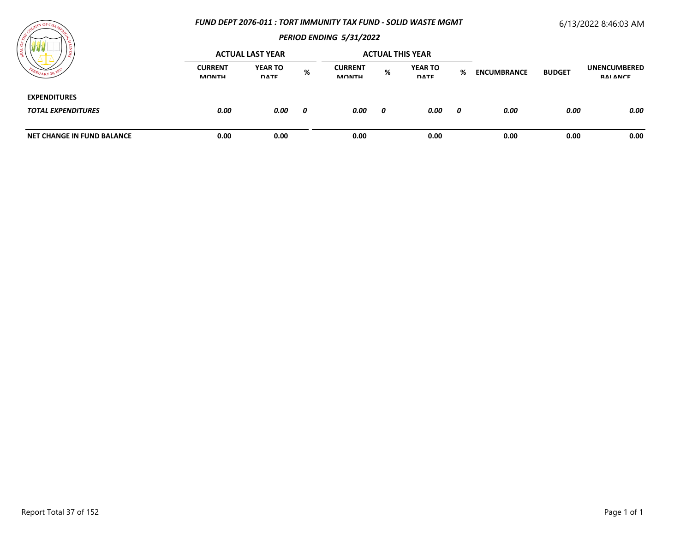#### *FUND DEPT 2076-011 : TORT IMMUNITY TAX FUND - SOLID WASTE MGMT*

# 6/13/2022 8:46:03 AM



| / డ                                              |                                | <b>ACTUAL LAST YEAR</b>       |   |                                |   | <b>ACTUAL THIS YEAR</b>       |   | <b>ENCUMBRANCE</b> |               | <b>UNENCUMBERED</b><br>RAI ANCE |
|--------------------------------------------------|--------------------------------|-------------------------------|---|--------------------------------|---|-------------------------------|---|--------------------|---------------|---------------------------------|
| $v_{A\,RY}$ 20,                                  | <b>CURRENT</b><br><b>MONTH</b> | <b>YEAR TO</b><br><b>DATE</b> | % | <b>CURRENT</b><br><b>MONTH</b> | % | <b>YEAR TO</b><br><b>DATE</b> | % |                    | <b>BUDGET</b> |                                 |
| <b>EXPENDITURES</b><br><b>TOTAL EXPENDITURES</b> | 0.00                           | 0.00                          | 0 | 0.00                           | 0 | 0.00                          | 0 | 0.00               | 0.00          | 0.00                            |
|                                                  |                                |                               |   |                                |   |                               |   |                    |               |                                 |
| <b>NET CHANGE IN FUND BALANCE</b>                | 0.00                           | 0.00                          |   | 0.00                           |   | 0.00                          |   | 0.00               | 0.00          | 0.00                            |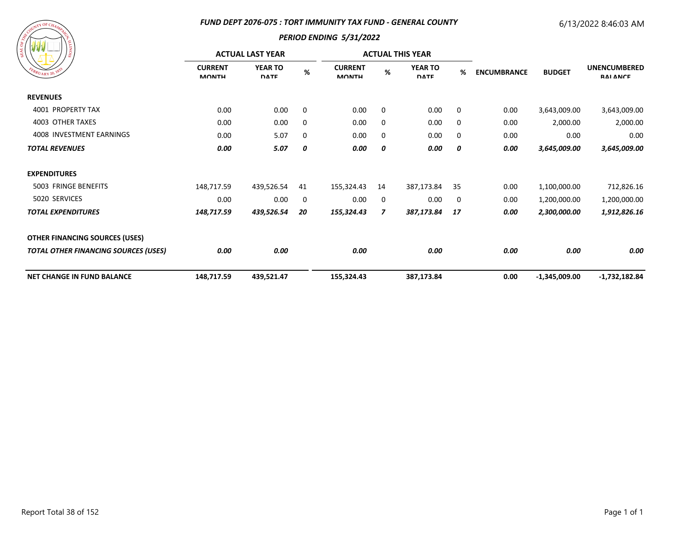#### *FUND DEPT 2076-075 : TORT IMMUNITY TAX FUND - GENERAL COUNTY*

# 6/13/2022 8:46:03 AM

|  | A COURLL OF CHAMPY CA<br>FEBRUARY 20, 1833 | SIONITY |
|--|--------------------------------------------|---------|
|  |                                            |         |

| $1\frac{6}{9}$                              |                                | <b>ACTUAL LAST YEAR</b>       |      | <b>ACTUAL THIS YEAR</b>        |             |                               |             |                    |                 |                                        |
|---------------------------------------------|--------------------------------|-------------------------------|------|--------------------------------|-------------|-------------------------------|-------------|--------------------|-----------------|----------------------------------------|
| EBRUARY 20, 183                             | <b>CURRENT</b><br><b>MONTH</b> | <b>YEAR TO</b><br><b>DATE</b> | $\%$ | <b>CURRENT</b><br><b>MONTH</b> | %           | <b>YEAR TO</b><br><b>DATE</b> | %           | <b>ENCUMBRANCE</b> | <b>BUDGET</b>   | <b>UNENCUMBERED</b><br><b>RAI ANCE</b> |
| <b>REVENUES</b>                             |                                |                               |      |                                |             |                               |             |                    |                 |                                        |
| 4001 PROPERTY TAX                           | 0.00                           | 0.00                          | 0    | 0.00                           | $\mathbf 0$ | 0.00                          | $\mathbf 0$ | 0.00               | 3,643,009.00    | 3,643,009.00                           |
| 4003 OTHER TAXES                            | 0.00                           | 0.00                          | 0    | 0.00                           | 0           | 0.00                          | $\mathbf 0$ | 0.00               | 2,000.00        | 2,000.00                               |
| 4008 INVESTMENT EARNINGS                    | 0.00                           | 5.07                          | 0    | 0.00                           | 0           | 0.00                          | 0           | 0.00               | 0.00            | 0.00                                   |
| <b>TOTAL REVENUES</b>                       | 0.00                           | 5.07                          | 0    | 0.00                           | 0           | 0.00                          | 0           | 0.00               | 3,645,009.00    | 3,645,009.00                           |
| <b>EXPENDITURES</b>                         |                                |                               |      |                                |             |                               |             |                    |                 |                                        |
| 5003 FRINGE BENEFITS                        | 148,717.59                     | 439,526.54                    | 41   | 155,324.43                     | 14          | 387,173.84                    | 35          | 0.00               | 1,100,000.00    | 712,826.16                             |
| 5020 SERVICES                               | 0.00                           | 0.00                          | 0    | 0.00                           | 0           | 0.00                          | 0           | 0.00               | 1,200,000.00    | 1,200,000.00                           |
| <b>TOTAL EXPENDITURES</b>                   | 148,717.59                     | 439,526.54                    | 20   | 155,324.43                     | 7           | 387,173.84                    | 17          | 0.00               | 2,300,000.00    | 1,912,826.16                           |
| <b>OTHER FINANCING SOURCES (USES)</b>       |                                |                               |      |                                |             |                               |             |                    |                 |                                        |
| <b>TOTAL OTHER FINANCING SOURCES (USES)</b> | 0.00                           | 0.00                          |      | 0.00                           |             | 0.00                          |             | 0.00               | 0.00            | 0.00                                   |
| <b>NET CHANGE IN FUND BALANCE</b>           | 148,717.59                     | 439,521.47                    |      | 155,324.43                     |             | 387,173.84                    |             | 0.00               | $-1,345,009.00$ | -1,732,182.84                          |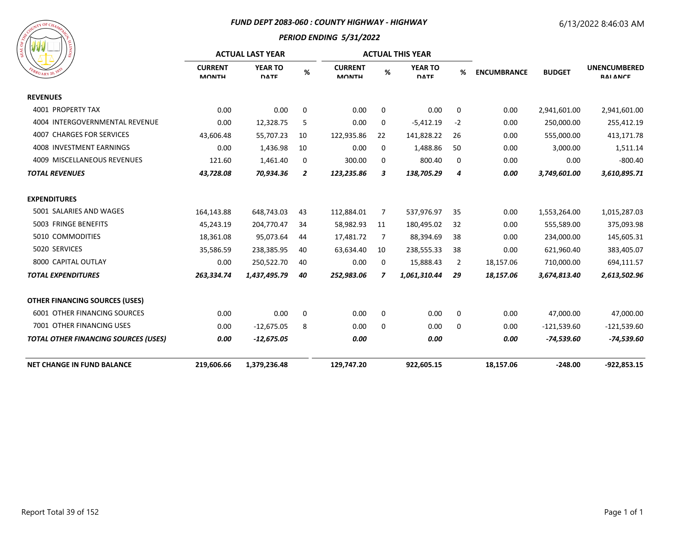#### *FUND DEPT 2083-060 : COUNTY HIGHWAY - HIGHWAY*

## 6/13/2022 8:46:03 AM



|                                             |                                | <b>ACTUAL LAST YEAR</b>       |                |                                |             | <b>ACTUAL THIS YEAR</b>       |             |                    |               |                                        |
|---------------------------------------------|--------------------------------|-------------------------------|----------------|--------------------------------|-------------|-------------------------------|-------------|--------------------|---------------|----------------------------------------|
| <b>PUARY 20.18</b>                          | <b>CURRENT</b><br><b>MONTH</b> | <b>YEAR TO</b><br><b>DATE</b> | %              | <b>CURRENT</b><br><b>MONTH</b> | $\%$        | <b>YEAR TO</b><br><b>DATE</b> | %           | <b>ENCUMBRANCE</b> | <b>BUDGET</b> | <b>UNENCUMBERED</b><br><b>RAI ANCE</b> |
| <b>REVENUES</b>                             |                                |                               |                |                                |             |                               |             |                    |               |                                        |
| 4001 PROPERTY TAX                           | 0.00                           | 0.00                          | 0              | 0.00                           | 0           | 0.00                          | 0           | 0.00               | 2,941,601.00  | 2,941,601.00                           |
| 4004 INTERGOVERNMENTAL REVENUE              | 0.00                           | 12,328.75                     | 5              | 0.00                           | 0           | $-5,412.19$                   | $-2$        | 0.00               | 250,000.00    | 255,412.19                             |
| <b>4007 CHARGES FOR SERVICES</b>            | 43,606.48                      | 55,707.23                     | 10             | 122,935.86                     | 22          | 141,828.22                    | 26          | 0.00               | 555,000.00    | 413,171.78                             |
| 4008 INVESTMENT EARNINGS                    | 0.00                           | 1,436.98                      | 10             | 0.00                           | 0           | 1,488.86                      | 50          | 0.00               | 3,000.00      | 1,511.14                               |
| 4009 MISCELLANEOUS REVENUES                 | 121.60                         | 1,461.40                      | 0              | 300.00                         | 0           | 800.40                        | 0           | 0.00               | 0.00          | $-800.40$                              |
| <b>TOTAL REVENUES</b>                       | 43,728.08                      | 70,934.36                     | $\overline{2}$ | 123,235.86                     | 3           | 138,705.29                    | 4           | 0.00               | 3,749,601.00  | 3,610,895.71                           |
| <b>EXPENDITURES</b>                         |                                |                               |                |                                |             |                               |             |                    |               |                                        |
| 5001 SALARIES AND WAGES                     | 164,143.88                     | 648,743.03                    | 43             | 112,884.01                     | 7           | 537,976.97                    | 35          | 0.00               | 1,553,264.00  | 1,015,287.03                           |
| 5003 FRINGE BENEFITS                        | 45,243.19                      | 204,770.47                    | 34             | 58,982.93                      | 11          | 180,495.02                    | 32          | 0.00               | 555,589.00    | 375,093.98                             |
| 5010 COMMODITIES                            | 18,361.08                      | 95,073.64                     | 44             | 17,481.72                      | 7           | 88,394.69                     | 38          | 0.00               | 234,000.00    | 145,605.31                             |
| 5020 SERVICES                               | 35,586.59                      | 238,385.95                    | 40             | 63,634.40                      | 10          | 238,555.33                    | 38          | 0.00               | 621,960.40    | 383,405.07                             |
| 8000 CAPITAL OUTLAY                         | 0.00                           | 250,522.70                    | 40             | 0.00                           | 0           | 15,888.43                     | 2           | 18,157.06          | 710,000.00    | 694,111.57                             |
| <b>TOTAL EXPENDITURES</b>                   | 263,334.74                     | 1,437,495.79                  | 40             | 252,983.06                     | 7           | 1,061,310.44                  | 29          | 18,157.06          | 3,674,813.40  | 2,613,502.96                           |
| <b>OTHER FINANCING SOURCES (USES)</b>       |                                |                               |                |                                |             |                               |             |                    |               |                                        |
| <b>6001 OTHER FINANCING SOURCES</b>         | 0.00                           | 0.00                          | 0              | 0.00                           | $\mathbf 0$ | 0.00                          | $\mathbf 0$ | 0.00               | 47,000.00     | 47,000.00                              |
| 7001 OTHER FINANCING USES                   | 0.00                           | $-12,675.05$                  | 8              | 0.00                           | 0           | 0.00                          | 0           | 0.00               | $-121,539.60$ | $-121,539.60$                          |
| <b>TOTAL OTHER FINANCING SOURCES (USES)</b> | 0.00                           | $-12,675.05$                  |                | 0.00                           |             | 0.00                          |             | 0.00               | $-74,539.60$  | $-74,539.60$                           |
| <b>NET CHANGE IN FUND BALANCE</b>           | 219,606.66                     | 1,379,236.48                  |                | 129,747.20                     |             | 922,605.15                    |             | 18,157.06          | $-248.00$     | $-922,853.15$                          |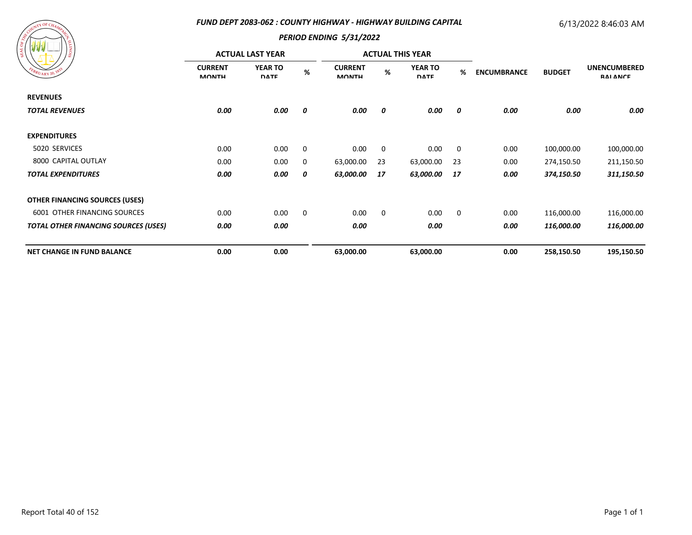#### *FUND DEPT 2083-062 : COUNTY HIGHWAY - HIGHWAY BUILDING CAPITAL*

## 6/13/2022 8:46:03 AM



| ၊ ဇ္တ                                       |                                | <b>ACTUAL LAST YEAR</b>       |      |                                |             | <b>ACTUAL THIS YEAR</b>       |             |                    |               |                                        |
|---------------------------------------------|--------------------------------|-------------------------------|------|--------------------------------|-------------|-------------------------------|-------------|--------------------|---------------|----------------------------------------|
| EBRUARY 20, 1833                            | <b>CURRENT</b><br><b>MONTH</b> | <b>YEAR TO</b><br><b>DATE</b> | $\%$ | <b>CURRENT</b><br><b>MONTH</b> | %           | <b>YEAR TO</b><br><b>DATE</b> | %           | <b>ENCUMBRANCE</b> | <b>BUDGET</b> | <b>UNENCUMBERED</b><br><b>RAI ANCE</b> |
| <b>REVENUES</b>                             |                                |                               |      |                                |             |                               |             |                    |               |                                        |
| <b>TOTAL REVENUES</b>                       | 0.00                           | 0.00                          | 0    | 0.00                           | 0           | 0.00                          | 0           | 0.00               | 0.00          | 0.00                                   |
| <b>EXPENDITURES</b>                         |                                |                               |      |                                |             |                               |             |                    |               |                                        |
| 5020 SERVICES                               | 0.00                           | 0.00                          | 0    | 0.00                           | $\mathbf 0$ | 0.00                          | $\mathbf 0$ | 0.00               | 100,000.00    | 100,000.00                             |
| 8000 CAPITAL OUTLAY                         | 0.00                           | 0.00                          | 0    | 63,000.00                      | 23          | 63,000.00                     | 23          | 0.00               | 274,150.50    | 211,150.50                             |
| <b>TOTAL EXPENDITURES</b>                   | 0.00                           | 0.00                          | 0    | 63,000.00                      | 17          | 63,000.00                     | 17          | 0.00               | 374,150.50    | 311,150.50                             |
| <b>OTHER FINANCING SOURCES (USES)</b>       |                                |                               |      |                                |             |                               |             |                    |               |                                        |
| <b>6001 OTHER FINANCING SOURCES</b>         | 0.00                           | 0.00                          | 0    | 0.00                           | 0           | 0.00                          | $\mathbf 0$ | 0.00               | 116,000.00    | 116,000.00                             |
| <b>TOTAL OTHER FINANCING SOURCES (USES)</b> | 0.00                           | 0.00                          |      | 0.00                           |             | 0.00                          |             | 0.00               | 116,000.00    | 116,000.00                             |
| <b>NET CHANGE IN FUND BALANCE</b>           | 0.00                           | 0.00                          |      | 63,000.00                      |             | 63,000.00                     |             | 0.00               | 258,150.50    | 195,150.50                             |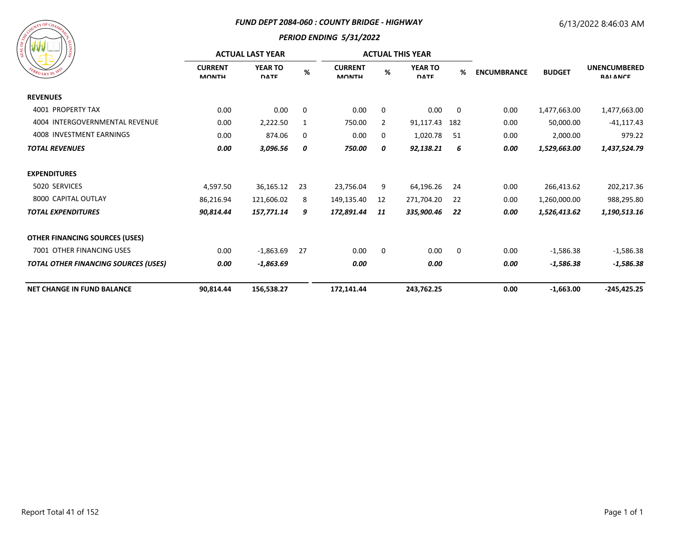#### *FUND DEPT 2084-060 : COUNTY BRIDGE - HIGHWAY*

## 6/13/2022 8:46:03 AM



| / ≅                                         |                                | <b>ACTUAL LAST YEAR</b>       |      |                                | <b>ACTUAL THIS YEAR</b> |                               |     |                    |               |                                        |
|---------------------------------------------|--------------------------------|-------------------------------|------|--------------------------------|-------------------------|-------------------------------|-----|--------------------|---------------|----------------------------------------|
| $B_{RUARY\ 20.182}$                         | <b>CURRENT</b><br><b>MONTH</b> | <b>YEAR TO</b><br><b>DATE</b> | $\%$ | <b>CURRENT</b><br><b>MONTH</b> | %                       | <b>YEAR TO</b><br><b>DATE</b> | %   | <b>ENCUMBRANCE</b> | <b>BUDGET</b> | <b>UNENCUMBERED</b><br><b>RAI ANCE</b> |
| <b>REVENUES</b>                             |                                |                               |      |                                |                         |                               |     |                    |               |                                        |
| 4001 PROPERTY TAX                           | 0.00                           | 0.00                          | 0    | 0.00                           | 0                       | 0.00                          | 0   | 0.00               | 1,477,663.00  | 1,477,663.00                           |
| 4004 INTERGOVERNMENTAL REVENUE              | 0.00                           | 2,222.50                      | 1    | 750.00                         | 2                       | 91,117.43                     | 182 | 0.00               | 50,000.00     | $-41, 117.43$                          |
| 4008 INVESTMENT EARNINGS                    | 0.00                           | 874.06                        | 0    | 0.00                           | 0                       | 1,020.78                      | 51  | 0.00               | 2,000.00      | 979.22                                 |
| <b>TOTAL REVENUES</b>                       | 0.00                           | 3,096.56                      | 0    | 750.00                         | 0                       | 92,138.21                     | 6   | 0.00               | 1,529,663.00  | 1,437,524.79                           |
| <b>EXPENDITURES</b>                         |                                |                               |      |                                |                         |                               |     |                    |               |                                        |
| 5020 SERVICES                               | 4,597.50                       | 36,165.12                     | 23   | 23,756.04                      | 9                       | 64,196.26                     | 24  | 0.00               | 266,413.62    | 202,217.36                             |
| 8000 CAPITAL OUTLAY                         | 86,216.94                      | 121,606.02                    | 8    | 149,135.40                     | 12                      | 271,704.20                    | 22  | 0.00               | 1,260,000.00  | 988,295.80                             |
| <b>TOTAL EXPENDITURES</b>                   | 90,814.44                      | 157,771.14                    | 9    | 172,891.44                     | 11                      | 335,900.46                    | 22  | 0.00               | 1,526,413.62  | 1,190,513.16                           |
| <b>OTHER FINANCING SOURCES (USES)</b>       |                                |                               |      |                                |                         |                               |     |                    |               |                                        |
| 7001 OTHER FINANCING USES                   | 0.00                           | $-1,863.69$                   | 27   | 0.00                           | $\mathbf 0$             | 0.00                          | 0   | 0.00               | $-1,586.38$   | $-1,586.38$                            |
| <b>TOTAL OTHER FINANCING SOURCES (USES)</b> | 0.00                           | $-1,863.69$                   |      | 0.00                           |                         | 0.00                          |     | 0.00               | $-1,586.38$   | $-1,586.38$                            |
| <b>NET CHANGE IN FUND BALANCE</b>           | 90,814.44                      | 156,538.27                    |      | 172,141.44                     |                         | 243,762.25                    |     | 0.00               | $-1,663.00$   | $-245,425.25$                          |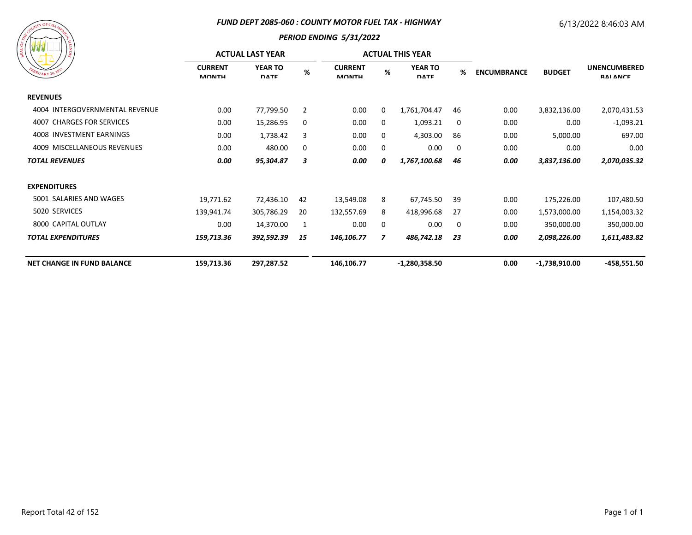#### *FUND DEPT 2085-060 : COUNTY MOTOR FUEL TAX - HIGHWAY*

## 6/13/2022 8:46:03 AM



|                                   |                                | <b>ACTUAL LAST YEAR</b>       |                | <b>ACTUAL THIS YEAR</b>        |   |                               |     |                    |                 |                                        |
|-----------------------------------|--------------------------------|-------------------------------|----------------|--------------------------------|---|-------------------------------|-----|--------------------|-----------------|----------------------------------------|
| EBRUARY 20, 1833                  | <b>CURRENT</b><br><b>MONTH</b> | <b>YEAR TO</b><br><b>DATE</b> | $\%$           | <b>CURRENT</b><br><b>MONTH</b> | % | <b>YEAR TO</b><br><b>DATE</b> | %   | <b>ENCUMBRANCE</b> | <b>BUDGET</b>   | <b>UNENCUMBERED</b><br><b>RAI ANCE</b> |
| <b>REVENUES</b>                   |                                |                               |                |                                |   |                               |     |                    |                 |                                        |
| 4004 INTERGOVERNMENTAL REVENUE    | 0.00                           | 77,799.50                     | $\overline{2}$ | 0.00                           | 0 | 1,761,704.47                  | 46  | 0.00               | 3,832,136.00    | 2,070,431.53                           |
| 4007 CHARGES FOR SERVICES         | 0.00                           | 15,286.95                     | 0              | 0.00                           | 0 | 1,093.21                      | 0   | 0.00               | 0.00            | $-1,093.21$                            |
| 4008 INVESTMENT EARNINGS          | 0.00                           | 1,738.42                      | 3              | 0.00                           | 0 | 4,303.00                      | 86  | 0.00               | 5,000.00        | 697.00                                 |
| 4009 MISCELLANEOUS REVENUES       | 0.00                           | 480.00                        | $\mathbf{0}$   | 0.00                           | 0 | 0.00                          | 0   | 0.00               | 0.00            | 0.00                                   |
| <b>TOTAL REVENUES</b>             | 0.00                           | 95,304.87                     | 3              | 0.00                           | 0 | 1,767,100.68                  | 46  | 0.00               | 3,837,136.00    | 2,070,035.32                           |
| <b>EXPENDITURES</b>               |                                |                               |                |                                |   |                               |     |                    |                 |                                        |
| 5001 SALARIES AND WAGES           | 19,771.62                      | 72,436.10                     | 42             | 13,549.08                      | 8 | 67,745.50                     | 39  | 0.00               | 175,226.00      | 107,480.50                             |
| 5020 SERVICES                     | 139,941.74                     | 305,786.29                    | 20             | 132,557.69                     | 8 | 418,996.68                    | -27 | 0.00               | 1,573,000.00    | 1,154,003.32                           |
| 8000 CAPITAL OUTLAY               | 0.00                           | 14,370.00                     | 1              | 0.00                           | 0 | 0.00                          | 0   | 0.00               | 350,000.00      | 350,000.00                             |
| <b>TOTAL EXPENDITURES</b>         | 159,713.36                     | 392,592.39                    | 15             | 146,106.77                     | 7 | 486,742.18                    | 23  | 0.00               | 2,098,226.00    | 1,611,483.82                           |
| <b>NET CHANGE IN FUND BALANCE</b> | 159,713.36                     | 297,287.52                    |                | 146,106.77                     |   | $-1,280,358.50$               |     | 0.00               | $-1,738,910.00$ | -458,551.50                            |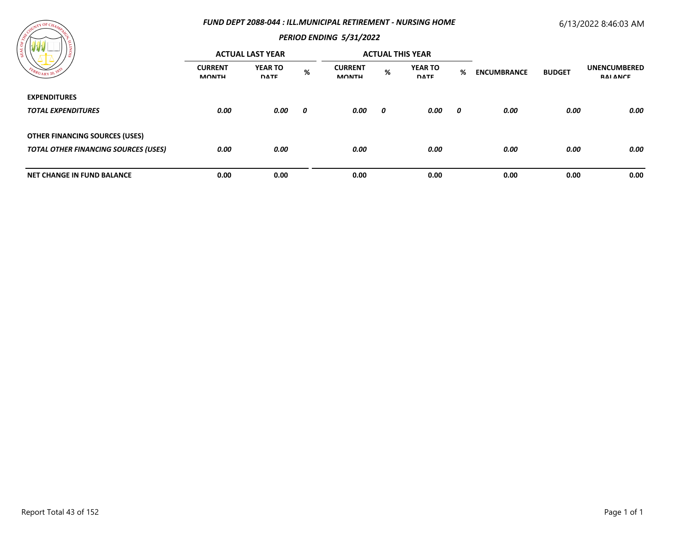#### *FUND DEPT 2088-044 : ILL.MUNICIPAL RETIREMENT - NURSING HOME*

## 6/13/2022 8:46:03 AM



| .                                           |                                | <b>ACTUAL LAST YEAR</b>       |   |                                |   | <b>ACTUAL THIS YEAR</b>       |   |                    |               |                                 |
|---------------------------------------------|--------------------------------|-------------------------------|---|--------------------------------|---|-------------------------------|---|--------------------|---------------|---------------------------------|
| $\epsilon_{B_{RU_{\text{ARY}}}20}$          | <b>CURRENT</b><br><b>MONTH</b> | <b>YEAR TO</b><br><b>DATE</b> | % | <b>CURRENT</b><br><b>MONTH</b> | % | <b>YEAR TO</b><br><b>DATE</b> | % | <b>ENCUMBRANCE</b> | <b>BUDGET</b> | <b>UNENCUMBERED</b><br>RAI ANCE |
| <b>EXPENDITURES</b>                         |                                |                               |   |                                |   |                               |   |                    |               |                                 |
| <b>TOTAL EXPENDITURES</b>                   | 0.00                           | 0.00                          | 0 | 0.00                           | 0 | 0.00                          | 0 | 0.00               | 0.00          | 0.00                            |
| <b>OTHER FINANCING SOURCES (USES)</b>       |                                |                               |   |                                |   |                               |   |                    |               |                                 |
| <b>TOTAL OTHER FINANCING SOURCES (USES)</b> | 0.00                           | 0.00                          |   | 0.00                           |   | 0.00                          |   | 0.00               | 0.00          | 0.00                            |
|                                             |                                |                               |   |                                |   |                               |   |                    |               |                                 |
| <b>NET CHANGE IN FUND BALANCE</b>           | 0.00                           | 0.00                          |   | 0.00                           |   | 0.00                          |   | 0.00               | 0.00          | 0.00                            |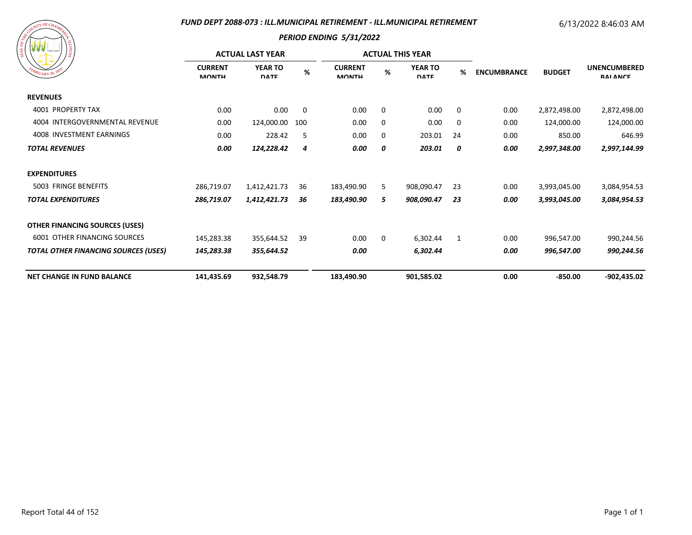#### *FUND DEPT 2088-073 : ILL.MUNICIPAL RETIREMENT - ILL.MUNICIPAL RETIREMENT*

#### 6/13/2022 8:46:03 AM

| FEBRUARY 20, 1833 |
|-------------------|
|-------------------|

|                                             |                                | <b>ACTUAL LAST YEAR</b>       |      | <b>ACTUAL THIS YEAR</b>        |             |                               |    |                    |               |                                        |
|---------------------------------------------|--------------------------------|-------------------------------|------|--------------------------------|-------------|-------------------------------|----|--------------------|---------------|----------------------------------------|
| $B_{RUARY20}$ , 187                         | <b>CURRENT</b><br><b>MONTH</b> | <b>YEAR TO</b><br><b>DATE</b> | $\%$ | <b>CURRENT</b><br><b>MONTH</b> | %           | <b>YEAR TO</b><br><b>DATE</b> | %  | <b>ENCUMBRANCE</b> | <b>BUDGET</b> | <b>UNENCUMBERED</b><br><b>RAI ANCE</b> |
| <b>REVENUES</b>                             |                                |                               |      |                                |             |                               |    |                    |               |                                        |
| 4001 PROPERTY TAX                           | 0.00                           | 0.00                          | 0    | 0.00                           | 0           | 0.00                          | 0  | 0.00               | 2,872,498.00  | 2,872,498.00                           |
| INTERGOVERNMENTAL REVENUE<br>4004           | 0.00                           | 124,000.00                    | 100  | 0.00                           | 0           | 0.00                          | 0  | 0.00               | 124,000.00    | 124,000.00                             |
| 4008 INVESTMENT EARNINGS                    | 0.00                           | 228.42                        | 5    | 0.00                           | 0           | 203.01                        | 24 | 0.00               | 850.00        | 646.99                                 |
| <b>TOTAL REVENUES</b>                       | 0.00                           | 124,228.42                    | 4    | 0.00                           | 0           | 203.01                        | 0  | 0.00               | 2,997,348.00  | 2,997,144.99                           |
| <b>EXPENDITURES</b>                         |                                |                               |      |                                |             |                               |    |                    |               |                                        |
| 5003 FRINGE BENEFITS                        | 286,719.07                     | 1,412,421.73                  | 36   | 183,490.90                     | 5           | 908,090.47                    | 23 | 0.00               | 3,993,045.00  | 3,084,954.53                           |
| <b>TOTAL EXPENDITURES</b>                   | 286,719.07                     | 1,412,421.73                  | 36   | 183,490.90                     | 5           | 908,090.47                    | 23 | 0.00               | 3,993,045.00  | 3,084,954.53                           |
| <b>OTHER FINANCING SOURCES (USES)</b>       |                                |                               |      |                                |             |                               |    |                    |               |                                        |
| <b>6001 OTHER FINANCING SOURCES</b>         | 145,283.38                     | 355,644.52                    | 39   | 0.00                           | $\mathbf 0$ | 6,302.44                      | 1  | 0.00               | 996,547.00    | 990,244.56                             |
| <b>TOTAL OTHER FINANCING SOURCES (USES)</b> | 145,283.38                     | 355,644.52                    |      | 0.00                           |             | 6,302.44                      |    | 0.00               | 996,547.00    | 990,244.56                             |
| <b>NET CHANGE IN FUND BALANCE</b>           | 141,435.69                     | 932,548.79                    |      | 183,490.90                     |             | 901,585.02                    |    | 0.00               | $-850.00$     | $-902,435.02$                          |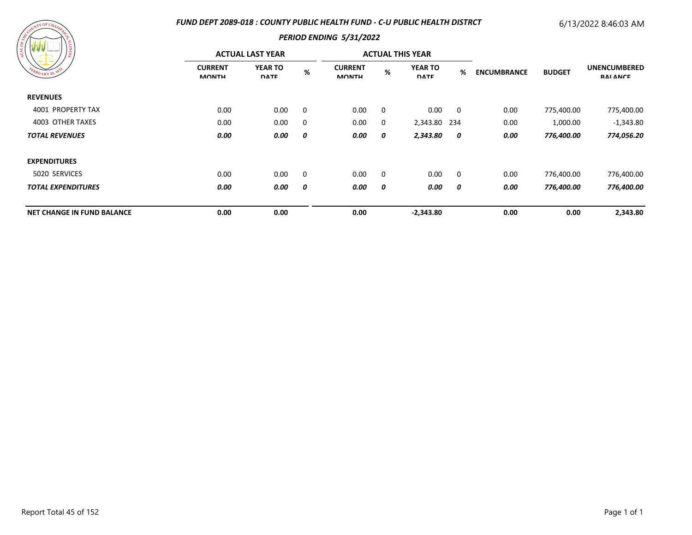#### *FUND DEPT 2089-018 : COUNTY PUBLIC HEALTH FUND - C-U PUBLIC HEALTH DISTRCT*

## 6/13/2022 8:46:03 AM

| OF CHAMPAGE<br>SEAL OF COUNTY<br>EBRUARY 20, 1833 | SIONITY |
|---------------------------------------------------|---------|
|                                                   |         |

| ---                               |                                | <b>ACTUAL LAST YEAR</b>       |   | <b>ACTUAL THIS YEAR</b>        |   |                               |                |                    |               |                                        |
|-----------------------------------|--------------------------------|-------------------------------|---|--------------------------------|---|-------------------------------|----------------|--------------------|---------------|----------------------------------------|
| FEBRUARY 20, 1833                 | <b>CURRENT</b><br><b>MONTH</b> | <b>YEAR TO</b><br><b>DATE</b> | % | <b>CURRENT</b><br><b>MONTH</b> | % | <b>YEAR TO</b><br><b>DATE</b> | %              | <b>ENCUMBRANCE</b> | <b>BUDGET</b> | <b>UNENCUMBERED</b><br><b>RAI ANCE</b> |
| <b>REVENUES</b>                   |                                |                               |   |                                |   |                               |                |                    |               |                                        |
| 4001 PROPERTY TAX                 | 0.00                           | 0.00                          | 0 | 0.00                           | 0 | 0.00                          | $\overline{0}$ | 0.00               | 775,400.00    | 775,400.00                             |
| 4003 OTHER TAXES                  | 0.00                           | 0.00                          | 0 | 0.00                           | 0 | 2,343.80 234                  |                | 0.00               | 1,000.00      | $-1,343.80$                            |
| <b>TOTAL REVENUES</b>             | 0.00                           | 0.00                          | 0 | 0.00                           | 0 | 2,343.80                      | 0              | 0.00               | 776,400.00    | 774,056.20                             |
| <b>EXPENDITURES</b>               |                                |                               |   |                                |   |                               |                |                    |               |                                        |
| 5020 SERVICES                     | 0.00                           | 0.00                          | 0 | 0.00                           | 0 | 0.00                          | $\mathbf 0$    | 0.00               | 776,400.00    | 776,400.00                             |
| <b>TOTAL EXPENDITURES</b>         | 0.00                           | 0.00                          | 0 | 0.00                           | 0 | 0.00                          | 0              | 0.00               | 776,400.00    | 776,400.00                             |
| <b>NET CHANGE IN FUND BALANCE</b> | 0.00                           | 0.00                          |   | 0.00                           |   | $-2,343.80$                   |                | 0.00               | 0.00          | 2,343.80                               |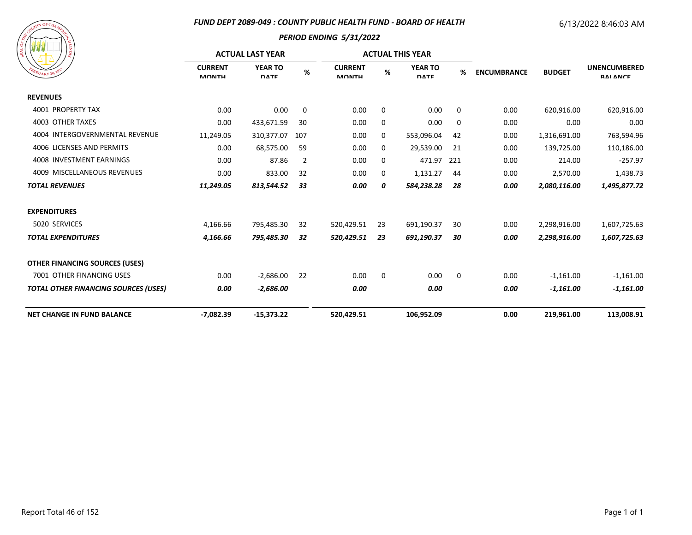#### *FUND DEPT 2089-049 : COUNTY PUBLIC HEALTH FUND - BOARD OF HEALTH*

# 6/13/2022 8:46:03 AM



| / ន                                         | <b>ACTUAL LAST YEAR</b>        |                               |     |                                |    | <b>ACTUAL THIS YEAR</b>       |     |                    |               |                                        |
|---------------------------------------------|--------------------------------|-------------------------------|-----|--------------------------------|----|-------------------------------|-----|--------------------|---------------|----------------------------------------|
| $R_{UARY\ 20}$ , 18                         | <b>CURRENT</b><br><b>MONTH</b> | <b>YEAR TO</b><br><b>DATE</b> | %   | <b>CURRENT</b><br><b>MONTH</b> | %  | <b>YEAR TO</b><br><b>DATE</b> | %   | <b>ENCUMBRANCE</b> | <b>BUDGET</b> | <b>UNENCUMBERED</b><br><b>RAI ANCE</b> |
| <b>REVENUES</b>                             |                                |                               |     |                                |    |                               |     |                    |               |                                        |
| 4001 PROPERTY TAX                           | 0.00                           | 0.00                          | 0   | 0.00                           | 0  | 0.00                          | 0   | 0.00               | 620,916.00    | 620,916.00                             |
| <b>4003 OTHER TAXES</b>                     | 0.00                           | 433,671.59                    | 30  | 0.00                           | 0  | 0.00                          | 0   | 0.00               | 0.00          | 0.00                                   |
| 4004 INTERGOVERNMENTAL REVENUE              | 11,249.05                      | 310,377.07                    | 107 | 0.00                           | 0  | 553,096.04                    | 42  | 0.00               | 1,316,691.00  | 763,594.96                             |
| 4006 LICENSES AND PERMITS                   | 0.00                           | 68,575.00                     | 59  | 0.00                           | 0  | 29,539.00                     | 21  | 0.00               | 139,725.00    | 110,186.00                             |
| 4008 INVESTMENT EARNINGS                    | 0.00                           | 87.86                         | 2   | 0.00                           | 0  | 471.97                        | 221 | 0.00               | 214.00        | $-257.97$                              |
| 4009 MISCELLANEOUS REVENUES                 | 0.00                           | 833.00                        | 32  | 0.00                           | 0  | 1,131.27                      | 44  | 0.00               | 2,570.00      | 1,438.73                               |
| <b>TOTAL REVENUES</b>                       | 11,249.05                      | 813,544.52                    | 33  | 0.00                           | 0  | 584,238.28                    | 28  | 0.00               | 2,080,116.00  | 1,495,877.72                           |
| <b>EXPENDITURES</b>                         |                                |                               |     |                                |    |                               |     |                    |               |                                        |
| 5020 SERVICES                               | 4,166.66                       | 795,485.30                    | 32  | 520,429.51                     | 23 | 691,190.37                    | 30  | 0.00               | 2,298,916.00  | 1,607,725.63                           |
| <b>TOTAL EXPENDITURES</b>                   | 4,166.66                       | 795,485.30                    | 32  | 520,429.51                     | 23 | 691,190.37                    | 30  | 0.00               | 2,298,916.00  | 1,607,725.63                           |
| <b>OTHER FINANCING SOURCES (USES)</b>       |                                |                               |     |                                |    |                               |     |                    |               |                                        |
| 7001 OTHER FINANCING USES                   | 0.00                           | $-2,686.00$                   | 22  | 0.00                           | 0  | 0.00                          | 0   | 0.00               | $-1,161.00$   | $-1,161.00$                            |
| <b>TOTAL OTHER FINANCING SOURCES (USES)</b> | 0.00                           | $-2,686.00$                   |     | 0.00                           |    | 0.00                          |     | 0.00               | $-1,161.00$   | $-1,161.00$                            |
| <b>NET CHANGE IN FUND BALANCE</b>           | $-7,082.39$                    | $-15,373.22$                  |     | 520,429.51                     |    | 106,952.09                    |     | 0.00               | 219,961.00    | 113,008.91                             |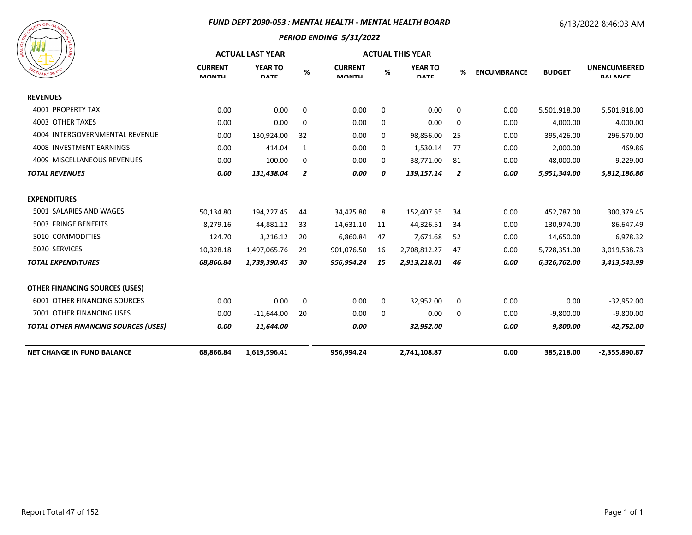#### *FUND DEPT 2090-053 : MENTAL HEALTH - MENTAL HEALTH BOARD*

# 6/13/2022 8:46:03 AM



|                                             | <b>ACTUAL LAST YEAR</b>        |                               |                |                                |              | <b>ACTUAL THIS YEAR</b>       |                |                    |               |                                        |
|---------------------------------------------|--------------------------------|-------------------------------|----------------|--------------------------------|--------------|-------------------------------|----------------|--------------------|---------------|----------------------------------------|
| $R_{U_{\text{ARY}}20}$ , Y                  | <b>CURRENT</b><br><b>MONTH</b> | <b>YEAR TO</b><br><b>DATE</b> | %              | <b>CURRENT</b><br><b>MONTH</b> | %            | <b>YEAR TO</b><br><b>DATE</b> | %              | <b>ENCUMBRANCE</b> | <b>BUDGET</b> | <b>UNENCUMBERED</b><br><b>RAI ANCE</b> |
| <b>REVENUES</b>                             |                                |                               |                |                                |              |                               |                |                    |               |                                        |
| <b>4001 PROPERTY TAX</b>                    | 0.00                           | 0.00                          | 0              | 0.00                           | 0            | 0.00                          | 0              | 0.00               | 5,501,918.00  | 5,501,918.00                           |
| 4003 OTHER TAXES                            | 0.00                           | 0.00                          | 0              | 0.00                           | 0            | 0.00                          | 0              | 0.00               | 4,000.00      | 4,000.00                               |
| 4004 INTERGOVERNMENTAL REVENUE              | 0.00                           | 130,924.00                    | 32             | 0.00                           | 0            | 98,856.00                     | 25             | 0.00               | 395,426.00    | 296,570.00                             |
| 4008 INVESTMENT EARNINGS                    | 0.00                           | 414.04                        | 1              | 0.00                           | 0            | 1,530.14                      | 77             | 0.00               | 2,000.00      | 469.86                                 |
| 4009 MISCELLANEOUS REVENUES                 | 0.00                           | 100.00                        | 0              | 0.00                           | 0            | 38,771.00                     | 81             | 0.00               | 48,000.00     | 9,229.00                               |
| <b>TOTAL REVENUES</b>                       | 0.00                           | 131,438.04                    | $\overline{2}$ | 0.00                           | 0            | 139,157.14                    | $\overline{z}$ | 0.00               | 5,951,344.00  | 5,812,186.86                           |
| <b>EXPENDITURES</b>                         |                                |                               |                |                                |              |                               |                |                    |               |                                        |
| 5001 SALARIES AND WAGES                     | 50,134.80                      | 194,227.45                    | 44             | 34,425.80                      | 8            | 152,407.55                    | 34             | 0.00               | 452,787.00    | 300,379.45                             |
| 5003 FRINGE BENEFITS                        | 8,279.16                       | 44,881.12                     | 33             | 14,631.10                      | 11           | 44,326.51                     | 34             | 0.00               | 130,974.00    | 86,647.49                              |
| 5010 COMMODITIES                            | 124.70                         | 3,216.12                      | 20             | 6,860.84                       | 47           | 7,671.68                      | 52             | 0.00               | 14,650.00     | 6,978.32                               |
| 5020 SERVICES                               | 10,328.18                      | 1,497,065.76                  | 29             | 901,076.50                     | 16           | 2,708,812.27                  | 47             | 0.00               | 5,728,351.00  | 3,019,538.73                           |
| <b>TOTAL EXPENDITURES</b>                   | 68,866.84                      | 1,739,390.45                  | 30             | 956,994.24                     | 15           | 2,913,218.01                  | 46             | 0.00               | 6,326,762.00  | 3,413,543.99                           |
| <b>OTHER FINANCING SOURCES (USES)</b>       |                                |                               |                |                                |              |                               |                |                    |               |                                        |
| 6001 OTHER FINANCING SOURCES                | 0.00                           | 0.00                          | 0              | 0.00                           | 0            | 32,952.00                     | 0              | 0.00               | 0.00          | $-32,952.00$                           |
| 7001 OTHER FINANCING USES                   | 0.00                           | $-11,644.00$                  | 20             | 0.00                           | $\mathbf{0}$ | 0.00                          | 0              | 0.00               | $-9,800.00$   | $-9,800.00$                            |
| <b>TOTAL OTHER FINANCING SOURCES (USES)</b> | 0.00                           | $-11,644.00$                  |                | 0.00                           |              | 32,952.00                     |                | 0.00               | $-9,800.00$   | $-42,752.00$                           |
| <b>NET CHANGE IN FUND BALANCE</b>           | 68,866.84                      | 1,619,596.41                  |                | 956,994.24                     |              | 2,741,108.87                  |                | 0.00               | 385,218.00    | $-2,355,890.87$                        |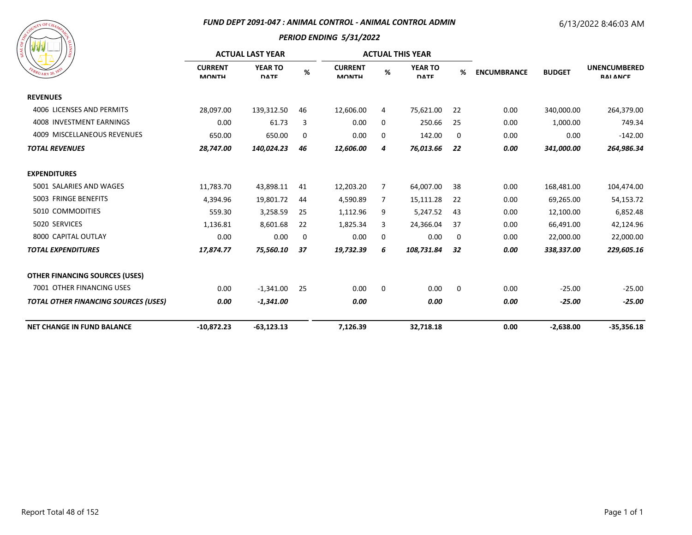#### *FUND DEPT 2091-047 : ANIMAL CONTROL - ANIMAL CONTROL ADMIN*

# 6/13/2022 8:46:03 AM



| ၊ ဇ္တ                                       | <b>ACTUAL LAST YEAR</b>        |                               |      |                                |   | <b>ACTUAL THIS YEAR</b>       |    |                    |               |                                        |
|---------------------------------------------|--------------------------------|-------------------------------|------|--------------------------------|---|-------------------------------|----|--------------------|---------------|----------------------------------------|
| $R_{U_{\rm{ARY}}20}$ , 18                   | <b>CURRENT</b><br><b>MONTH</b> | <b>YEAR TO</b><br><b>DATE</b> | $\%$ | <b>CURRENT</b><br><b>MONTH</b> | % | <b>YEAR TO</b><br><b>DATE</b> | %  | <b>ENCUMBRANCE</b> | <b>BUDGET</b> | <b>UNENCUMBERED</b><br><b>RAI ANCE</b> |
| <b>REVENUES</b>                             |                                |                               |      |                                |   |                               |    |                    |               |                                        |
| 4006 LICENSES AND PERMITS                   | 28,097.00                      | 139,312.50                    | 46   | 12,606.00                      | 4 | 75,621.00                     | 22 | 0.00               | 340,000.00    | 264,379.00                             |
| 4008 INVESTMENT EARNINGS                    | 0.00                           | 61.73                         | 3    | 0.00                           | 0 | 250.66                        | 25 | 0.00               | 1,000.00      | 749.34                                 |
| 4009 MISCELLANEOUS REVENUES                 | 650.00                         | 650.00                        | 0    | 0.00                           | 0 | 142.00                        | 0  | 0.00               | 0.00          | $-142.00$                              |
| <b>TOTAL REVENUES</b>                       | 28,747.00                      | 140,024.23                    | 46   | 12,606.00                      | 4 | 76,013.66                     | 22 | 0.00               | 341,000.00    | 264,986.34                             |
| <b>EXPENDITURES</b>                         |                                |                               |      |                                |   |                               |    |                    |               |                                        |
| 5001 SALARIES AND WAGES                     | 11,783.70                      | 43,898.11                     | 41   | 12,203.20                      | 7 | 64,007.00                     | 38 | 0.00               | 168,481.00    | 104,474.00                             |
| 5003 FRINGE BENEFITS                        | 4,394.96                       | 19,801.72                     | 44   | 4,590.89                       | 7 | 15,111.28                     | 22 | 0.00               | 69,265.00     | 54,153.72                              |
| 5010 COMMODITIES                            | 559.30                         | 3,258.59                      | 25   | 1,112.96                       | 9 | 5,247.52                      | 43 | 0.00               | 12,100.00     | 6,852.48                               |
| 5020 SERVICES                               | 1,136.81                       | 8,601.68                      | 22   | 1,825.34                       | 3 | 24,366.04                     | 37 | 0.00               | 66,491.00     | 42,124.96                              |
| 8000 CAPITAL OUTLAY                         | 0.00                           | 0.00                          | 0    | 0.00                           | 0 | 0.00                          | 0  | 0.00               | 22,000.00     | 22,000.00                              |
| <b>TOTAL EXPENDITURES</b>                   | 17,874.77                      | 75,560.10                     | 37   | 19,732.39                      | 6 | 108,731.84                    | 32 | 0.00               | 338,337.00    | 229,605.16                             |
| <b>OTHER FINANCING SOURCES (USES)</b>       |                                |                               |      |                                |   |                               |    |                    |               |                                        |
| 7001 OTHER FINANCING USES                   | 0.00                           | $-1,341.00$                   | 25   | 0.00                           | 0 | 0.00                          | 0  | 0.00               | $-25.00$      | $-25.00$                               |
| <b>TOTAL OTHER FINANCING SOURCES (USES)</b> | 0.00                           | $-1,341.00$                   |      | 0.00                           |   | 0.00                          |    | 0.00               | $-25.00$      | $-25.00$                               |
| <b>NET CHANGE IN FUND BALANCE</b>           | $-10,872.23$                   | $-63,123.13$                  |      | 7,126.39                       |   | 32,718.18                     |    | 0.00               | $-2,638.00$   | $-35,356.18$                           |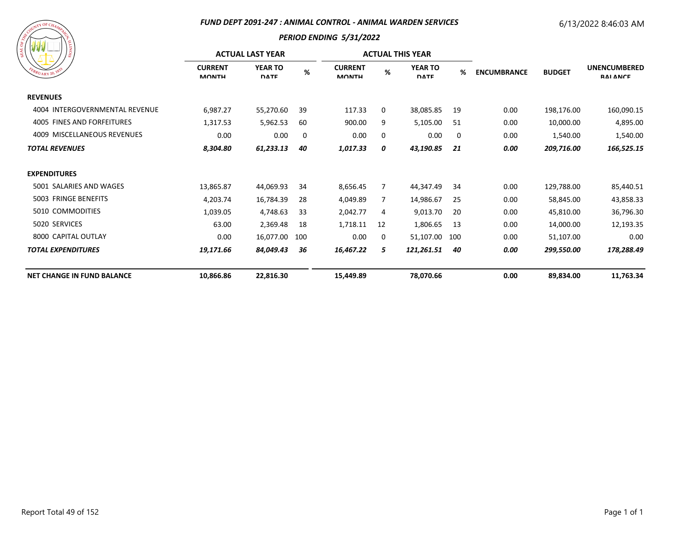#### *FUND DEPT 2091-247 : ANIMAL CONTROL - ANIMAL WARDEN SERVICES*

# 6/13/2022 8:46:03 AM

| ESCOUNTY OF CHAMPITER<br>FEBRUARY 20, 1835 | SIONITY |
|--------------------------------------------|---------|
|                                            |         |

|                                   | <b>ACTUAL LAST YEAR</b>        |                               |     |                                |    | <b>ACTUAL THIS YEAR</b>       |     |                                     |            |                                        |
|-----------------------------------|--------------------------------|-------------------------------|-----|--------------------------------|----|-------------------------------|-----|-------------------------------------|------------|----------------------------------------|
| EBRUARY 20, 183                   | <b>CURRENT</b><br><b>MONTH</b> | <b>YEAR TO</b><br><b>DATE</b> | %   | <b>CURRENT</b><br><b>MONTH</b> | %  | <b>YEAR TO</b><br><b>DATE</b> | %   | <b>ENCUMBRANCE</b><br><b>BUDGET</b> |            | <b>UNENCUMBERED</b><br><b>RAI ANCE</b> |
| <b>REVENUES</b>                   |                                |                               |     |                                |    |                               |     |                                     |            |                                        |
| 4004 INTERGOVERNMENTAL REVENUE    | 6,987.27                       | 55,270.60                     | 39  | 117.33                         | 0  | 38,085.85                     | 19  | 0.00                                | 198,176.00 | 160,090.15                             |
| 4005 FINES AND FORFEITURES        | 1,317.53                       | 5,962.53                      | 60  | 900.00                         | 9  | 5,105.00                      | 51  | 0.00                                | 10,000.00  | 4,895.00                               |
| 4009 MISCELLANEOUS REVENUES       | 0.00                           | 0.00                          | 0   | 0.00                           | 0  | 0.00                          | 0   | 0.00                                | 1,540.00   | 1,540.00                               |
| <b>TOTAL REVENUES</b>             | 8,304.80                       | 61,233.13                     | 40  | 1,017.33                       | 0  | 43,190.85                     | 21  | 0.00                                | 209,716.00 | 166,525.15                             |
| <b>EXPENDITURES</b>               |                                |                               |     |                                |    |                               |     |                                     |            |                                        |
| 5001 SALARIES AND WAGES           | 13,865.87                      | 44,069.93                     | 34  | 8,656.45                       | 7  | 44,347.49                     | 34  | 0.00                                | 129,788.00 | 85,440.51                              |
| 5003 FRINGE BENEFITS              | 4,203.74                       | 16,784.39                     | 28  | 4,049.89                       | 7  | 14,986.67                     | 25  | 0.00                                | 58,845.00  | 43,858.33                              |
| 5010 COMMODITIES                  | 1,039.05                       | 4,748.63                      | -33 | 2,042.77                       | 4  | 9,013.70                      | 20  | 0.00                                | 45,810.00  | 36,796.30                              |
| 5020 SERVICES                     | 63.00                          | 2,369.48                      | 18  | 1,718.11                       | 12 | 1,806.65                      | 13  | 0.00                                | 14,000.00  | 12,193.35                              |
| 8000 CAPITAL OUTLAY               | 0.00                           | 16,077.00                     | 100 | 0.00                           | 0  | 51,107.00                     | 100 | 0.00                                | 51,107.00  | 0.00                                   |
| <b>TOTAL EXPENDITURES</b>         | 19,171.66                      | 84,049.43                     | 36  | 16,467.22                      | 5  | 121,261.51                    | 40  | 0.00                                | 299,550.00 | 178,288.49                             |
| <b>NET CHANGE IN FUND BALANCE</b> | 10,866.86                      | 22,816.30                     |     | 15,449.89                      |    | 78,070.66                     |     | 0.00                                | 89,834.00  | 11,763.34                              |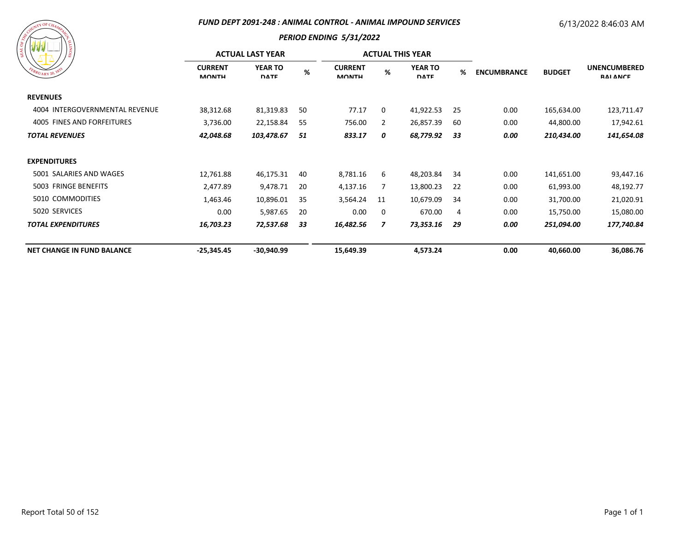#### *FUND DEPT 2091-248 : ANIMAL CONTROL - ANIMAL IMPOUND SERVICES*

## 6/13/2022 8:46:03 AM

| ESCOUNT OF CHAMPICS<br>SIONITY<br>FEBRUARY 20, 1833 |
|-----------------------------------------------------|
|-----------------------------------------------------|

|                                   | <b>ACTUAL LAST YEAR</b>        |                               |    |                                |    | <b>ACTUAL THIS YEAR</b>       |    |                    |               |                                        |
|-----------------------------------|--------------------------------|-------------------------------|----|--------------------------------|----|-------------------------------|----|--------------------|---------------|----------------------------------------|
| EBRUARY 20, 183                   | <b>CURRENT</b><br><b>MONTH</b> | <b>YEAR TO</b><br><b>DATE</b> | %  | <b>CURRENT</b><br><b>MONTH</b> | %  | <b>YEAR TO</b><br><b>DATE</b> | %  | <b>ENCUMBRANCE</b> | <b>BUDGET</b> | <b>UNENCUMBERED</b><br><b>RAI ANCE</b> |
| <b>REVENUES</b>                   |                                |                               |    |                                |    |                               |    |                    |               |                                        |
| 4004 INTERGOVERNMENTAL REVENUE    | 38,312.68                      | 81,319.83                     | 50 | 77.17                          | 0  | 41,922.53                     | 25 | 0.00               | 165,634.00    | 123,711.47                             |
| 4005 FINES AND FORFEITURES        | 3,736.00                       | 22,158.84                     | 55 | 756.00                         | 2  | 26,857.39                     | 60 | 0.00               | 44,800.00     | 17,942.61                              |
| <b>TOTAL REVENUES</b>             | 42,048.68                      | 103,478.67                    | 51 | 833.17                         | 0  | 68,779.92                     | 33 | 0.00               | 210,434.00    | 141,654.08                             |
| <b>EXPENDITURES</b>               |                                |                               |    |                                |    |                               |    |                    |               |                                        |
| 5001 SALARIES AND WAGES           | 12,761.88                      | 46,175.31                     | 40 | 8,781.16                       | 6  | 48,203.84                     | 34 | 0.00               | 141,651.00    | 93,447.16                              |
| 5003 FRINGE BENEFITS              | 2,477.89                       | 9,478.71                      | 20 | 4,137.16                       | 7  | 13,800.23                     | 22 | 0.00               | 61,993.00     | 48,192.77                              |
| 5010 COMMODITIES                  | 1,463.46                       | 10,896.01                     | 35 | 3,564.24                       | 11 | 10,679.09                     | 34 | 0.00               | 31,700.00     | 21,020.91                              |
| 5020 SERVICES                     | 0.00                           | 5,987.65                      | 20 | 0.00                           | 0  | 670.00                        | 4  | 0.00               | 15,750.00     | 15,080.00                              |
| <b>TOTAL EXPENDITURES</b>         | 16,703.23                      | 72,537.68                     | 33 | 16,482.56                      | 7  | 73,353.16                     | 29 | 0.00               | 251,094.00    | 177,740.84                             |
| <b>NET CHANGE IN FUND BALANCE</b> | $-25,345.45$                   | $-30,940.99$                  |    | 15,649.39                      |    | 4,573.24                      |    | 0.00               | 40,660.00     | 36,086.76                              |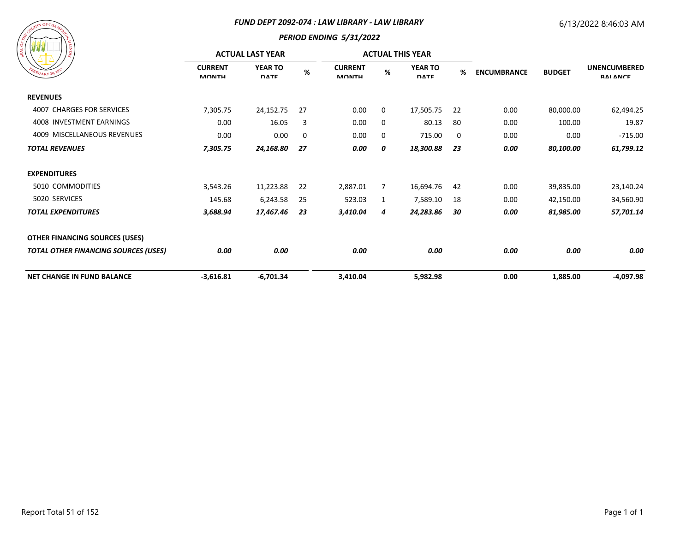#### *FUND DEPT 2092-074 : LAW LIBRARY - LAW LIBRARY*

# 6/13/2022 8:46:03 AM

| A COUNT OF CHAMATELY<br>FEBRUARY 20, 1833 | <b>SIONITI</b> |
|-------------------------------------------|----------------|
|                                           |                |

| / ដូ                                        | <b>ACTUAL LAST YEAR</b>        |                               |     |                                |   | <b>ACTUAL THIS YEAR</b>       |    |                    |               |                                        |
|---------------------------------------------|--------------------------------|-------------------------------|-----|--------------------------------|---|-------------------------------|----|--------------------|---------------|----------------------------------------|
| EBRUARY 20, 183                             | <b>CURRENT</b><br><b>MONTH</b> | <b>YEAR TO</b><br><b>DATE</b> | %   | <b>CURRENT</b><br><b>MONTH</b> | % | <b>YEAR TO</b><br><b>DATE</b> | %  | <b>ENCUMBRANCE</b> | <b>BUDGET</b> | <b>UNENCUMBERED</b><br><b>RAI ANCE</b> |
| <b>REVENUES</b>                             |                                |                               |     |                                |   |                               |    |                    |               |                                        |
| 4007 CHARGES FOR SERVICES                   | 7,305.75                       | 24,152.75                     | 27  | 0.00                           | 0 | 17,505.75                     | 22 | 0.00               | 80,000.00     | 62,494.25                              |
| 4008 INVESTMENT EARNINGS                    | 0.00                           | 16.05                         | 3   | 0.00                           | 0 | 80.13                         | 80 | 0.00               | 100.00        | 19.87                                  |
| 4009 MISCELLANEOUS REVENUES                 | 0.00                           | 0.00                          | 0   | 0.00                           | 0 | 715.00                        | 0  | 0.00               | 0.00          | $-715.00$                              |
| <b>TOTAL REVENUES</b>                       | 7,305.75                       | 24,168.80                     | 27  | 0.00                           | 0 | 18,300.88                     | 23 | 0.00               | 80,100.00     | 61,799.12                              |
| <b>EXPENDITURES</b>                         |                                |                               |     |                                |   |                               |    |                    |               |                                        |
| 5010 COMMODITIES                            | 3,543.26                       | 11,223.88                     | 22  | 2,887.01                       | 7 | 16,694.76                     | 42 | 0.00               | 39,835.00     | 23,140.24                              |
| 5020 SERVICES                               | 145.68                         | 6,243.58                      | -25 | 523.03                         | 1 | 7,589.10                      | 18 | 0.00               | 42,150.00     | 34,560.90                              |
| <b>TOTAL EXPENDITURES</b>                   | 3,688.94                       | 17,467.46                     | 23  | 3,410.04                       | 4 | 24,283.86                     | 30 | 0.00               | 81,985.00     | 57,701.14                              |
| <b>OTHER FINANCING SOURCES (USES)</b>       |                                |                               |     |                                |   |                               |    |                    |               |                                        |
| <b>TOTAL OTHER FINANCING SOURCES (USES)</b> | 0.00                           | 0.00                          |     | 0.00                           |   | 0.00                          |    | 0.00               | 0.00          | 0.00                                   |
| <b>NET CHANGE IN FUND BALANCE</b>           | $-3,616.81$                    | $-6,701.34$                   |     | 3,410.04                       |   | 5,982.98                      |    | 0.00               | 1,885.00      | -4,097.98                              |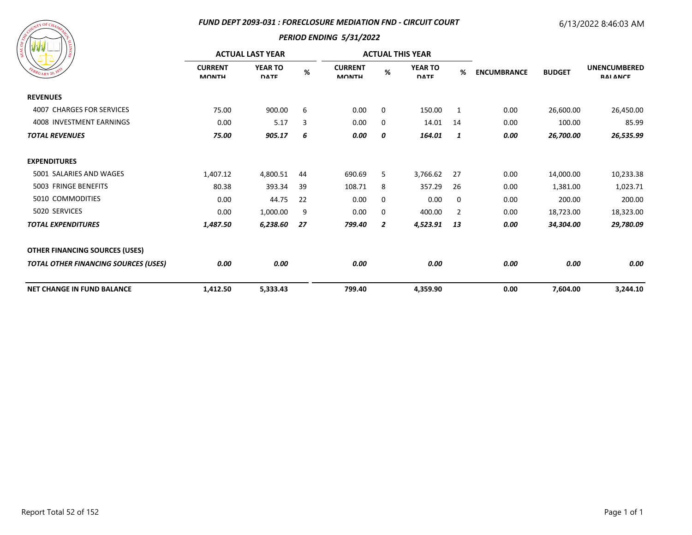#### *FUND DEPT 2093-031 : FORECLOSURE MEDIATION FND - CIRCUIT COURT*

## 6/13/2022 8:46:03 AM



| ı g                                         | <b>ACTUAL LAST YEAR</b>        |                               |      |                                |                | <b>ACTUAL THIS YEAR</b>       |                |                    |               |                                        |
|---------------------------------------------|--------------------------------|-------------------------------|------|--------------------------------|----------------|-------------------------------|----------------|--------------------|---------------|----------------------------------------|
| $B_{RU_{\text{ARY}}20}$ , 183               | <b>CURRENT</b><br><b>MONTH</b> | <b>YEAR TO</b><br><b>DATE</b> | $\%$ | <b>CURRENT</b><br><b>MONTH</b> | %              | <b>YEAR TO</b><br><b>DATE</b> | %              | <b>ENCUMBRANCE</b> | <b>BUDGET</b> | <b>UNENCUMBERED</b><br><b>RAI ANCE</b> |
| <b>REVENUES</b>                             |                                |                               |      |                                |                |                               |                |                    |               |                                        |
| 4007 CHARGES FOR SERVICES                   | 75.00                          | 900.00                        | 6    | 0.00                           | 0              | 150.00                        | 1              | 0.00               | 26,600.00     | 26,450.00                              |
| 4008 INVESTMENT EARNINGS                    | 0.00                           | 5.17                          | 3    | 0.00                           | 0              | 14.01                         | 14             | 0.00               | 100.00        | 85.99                                  |
| <b>TOTAL REVENUES</b>                       | 75.00                          | 905.17                        | 6    | 0.00                           | 0              | 164.01                        | 1              | 0.00               | 26,700.00     | 26,535.99                              |
| <b>EXPENDITURES</b>                         |                                |                               |      |                                |                |                               |                |                    |               |                                        |
| 5001 SALARIES AND WAGES                     | 1,407.12                       | 4,800.51                      | 44   | 690.69                         | 5              | 3,766.62                      | 27             | 0.00               | 14,000.00     | 10,233.38                              |
| 5003 FRINGE BENEFITS                        | 80.38                          | 393.34                        | 39   | 108.71                         | 8              | 357.29                        | 26             | 0.00               | 1,381.00      | 1,023.71                               |
| 5010 COMMODITIES                            | 0.00                           | 44.75                         | 22   | 0.00                           | 0              | 0.00                          | 0              | 0.00               | 200.00        | 200.00                                 |
| 5020 SERVICES                               | 0.00                           | 1,000.00                      | 9    | 0.00                           | 0              | 400.00                        | $\overline{2}$ | 0.00               | 18,723.00     | 18,323.00                              |
| <b>TOTAL EXPENDITURES</b>                   | 1,487.50                       | 6,238.60                      | 27   | 799.40                         | $\overline{2}$ | 4,523.91                      | 13             | 0.00               | 34,304.00     | 29,780.09                              |
| <b>OTHER FINANCING SOURCES (USES)</b>       |                                |                               |      |                                |                |                               |                |                    |               |                                        |
| <b>TOTAL OTHER FINANCING SOURCES (USES)</b> | 0.00                           | 0.00                          |      | 0.00                           |                | 0.00                          |                | 0.00               | 0.00          | 0.00                                   |
| <b>NET CHANGE IN FUND BALANCE</b>           | 1,412.50                       | 5,333.43                      |      | 799.40                         |                | 4,359.90                      |                | 0.00               | 7,604.00      | 3,244.10                               |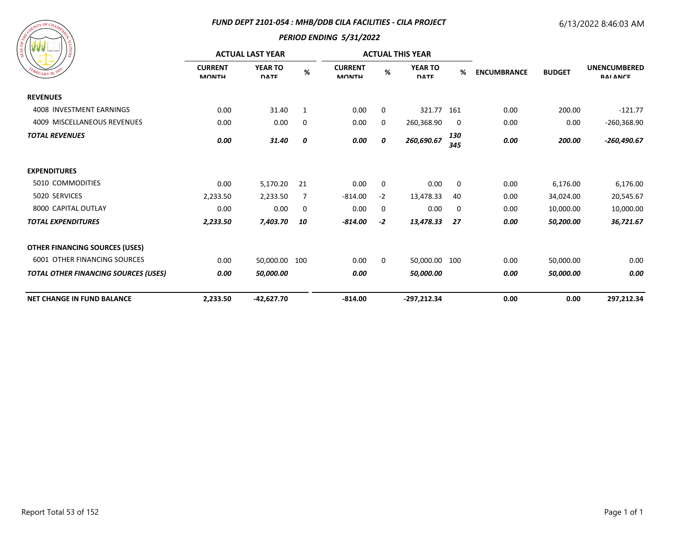## *FUND DEPT 2101-054 : MHB/DDB CILA FACILITIES - CILA PROJECT*

# 6/13/2022 8:46:03 AM



| / ಕ್ಷ                                       | <b>ACTUAL LAST YEAR</b>        |                               |                |                                |          | <b>ACTUAL THIS YEAR</b>       |            |                    |               |                                        |
|---------------------------------------------|--------------------------------|-------------------------------|----------------|--------------------------------|----------|-------------------------------|------------|--------------------|---------------|----------------------------------------|
| $\frac{dR_{U_{\text{ARY}}}^{3}}{20}$        | <b>CURRENT</b><br><b>MONTH</b> | <b>YEAR TO</b><br><b>DATE</b> | $\%$           | <b>CURRENT</b><br><b>MONTH</b> | $\%$     | <b>YEAR TO</b><br><b>DATE</b> | %          | <b>ENCUMBRANCE</b> | <b>BUDGET</b> | <b>UNENCUMBERED</b><br><b>RAI ANCE</b> |
| <b>REVENUES</b>                             |                                |                               |                |                                |          |                               |            |                    |               |                                        |
| 4008 INVESTMENT EARNINGS                    | 0.00                           | 31.40                         | 1              | 0.00                           | 0        | 321.77 161                    |            | 0.00               | 200.00        | $-121.77$                              |
| 4009 MISCELLANEOUS REVENUES                 | 0.00                           | 0.00                          | 0              | 0.00                           | $\Omega$ | 260,368.90                    | 0          | 0.00               | 0.00          | $-260,368.90$                          |
| <b>TOTAL REVENUES</b>                       | 0.00                           | 31.40                         | 0              | 0.00                           | 0        | 260,690.67                    | 130<br>345 | 0.00               | 200.00        | $-260,490.67$                          |
| <b>EXPENDITURES</b>                         |                                |                               |                |                                |          |                               |            |                    |               |                                        |
| 5010 COMMODITIES                            | 0.00                           | 5,170.20                      | 21             | 0.00                           | 0        | 0.00                          | 0          | 0.00               | 6,176.00      | 6,176.00                               |
| 5020 SERVICES                               | 2,233.50                       | 2,233.50                      | $\overline{7}$ | $-814.00$                      | $-2$     | 13,478.33                     | 40         | 0.00               | 34,024.00     | 20,545.67                              |
| 8000 CAPITAL OUTLAY                         | 0.00                           | 0.00                          | 0              | 0.00                           | 0        | 0.00                          | 0          | 0.00               | 10,000.00     | 10,000.00                              |
| <b>TOTAL EXPENDITURES</b>                   | 2,233.50                       | 7,403.70                      | 10             | $-814.00$                      | $-2$     | 13,478.33                     | 27         | 0.00               | 50,200.00     | 36,721.67                              |
| <b>OTHER FINANCING SOURCES (USES)</b>       |                                |                               |                |                                |          |                               |            |                    |               |                                        |
| <b>6001 OTHER FINANCING SOURCES</b>         | 0.00                           | 50,000.00 100                 |                | 0.00                           | 0        | 50,000.00 100                 |            | 0.00               | 50,000.00     | 0.00                                   |
| <b>TOTAL OTHER FINANCING SOURCES (USES)</b> | 0.00                           | 50,000.00                     |                | 0.00                           |          | 50,000.00                     |            | 0.00               | 50,000.00     | 0.00                                   |
| <b>NET CHANGE IN FUND BALANCE</b>           | 2,233.50                       | $-42,627.70$                  |                | $-814.00$                      |          | $-297,212.34$                 |            | 0.00               | 0.00          | 297,212.34                             |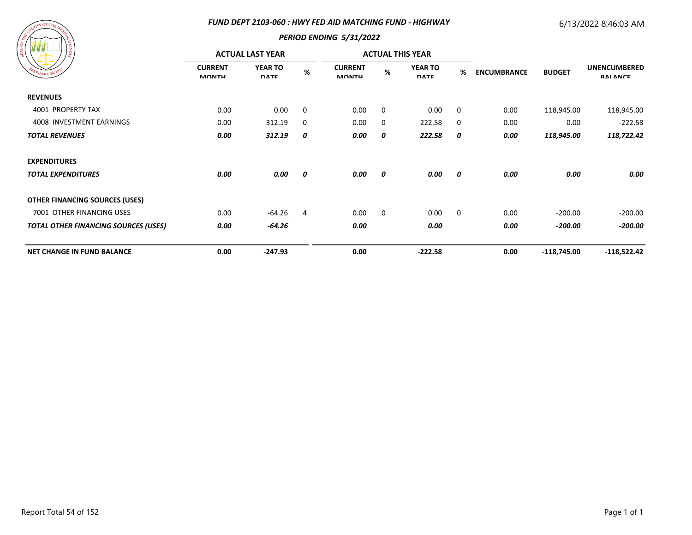#### *FUND DEPT 2103-060 : HWY FED AID MATCHING FUND - HIGHWAY*

# 6/13/2022 8:46:03 AM



| <b>MARK AND</b><br>/៖                       |                                | <b>ACTUAL LAST YEAR</b>       |             |                                |   | <b>ACTUAL THIS YEAR</b>       |             |                    |               |                                        |
|---------------------------------------------|--------------------------------|-------------------------------|-------------|--------------------------------|---|-------------------------------|-------------|--------------------|---------------|----------------------------------------|
| EBRUARY 20, 183                             | <b>CURRENT</b><br><b>MONTH</b> | <b>YEAR TO</b><br><b>DATE</b> | $\%$        | <b>CURRENT</b><br><b>MONTH</b> | % | <b>YEAR TO</b><br><b>DATE</b> | %           | <b>ENCUMBRANCE</b> | <b>BUDGET</b> | <b>UNENCUMBERED</b><br><b>RAI ANCE</b> |
| <b>REVENUES</b>                             |                                |                               |             |                                |   |                               |             |                    |               |                                        |
| 4001 PROPERTY TAX                           | 0.00                           | 0.00                          | $\mathbf 0$ | 0.00                           | 0 | 0.00                          | 0           | 0.00               | 118,945.00    | 118,945.00                             |
| 4008 INVESTMENT EARNINGS                    | 0.00                           | 312.19                        | 0           | 0.00                           | 0 | 222.58                        | 0           | 0.00               | 0.00          | $-222.58$                              |
| <b>TOTAL REVENUES</b>                       | 0.00                           | 312.19                        | 0           | 0.00                           | 0 | 222.58                        | 0           | 0.00               | 118,945.00    | 118,722.42                             |
| <b>EXPENDITURES</b>                         |                                |                               |             |                                |   |                               |             |                    |               |                                        |
| <b>TOTAL EXPENDITURES</b>                   | 0.00                           | 0.00                          | 0           | 0.00                           | 0 | 0.00                          | 0           | 0.00               | 0.00          | 0.00                                   |
| <b>OTHER FINANCING SOURCES (USES)</b>       |                                |                               |             |                                |   |                               |             |                    |               |                                        |
| 7001 OTHER FINANCING USES                   | 0.00                           | $-64.26$                      | 4           | 0.00                           | 0 | 0.00                          | $\mathbf 0$ | 0.00               | $-200.00$     | $-200.00$                              |
| <b>TOTAL OTHER FINANCING SOURCES (USES)</b> | 0.00                           | $-64.26$                      |             | 0.00                           |   | 0.00                          |             | 0.00               | $-200.00$     | -200.00                                |
| <b>NET CHANGE IN FUND BALANCE</b>           | 0.00                           | $-247.93$                     |             | 0.00                           |   | $-222.58$                     |             | 0.00               | $-118,745.00$ | $-118,522.42$                          |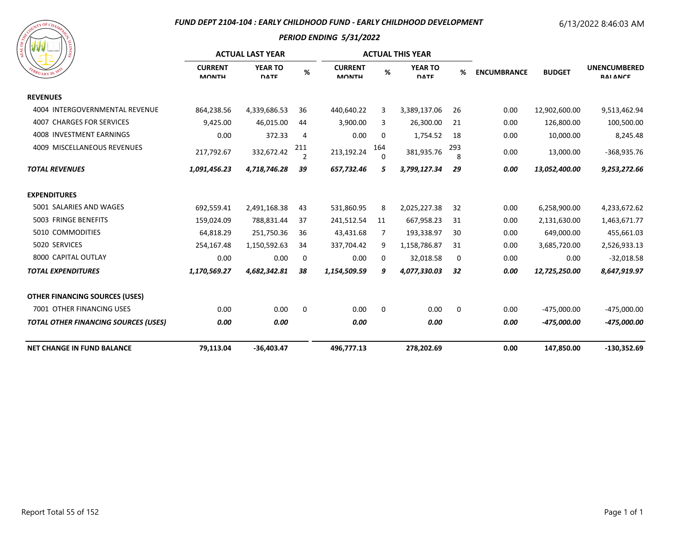#### *FUND DEPT 2104-104 : EARLY CHILDHOOD FUND - EARLY CHILDHOOD DEVELOPMENT*

# 6/13/2022 8:46:03 AM



|                                             |                                | <b>ACTUAL LAST YEAR</b>       |                       | <b>ACTUAL THIS YEAR</b>        |                 |                               |             |                    |               |                                        |
|---------------------------------------------|--------------------------------|-------------------------------|-----------------------|--------------------------------|-----------------|-------------------------------|-------------|--------------------|---------------|----------------------------------------|
| $U_{\rm{ARY}}$ 20, $V_{\rm{B}}$             | <b>CURRENT</b><br><b>MONTH</b> | <b>YEAR TO</b><br><b>DATE</b> | %                     | <b>CURRENT</b><br><b>MONTH</b> | %               | <b>YEAR TO</b><br><b>DATE</b> | %           | <b>ENCUMBRANCE</b> | <b>BUDGET</b> | <b>UNENCUMBERED</b><br><b>RAI ANCE</b> |
| <b>REVENUES</b>                             |                                |                               |                       |                                |                 |                               |             |                    |               |                                        |
| 4004 INTERGOVERNMENTAL REVENUE              | 864,238.56                     | 4,339,686.53                  | 36                    | 440,640.22                     | 3               | 3,389,137.06                  | 26          | 0.00               | 12,902,600.00 | 9,513,462.94                           |
| <b>4007 CHARGES FOR SERVICES</b>            | 9,425.00                       | 46,015.00                     | 44                    | 3,900.00                       | 3               | 26,300.00                     | 21          | 0.00               | 126,800.00    | 100,500.00                             |
| 4008 INVESTMENT EARNINGS                    | 0.00                           | 372.33                        | 4                     | 0.00                           | 0               | 1,754.52                      | 18          | 0.00               | 10,000.00     | 8,245.48                               |
| 4009 MISCELLANEOUS REVENUES                 | 217,792.67                     | 332,672.42                    | 211<br>$\overline{2}$ | 213,192.24                     | 164<br>$\Omega$ | 381,935.76                    | 293<br>8    | 0.00               | 13,000.00     | $-368,935.76$                          |
| <b>TOTAL REVENUES</b>                       | 1,091,456.23                   | 4,718,746.28                  | 39                    | 657,732.46                     | 5               | 3,799,127.34                  | 29          | 0.00               | 13,052,400.00 | 9,253,272.66                           |
| <b>EXPENDITURES</b>                         |                                |                               |                       |                                |                 |                               |             |                    |               |                                        |
| 5001 SALARIES AND WAGES                     | 692,559.41                     | 2,491,168.38                  | 43                    | 531,860.95                     | 8               | 2,025,227.38                  | 32          | 0.00               | 6,258,900.00  | 4,233,672.62                           |
| 5003 FRINGE BENEFITS                        | 159,024.09                     | 788,831.44                    | 37                    | 241,512.54                     | 11              | 667,958.23                    | 31          | 0.00               | 2,131,630.00  | 1,463,671.77                           |
| 5010 COMMODITIES                            | 64,818.29                      | 251,750.36                    | 36                    | 43,431.68                      | 7               | 193,338.97                    | 30          | 0.00               | 649,000.00    | 455,661.03                             |
| 5020 SERVICES                               | 254,167.48                     | 1,150,592.63                  | 34                    | 337,704.42                     | 9               | 1,158,786.87                  | 31          | 0.00               | 3,685,720.00  | 2,526,933.13                           |
| 8000 CAPITAL OUTLAY                         | 0.00                           | 0.00                          | 0                     | 0.00                           | 0               | 32,018.58                     | 0           | 0.00               | 0.00          | $-32,018.58$                           |
| <b>TOTAL EXPENDITURES</b>                   | 1,170,569.27                   | 4,682,342.81                  | 38                    | 1,154,509.59                   | 9               | 4,077,330.03                  | 32          | 0.00               | 12,725,250.00 | 8,647,919.97                           |
| <b>OTHER FINANCING SOURCES (USES)</b>       |                                |                               |                       |                                |                 |                               |             |                    |               |                                        |
| 7001 OTHER FINANCING USES                   | 0.00                           | 0.00                          | $\mathbf 0$           | 0.00                           | $\mathbf 0$     | 0.00                          | $\mathbf 0$ | 0.00               | -475,000.00   | $-475,000.00$                          |
| <b>TOTAL OTHER FINANCING SOURCES (USES)</b> | 0.00                           | 0.00                          |                       | 0.00                           |                 | 0.00                          |             | 0.00               | -475,000.00   | -475,000.00                            |
| <b>NET CHANGE IN FUND BALANCE</b>           | 79,113.04                      | $-36,403.47$                  |                       | 496,777.13                     |                 | 278,202.69                    |             | 0.00               | 147,850.00    | $-130,352.69$                          |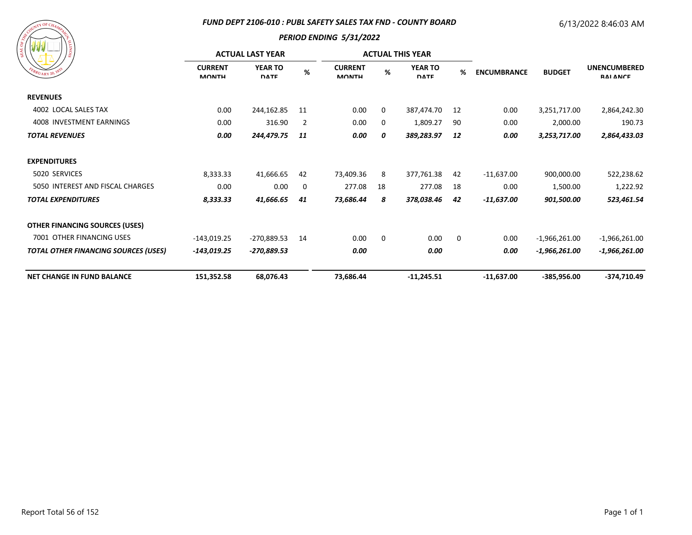#### *FUND DEPT 2106-010 : PUBL SAFETY SALES TAX FND - COUNTY BOARD*

## 6/13/2022 8:46:03 AM



| $1\frac{6}{9}$ $\frac{1}{2}$                |                                | <b>ACTUAL LAST YEAR</b>       |                | <b>ACTUAL THIS YEAR</b>        |             |                               |             |                                     |                 |                                        |
|---------------------------------------------|--------------------------------|-------------------------------|----------------|--------------------------------|-------------|-------------------------------|-------------|-------------------------------------|-----------------|----------------------------------------|
| EBRUARY 20, 183                             | <b>CURRENT</b><br><b>MONTH</b> | <b>YEAR TO</b><br><b>DATE</b> | %              | <b>CURRENT</b><br><b>MONTH</b> | %           | <b>YEAR TO</b><br><b>DATE</b> | %           | <b>ENCUMBRANCE</b><br><b>BUDGET</b> |                 | <b>UNENCUMBERED</b><br><b>RAI ANCE</b> |
| <b>REVENUES</b>                             |                                |                               |                |                                |             |                               |             |                                     |                 |                                        |
| 4002 LOCAL SALES TAX                        | 0.00                           | 244,162.85                    | 11             | 0.00                           | 0           | 387,474.70                    | 12          | 0.00                                | 3,251,717.00    | 2,864,242.30                           |
| 4008 INVESTMENT EARNINGS                    | 0.00                           | 316.90                        | $\overline{2}$ | 0.00                           | 0           | 1,809.27                      | 90          | 0.00                                | 2,000.00        | 190.73                                 |
| <b>TOTAL REVENUES</b>                       | 0.00                           | 244,479.75                    | 11             | 0.00                           | 0           | 389,283.97                    | 12          | 0.00                                | 3,253,717.00    | 2,864,433.03                           |
| <b>EXPENDITURES</b>                         |                                |                               |                |                                |             |                               |             |                                     |                 |                                        |
| 5020 SERVICES                               | 8,333.33                       | 41,666.65                     | 42             | 73,409.36                      | 8           | 377,761.38                    | 42          | $-11,637.00$                        | 900,000.00      | 522,238.62                             |
| 5050 INTEREST AND FISCAL CHARGES            | 0.00                           | 0.00                          | 0              | 277.08                         | 18          | 277.08                        | 18          | 0.00                                | 1,500.00        | 1,222.92                               |
| <b>TOTAL EXPENDITURES</b>                   | 8,333.33                       | 41,666.65                     | 41             | 73,686.44                      | 8           | 378,038.46                    | 42          | -11,637.00                          | 901,500.00      | 523,461.54                             |
| <b>OTHER FINANCING SOURCES (USES)</b>       |                                |                               |                |                                |             |                               |             |                                     |                 |                                        |
| 7001 OTHER FINANCING USES                   | -143,019.25                    | $-270,889.53$                 | 14             | 0.00                           | $\mathbf 0$ | 0.00                          | $\mathbf 0$ | 0.00                                | $-1,966,261.00$ | $-1,966,261.00$                        |
| <b>TOTAL OTHER FINANCING SOURCES (USES)</b> | -143,019.25                    | -270,889.53                   |                | 0.00                           |             | 0.00                          |             | 0.00                                | $-1,966,261.00$ | $-1,966,261.00$                        |
| <b>NET CHANGE IN FUND BALANCE</b>           | 151,352.58                     | 68,076.43                     |                | 73,686.44                      |             | $-11,245.51$                  |             | $-11,637.00$                        | $-385,956.00$   | $-374,710.49$                          |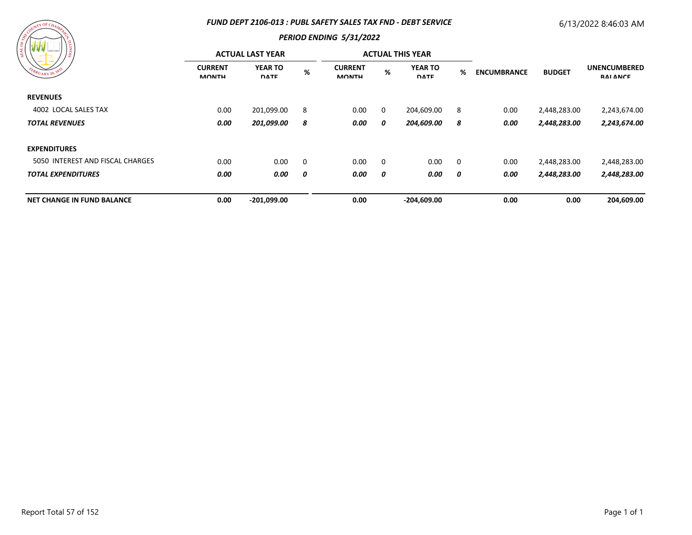#### *FUND DEPT 2106-013 : PUBL SAFETY SALES TAX FND - DEBT SERVICE*

## 6/13/2022 8:46:03 AM



| $ -$<br>၊ ဇွ                      |                                | <b>ACTUAL LAST YEAR</b>       |             | <b>ACTUAL THIS YEAR</b>        |   |                               |                |                    |               |                                        |
|-----------------------------------|--------------------------------|-------------------------------|-------------|--------------------------------|---|-------------------------------|----------------|--------------------|---------------|----------------------------------------|
| FEBRUARY 20, 1833                 | <b>CURRENT</b><br><b>MONTH</b> | <b>YEAR TO</b><br><b>DATE</b> | %           | <b>CURRENT</b><br><b>MONTH</b> | % | <b>YEAR TO</b><br><b>DATE</b> | %              | <b>ENCUMBRANCE</b> | <b>BUDGET</b> | <b>UNENCUMBERED</b><br><b>RAI ANCE</b> |
| <b>REVENUES</b>                   |                                |                               |             |                                |   |                               |                |                    |               |                                        |
| 4002 LOCAL SALES TAX              | 0.00                           | 201,099.00                    | 8           | 0.00                           | 0 | 204,609.00                    | 8              | 0.00               | 2,448,283.00  | 2,243,674.00                           |
| <b>TOTAL REVENUES</b>             | 0.00                           | 201,099.00                    | 8           | 0.00                           | 0 | 204,609.00                    | 8              | 0.00               | 2,448,283.00  | 2,243,674.00                           |
| <b>EXPENDITURES</b>               |                                |                               |             |                                |   |                               |                |                    |               |                                        |
| 5050 INTEREST AND FISCAL CHARGES  | 0.00                           | 0.00                          | $\mathbf 0$ | 0.00                           | 0 | 0.00                          | $\overline{0}$ | 0.00               | 2,448,283.00  | 2,448,283.00                           |
| <b>TOTAL EXPENDITURES</b>         | 0.00                           | 0.00                          | 0           | 0.00                           | 0 | 0.00                          | 0              | 0.00               | 2,448,283.00  | 2,448,283.00                           |
| <b>NET CHANGE IN FUND BALANCE</b> | 0.00                           | $-201,099.00$                 |             | 0.00                           |   | $-204,609.00$                 |                | 0.00               | 0.00          | 204,609.00                             |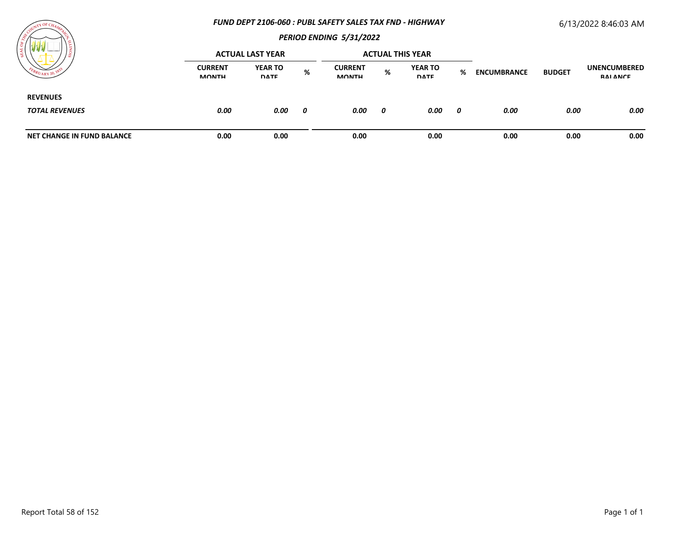#### *FUND DEPT 2106-060 : PUBL SAFETY SALES TAX FND - HIGHWAY*

## 6/13/2022 8:46:03 AM



| ×                                        |                                | <b>ACTUAL LAST YEAR</b>       |   |                                | <b>ACTUAL THIS YEAR</b> |                               |   |                                     |      |                                 |
|------------------------------------------|--------------------------------|-------------------------------|---|--------------------------------|-------------------------|-------------------------------|---|-------------------------------------|------|---------------------------------|
| $^{6}RU_{\text{ARY}}$ 20,                | <b>CURRENT</b><br><b>MONTH</b> | <b>YEAR TO</b><br><b>DATE</b> | % | <b>CURRENT</b><br><b>MONTH</b> | %                       | <b>YEAR TO</b><br><b>DATE</b> | % | <b>ENCUMBRANCE</b><br><b>BUDGET</b> |      | <b>UNENCUMBERED</b><br>RAI ANCE |
| <b>REVENUES</b><br><b>TOTAL REVENUES</b> | 0.00                           | 0.00                          | 0 | 0.00                           | 0                       | 0.00                          | 0 | 0.00                                | 0.00 | 0.00                            |
| <b>NET CHANGE IN FUND BALANCE</b>        | 0.00                           | 0.00                          |   | 0.00                           |                         | 0.00                          |   | 0.00                                | 0.00 | 0.00                            |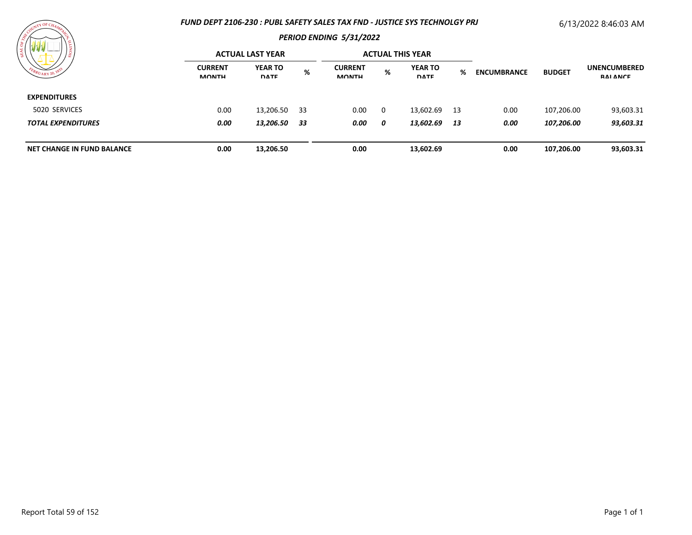#### *FUND DEPT 2106-230 : PUBL SAFETY SALES TAX FND - JUSTICE SYS TECHNOLGY PRJ*

# 6/13/2022 8:46:03 AM



| / ≋<br>$WU_{\text{ARY}}$ 20,      |                                | <b>ACTUAL LAST YEAR</b>       |     |                                |   | <b>ACTUAL THIS YEAR</b>       |    |                    |               |                                        |
|-----------------------------------|--------------------------------|-------------------------------|-----|--------------------------------|---|-------------------------------|----|--------------------|---------------|----------------------------------------|
|                                   | <b>CURRENT</b><br><b>MONTH</b> | <b>YEAR TO</b><br><b>DATE</b> | %   | <b>CURRENT</b><br><b>MONTH</b> | % | <b>YEAR TO</b><br><b>DATE</b> | %  | <b>ENCUMBRANCE</b> | <b>BUDGET</b> | <b>UNENCUMBERED</b><br><b>RAI ANCE</b> |
| <b>EXPENDITURES</b>               |                                |                               |     |                                |   |                               |    |                    |               |                                        |
| 5020 SERVICES                     | 0.00                           | 13,206.50                     | -33 | 0.00                           | 0 | 13,602.69                     | 13 | 0.00               | 107,206.00    | 93,603.31                              |
| <b>TOTAL EXPENDITURES</b>         | 0.00                           | 13,206.50                     | -33 | 0.00                           | 0 | 13,602.69 13                  |    | 0.00               | 107,206.00    | 93,603.31                              |
| <b>NET CHANGE IN FUND BALANCE</b> | 0.00                           | 13,206.50                     |     | 0.00                           |   | 13,602.69                     |    | 0.00               | 107,206.00    | 93,603.31                              |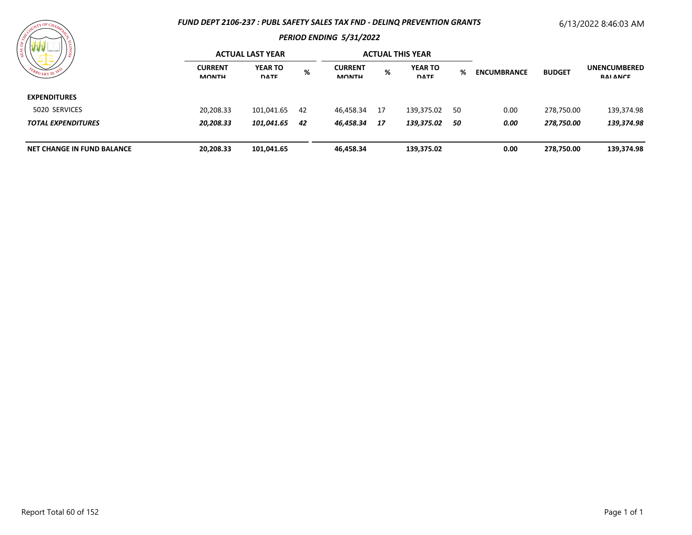#### *FUND DEPT 2106-237 : PUBL SAFETY SALES TAX FND - DELINQ PREVENTION GRANTS*

# 6/13/2022 8:46:03 AM



| .<br>'s                    |                                                                                                                                                                                          | <b>ACTUAL LAST YEAR</b> |                                        |           | <b>ACTUAL THIS YEAR</b> |            |    |      |            |            |
|----------------------------|------------------------------------------------------------------------------------------------------------------------------------------------------------------------------------------|-------------------------|----------------------------------------|-----------|-------------------------|------------|----|------|------------|------------|
| $v_{\rm ARY}$ 20,          | <b>YEAR TO</b><br><b>CURRENT</b><br><b>CURRENT</b><br><b>YEAR TO</b><br>%<br>%<br><b>BUDGET</b><br>℅<br><b>ENCUMBRANCE</b><br><b>DATE</b><br><b>MONTH</b><br><b>MONTH</b><br><b>DATE</b> |                         | <b>UNENCUMBERED</b><br><b>RAI ANCE</b> |           |                         |            |    |      |            |            |
| <b>EXPENDITURES</b>        |                                                                                                                                                                                          |                         |                                        |           |                         |            |    |      |            |            |
| 5020 SERVICES              | 20,208.33                                                                                                                                                                                | 101,041.65              | 42                                     | 46,458.34 | - 17                    | 139,375.02 | 50 | 0.00 | 278,750.00 | 139,374.98 |
| <b>TOTAL EXPENDITURES</b>  | 20,208.33                                                                                                                                                                                | 101,041.65              | 42                                     | 46,458.34 | -17                     | 139,375.02 | 50 | 0.00 | 278,750.00 | 139,374.98 |
| NET CHANGE IN FUND BALANCE | 20,208.33                                                                                                                                                                                | 101,041.65              |                                        | 46,458.34 |                         | 139,375.02 |    | 0.00 | 278,750.00 | 139,374.98 |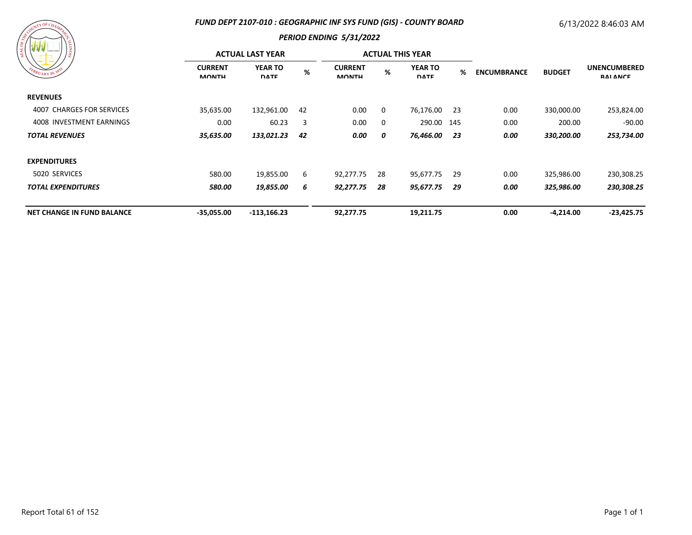## *FUND DEPT 2107-010 : GEOGRAPHIC INF SYS FUND (GIS) - COUNTY BOARD*

## 6/13/2022 8:46:03 AM

|  | ARANTI UF CHAMPY CR | <b>SIONIT</b> |
|--|---------------------|---------------|
|  | FBRUARY 20, 1833    |               |

|                                   |                                | <b>ACTUAL LAST YEAR</b>       |    | <b>ACTUAL THIS YEAR</b>        |          |                               |      |                    |               |                                        |
|-----------------------------------|--------------------------------|-------------------------------|----|--------------------------------|----------|-------------------------------|------|--------------------|---------------|----------------------------------------|
| FEBRUARY 20, 1833                 | <b>CURRENT</b><br><b>MONTH</b> | <b>YEAR TO</b><br><b>DATE</b> | %  | <b>CURRENT</b><br><b>MONTH</b> | %        | <b>YEAR TO</b><br><b>DATE</b> | %    | <b>ENCUMBRANCE</b> | <b>BUDGET</b> | <b>UNENCUMBERED</b><br><b>RAI ANCE</b> |
| <b>REVENUES</b>                   |                                |                               |    |                                |          |                               |      |                    |               |                                        |
| 4007 CHARGES FOR SERVICES         | 35,635.00                      | 132,961.00                    | 42 | 0.00                           | $\Omega$ | 76,176.00                     | - 23 | 0.00               | 330,000.00    | 253,824.00                             |
| 4008 INVESTMENT EARNINGS          | 0.00                           | 60.23                         | 3  | 0.00                           | 0        | 290.00 145                    |      | 0.00               | 200.00        | -90.00                                 |
| <b>TOTAL REVENUES</b>             | 35,635.00                      | 133,021.23                    | 42 | 0.00                           | 0        | 76,466.00 23                  |      | 0.00               | 330,200.00    | 253,734.00                             |
| <b>EXPENDITURES</b>               |                                |                               |    |                                |          |                               |      |                    |               |                                        |
| 5020 SERVICES                     | 580.00                         | 19,855.00                     | 6  | 92,277.75                      | 28       | 95,677.75                     | 29   | 0.00               | 325,986.00    | 230,308.25                             |
| <b>TOTAL EXPENDITURES</b>         | 580.00                         | 19,855.00                     | 6  | 92,277.75                      | 28       | 95,677.75                     | 29   | 0.00               | 325,986.00    | 230,308.25                             |
| <b>NET CHANGE IN FUND BALANCE</b> | $-35,055.00$                   | $-113,166.23$                 |    | 92,277.75                      |          | 19,211.75                     |      | 0.00               | $-4,214.00$   | $-23,425.75$                           |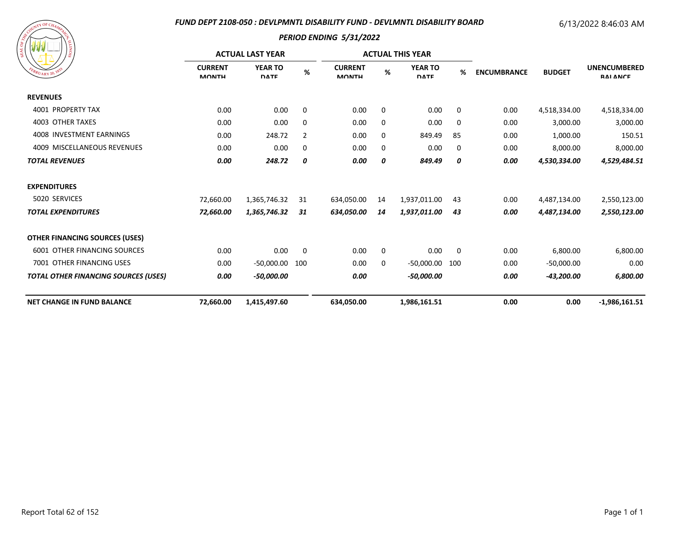#### *FUND DEPT 2108-050 : DEVLPMNTL DISABILITY FUND - DEVLMNTL DISABILITY BOARD*

#### 6/13/2022 8:46:03 AM

| COUNTY OF CHAMPAGE<br><b>SEAL OF</b><br>FEBRUARY 20, 1835 | <b>SIONITA</b> |
|-----------------------------------------------------------|----------------|
|                                                           |                |

|                                             |                                | <b>ACTUAL LAST YEAR</b>       |                |                                | <b>ACTUAL THIS YEAR</b> |                               |     |                    |               |                                        |
|---------------------------------------------|--------------------------------|-------------------------------|----------------|--------------------------------|-------------------------|-------------------------------|-----|--------------------|---------------|----------------------------------------|
| $^{6}R$ UARY 20, 18                         | <b>CURRENT</b><br><b>MONTH</b> | <b>YEAR TO</b><br><b>DATE</b> | $\%$           | <b>CURRENT</b><br><b>MONTH</b> | $\%$                    | <b>YEAR TO</b><br><b>DATE</b> | %   | <b>ENCUMBRANCE</b> | <b>BUDGET</b> | <b>UNENCUMBERED</b><br><b>RAI ANCE</b> |
| <b>REVENUES</b>                             |                                |                               |                |                                |                         |                               |     |                    |               |                                        |
| 4001 PROPERTY TAX                           | 0.00                           | 0.00                          | 0              | 0.00                           | 0                       | 0.00                          | 0   | 0.00               | 4,518,334.00  | 4,518,334.00                           |
| 4003 OTHER TAXES                            | 0.00                           | 0.00                          | 0              | 0.00                           | 0                       | 0.00                          | 0   | 0.00               | 3,000.00      | 3,000.00                               |
| 4008 INVESTMENT EARNINGS                    | 0.00                           | 248.72                        | $\overline{2}$ | 0.00                           | 0                       | 849.49                        | 85  | 0.00               | 1,000.00      | 150.51                                 |
| 4009 MISCELLANEOUS REVENUES                 | 0.00                           | 0.00                          | 0              | 0.00                           | 0                       | 0.00                          | 0   | 0.00               | 8,000.00      | 8,000.00                               |
| <b>TOTAL REVENUES</b>                       | 0.00                           | 248.72                        | 0              | 0.00                           | 0                       | 849.49                        | 0   | 0.00               | 4,530,334.00  | 4,529,484.51                           |
| <b>EXPENDITURES</b>                         |                                |                               |                |                                |                         |                               |     |                    |               |                                        |
| 5020 SERVICES                               | 72,660.00                      | 1,365,746.32                  | 31             | 634,050.00                     | 14                      | 1,937,011.00                  | 43  | 0.00               | 4,487,134.00  | 2,550,123.00                           |
| <b>TOTAL EXPENDITURES</b>                   | 72,660.00                      | 1,365,746.32                  | 31             | 634,050.00                     | 14                      | 1,937,011.00                  | 43  | 0.00               | 4,487,134.00  | 2,550,123.00                           |
| <b>OTHER FINANCING SOURCES (USES)</b>       |                                |                               |                |                                |                         |                               |     |                    |               |                                        |
| <b>6001 OTHER FINANCING SOURCES</b>         | 0.00                           | 0.00                          | $\mathbf 0$    | 0.00                           | 0                       | 0.00                          | 0   | 0.00               | 6,800.00      | 6,800.00                               |
| 7001 OTHER FINANCING USES                   | 0.00                           | -50,000.00                    | 100            | 0.00                           | 0                       | -50,000.00                    | 100 | 0.00               | $-50,000.00$  | 0.00                                   |
| <b>TOTAL OTHER FINANCING SOURCES (USES)</b> | 0.00                           | -50,000.00                    |                | 0.00                           |                         | -50,000.00                    |     | 0.00               | -43,200.00    | 6,800.00                               |
| <b>NET CHANGE IN FUND BALANCE</b>           | 72,660.00                      | 1,415,497.60                  |                | 634,050.00                     |                         | 1,986,161.51                  |     | 0.00               | 0.00          | $-1,986,161.51$                        |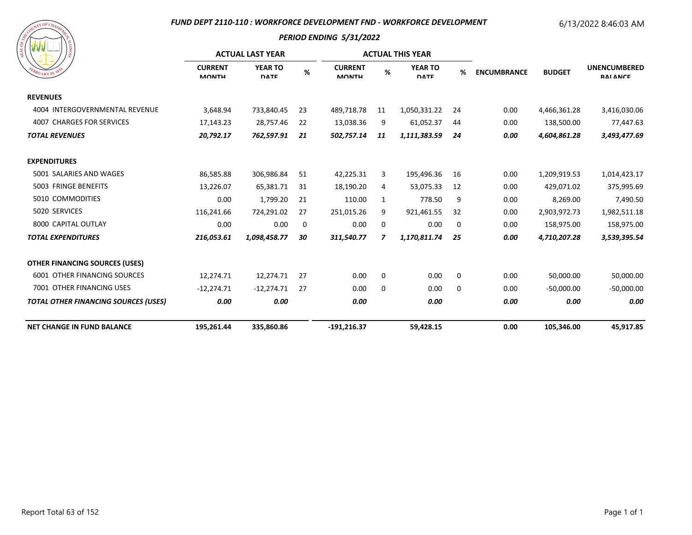#### *FUND DEPT 2110-110 : WORKFORCE DEVELOPMENT FND - WORKFORCE DEVELOPMENT*

# 6/13/2022 8:46:03 AM

| A SOURI LUF CHAMPAGE<br>SIONITY<br>FEBRUARY 20, 1833 |  |
|------------------------------------------------------|--|
|                                                      |  |

|                                             |                                | <b>ACTUAL LAST YEAR</b>       |      | <b>ACTUAL THIS YEAR</b>        |    |                               |    |                    |               |                                        |
|---------------------------------------------|--------------------------------|-------------------------------|------|--------------------------------|----|-------------------------------|----|--------------------|---------------|----------------------------------------|
| $R_{U_{\text{ARY}}20}$ , 18                 | <b>CURRENT</b><br><b>MONTH</b> | <b>YEAR TO</b><br><b>DATE</b> | $\%$ | <b>CURRENT</b><br><b>MONTH</b> | %  | <b>YEAR TO</b><br><b>DATE</b> | %  | <b>ENCUMBRANCE</b> | <b>BUDGET</b> | <b>UNENCUMBERED</b><br><b>RAI ANCE</b> |
| <b>REVENUES</b>                             |                                |                               |      |                                |    |                               |    |                    |               |                                        |
| 4004 INTERGOVERNMENTAL REVENUE              | 3,648.94                       | 733,840.45                    | 23   | 489,718.78                     | 11 | 1,050,331.22                  | 24 | 0.00               | 4,466,361.28  | 3,416,030.06                           |
| 4007 CHARGES FOR SERVICES                   | 17,143.23                      | 28,757.46                     | 22   | 13,038.36                      | 9  | 61,052.37                     | 44 | 0.00               | 138,500.00    | 77,447.63                              |
| <b>TOTAL REVENUES</b>                       | 20,792.17                      | 762,597.91                    | 21   | 502,757.14                     | 11 | 1,111,383.59                  | 24 | 0.00               | 4,604,861.28  | 3,493,477.69                           |
| <b>EXPENDITURES</b>                         |                                |                               |      |                                |    |                               |    |                    |               |                                        |
| 5001 SALARIES AND WAGES                     | 86,585.88                      | 306,986.84                    | 51   | 42,225.31                      | 3  | 195,496.36                    | 16 | 0.00               | 1,209,919.53  | 1,014,423.17                           |
| 5003 FRINGE BENEFITS                        | 13,226.07                      | 65,381.71                     | 31   | 18,190.20                      | 4  | 53,075.33                     | 12 | 0.00               | 429,071.02    | 375,995.69                             |
| 5010 COMMODITIES                            | 0.00                           | 1,799.20                      | 21   | 110.00                         | 1  | 778.50                        | 9  | 0.00               | 8,269.00      | 7,490.50                               |
| 5020 SERVICES                               | 116,241.66                     | 724,291.02                    | 27   | 251,015.26                     | 9  | 921,461.55                    | 32 | 0.00               | 2,903,972.73  | 1,982,511.18                           |
| 8000 CAPITAL OUTLAY                         | 0.00                           | 0.00                          | 0    | 0.00                           | 0  | 0.00                          | 0  | 0.00               | 158,975.00    | 158,975.00                             |
| <b>TOTAL EXPENDITURES</b>                   | 216,053.61                     | 1,098,458.77                  | 30   | 311,540.77                     | 7  | 1,170,811.74                  | 25 | 0.00               | 4,710,207.28  | 3,539,395.54                           |
| <b>OTHER FINANCING SOURCES (USES)</b>       |                                |                               |      |                                |    |                               |    |                    |               |                                        |
| <b>6001 OTHER FINANCING SOURCES</b>         | 12,274.71                      | 12,274.71                     | 27   | 0.00                           | 0  | 0.00                          | 0  | 0.00               | 50,000.00     | 50,000.00                              |
| 7001 OTHER FINANCING USES                   | $-12,274.71$                   | $-12,274.71$                  | 27   | 0.00                           | 0  | 0.00                          | 0  | 0.00               | $-50,000.00$  | $-50,000.00$                           |
| <b>TOTAL OTHER FINANCING SOURCES (USES)</b> | 0.00                           | 0.00                          |      | 0.00                           |    | 0.00                          |    | 0.00               | 0.00          | 0.00                                   |
| <b>NET CHANGE IN FUND BALANCE</b>           | 195,261.44                     | 335,860.86                    |      | $-191,216.37$                  |    | 59,428.15                     |    | 0.00               | 105,346.00    | 45,917.85                              |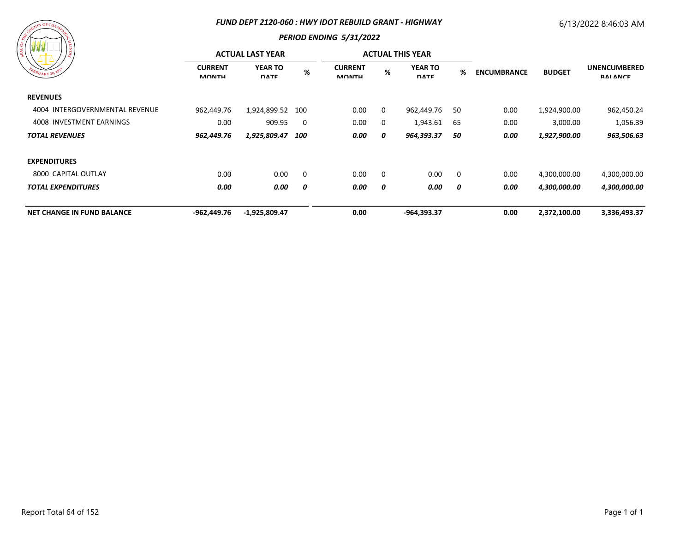#### *FUND DEPT 2120-060 : HWY IDOT REBUILD GRANT - HIGHWAY*

## 6/13/2022 8:46:03 AM



| 18                                | <b>ACTUAL LAST YEAR</b>        |                               |     |                                |              | <b>ACTUAL THIS YEAR</b>       |                         |                    |               |                                        |
|-----------------------------------|--------------------------------|-------------------------------|-----|--------------------------------|--------------|-------------------------------|-------------------------|--------------------|---------------|----------------------------------------|
| EBRUARY 20, 1833                  | <b>CURRENT</b><br><b>MONTH</b> | <b>YEAR TO</b><br><b>DATE</b> | %   | <b>CURRENT</b><br><b>MONTH</b> | %            | <b>YEAR TO</b><br><b>DATE</b> | %                       | <b>ENCUMBRANCE</b> | <b>BUDGET</b> | <b>UNENCUMBERED</b><br><b>RAI ANCE</b> |
| <b>REVENUES</b>                   |                                |                               |     |                                |              |                               |                         |                    |               |                                        |
| 4004 INTERGOVERNMENTAL REVENUE    | 962,449.76                     | 1,924,899.52                  | 100 | 0.00                           | $\mathbf{0}$ | 962,449.76                    | 50                      | 0.00               | 1,924,900.00  | 962,450.24                             |
| 4008 INVESTMENT EARNINGS          | 0.00                           | 909.95                        | 0   | 0.00                           | $\mathbf{0}$ | 1,943.61                      | 65                      | 0.00               | 3,000.00      | 1,056.39                               |
| <b>TOTAL REVENUES</b>             | 962,449.76                     | 1,925,809.47                  | 100 | 0.00                           | 0            | 964,393.37                    | 50                      | 0.00               | 1,927,900.00  | 963,506.63                             |
| <b>EXPENDITURES</b>               |                                |                               |     |                                |              |                               |                         |                    |               |                                        |
| 8000 CAPITAL OUTLAY               | 0.00                           | 0.00                          | 0   | 0.00                           | $\Omega$     | 0.00                          | $\overline{\mathbf{0}}$ | 0.00               | 4,300,000.00  | 4,300,000.00                           |
| <b>TOTAL EXPENDITURES</b>         | 0.00                           | 0.00                          | 0   | 0.00                           | 0            | 0.00                          | 0                       | 0.00               | 4,300,000.00  | 4,300,000.00                           |
| <b>NET CHANGE IN FUND BALANCE</b> | -962,449.76                    | $-1,925,809.47$               |     | 0.00                           |              | -964,393.37                   |                         | 0.00               | 2,372,100.00  | 3,336,493.37                           |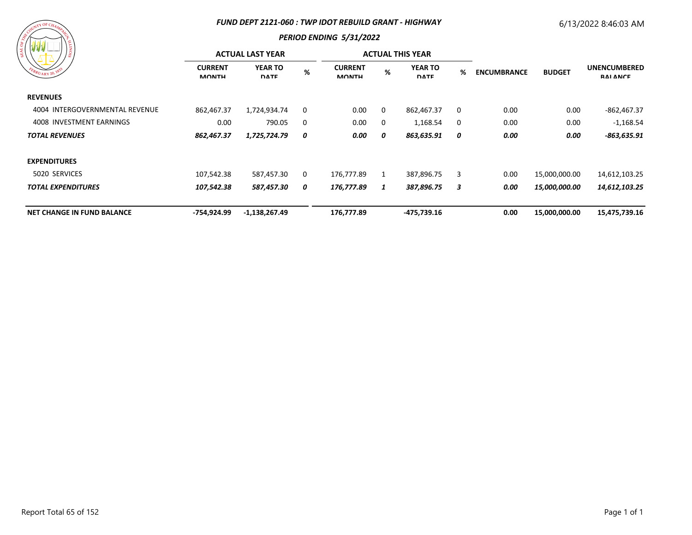#### *FUND DEPT 2121-060 : TWP IDOT REBUILD GRANT - HIGHWAY*

## 6/13/2022 8:46:03 AM

# $\tau Y$  OF C

| $1\frac{6}{9}$                    | <b>ACTUAL LAST YEAR</b>        |                               |             |                                |          | <b>ACTUAL THIS YEAR</b>       |   |                    |               |                                 |
|-----------------------------------|--------------------------------|-------------------------------|-------------|--------------------------------|----------|-------------------------------|---|--------------------|---------------|---------------------------------|
| FEBRUARY 20, 1833                 | <b>CURRENT</b><br><b>MONTH</b> | <b>YEAR TO</b><br><b>DATE</b> | %           | <b>CURRENT</b><br><b>MONTH</b> | %        | <b>YEAR TO</b><br><b>DATE</b> | % | <b>ENCUMBRANCE</b> | <b>BUDGET</b> | <b>UNENCUMBERED</b><br>RAI ANCE |
| <b>REVENUES</b>                   |                                |                               |             |                                |          |                               |   |                    |               |                                 |
| 4004 INTERGOVERNMENTAL REVENUE    | 862,467.37                     | 1,724,934.74                  | $\mathbf 0$ | 0.00                           | $\Omega$ | 862,467.37                    | 0 | 0.00               | 0.00          | $-862,467.37$                   |
| 4008 INVESTMENT EARNINGS          | 0.00                           | 790.05                        | 0           | 0.00                           | 0        | 1,168.54                      | 0 | 0.00               | 0.00          | $-1,168.54$                     |
| <b>TOTAL REVENUES</b>             | 862,467.37                     | 1,725,724.79                  | 0           | 0.00                           | 0        | 863,635.91                    | 0 | 0.00               | 0.00          | $-863,635.91$                   |
| <b>EXPENDITURES</b>               |                                |                               |             |                                |          |                               |   |                    |               |                                 |
| 5020 SERVICES                     | 107,542.38                     | 587,457.30                    | 0           | 176,777.89                     |          | 387,896.75                    | 3 | 0.00               | 15,000,000.00 | 14,612,103.25                   |
| <b>TOTAL EXPENDITURES</b>         | 107,542.38                     | 587,457.30                    | 0           | 176,777.89                     | 1        | 387,896.75                    | 3 | 0.00               | 15,000,000.00 | 14,612,103.25                   |
| <b>NET CHANGE IN FUND BALANCE</b> | -754,924.99                    | $-1,138,267.49$               |             | 176,777.89                     |          | -475,739.16                   |   | 0.00               | 15,000,000.00 | 15,475,739.16                   |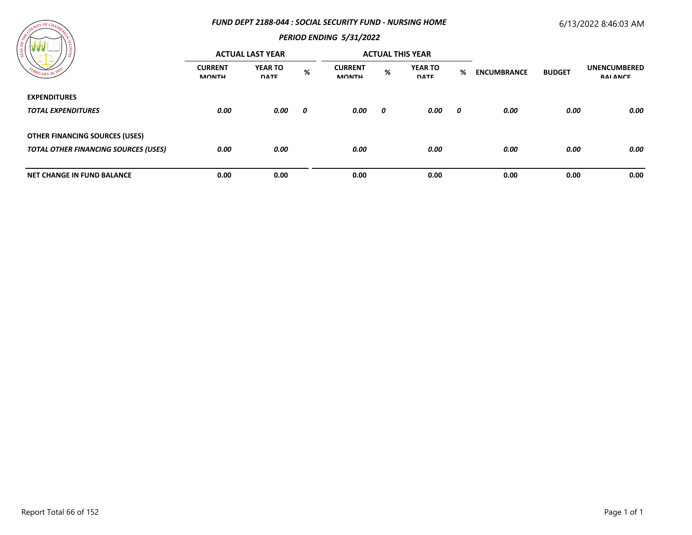#### *FUND DEPT 2188-044 : SOCIAL SECURITY FUND - NURSING HOME*

## 6/13/2022 8:46:03 AM



| / ដូ                                        | <b>ACTUAL LAST YEAR</b>        |                               |   |                                |      | <b>ACTUAL THIS YEAR</b>       |   |                    |               |                                 |
|---------------------------------------------|--------------------------------|-------------------------------|---|--------------------------------|------|-------------------------------|---|--------------------|---------------|---------------------------------|
|                                             | <b>CURRENT</b><br><b>MONTH</b> | <b>YEAR TO</b><br><b>DATE</b> | % | <b>CURRENT</b><br><b>MONTH</b> | $\%$ | <b>YEAR TO</b><br><b>DATE</b> | % | <b>ENCUMBRANCE</b> | <b>BUDGET</b> | <b>UNENCUMBERED</b><br>RAI ANCE |
| <b>EXPENDITURES</b>                         |                                |                               |   |                                |      |                               |   |                    |               |                                 |
| <b>TOTAL EXPENDITURES</b>                   | 0.00                           | 0.00                          | 0 | 0.00                           | 0    | 0.00                          | 0 | 0.00               | 0.00          | 0.00                            |
| <b>OTHER FINANCING SOURCES (USES)</b>       |                                |                               |   |                                |      |                               |   |                    |               |                                 |
| <b>TOTAL OTHER FINANCING SOURCES (USES)</b> | 0.00                           | 0.00                          |   | 0.00                           |      | 0.00                          |   | 0.00               | 0.00          | 0.00                            |
| <b>NET CHANGE IN FUND BALANCE</b>           | 0.00                           | 0.00                          |   | 0.00                           |      | 0.00                          |   | 0.00               | 0.00          | 0.00                            |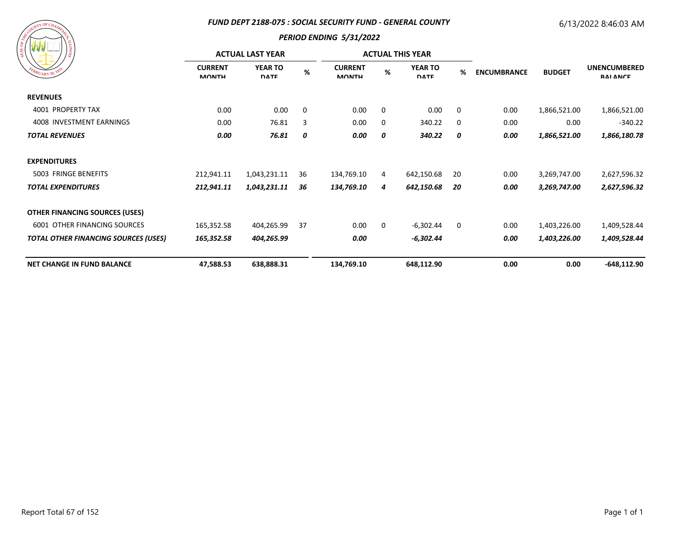#### *FUND DEPT 2188-075 : SOCIAL SECURITY FUND - GENERAL COUNTY*

# 6/13/2022 8:46:03 AM



| 87 Y Y<br>၊ ဇွ<br>EBRUARY 20, 1833          | <b>ACTUAL LAST YEAR</b>        |                               |      |                                |             | <b>ACTUAL THIS YEAR</b>       |             |                    |               |                                        |
|---------------------------------------------|--------------------------------|-------------------------------|------|--------------------------------|-------------|-------------------------------|-------------|--------------------|---------------|----------------------------------------|
|                                             | <b>CURRENT</b><br><b>MONTH</b> | <b>YEAR TO</b><br><b>DATE</b> | $\%$ | <b>CURRENT</b><br><b>MONTH</b> | %           | <b>YEAR TO</b><br><b>DATE</b> | %           | <b>ENCUMBRANCE</b> | <b>BUDGET</b> | <b>UNENCUMBERED</b><br><b>RAI ANCE</b> |
| <b>REVENUES</b>                             |                                |                               |      |                                |             |                               |             |                    |               |                                        |
| 4001 PROPERTY TAX                           | 0.00                           | 0.00                          | 0    | 0.00                           | $\mathbf 0$ | 0.00                          | $\mathbf 0$ | 0.00               | 1,866,521.00  | 1,866,521.00                           |
| 4008 INVESTMENT EARNINGS                    | 0.00                           | 76.81                         | 3    | 0.00                           | 0           | 340.22                        | 0           | 0.00               | 0.00          | $-340.22$                              |
| <b>TOTAL REVENUES</b>                       | 0.00                           | 76.81                         | 0    | 0.00                           | 0           | 340.22                        | 0           | 0.00               | 1,866,521.00  | 1,866,180.78                           |
| <b>EXPENDITURES</b>                         |                                |                               |      |                                |             |                               |             |                    |               |                                        |
| 5003 FRINGE BENEFITS                        | 212,941.11                     | 1,043,231.11                  | 36   | 134,769.10                     | 4           | 642,150.68                    | 20          | 0.00               | 3,269,747.00  | 2,627,596.32                           |
| <b>TOTAL EXPENDITURES</b>                   | 212,941.11                     | 1,043,231.11                  | 36   | 134,769.10                     | 4           | 642,150.68                    | 20          | 0.00               | 3,269,747.00  | 2,627,596.32                           |
| <b>OTHER FINANCING SOURCES (USES)</b>       |                                |                               |      |                                |             |                               |             |                    |               |                                        |
| <b>6001 OTHER FINANCING SOURCES</b>         | 165,352.58                     | 404,265.99                    | 37   | 0.00                           | $\mathbf 0$ | $-6,302.44$                   | 0           | 0.00               | 1,403,226.00  | 1,409,528.44                           |
| <b>TOTAL OTHER FINANCING SOURCES (USES)</b> | 165,352.58                     | 404,265.99                    |      | 0.00                           |             | -6,302.44                     |             | 0.00               | 1,403,226.00  | 1,409,528.44                           |
| <b>NET CHANGE IN FUND BALANCE</b>           | 47,588.53                      | 638,888.31                    |      | 134,769.10                     |             | 648,112.90                    |             | 0.00               | 0.00          | $-648, 112.90$                         |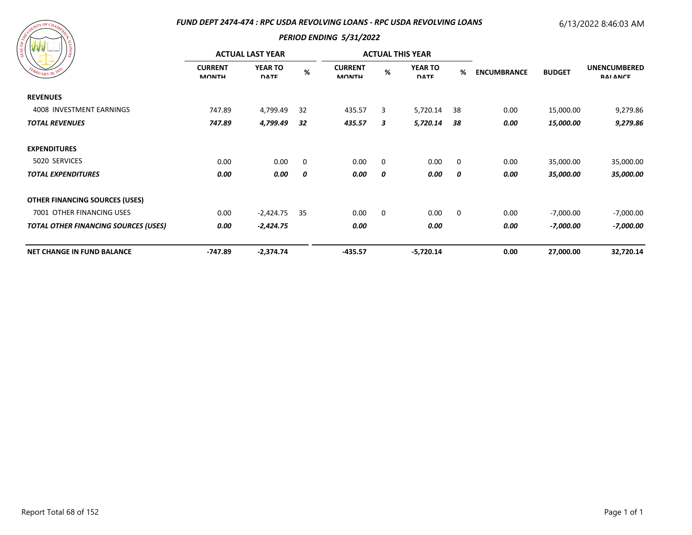#### *FUND DEPT 2474-474 : RPC USDA REVOLVING LOANS - RPC USDA REVOLVING LOANS*

#### 6/13/2022 8:46:03 AM

| WW<br>)ğ,                                   | <b>ACTUAL LAST YEAR</b>        |                               |     |                                |             | <b>ACTUAL THIS YEAR</b>       |             |                    |               |                                        |
|---------------------------------------------|--------------------------------|-------------------------------|-----|--------------------------------|-------------|-------------------------------|-------------|--------------------|---------------|----------------------------------------|
| EBRUARY 20, 18                              | <b>CURRENT</b><br><b>MONTH</b> | <b>YEAR TO</b><br><b>DATE</b> | %   | <b>CURRENT</b><br><b>MONTH</b> | %           | <b>YEAR TO</b><br><b>DATE</b> | %           | <b>ENCUMBRANCE</b> | <b>BUDGET</b> | <b>UNENCUMBERED</b><br><b>RAI ANCE</b> |
| <b>REVENUES</b>                             |                                |                               |     |                                |             |                               |             |                    |               |                                        |
| 4008 INVESTMENT EARNINGS                    | 747.89                         | 4,799.49                      | -32 | 435.57                         | 3           | 5,720.14                      | 38          | 0.00               | 15,000.00     | 9,279.86                               |
| <b>TOTAL REVENUES</b>                       | 747.89                         | 4,799.49                      | 32  | 435.57                         | 3           | 5,720.14                      | 38          | 0.00               | 15,000.00     | 9,279.86                               |
| <b>EXPENDITURES</b>                         |                                |                               |     |                                |             |                               |             |                    |               |                                        |
| 5020 SERVICES                               | 0.00                           | 0.00                          | 0   | 0.00                           | $\mathbf 0$ | 0.00                          | $\mathbf 0$ | 0.00               | 35,000.00     | 35,000.00                              |
| <b>TOTAL EXPENDITURES</b>                   | 0.00                           | 0.00                          | 0   | 0.00                           | 0           | 0.00                          | 0           | 0.00               | 35,000.00     | 35,000.00                              |
| <b>OTHER FINANCING SOURCES (USES)</b>       |                                |                               |     |                                |             |                               |             |                    |               |                                        |
| 7001 OTHER FINANCING USES                   | 0.00                           | $-2,424.75$                   | 35  | 0.00                           | 0           | 0.00                          | 0           | 0.00               | $-7,000.00$   | -7,000.00                              |
| <b>TOTAL OTHER FINANCING SOURCES (USES)</b> | 0.00                           | $-2,424.75$                   |     | 0.00                           |             | 0.00                          |             | 0.00               | -7,000.00     | -7,000.00                              |
| <b>NET CHANGE IN FUND BALANCE</b>           | $-747.89$                      | $-2,374.74$                   |     | $-435.57$                      |             | $-5,720.14$                   |             | 0.00               | 27,000.00     | 32,720.14                              |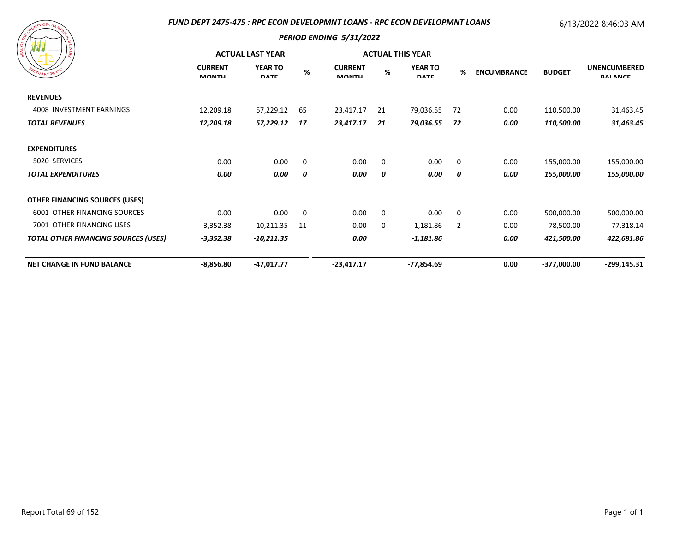#### *FUND DEPT 2475-475 : RPC ECON DEVELOPMNT LOANS - RPC ECON DEVELOPMNT LOANS*

# 6/13/2022 8:46:03 AM

| EBRUARY 20, 183                             | <b>ACTUAL LAST YEAR</b>        |                               |    |                                |             | <b>ACTUAL THIS YEAR</b>       |                |                    |               |                                        |
|---------------------------------------------|--------------------------------|-------------------------------|----|--------------------------------|-------------|-------------------------------|----------------|--------------------|---------------|----------------------------------------|
|                                             | <b>CURRENT</b><br><b>MONTH</b> | <b>YEAR TO</b><br><b>DATE</b> | %  | <b>CURRENT</b><br><b>MONTH</b> | %           | <b>YEAR TO</b><br><b>DATE</b> | %              | <b>ENCUMBRANCE</b> | <b>BUDGET</b> | <b>UNENCUMBERED</b><br><b>RAI ANCE</b> |
| <b>REVENUES</b>                             |                                |                               |    |                                |             |                               |                |                    |               |                                        |
| 4008 INVESTMENT EARNINGS                    | 12,209.18                      | 57,229.12                     | 65 | 23,417.17                      | 21          | 79,036.55                     | 72             | 0.00               | 110,500.00    | 31,463.45                              |
| <b>TOTAL REVENUES</b>                       | 12,209.18                      | 57,229.12                     | 17 | 23,417.17                      | 21          | 79,036.55                     | -72            | 0.00               | 110,500.00    | 31,463.45                              |
| <b>EXPENDITURES</b>                         |                                |                               |    |                                |             |                               |                |                    |               |                                        |
| 5020 SERVICES                               | 0.00                           | 0.00                          | 0  | 0.00                           | $\mathbf 0$ | 0.00                          | $\mathbf 0$    | 0.00               | 155,000.00    | 155,000.00                             |
| <b>TOTAL EXPENDITURES</b>                   | 0.00                           | 0.00                          | 0  | 0.00                           | 0           | 0.00                          | 0              | 0.00               | 155,000.00    | 155,000.00                             |
| <b>OTHER FINANCING SOURCES (USES)</b>       |                                |                               |    |                                |             |                               |                |                    |               |                                        |
| 6001 OTHER FINANCING SOURCES                | 0.00                           | 0.00                          | 0  | 0.00                           | $\mathbf 0$ | 0.00                          | $\mathbf 0$    | 0.00               | 500,000.00    | 500,000.00                             |
| 7001 OTHER FINANCING USES                   | $-3,352.38$                    | $-10,211.35$                  | 11 | 0.00                           | 0           | $-1,181.86$                   | $\overline{2}$ | 0.00               | $-78,500.00$  | $-77,318.14$                           |
| <b>TOTAL OTHER FINANCING SOURCES (USES)</b> | $-3,352.38$                    | -10,211.35                    |    | 0.00                           |             | -1,181.86                     |                | 0.00               | 421,500.00    | 422,681.86                             |
| <b>NET CHANGE IN FUND BALANCE</b>           | $-8,856.80$                    | $-47,017.77$                  |    | -23,417.17                     |             | $-77,854.69$                  |                | 0.00               | -377,000.00   | $-299,145.31$                          |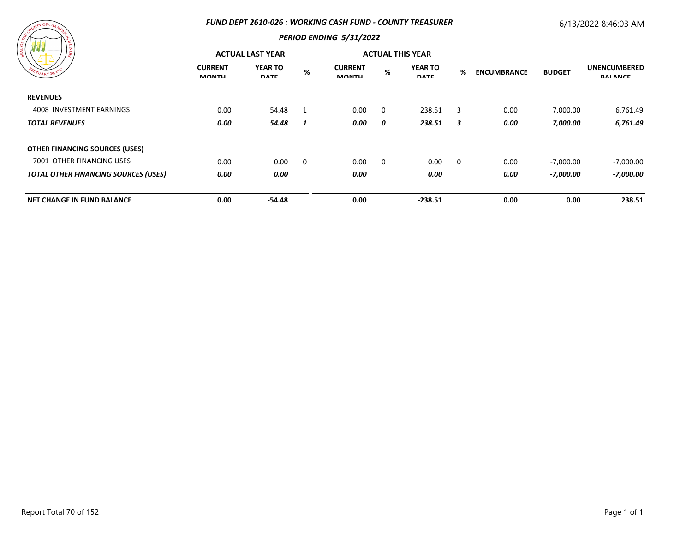#### *FUND DEPT 2610-026 : WORKING CASH FUND - COUNTY TREASURER*

# 6/13/2022 8:46:03 AM



| 79 Y Y<br>) ខ្ល                             | <b>ACTUAL LAST YEAR</b>        |                               |                |                                |             | <b>ACTUAL THIS YEAR</b>       |                         |                    |               |                                        |
|---------------------------------------------|--------------------------------|-------------------------------|----------------|--------------------------------|-------------|-------------------------------|-------------------------|--------------------|---------------|----------------------------------------|
| PEBRUARY 20, 1833                           | <b>CURRENT</b><br><b>MONTH</b> | <b>YEAR TO</b><br><b>DATE</b> | $\%$           | <b>CURRENT</b><br><b>MONTH</b> | $\%$        | <b>YEAR TO</b><br><b>DATE</b> | %                       | <b>ENCUMBRANCE</b> | <b>BUDGET</b> | <b>UNENCUMBERED</b><br><b>RAI ANCE</b> |
| <b>REVENUES</b>                             |                                |                               |                |                                |             |                               |                         |                    |               |                                        |
| 4008 INVESTMENT EARNINGS                    | 0.00                           | 54.48                         | $\overline{1}$ | 0.00                           | $\Omega$    | 238.51                        | 3                       | 0.00               | 7,000.00      | 6,761.49                               |
| <b>TOTAL REVENUES</b>                       | 0.00                           | 54.48                         | 1              | 0.00                           | 0           | 238.51                        | 3                       | 0.00               | 7,000.00      | 6,761.49                               |
| <b>OTHER FINANCING SOURCES (USES)</b>       |                                |                               |                |                                |             |                               |                         |                    |               |                                        |
| 7001 OTHER FINANCING USES                   | 0.00                           | 0.00                          | 0              | 0.00                           | $\mathbf 0$ | 0.00                          | $\overline{\mathbf{0}}$ | 0.00               | $-7,000.00$   | $-7,000.00$                            |
| <b>TOTAL OTHER FINANCING SOURCES (USES)</b> | 0.00                           | 0.00                          |                | 0.00                           |             | 0.00                          |                         | 0.00               | -7,000.00     | -7,000.00                              |
| <b>NET CHANGE IN FUND BALANCE</b>           | 0.00                           | -54.48                        |                | 0.00                           |             | $-238.51$                     |                         | 0.00               | 0.00          | 238.51                                 |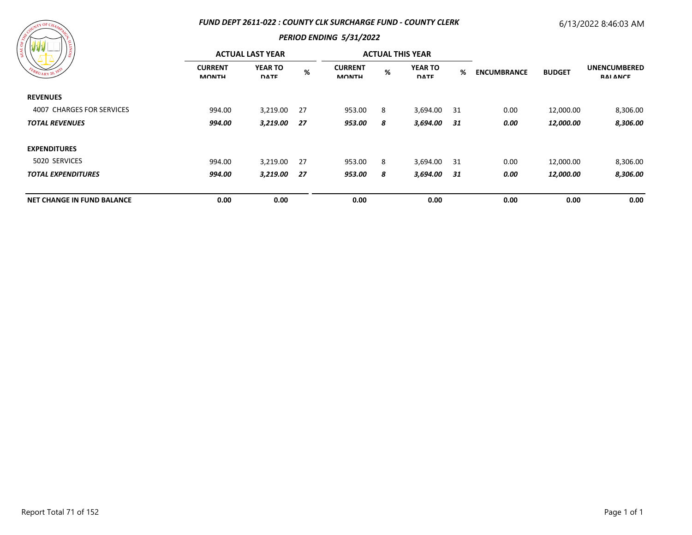#### *FUND DEPT 2611-022 : COUNTY CLK SURCHARGE FUND - COUNTY CLERK*

# 6/13/2022 8:46:03 AM



| 18<br>FEBRUARY 20, 1833           | <b>ACTUAL LAST YEAR</b>        |                               |     |                                |   | <b>ACTUAL THIS YEAR</b>       |      |                    |               |                                        |
|-----------------------------------|--------------------------------|-------------------------------|-----|--------------------------------|---|-------------------------------|------|--------------------|---------------|----------------------------------------|
|                                   | <b>CURRENT</b><br><b>MONTH</b> | <b>YEAR TO</b><br><b>DATE</b> | %   | <b>CURRENT</b><br><b>MONTH</b> | % | <b>YEAR TO</b><br><b>DATE</b> | %    | <b>ENCUMBRANCE</b> | <b>BUDGET</b> | <b>UNENCUMBERED</b><br><b>RAI ANCE</b> |
| <b>REVENUES</b>                   |                                |                               |     |                                |   |                               |      |                    |               |                                        |
| 4007 CHARGES FOR SERVICES         | 994.00                         | 3,219.00                      | -27 | 953.00                         | 8 | 3,694.00 31                   |      | 0.00               | 12,000.00     | 8,306.00                               |
| <b>TOTAL REVENUES</b>             | 994.00                         | 3,219.00                      | 27  | 953.00                         | 8 | 3,694.00                      | - 31 | 0.00               | 12,000.00     | 8,306.00                               |
| <b>EXPENDITURES</b>               |                                |                               |     |                                |   |                               |      |                    |               |                                        |
| 5020 SERVICES                     | 994.00                         | 3,219.00                      | -27 | 953.00                         | 8 | 3,694.00 31                   |      | 0.00               | 12,000.00     | 8,306.00                               |
| <b>TOTAL EXPENDITURES</b>         | 994.00                         | 3,219.00                      | 27  | 953.00                         | 8 | 3,694.00                      | - 31 | 0.00               | 12,000.00     | 8,306.00                               |
| <b>NET CHANGE IN FUND BALANCE</b> | 0.00                           | 0.00                          |     | 0.00                           |   | 0.00                          |      | 0.00               | 0.00          | 0.00                                   |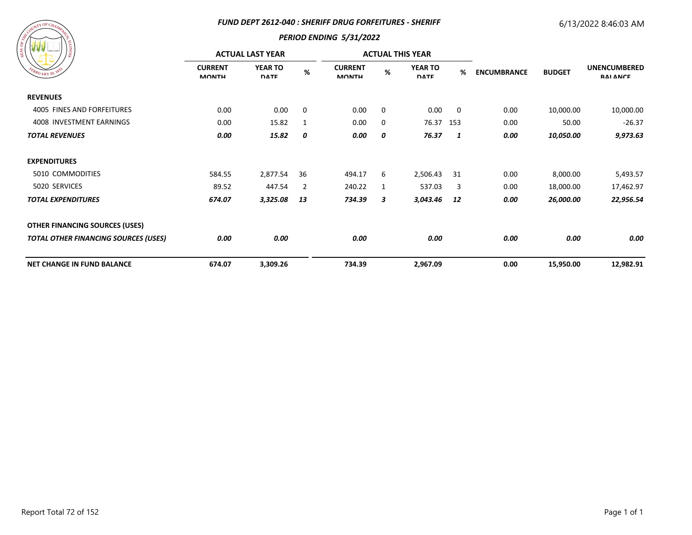#### *FUND DEPT 2612-040 : SHERIFF DRUG FORFEITURES - SHERIFF*

## 6/13/2022 8:46:03 AM



|                                             | <b>ACTUAL LAST YEAR</b>        |                               |      |                                |             | <b>ACTUAL THIS YEAR</b>       |     |                    |               |                                        |
|---------------------------------------------|--------------------------------|-------------------------------|------|--------------------------------|-------------|-------------------------------|-----|--------------------|---------------|----------------------------------------|
| EBRUARY 20, 1832                            | <b>CURRENT</b><br><b>MONTH</b> | <b>YEAR TO</b><br><b>DATE</b> | $\%$ | <b>CURRENT</b><br><b>MONTH</b> | %           | <b>YEAR TO</b><br><b>DATE</b> | %   | <b>ENCUMBRANCE</b> | <b>BUDGET</b> | <b>UNENCUMBERED</b><br><b>RAI ANCE</b> |
| <b>REVENUES</b>                             |                                |                               |      |                                |             |                               |     |                    |               |                                        |
| 4005 FINES AND FORFEITURES                  | 0.00                           | 0.00                          | 0    | 0.00                           | $\mathbf 0$ | 0.00                          | 0   | 0.00               | 10,000.00     | 10,000.00                              |
| 4008 INVESTMENT EARNINGS                    | 0.00                           | 15.82                         | -1   | 0.00                           | 0           | 76.37                         | 153 | 0.00               | 50.00         | $-26.37$                               |
| <b>TOTAL REVENUES</b>                       | 0.00                           | 15.82                         | 0    | 0.00                           | 0           | 76.37                         | 1   | 0.00               | 10,050.00     | 9,973.63                               |
| <b>EXPENDITURES</b>                         |                                |                               |      |                                |             |                               |     |                    |               |                                        |
| 5010 COMMODITIES                            | 584.55                         | 2,877.54                      | 36   | 494.17                         | 6           | 2,506.43                      | 31  | 0.00               | 8,000.00      | 5,493.57                               |
| 5020 SERVICES                               | 89.52                          | 447.54                        | 2    | 240.22                         | 1           | 537.03                        | 3   | 0.00               | 18,000.00     | 17,462.97                              |
| <b>TOTAL EXPENDITURES</b>                   | 674.07                         | 3,325.08                      | 13   | 734.39                         | 3           | 3,043.46                      | 12  | 0.00               | 26,000.00     | 22,956.54                              |
| <b>OTHER FINANCING SOURCES (USES)</b>       |                                |                               |      |                                |             |                               |     |                    |               |                                        |
| <b>TOTAL OTHER FINANCING SOURCES (USES)</b> | 0.00                           | 0.00                          |      | 0.00                           |             | 0.00                          |     | 0.00               | 0.00          | 0.00                                   |
| <b>NET CHANGE IN FUND BALANCE</b>           | 674.07                         | 3,309.26                      |      | 734.39                         |             | 2,967.09                      |     | 0.00               | 15,950.00     | 12,982.91                              |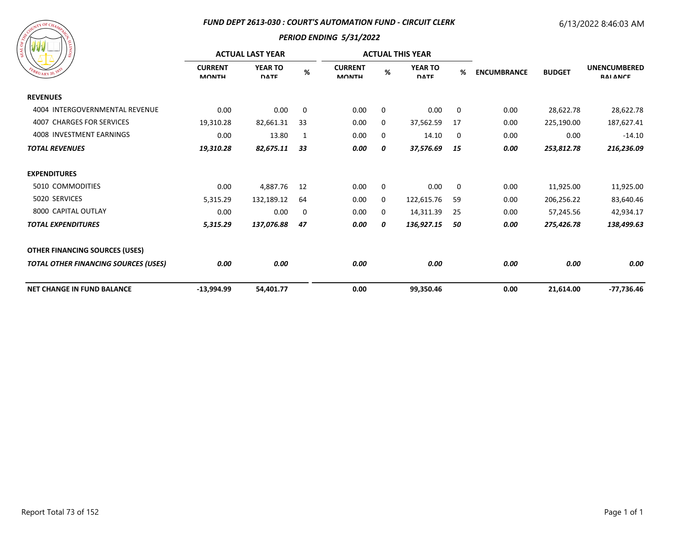#### *FUND DEPT 2613-030 : COURT'S AUTOMATION FUND - CIRCUIT CLERK*

# 6/13/2022 8:46:03 AM

| FEBRUARY 20, 1835 |
|-------------------|
|-------------------|

| / ಕ್ಷ                                       | <b>ACTUAL LAST YEAR</b>        |                               |             |                                |             | <b>ACTUAL THIS YEAR</b>       |    |                    |               |                                        |
|---------------------------------------------|--------------------------------|-------------------------------|-------------|--------------------------------|-------------|-------------------------------|----|--------------------|---------------|----------------------------------------|
| BRUARY 20, 18                               | <b>CURRENT</b><br><b>MONTH</b> | <b>YEAR TO</b><br><b>DATE</b> | $\%$        | <b>CURRENT</b><br><b>MONTH</b> | %           | <b>YEAR TO</b><br><b>DATE</b> | %  | <b>ENCUMBRANCE</b> | <b>BUDGET</b> | <b>UNENCUMBERED</b><br><b>RAI ANCE</b> |
| <b>REVENUES</b>                             |                                |                               |             |                                |             |                               |    |                    |               |                                        |
| 4004 INTERGOVERNMENTAL REVENUE              | 0.00                           | 0.00                          | $\mathbf 0$ | 0.00                           | $\mathbf 0$ | 0.00                          | 0  | 0.00               | 28,622.78     | 28,622.78                              |
| 4007 CHARGES FOR SERVICES                   | 19,310.28                      | 82,661.31                     | 33          | 0.00                           | 0           | 37,562.59                     | 17 | 0.00               | 225,190.00    | 187,627.41                             |
| 4008 INVESTMENT EARNINGS                    | 0.00                           | 13.80                         | 1           | 0.00                           | 0           | 14.10                         | 0  | 0.00               | 0.00          | $-14.10$                               |
| <b>TOTAL REVENUES</b>                       | 19,310.28                      | 82,675.11                     | 33          | 0.00                           | 0           | 37,576.69                     | 15 | 0.00               | 253,812.78    | 216,236.09                             |
| <b>EXPENDITURES</b>                         |                                |                               |             |                                |             |                               |    |                    |               |                                        |
| 5010 COMMODITIES                            | 0.00                           | 4,887.76                      | 12          | 0.00                           | 0           | 0.00                          | 0  | 0.00               | 11,925.00     | 11,925.00                              |
| 5020 SERVICES                               | 5,315.29                       | 132,189.12                    | 64          | 0.00                           | 0           | 122,615.76                    | 59 | 0.00               | 206,256.22    | 83,640.46                              |
| 8000 CAPITAL OUTLAY                         | 0.00                           | 0.00                          | 0           | 0.00                           | 0           | 14,311.39                     | 25 | 0.00               | 57,245.56     | 42,934.17                              |
| <b>TOTAL EXPENDITURES</b>                   | 5,315.29                       | 137,076.88                    | 47          | 0.00                           | 0           | 136,927.15                    | 50 | 0.00               | 275,426.78    | 138,499.63                             |
| <b>OTHER FINANCING SOURCES (USES)</b>       |                                |                               |             |                                |             |                               |    |                    |               |                                        |
| <b>TOTAL OTHER FINANCING SOURCES (USES)</b> | 0.00                           | 0.00                          |             | 0.00                           |             | 0.00                          |    | 0.00               | 0.00          | 0.00                                   |
| <b>NET CHANGE IN FUND BALANCE</b>           | $-13,994.99$                   | 54,401.77                     |             | 0.00                           |             | 99,350.46                     |    | 0.00               | 21,614.00     | $-77,736.46$                           |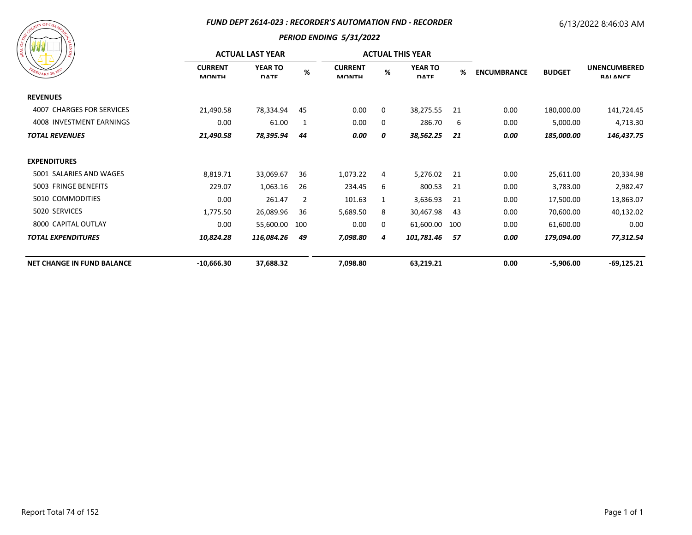#### *FUND DEPT 2614-023 : RECORDER'S AUTOMATION FND - RECORDER*

# 6/13/2022 8:46:03 AM

| FEBRUARY 20, 1833 |
|-------------------|
|-------------------|

|                                   | <b>ACTUAL LAST YEAR</b>        |                               |     |                                |   | <b>ACTUAL THIS YEAR</b>       |     |                    |               |                                        |
|-----------------------------------|--------------------------------|-------------------------------|-----|--------------------------------|---|-------------------------------|-----|--------------------|---------------|----------------------------------------|
| EBRUARY 20, 183                   | <b>CURRENT</b><br><b>MONTH</b> | <b>YEAR TO</b><br><b>DATE</b> | %   | <b>CURRENT</b><br><b>MONTH</b> | % | <b>YEAR TO</b><br><b>DATE</b> | %   | <b>ENCUMBRANCE</b> | <b>BUDGET</b> | <b>UNENCUMBERED</b><br><b>RAI ANCE</b> |
| <b>REVENUES</b>                   |                                |                               |     |                                |   |                               |     |                    |               |                                        |
| 4007 CHARGES FOR SERVICES         | 21,490.58                      | 78,334.94                     | 45  | 0.00                           | 0 | 38,275.55                     | 21  | 0.00               | 180,000.00    | 141,724.45                             |
| 4008 INVESTMENT EARNINGS          | 0.00                           | 61.00                         | 1   | 0.00                           | 0 | 286.70                        | 6   | 0.00               | 5,000.00      | 4,713.30                               |
| <b>TOTAL REVENUES</b>             | 21,490.58                      | 78,395.94                     | 44  | 0.00                           | 0 | 38,562.25                     | 21  | 0.00               | 185,000.00    | 146,437.75                             |
| <b>EXPENDITURES</b>               |                                |                               |     |                                |   |                               |     |                    |               |                                        |
| 5001 SALARIES AND WAGES           | 8,819.71                       | 33,069.67                     | 36  | 1,073.22                       | 4 | 5,276.02                      | 21  | 0.00               | 25,611.00     | 20,334.98                              |
| 5003 FRINGE BENEFITS              | 229.07                         | 1,063.16                      | 26  | 234.45                         | 6 | 800.53                        | 21  | 0.00               | 3,783.00      | 2,982.47                               |
| 5010 COMMODITIES                  | 0.00                           | 261.47                        | 2   | 101.63                         | 1 | 3,636.93                      | 21  | 0.00               | 17,500.00     | 13,863.07                              |
| 5020 SERVICES                     | 1,775.50                       | 26,089.96                     | 36  | 5,689.50                       | 8 | 30,467.98                     | 43  | 0.00               | 70,600.00     | 40,132.02                              |
| 8000 CAPITAL OUTLAY               | 0.00                           | 55,600.00                     | 100 | 0.00                           | 0 | 61,600.00                     | 100 | 0.00               | 61,600.00     | 0.00                                   |
| <b>TOTAL EXPENDITURES</b>         | 10,824.28                      | 116,084.26                    | 49  | 7,098.80                       | 4 | 101,781.46                    | 57  | 0.00               | 179,094.00    | 77,312.54                              |
| <b>NET CHANGE IN FUND BALANCE</b> | $-10,666.30$                   | 37,688.32                     |     | 7,098.80                       |   | 63,219.21                     |     | 0.00               | $-5,906.00$   | $-69,125.21$                           |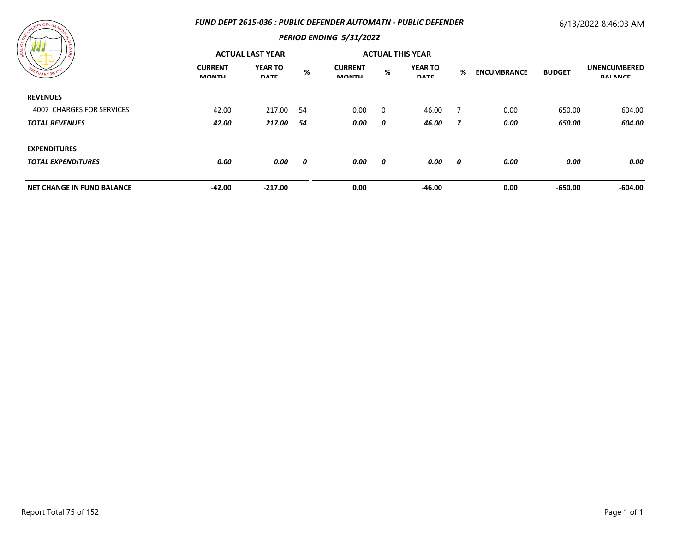### *FUND DEPT 2615-036 : PUBLIC DEFENDER AUTOMATN - PUBLIC DEFENDER*

# 6/13/2022 8:46:03 AM



|                                   | <b>ACTUAL LAST YEAR</b>        |                               |     |                                |   | <b>ACTUAL THIS YEAR</b>       |   |                    |               |                                        |
|-----------------------------------|--------------------------------|-------------------------------|-----|--------------------------------|---|-------------------------------|---|--------------------|---------------|----------------------------------------|
| FEBRUARY 20, 183                  | <b>CURRENT</b><br><b>MONTH</b> | <b>YEAR TO</b><br><b>DATE</b> | %   | <b>CURRENT</b><br><b>MONTH</b> | % | <b>YEAR TO</b><br><b>DATE</b> | % | <b>ENCUMBRANCE</b> | <b>BUDGET</b> | <b>UNENCUMBERED</b><br><b>RAI ANCE</b> |
| <b>REVENUES</b>                   |                                |                               |     |                                |   |                               |   |                    |               |                                        |
| 4007 CHARGES FOR SERVICES         | 42.00                          | 217.00                        | -54 | 0.00                           | 0 | 46.00                         | 7 | 0.00               | 650.00        | 604.00                                 |
| <b>TOTAL REVENUES</b>             | 42.00                          | 217.00                        | 54  | 0.00                           | 0 | 46.00                         | 7 | 0.00               | 650.00        | 604.00                                 |
| <b>EXPENDITURES</b>               |                                |                               |     |                                |   |                               |   |                    |               |                                        |
| <b>TOTAL EXPENDITURES</b>         | 0.00                           | 0.00                          | 0   | 0.00                           | 0 | 0.00                          | 0 | 0.00               | 0.00          | 0.00                                   |
| <b>NET CHANGE IN FUND BALANCE</b> | $-42.00$                       | $-217.00$                     |     | 0.00                           |   | -46.00                        |   | 0.00               | $-650.00$     | -604.00                                |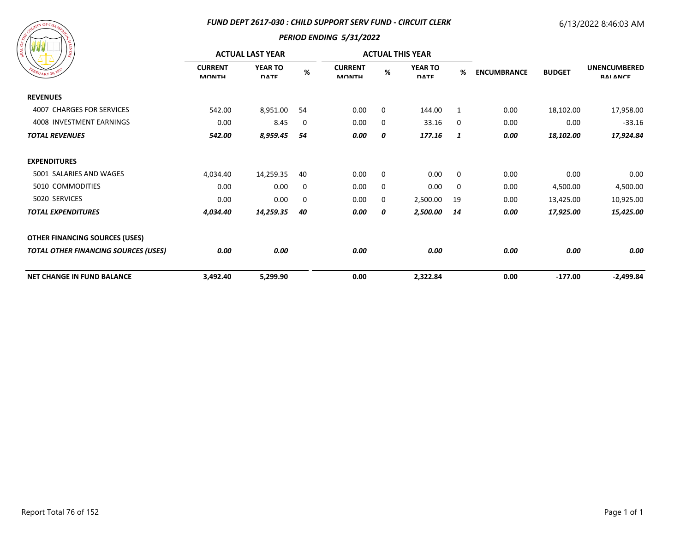#### *FUND DEPT 2617-030 : CHILD SUPPORT SERV FUND - CIRCUIT CLERK*

## 6/13/2022 8:46:03 AM



| ) ខ្ល                                       | <b>ACTUAL LAST YEAR</b>        |                               |    |                                |             | <b>ACTUAL THIS YEAR</b>       |    |                    |               |                                        |
|---------------------------------------------|--------------------------------|-------------------------------|----|--------------------------------|-------------|-------------------------------|----|--------------------|---------------|----------------------------------------|
| EBRUARY 20, 183                             | <b>CURRENT</b><br><b>MONTH</b> | <b>YEAR TO</b><br><b>DATE</b> | %  | <b>CURRENT</b><br><b>MONTH</b> | %           | <b>YEAR TO</b><br><b>DATE</b> | %  | <b>ENCUMBRANCE</b> | <b>BUDGET</b> | <b>UNENCUMBERED</b><br><b>RAI ANCE</b> |
| <b>REVENUES</b>                             |                                |                               |    |                                |             |                               |    |                    |               |                                        |
| 4007 CHARGES FOR SERVICES                   | 542.00                         | 8,951.00                      | 54 | 0.00                           | 0           | 144.00                        | 1  | 0.00               | 18,102.00     | 17,958.00                              |
| 4008 INVESTMENT EARNINGS                    | 0.00                           | 8.45                          | 0  | 0.00                           | 0           | 33.16                         | 0  | 0.00               | 0.00          | $-33.16$                               |
| <b>TOTAL REVENUES</b>                       | 542.00                         | 8,959.45                      | 54 | 0.00                           | 0           | 177.16                        | 1  | 0.00               | 18,102.00     | 17,924.84                              |
| <b>EXPENDITURES</b>                         |                                |                               |    |                                |             |                               |    |                    |               |                                        |
| 5001 SALARIES AND WAGES                     | 4,034.40                       | 14,259.35                     | 40 | 0.00                           | $\mathbf 0$ | 0.00                          | 0  | 0.00               | 0.00          | 0.00                                   |
| 5010 COMMODITIES                            | 0.00                           | 0.00                          | 0  | 0.00                           | $\mathbf 0$ | 0.00                          | 0  | 0.00               | 4,500.00      | 4,500.00                               |
| 5020 SERVICES                               | 0.00                           | 0.00                          | 0  | 0.00                           | 0           | 2,500.00                      | 19 | 0.00               | 13,425.00     | 10,925.00                              |
| <b>TOTAL EXPENDITURES</b>                   | 4,034.40                       | 14,259.35                     | 40 | 0.00                           | 0           | 2,500.00                      | 14 | 0.00               | 17,925.00     | 15,425.00                              |
| <b>OTHER FINANCING SOURCES (USES)</b>       |                                |                               |    |                                |             |                               |    |                    |               |                                        |
| <b>TOTAL OTHER FINANCING SOURCES (USES)</b> | 0.00                           | 0.00                          |    | 0.00                           |             | 0.00                          |    | 0.00               | 0.00          | 0.00                                   |
| <b>NET CHANGE IN FUND BALANCE</b>           | 3,492.40                       | 5,299.90                      |    | 0.00                           |             | 2,322.84                      |    | 0.00               | $-177.00$     | $-2,499.84$                            |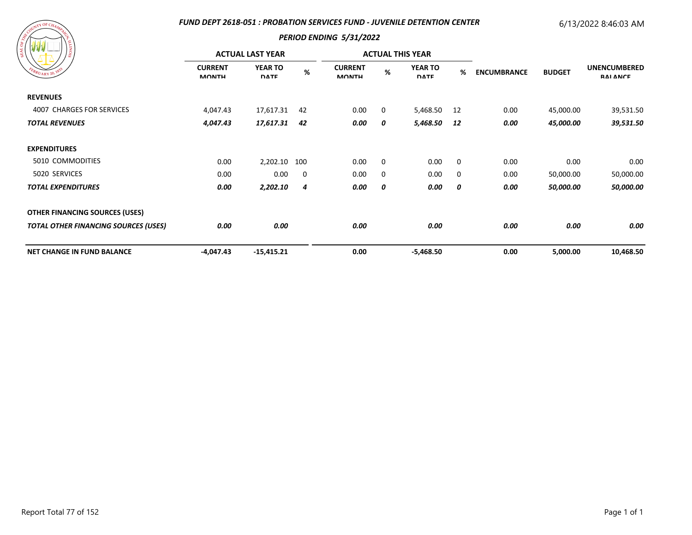### *FUND DEPT 2618-051 : PROBATION SERVICES FUND - JUVENILE DETENTION CENTER*

# 6/13/2022 8:46:03 AM

| FEBRUARY 20, 1833 |
|-------------------|
|                   |

| / ដ<br>EBRUARY 20, 183                      | <b>ACTUAL LAST YEAR</b>        |                               |             |                                |             | <b>ACTUAL THIS YEAR</b>       |             |                    |               |                                        |
|---------------------------------------------|--------------------------------|-------------------------------|-------------|--------------------------------|-------------|-------------------------------|-------------|--------------------|---------------|----------------------------------------|
|                                             | <b>CURRENT</b><br><b>MONTH</b> | <b>YEAR TO</b><br><b>DATE</b> | %           | <b>CURRENT</b><br><b>MONTH</b> | %           | <b>YEAR TO</b><br><b>DATE</b> | %           | <b>ENCUMBRANCE</b> | <b>BUDGET</b> | <b>UNENCUMBERED</b><br><b>RAI ANCE</b> |
| <b>REVENUES</b>                             |                                |                               |             |                                |             |                               |             |                    |               |                                        |
| 4007 CHARGES FOR SERVICES                   | 4,047.43                       | 17,617.31                     | 42          | 0.00                           | 0           | 5,468.50                      | -12         | 0.00               | 45,000.00     | 39,531.50                              |
| <b>TOTAL REVENUES</b>                       | 4,047.43                       | 17,617.31                     | 42          | 0.00                           | 0           | 5,468.50                      | 12          | 0.00               | 45,000.00     | 39,531.50                              |
| <b>EXPENDITURES</b>                         |                                |                               |             |                                |             |                               |             |                    |               |                                        |
| 5010 COMMODITIES                            | 0.00                           | 2,202.10                      | 100         | 0.00                           | $\mathbf 0$ | 0.00                          | 0           | 0.00               | 0.00          | 0.00                                   |
| 5020 SERVICES                               | 0.00                           | 0.00                          | $\mathbf 0$ | 0.00                           | 0           | 0.00                          | $\mathbf 0$ | 0.00               | 50,000.00     | 50,000.00                              |
| <b>TOTAL EXPENDITURES</b>                   | 0.00                           | 2,202.10                      | 4           | 0.00                           | 0           | 0.00                          | 0           | 0.00               | 50,000.00     | 50,000.00                              |
| <b>OTHER FINANCING SOURCES (USES)</b>       |                                |                               |             |                                |             |                               |             |                    |               |                                        |
| <b>TOTAL OTHER FINANCING SOURCES (USES)</b> | 0.00                           | 0.00                          |             | 0.00                           |             | 0.00                          |             | 0.00               | 0.00          | 0.00                                   |
| <b>NET CHANGE IN FUND BALANCE</b>           | $-4,047.43$                    | $-15,415.21$                  |             | 0.00                           |             | $-5,468.50$                   |             | 0.00               | 5,000.00      | 10,468.50                              |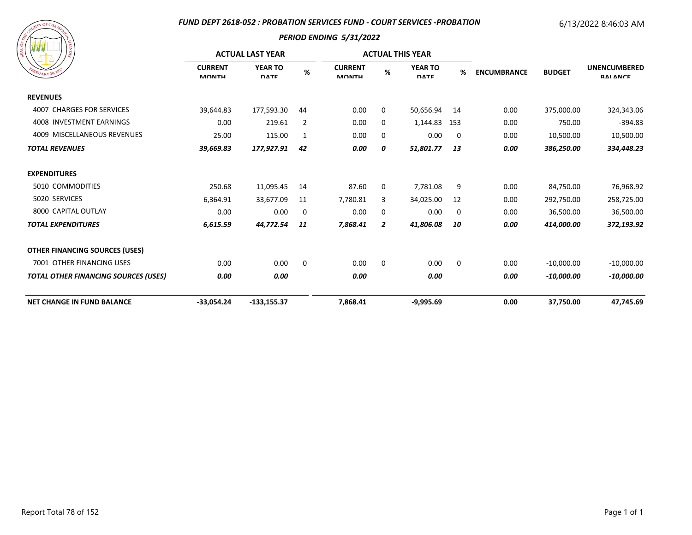#### *FUND DEPT 2618-052 : PROBATION SERVICES FUND - COURT SERVICES -PROBATION*

# 6/13/2022 8:46:03 AM

| A SOURIT OF CHAMAZER<br>SIONITY<br>FEBRUARY 20, 1833 |
|------------------------------------------------------|
|------------------------------------------------------|

|                                             | <b>ACTUAL LAST YEAR</b>        |                               |             |                                |                | <b>ACTUAL THIS YEAR</b>       |             |                    |               |                                        |
|---------------------------------------------|--------------------------------|-------------------------------|-------------|--------------------------------|----------------|-------------------------------|-------------|--------------------|---------------|----------------------------------------|
| $\frac{M_{V_{ARY}}}{20}$                    | <b>CURRENT</b><br><b>MONTH</b> | <b>YEAR TO</b><br><b>DATE</b> | %           | <b>CURRENT</b><br><b>MONTH</b> | %              | <b>YEAR TO</b><br><b>DATE</b> | %           | <b>ENCUMBRANCE</b> | <b>BUDGET</b> | <b>UNENCUMBERED</b><br><b>RAI ANCE</b> |
| <b>REVENUES</b>                             |                                |                               |             |                                |                |                               |             |                    |               |                                        |
| <b>4007 CHARGES FOR SERVICES</b>            | 39,644.83                      | 177,593.30                    | 44          | 0.00                           | 0              | 50,656.94                     | 14          | 0.00               | 375,000.00    | 324,343.06                             |
| 4008 INVESTMENT EARNINGS                    | 0.00                           | 219.61                        | 2           | 0.00                           | 0              | 1,144.83 153                  |             | 0.00               | 750.00        | $-394.83$                              |
| 4009 MISCELLANEOUS REVENUES                 | 25.00                          | 115.00                        | 1           | 0.00                           | $\mathbf 0$    | 0.00                          | 0           | 0.00               | 10,500.00     | 10,500.00                              |
| <b>TOTAL REVENUES</b>                       | 39,669.83                      | 177,927.91                    | 42          | 0.00                           | 0              | 51,801.77                     | 13          | 0.00               | 386,250.00    | 334,448.23                             |
| <b>EXPENDITURES</b>                         |                                |                               |             |                                |                |                               |             |                    |               |                                        |
| 5010 COMMODITIES                            | 250.68                         | 11,095.45                     | 14          | 87.60                          | 0              | 7,781.08                      | 9           | 0.00               | 84,750.00     | 76,968.92                              |
| 5020 SERVICES                               | 6,364.91                       | 33,677.09                     | 11          | 7,780.81                       | 3              | 34,025.00                     | 12          | 0.00               | 292,750.00    | 258,725.00                             |
| 8000 CAPITAL OUTLAY                         | 0.00                           | 0.00                          | 0           | 0.00                           | $\mathbf 0$    | 0.00                          | 0           | 0.00               | 36,500.00     | 36,500.00                              |
| <b>TOTAL EXPENDITURES</b>                   | 6,615.59                       | 44,772.54                     | 11          | 7,868.41                       | $\overline{2}$ | 41,806.08                     | 10          | 0.00               | 414,000.00    | 372,193.92                             |
| <b>OTHER FINANCING SOURCES (USES)</b>       |                                |                               |             |                                |                |                               |             |                    |               |                                        |
| 7001 OTHER FINANCING USES                   | 0.00                           | 0.00                          | $\mathbf 0$ | 0.00                           | $\mathbf 0$    | 0.00                          | $\mathbf 0$ | 0.00               | $-10,000.00$  | $-10,000.00$                           |
| <b>TOTAL OTHER FINANCING SOURCES (USES)</b> | 0.00                           | 0.00                          |             | 0.00                           |                | 0.00                          |             | 0.00               | $-10,000.00$  | $-10,000.00$                           |
| <b>NET CHANGE IN FUND BALANCE</b>           | $-33,054.24$                   | $-133,155.37$                 |             | 7,868.41                       |                | $-9,995.69$                   |             | 0.00               | 37,750.00     | 47,745.69                              |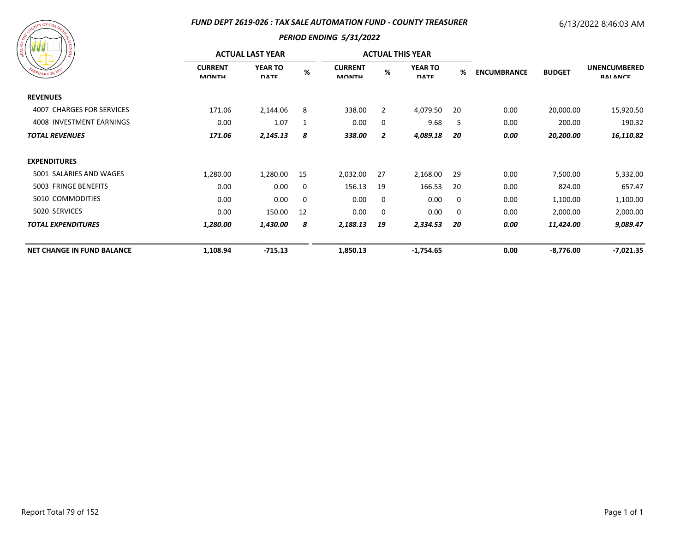### *FUND DEPT 2619-026 : TAX SALE AUTOMATION FUND - COUNTY TREASURER*

# 6/13/2022 8:46:03 AM



| <b>AND AND AND AND</b><br>၊ ဇွ    | <b>ACTUAL LAST YEAR</b>        |                               |          |                                |                | <b>ACTUAL THIS YEAR</b>       |     |                                     |             |                                        |
|-----------------------------------|--------------------------------|-------------------------------|----------|--------------------------------|----------------|-------------------------------|-----|-------------------------------------|-------------|----------------------------------------|
| EBRUARY 20, 1833                  | <b>CURRENT</b><br><b>MONTH</b> | <b>YEAR TO</b><br><b>DATE</b> | $\%$     | <b>CURRENT</b><br><b>MONTH</b> | %              | <b>YEAR TO</b><br><b>DATE</b> | %   | <b>ENCUMBRANCE</b><br><b>BUDGET</b> |             | <b>UNENCUMBERED</b><br><b>RAI ANCE</b> |
| <b>REVENUES</b>                   |                                |                               |          |                                |                |                               |     |                                     |             |                                        |
| 4007 CHARGES FOR SERVICES         | 171.06                         | 2,144.06                      | 8        | 338.00                         | $\overline{2}$ | 4,079.50                      | -20 | 0.00                                | 20,000.00   | 15,920.50                              |
| 4008 INVESTMENT EARNINGS          | 0.00                           | 1.07                          | 1        | 0.00                           | 0              | 9.68                          | 5   | 0.00                                | 200.00      | 190.32                                 |
| <b>TOTAL REVENUES</b>             | 171.06                         | 2,145.13                      | 8        | 338.00                         | 2              | 4,089.18                      | 20  | 0.00                                | 20,200.00   | 16,110.82                              |
| <b>EXPENDITURES</b>               |                                |                               |          |                                |                |                               |     |                                     |             |                                        |
| 5001 SALARIES AND WAGES           | 1,280.00                       | 1,280.00                      | 15       | 2,032.00                       | 27             | 2,168.00                      | 29  | 0.00                                | 7,500.00    | 5,332.00                               |
| 5003 FRINGE BENEFITS              | 0.00                           | 0.00                          | 0        | 156.13                         | 19             | 166.53                        | 20  | 0.00                                | 824.00      | 657.47                                 |
| 5010 COMMODITIES                  | 0.00                           | 0.00                          | $\Omega$ | 0.00                           | 0              | 0.00                          | 0   | 0.00                                | 1,100.00    | 1,100.00                               |
| 5020 SERVICES                     | 0.00                           | 150.00                        | 12       | 0.00                           | 0              | 0.00                          | 0   | 0.00                                | 2,000.00    | 2,000.00                               |
| <b>TOTAL EXPENDITURES</b>         | 1,280.00                       | 1,430.00                      | 8        | 2,188.13                       | 19             | 2,334.53                      | 20  | 0.00                                | 11,424.00   | 9,089.47                               |
| <b>NET CHANGE IN FUND BALANCE</b> | 1,108.94                       | $-715.13$                     |          | 1,850.13                       |                | $-1,754.65$                   |     | 0.00                                | $-8,776.00$ | -7,021.35                              |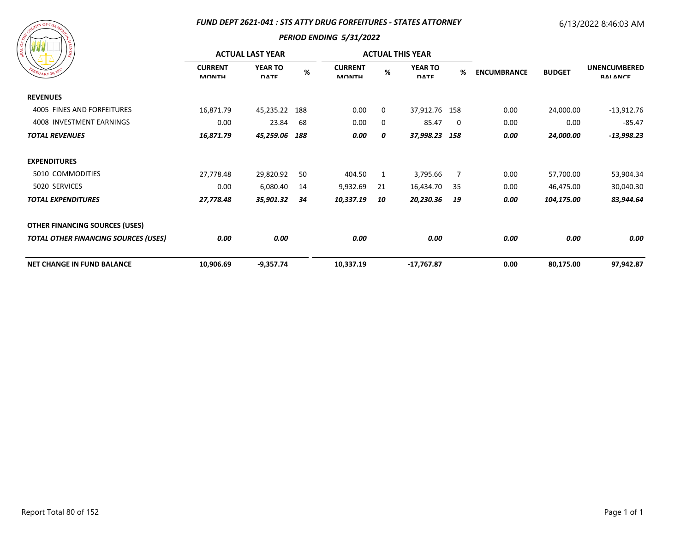#### *FUND DEPT 2621-041 : STS ATTY DRUG FORFEITURES - STATES ATTORNEY*

# 6/13/2022 8:46:03 AM

| A COURLE OF CHAMPY CR<br>EBRUARY 20, 1833 | SIONITI: |
|-------------------------------------------|----------|
|                                           |          |

|                                             | <b>ACTUAL LAST YEAR</b>        |                               |      | <b>ACTUAL THIS YEAR</b>        |    |                               |    |                    |               |                                        |
|---------------------------------------------|--------------------------------|-------------------------------|------|--------------------------------|----|-------------------------------|----|--------------------|---------------|----------------------------------------|
| EBRUARY 20, 183                             | <b>CURRENT</b><br><b>MONTH</b> | <b>YEAR TO</b><br><b>DATE</b> | $\%$ | <b>CURRENT</b><br><b>MONTH</b> | %  | <b>YEAR TO</b><br><b>DATE</b> | %  | <b>ENCUMBRANCE</b> | <b>BUDGET</b> | <b>UNENCUMBERED</b><br><b>RAI ANCE</b> |
| <b>REVENUES</b>                             |                                |                               |      |                                |    |                               |    |                    |               |                                        |
| 4005 FINES AND FORFEITURES                  | 16,871.79                      | 45,235.22                     | 188  | 0.00                           | 0  | 37,912.76 158                 |    | 0.00               | 24,000.00     | $-13,912.76$                           |
| 4008 INVESTMENT EARNINGS                    | 0.00                           | 23.84                         | -68  | 0.00                           | 0  | 85.47                         | 0  | 0.00               | 0.00          | $-85.47$                               |
| <b>TOTAL REVENUES</b>                       | 16,871.79                      | 45,259.06                     | 188  | 0.00                           | 0  | 37,998.23 158                 |    | 0.00               | 24,000.00     | $-13,998.23$                           |
| <b>EXPENDITURES</b>                         |                                |                               |      |                                |    |                               |    |                    |               |                                        |
| 5010 COMMODITIES                            | 27,778.48                      | 29,820.92                     | 50   | 404.50                         | 1  | 3,795.66                      | 7  | 0.00               | 57,700.00     | 53,904.34                              |
| 5020 SERVICES                               | 0.00                           | 6,080.40                      | 14   | 9,932.69                       | 21 | 16,434.70                     | 35 | 0.00               | 46,475.00     | 30,040.30                              |
| <b>TOTAL EXPENDITURES</b>                   | 27,778.48                      | 35,901.32                     | 34   | 10,337.19                      | 10 | 20,230.36                     | 19 | 0.00               | 104,175.00    | 83,944.64                              |
| <b>OTHER FINANCING SOURCES (USES)</b>       |                                |                               |      |                                |    |                               |    |                    |               |                                        |
| <b>TOTAL OTHER FINANCING SOURCES (USES)</b> | 0.00                           | 0.00                          |      | 0.00                           |    | 0.00                          |    | 0.00               | 0.00          | 0.00                                   |
| <b>NET CHANGE IN FUND BALANCE</b>           | 10,906.69                      | $-9,357.74$                   |      | 10,337.19                      |    | -17,767.87                    |    | 0.00               | 80,175.00     | 97,942.87                              |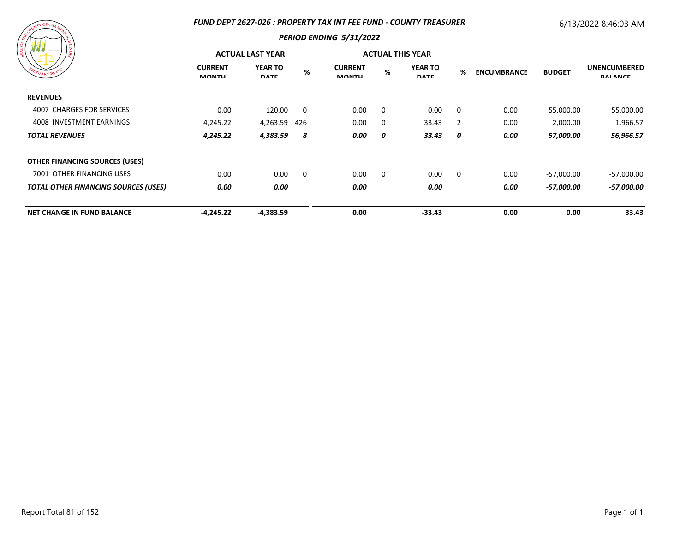### *FUND DEPT 2627-026 : PROPERTY TAX INT FEE FUND - COUNTY TREASURER*

# 6/13/2022 8:46:03 AM

| A COURLE OF CHAMPY CR | SIONITI<br>FEBRUARY 20, 1833 |
|-----------------------|------------------------------|
|                       |                              |

| .<br>/ နွ                                   | <b>ACTUAL LAST YEAR</b>        |                               |     |                                |          | <b>ACTUAL THIS YEAR</b>       |                |                    |               |                                        |
|---------------------------------------------|--------------------------------|-------------------------------|-----|--------------------------------|----------|-------------------------------|----------------|--------------------|---------------|----------------------------------------|
| EBRUARY 20, 183                             | <b>CURRENT</b><br><b>MONTH</b> | <b>YEAR TO</b><br><b>DATE</b> | %   | <b>CURRENT</b><br><b>MONTH</b> | %        | <b>YEAR TO</b><br><b>DATE</b> | %              | <b>ENCUMBRANCE</b> | <b>BUDGET</b> | <b>UNENCUMBERED</b><br><b>RAI ANCE</b> |
| <b>REVENUES</b>                             |                                |                               |     |                                |          |                               |                |                    |               |                                        |
| 4007 CHARGES FOR SERVICES                   | 0.00                           | 120.00                        | 0   | 0.00                           | $\Omega$ | 0.00                          | 0              | 0.00               | 55,000.00     | 55,000.00                              |
| 4008 INVESTMENT EARNINGS                    | 4,245.22                       | 4,263.59                      | 426 | 0.00                           | $\Omega$ | 33.43                         | $\overline{2}$ | 0.00               | 2,000.00      | 1,966.57                               |
| <b>TOTAL REVENUES</b>                       | 4,245.22                       | 4,383.59                      | 8   | 0.00                           | 0        | 33.43                         | 0              | 0.00               | 57,000.00     | 56,966.57                              |
| <b>OTHER FINANCING SOURCES (USES)</b>       |                                |                               |     |                                |          |                               |                |                    |               |                                        |
| 7001 OTHER FINANCING USES                   | 0.00                           | 0.00                          | 0   | 0.00                           | $\Omega$ | 0.00                          | 0              | 0.00               | $-57,000.00$  | $-57,000.00$                           |
| <b>TOTAL OTHER FINANCING SOURCES (USES)</b> | 0.00                           | 0.00                          |     | 0.00                           |          | 0.00                          |                | 0.00               | -57,000.00    | -57,000.00                             |
| <b>NET CHANGE IN FUND BALANCE</b>           | $-4,245.22$                    | $-4,383.59$                   |     | 0.00                           |          | $-33.43$                      |                | 0.00               | 0.00          | 33.43                                  |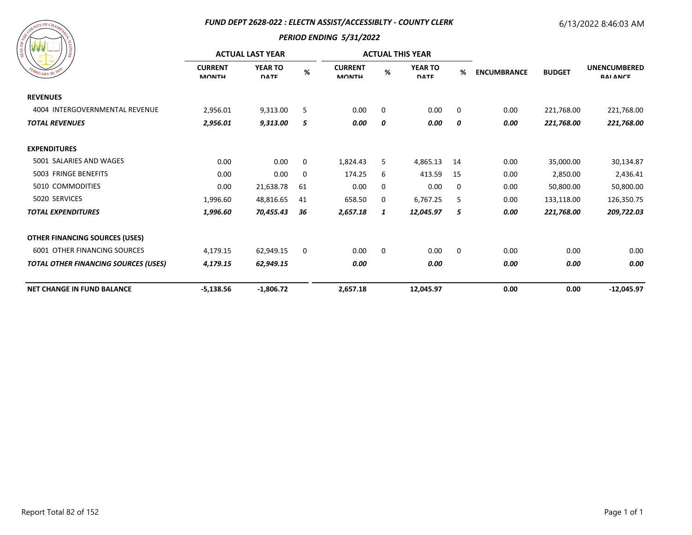### *FUND DEPT 2628-022 : ELECTN ASSIST/ACCESSIBLTY - COUNTY CLERK*

## 6/13/2022 8:46:03 AM

| A Countr OF CHAMPY CH<br>SIONITI:<br>EBRUARY 20, 1833 |
|-------------------------------------------------------|
|                                                       |

|                                             | <b>ACTUAL LAST YEAR</b>        |                               |      |                                |             | <b>ACTUAL THIS YEAR</b>       |             |                    |               |                                        |
|---------------------------------------------|--------------------------------|-------------------------------|------|--------------------------------|-------------|-------------------------------|-------------|--------------------|---------------|----------------------------------------|
| $B_{RU_{\text{ARY}}}$ 20, $1^{8^2}$         | <b>CURRENT</b><br><b>MONTH</b> | <b>YEAR TO</b><br><b>DATE</b> | $\%$ | <b>CURRENT</b><br><b>MONTH</b> | %           | <b>YEAR TO</b><br><b>DATE</b> | %           | <b>ENCUMBRANCE</b> | <b>BUDGET</b> | <b>UNENCUMBERED</b><br><b>RAI ANCE</b> |
| <b>REVENUES</b>                             |                                |                               |      |                                |             |                               |             |                    |               |                                        |
| 4004 INTERGOVERNMENTAL REVENUE              | 2,956.01                       | 9,313.00                      | 5    | 0.00                           | $\mathbf 0$ | 0.00                          | 0           | 0.00               | 221,768.00    | 221,768.00                             |
| <b>TOTAL REVENUES</b>                       | 2,956.01                       | 9,313.00                      | 5    | 0.00                           | 0           | 0.00                          | 0           | 0.00               | 221,768.00    | 221,768.00                             |
| <b>EXPENDITURES</b>                         |                                |                               |      |                                |             |                               |             |                    |               |                                        |
| 5001 SALARIES AND WAGES                     | 0.00                           | 0.00                          | 0    | 1,824.43                       | 5           | 4,865.13                      | 14          | 0.00               | 35,000.00     | 30,134.87                              |
| 5003 FRINGE BENEFITS                        | 0.00                           | 0.00                          | 0    | 174.25                         | 6           | 413.59                        | 15          | 0.00               | 2,850.00      | 2,436.41                               |
| 5010 COMMODITIES                            | 0.00                           | 21,638.78                     | 61   | 0.00                           | 0           | 0.00                          | 0           | 0.00               | 50,800.00     | 50,800.00                              |
| 5020 SERVICES                               | 1,996.60                       | 48,816.65                     | 41   | 658.50                         | 0           | 6,767.25                      | 5           | 0.00               | 133,118.00    | 126,350.75                             |
| <b>TOTAL EXPENDITURES</b>                   | 1,996.60                       | 70,455.43                     | 36   | 2,657.18                       | 1           | 12,045.97                     | 5           | 0.00               | 221,768.00    | 209,722.03                             |
| <b>OTHER FINANCING SOURCES (USES)</b>       |                                |                               |      |                                |             |                               |             |                    |               |                                        |
| 6001 OTHER FINANCING SOURCES                | 4,179.15                       | 62,949.15                     | 0    | 0.00                           | $\mathbf 0$ | 0.00                          | $\mathbf 0$ | 0.00               | 0.00          | 0.00                                   |
| <b>TOTAL OTHER FINANCING SOURCES (USES)</b> | 4,179.15                       | 62,949.15                     |      | 0.00                           |             | 0.00                          |             | 0.00               | 0.00          | 0.00                                   |
| <b>NET CHANGE IN FUND BALANCE</b>           | $-5,138.56$                    | $-1,806.72$                   |      | 2,657.18                       |             | 12,045.97                     |             | 0.00               | 0.00          | $-12,045.97$                           |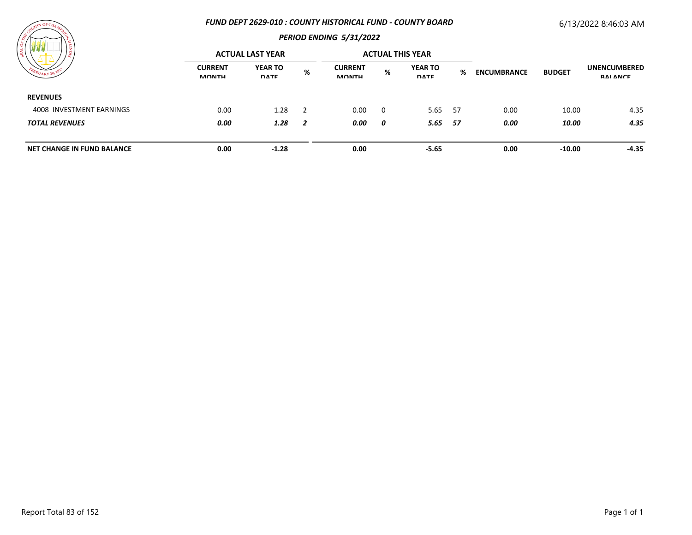#### *FUND DEPT 2629-010 : COUNTY HISTORICAL FUND - COUNTY BOARD*

## 6/13/2022 8:46:03 AM



| <b>THE R. P. LEWIS CO., LANSING MICH.</b> | <b>ACTUAL LAST YEAR</b>        |                               |                |                                |          | <b>ACTUAL THIS YEAR</b>       |   |                    |               |                                        |
|-------------------------------------------|--------------------------------|-------------------------------|----------------|--------------------------------|----------|-------------------------------|---|--------------------|---------------|----------------------------------------|
|                                           | <b>CURRENT</b><br><b>MONTH</b> | <b>YEAR TO</b><br><b>DATE</b> | %              | <b>CURRENT</b><br><b>MONTH</b> | %        | <b>YEAR TO</b><br><b>DATE</b> | % | <b>ENCUMBRANCE</b> | <b>BUDGET</b> | <b>UNENCUMBERED</b><br><b>RAI ANCE</b> |
| <b>REVENUES</b>                           |                                |                               |                |                                |          |                               |   |                    |               |                                        |
| 4008 INVESTMENT EARNINGS                  | 0.00                           | 1.28                          |                | 0.00                           | $\Omega$ | 5.65 57                       |   | 0.00               | 10.00         | 4.35                                   |
| <b>TOTAL REVENUES</b>                     | 0.00                           | 1.28                          | $\overline{2}$ | 0.00                           | 0        | 5.65 57                       |   | 0.00               | 10.00         | 4.35                                   |
| <b>NET CHANGE IN FUND BALANCE</b>         | 0.00                           | $-1.28$                       |                | 0.00                           |          | $-5.65$                       |   | 0.00               | $-10.00$      | $-4.35$                                |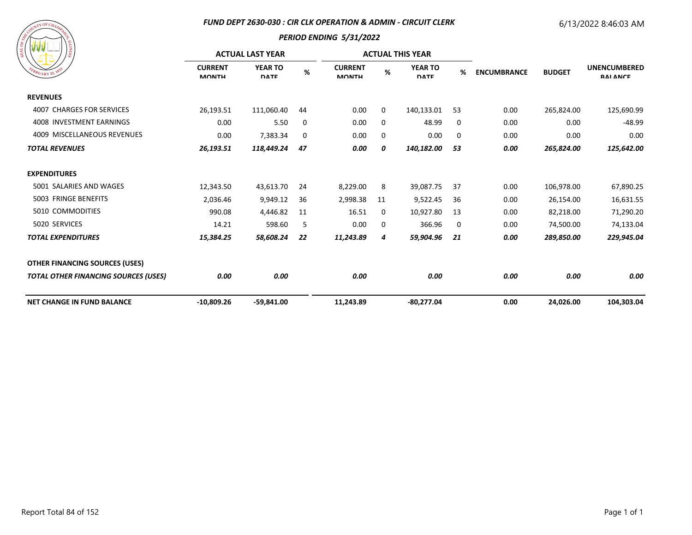#### *FUND DEPT 2630-030 : CIR CLK OPERATION & ADMIN - CIRCUIT CLERK*

# 6/13/2022 8:46:03 AM

| A COURT OF CHAMPY CR<br>SIONITY<br>FEBRUARY 20, 1833 |
|------------------------------------------------------|
|------------------------------------------------------|

| / জঁ                                        | <b>ACTUAL LAST YEAR</b>        |                               |      |                                |    | <b>ACTUAL THIS YEAR</b>       |    |                    |               |                                        |
|---------------------------------------------|--------------------------------|-------------------------------|------|--------------------------------|----|-------------------------------|----|--------------------|---------------|----------------------------------------|
| BRUARY 20, 18                               | <b>CURRENT</b><br><b>MONTH</b> | <b>YEAR TO</b><br><b>DATE</b> | $\%$ | <b>CURRENT</b><br><b>MONTH</b> | %  | <b>YEAR TO</b><br><b>DATE</b> | %  | <b>ENCUMBRANCE</b> | <b>BUDGET</b> | <b>UNENCUMBERED</b><br><b>RAI ANCE</b> |
| <b>REVENUES</b>                             |                                |                               |      |                                |    |                               |    |                    |               |                                        |
| <b>4007 CHARGES FOR SERVICES</b>            | 26,193.51                      | 111,060.40                    | 44   | 0.00                           | 0  | 140,133.01                    | 53 | 0.00               | 265,824.00    | 125,690.99                             |
| 4008 INVESTMENT EARNINGS                    | 0.00                           | 5.50                          | 0    | 0.00                           | 0  | 48.99                         | 0  | 0.00               | 0.00          | $-48.99$                               |
| 4009 MISCELLANEOUS REVENUES                 | 0.00                           | 7,383.34                      | 0    | 0.00                           | 0  | 0.00                          | 0  | 0.00               | 0.00          | 0.00                                   |
| <b>TOTAL REVENUES</b>                       | 26,193.51                      | 118,449.24                    | 47   | 0.00                           | 0  | 140,182.00                    | 53 | 0.00               | 265,824.00    | 125,642.00                             |
| <b>EXPENDITURES</b>                         |                                |                               |      |                                |    |                               |    |                    |               |                                        |
| 5001 SALARIES AND WAGES                     | 12,343.50                      | 43,613.70                     | 24   | 8,229.00                       | 8  | 39,087.75                     | 37 | 0.00               | 106,978.00    | 67,890.25                              |
| 5003 FRINGE BENEFITS                        | 2,036.46                       | 9,949.12                      | 36   | 2,998.38                       | 11 | 9,522.45                      | 36 | 0.00               | 26,154.00     | 16,631.55                              |
| 5010 COMMODITIES                            | 990.08                         | 4,446.82                      | 11   | 16.51                          | 0  | 10,927.80                     | 13 | 0.00               | 82,218.00     | 71,290.20                              |
| 5020 SERVICES                               | 14.21                          | 598.60                        | 5    | 0.00                           | 0  | 366.96                        | 0  | 0.00               | 74,500.00     | 74,133.04                              |
| <b>TOTAL EXPENDITURES</b>                   | 15,384.25                      | 58,608.24                     | 22   | 11,243.89                      | 4  | 59,904.96                     | 21 | 0.00               | 289,850.00    | 229,945.04                             |
| <b>OTHER FINANCING SOURCES (USES)</b>       |                                |                               |      |                                |    |                               |    |                    |               |                                        |
| <b>TOTAL OTHER FINANCING SOURCES (USES)</b> | 0.00                           | 0.00                          |      | 0.00                           |    | 0.00                          |    | 0.00               | 0.00          | 0.00                                   |
| <b>NET CHANGE IN FUND BALANCE</b>           | $-10,809.26$                   | $-59,841.00$                  |      | 11,243.89                      |    | $-80,277.04$                  |    | 0.00               | 24,026.00     | 104,303.04                             |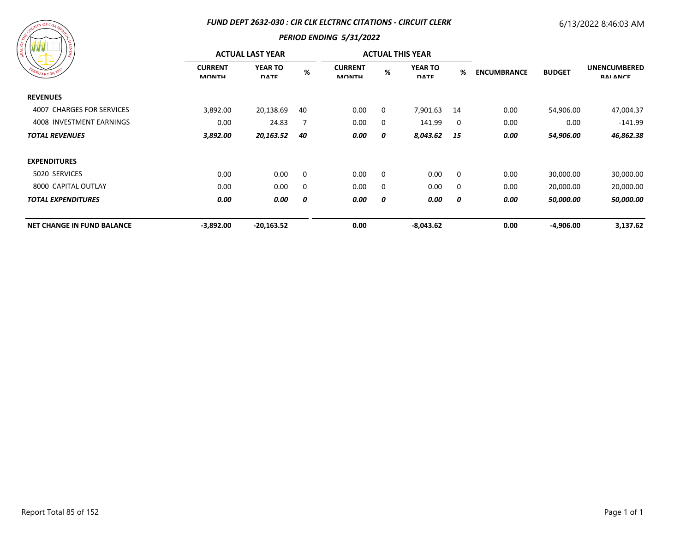#### *FUND DEPT 2632-030 : CIR CLK ELCTRNC CITATIONS - CIRCUIT CLERK*

## 6/13/2022 8:46:03 AM



| /៖                                | <b>ACTUAL LAST YEAR</b>        |                               |      |                                |   | <b>ACTUAL THIS YEAR</b>       |      |                    |               |                                        |
|-----------------------------------|--------------------------------|-------------------------------|------|--------------------------------|---|-------------------------------|------|--------------------|---------------|----------------------------------------|
| FEBRUARY 20, 1833                 | <b>CURRENT</b><br><b>MONTH</b> | <b>YEAR TO</b><br><b>DATE</b> | $\%$ | <b>CURRENT</b><br><b>MONTH</b> | % | <b>YEAR TO</b><br><b>DATE</b> | %    | <b>ENCUMBRANCE</b> | <b>BUDGET</b> | <b>UNENCUMBERED</b><br><b>RAI ANCE</b> |
| <b>REVENUES</b>                   |                                |                               |      |                                |   |                               |      |                    |               |                                        |
| 4007 CHARGES FOR SERVICES         | 3,892.00                       | 20,138.69                     | 40   | 0.00                           | 0 | 7,901.63                      | 14   | 0.00               | 54,906.00     | 47,004.37                              |
| 4008 INVESTMENT EARNINGS          | 0.00                           | 24.83                         |      | 0.00                           | 0 | 141.99                        | 0    | 0.00               | 0.00          | $-141.99$                              |
| <b>TOTAL REVENUES</b>             | 3,892.00                       | 20,163.52                     | 40   | 0.00                           | 0 | 8,043.62                      | - 15 | 0.00               | 54,906.00     | 46,862.38                              |
| <b>EXPENDITURES</b>               |                                |                               |      |                                |   |                               |      |                    |               |                                        |
| 5020 SERVICES                     | 0.00                           | 0.00                          | - 0  | 0.00                           | 0 | 0.00                          | 0    | 0.00               | 30,000.00     | 30,000.00                              |
| 8000 CAPITAL OUTLAY               | 0.00                           | 0.00                          | 0    | 0.00                           | 0 | 0.00                          | 0    | 0.00               | 20,000.00     | 20,000.00                              |
| <b>TOTAL EXPENDITURES</b>         | 0.00                           | 0.00                          | 0    | 0.00                           | 0 | 0.00                          | 0    | 0.00               | 50,000.00     | 50,000.00                              |
| <b>NET CHANGE IN FUND BALANCE</b> | $-3,892.00$                    | $-20,163.52$                  |      | 0.00                           |   | $-8,043.62$                   |      | 0.00               | $-4,906.00$   | 3,137.62                               |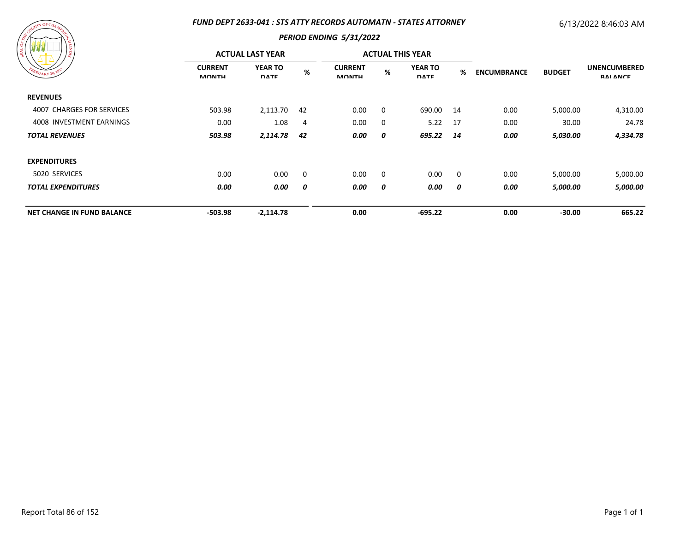### *FUND DEPT 2633-041 : STS ATTY RECORDS AUTOMATN - STATES ATTORNEY*

# 6/13/2022 8:46:03 AM

| SEAL OF ARE COUNTY<br>SIONITI<br>FEBRUARY 20, 1833 |
|----------------------------------------------------|
|----------------------------------------------------|

| <u> 1980 - 1980 - 1990 - 1990 - 1991 - 1991 - 1991 - 1991 - 1991 - 1991 - 1991 - 1991 - 1991 - 1991 - 1991 - 199</u><br>/ខ្ល | <b>ACTUAL LAST YEAR</b>        |                               |    |                                |          | <b>ACTUAL THIS YEAR</b>       |      |                    |               |                                        |
|------------------------------------------------------------------------------------------------------------------------------|--------------------------------|-------------------------------|----|--------------------------------|----------|-------------------------------|------|--------------------|---------------|----------------------------------------|
| FEBRUARY 20, 1833                                                                                                            | <b>CURRENT</b><br><b>MONTH</b> | <b>YEAR TO</b><br><b>DATE</b> | %  | <b>CURRENT</b><br><b>MONTH</b> | %        | <b>YEAR TO</b><br><b>DATE</b> | %    | <b>ENCUMBRANCE</b> | <b>BUDGET</b> | <b>UNENCUMBERED</b><br><b>RAI ANCE</b> |
| <b>REVENUES</b>                                                                                                              |                                |                               |    |                                |          |                               |      |                    |               |                                        |
| 4007 CHARGES FOR SERVICES                                                                                                    | 503.98                         | 2,113.70                      | 42 | 0.00                           | 0        | 690.00                        | - 14 | 0.00               | 5,000.00      | 4,310.00                               |
| 4008 INVESTMENT EARNINGS                                                                                                     | 0.00                           | 1.08                          | 4  | 0.00                           | 0        | 5.22                          | 17   | 0.00               | 30.00         | 24.78                                  |
| <b>TOTAL REVENUES</b>                                                                                                        | 503.98                         | 2,114.78                      | 42 | 0.00                           | 0        | 695.22                        | - 14 | 0.00               | 5,030.00      | 4,334.78                               |
| <b>EXPENDITURES</b>                                                                                                          |                                |                               |    |                                |          |                               |      |                    |               |                                        |
| 5020 SERVICES                                                                                                                | 0.00                           | 0.00                          | 0  | 0.00                           | $\Omega$ | $0.00\,$                      | 0    | 0.00               | 5,000.00      | 5,000.00                               |
| <b>TOTAL EXPENDITURES</b>                                                                                                    | 0.00                           | 0.00                          | 0  | 0.00                           | 0        | 0.00                          | 0    | 0.00               | 5,000.00      | 5,000.00                               |
| <b>NET CHANGE IN FUND BALANCE</b>                                                                                            | $-503.98$                      | $-2,114.78$                   |    | 0.00                           |          | $-695.22$                     |      | 0.00               | $-30.00$      | 665.22                                 |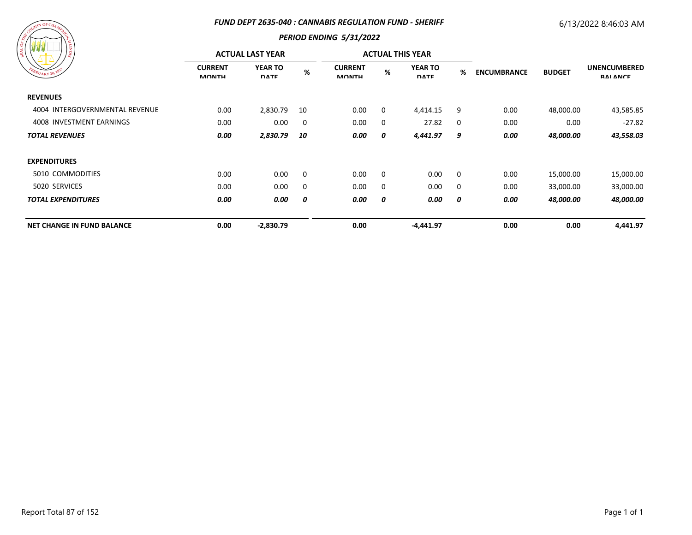#### *FUND DEPT 2635-040 : CANNABIS REGULATION FUND - SHERIFF*

# 6/13/2022 8:46:03 AM



| 797 Y Y Y Y Y Y                   | <b>ACTUAL LAST YEAR</b>        |                               |             |                                |   | <b>ACTUAL THIS YEAR</b>       |   |                                     |           |                                        |
|-----------------------------------|--------------------------------|-------------------------------|-------------|--------------------------------|---|-------------------------------|---|-------------------------------------|-----------|----------------------------------------|
| FEBRUARY 20, 1833                 | <b>CURRENT</b><br><b>MONTH</b> | <b>YEAR TO</b><br><b>DATE</b> | %           | <b>CURRENT</b><br><b>MONTH</b> | % | <b>YEAR TO</b><br><b>DATE</b> | % | <b>ENCUMBRANCE</b><br><b>BUDGET</b> |           | <b>UNENCUMBERED</b><br><b>RAI ANCE</b> |
| <b>REVENUES</b>                   |                                |                               |             |                                |   |                               |   |                                     |           |                                        |
| 4004 INTERGOVERNMENTAL REVENUE    | 0.00                           | 2,830.79                      | 10          | 0.00                           | 0 | 4,414.15                      | 9 | 0.00                                | 48,000.00 | 43,585.85                              |
| 4008 INVESTMENT EARNINGS          | 0.00                           | 0.00                          | $\mathbf 0$ | 0.00                           | 0 | 27.82                         | 0 | 0.00                                | 0.00      | $-27.82$                               |
| <b>TOTAL REVENUES</b>             | 0.00                           | 2,830.79                      | 10          | 0.00                           | 0 | 4,441.97                      | 9 | 0.00                                | 48,000.00 | 43,558.03                              |
| <b>EXPENDITURES</b>               |                                |                               |             |                                |   |                               |   |                                     |           |                                        |
| 5010 COMMODITIES                  | 0.00                           | 0.00                          | $\mathbf 0$ | 0.00                           | 0 | 0.00                          | 0 | 0.00                                | 15,000.00 | 15,000.00                              |
| 5020 SERVICES                     | 0.00                           | 0.00                          | $\mathbf 0$ | 0.00                           | 0 | 0.00                          | 0 | 0.00                                | 33,000.00 | 33,000.00                              |
| <b>TOTAL EXPENDITURES</b>         | 0.00                           | 0.00                          | 0           | 0.00                           | 0 | 0.00                          | 0 | 0.00                                | 48,000.00 | 48,000.00                              |
| <b>NET CHANGE IN FUND BALANCE</b> | 0.00                           | $-2,830.79$                   |             | 0.00                           |   | $-4,441.97$                   |   | 0.00                                | 0.00      | 4,441.97                               |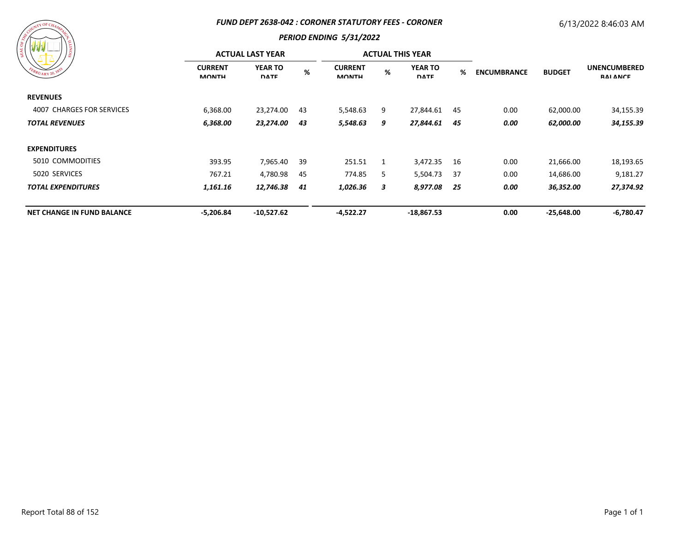#### *FUND DEPT 2638-042 : CORONER STATUTORY FEES - CORONER*

# 6/13/2022 8:46:03 AM

| ASSESSMENT OF CHAMPITER<br><b>SIONITY</b><br>FEBRUARY 20, 1833 |
|----------------------------------------------------------------|
|                                                                |

|                                   | <b>ACTUAL LAST YEAR</b>        |                               |     |                                |   | <b>ACTUAL THIS YEAR</b>       |     |                    |               |                                        |
|-----------------------------------|--------------------------------|-------------------------------|-----|--------------------------------|---|-------------------------------|-----|--------------------|---------------|----------------------------------------|
| FEBRUARY 20, 1833                 | <b>CURRENT</b><br><b>MONTH</b> | <b>YEAR TO</b><br><b>DATE</b> | %   | <b>CURRENT</b><br><b>MONTH</b> | % | <b>YEAR TO</b><br><b>DATE</b> | %   | <b>ENCUMBRANCE</b> | <b>BUDGET</b> | <b>UNENCUMBERED</b><br><b>RAI ANCE</b> |
| <b>REVENUES</b>                   |                                |                               |     |                                |   |                               |     |                    |               |                                        |
| 4007 CHARGES FOR SERVICES         | 6,368.00                       | 23,274.00                     | 43  | 5,548.63                       | 9 | 27,844.61                     | -45 | 0.00               | 62,000.00     | 34,155.39                              |
| <b>TOTAL REVENUES</b>             | 6,368.00                       | 23,274.00                     | 43  | 5,548.63                       | 9 | 27,844.61                     | 45  | 0.00               | 62,000.00     | 34,155.39                              |
| <b>EXPENDITURES</b>               |                                |                               |     |                                |   |                               |     |                    |               |                                        |
| 5010 COMMODITIES                  | 393.95                         | 7,965.40                      | -39 | 251.51                         |   | 3,472.35                      | 16  | 0.00               | 21,666.00     | 18,193.65                              |
| 5020 SERVICES                     | 767.21                         | 4,780.98                      | 45  | 774.85                         | 5 | 5,504.73                      | -37 | 0.00               | 14,686.00     | 9,181.27                               |
| <b>TOTAL EXPENDITURES</b>         | 1,161.16                       | 12,746.38                     | 41  | 1,026.36                       | 3 | 8,977.08                      | -25 | 0.00               | 36,352.00     | 27,374.92                              |
| <b>NET CHANGE IN FUND BALANCE</b> | $-5,206.84$                    | $-10,527.62$                  |     | $-4,522.27$                    |   | $-18,867.53$                  |     | 0.00               | $-25,648.00$  | $-6,780.47$                            |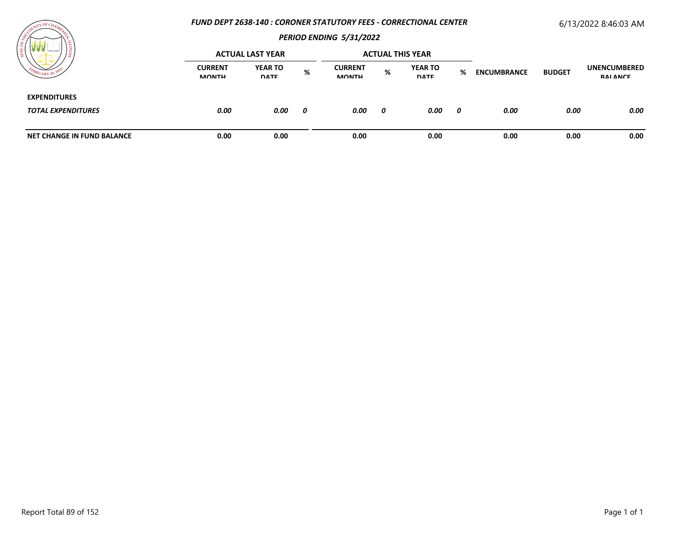### *FUND DEPT 2638-140 : CORONER STATUTORY FEES - CORRECTIONAL CENTER*

# 6/13/2022 8:46:03 AM



| <b><i>I'M I'M I'M I'M I'M</i></b>                | <b>ACTUAL LAST YEAR</b>        |                               |   |                                |   | <b>ACTUAL THIS YEAR</b>       |   |                    |               |                                 |
|--------------------------------------------------|--------------------------------|-------------------------------|---|--------------------------------|---|-------------------------------|---|--------------------|---------------|---------------------------------|
|                                                  | <b>CURRENT</b><br><b>MONTH</b> | <b>YEAR TO</b><br><b>DATE</b> | % | <b>CURRENT</b><br><b>MONTH</b> | % | <b>YEAR TO</b><br><b>DATE</b> | % | <b>ENCUMBRANCE</b> | <b>BUDGET</b> | <b>UNENCUMBERED</b><br>RAI ANCE |
| <b>EXPENDITURES</b><br><b>TOTAL EXPENDITURES</b> | 0.00                           | 0.00                          | 0 | 0.00                           | 0 | 0.00                          | 0 | 0.00               | 0.00          | 0.00                            |
| <b>NET CHANGE IN FUND BALANCE</b>                | 0.00                           | 0.00                          |   | 0.00                           |   | 0.00                          |   | 0.00               | 0.00          | 0.00                            |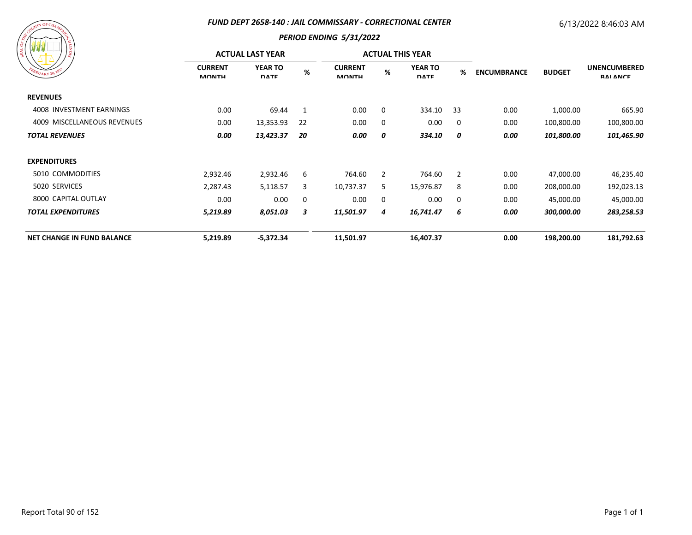#### *FUND DEPT 2658-140 : JAIL COMMISSARY - CORRECTIONAL CENTER*

### 6/13/2022 8:46:03 AM

| COUNTY OF CHAMPITRY           | <b>FUND DEI</b>                |  |  |  |  |  |
|-------------------------------|--------------------------------|--|--|--|--|--|
| <b>SIONITY</b><br><b>GEAL</b> | <b>ACTUAI</b>                  |  |  |  |  |  |
| FEBRUARY 20, 1833             | <b>CURRENT</b><br><b>MONTH</b> |  |  |  |  |  |
| <b>REVENUES</b>               |                                |  |  |  |  |  |
| 4008 INVESTMENT EARNINGS      | 0.00                           |  |  |  |  |  |
| 4009 MISCELLANEOUS REVENUES   | 0.00                           |  |  |  |  |  |
| <b>TOTAL REVENUES</b>         | 0.00                           |  |  |  |  |  |

| 19 M M<br><sub>Slot</sub>         | <b>ACTUAL LAST YEAR</b>        |                               |    |                                |   | <b>ACTUAL THIS YEAR</b>       |             |                    |               |                                        |  |
|-----------------------------------|--------------------------------|-------------------------------|----|--------------------------------|---|-------------------------------|-------------|--------------------|---------------|----------------------------------------|--|
| EBRUARY 20, 1833                  | <b>CURRENT</b><br><b>MONTH</b> | <b>YEAR TO</b><br><b>DATE</b> | %  | <b>CURRENT</b><br><b>MONTH</b> | % | <b>YEAR TO</b><br><b>DATE</b> | %           | <b>ENCUMBRANCE</b> | <b>BUDGET</b> | <b>UNENCUMBERED</b><br><b>RAI ANCE</b> |  |
| <b>REVENUES</b>                   |                                |                               |    |                                |   |                               |             |                    |               |                                        |  |
| 4008 INVESTMENT EARNINGS          | 0.00                           | 69.44                         | 1  | 0.00                           | 0 | 334.10                        | 33          | 0.00               | 1,000.00      | 665.90                                 |  |
| 4009 MISCELLANEOUS REVENUES       | 0.00                           | 13,353.93                     | 22 | 0.00                           | 0 | 0.00                          | $\mathbf 0$ | 0.00               | 100,800.00    | 100,800.00                             |  |
| <b>TOTAL REVENUES</b>             | 0.00                           | 13,423.37                     | 20 | 0.00                           | 0 | 334.10                        | 0           | 0.00               | 101,800.00    | 101,465.90                             |  |
| <b>EXPENDITURES</b>               |                                |                               |    |                                |   |                               |             |                    |               |                                        |  |
| 5010 COMMODITIES                  | 2,932.46                       | 2,932.46                      | 6  | 764.60                         | 2 | 764.60                        | 2           | 0.00               | 47,000.00     | 46,235.40                              |  |
| 5020 SERVICES                     | 2,287.43                       | 5,118.57                      | 3  | 10,737.37                      | 5 | 15,976.87                     | 8           | 0.00               | 208,000.00    | 192,023.13                             |  |
| 8000 CAPITAL OUTLAY               | 0.00                           | 0.00                          | 0  | 0.00                           | 0 | 0.00                          | $\mathbf 0$ | 0.00               | 45,000.00     | 45,000.00                              |  |
| <b>TOTAL EXPENDITURES</b>         | 5,219.89                       | 8,051.03                      | 3  | 11,501.97                      | 4 | 16,741.47                     | 6           | 0.00               | 300,000.00    | 283,258.53                             |  |
| <b>NET CHANGE IN FUND BALANCE</b> | 5,219.89                       | $-5,372.34$                   |    | 11,501.97                      |   | 16,407.37                     |             | 0.00               | 198,200.00    | 181,792.63                             |  |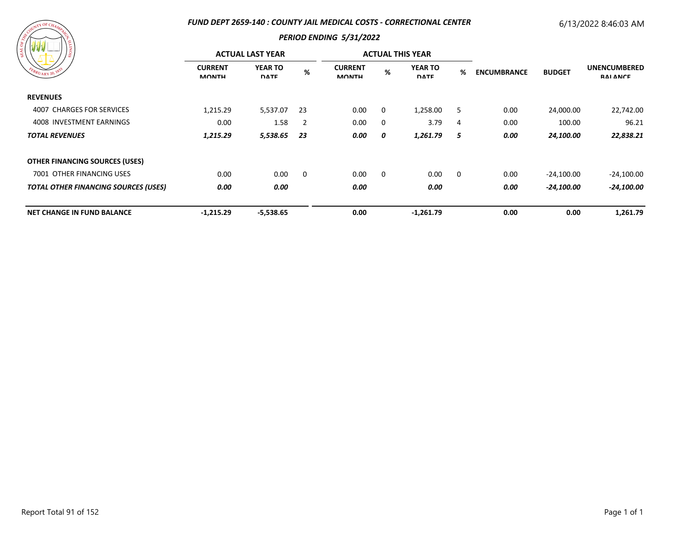### *FUND DEPT 2659-140 : COUNTY JAIL MEDICAL COSTS - CORRECTIONAL CENTER*

# 6/13/2022 8:46:03 AM

|  | ASSESSMALL OF CHAMPITRE<br>FEBRUARY 20, 1833 | Stown |
|--|----------------------------------------------|-------|
|  |                                              |       |

|                                             | <b>ACTUAL LAST YEAR</b>        |                               |                |                                |          | <b>ACTUAL THIS YEAR</b>       |                         |                    |               |                                        |
|---------------------------------------------|--------------------------------|-------------------------------|----------------|--------------------------------|----------|-------------------------------|-------------------------|--------------------|---------------|----------------------------------------|
| FEBRUARY 20, 1833                           | <b>CURRENT</b><br><b>MONTH</b> | <b>YEAR TO</b><br><b>DATE</b> | %              | <b>CURRENT</b><br><b>MONTH</b> | %        | <b>YEAR TO</b><br><b>DATE</b> | %                       | <b>ENCUMBRANCE</b> | <b>BUDGET</b> | <b>UNENCUMBERED</b><br><b>RAI ANCE</b> |
| <b>REVENUES</b>                             |                                |                               |                |                                |          |                               |                         |                    |               |                                        |
| 4007 CHARGES FOR SERVICES                   | 1,215.29                       | 5,537.07                      | 23             | 0.00                           | $\Omega$ | 1,258.00                      | 5                       | 0.00               | 24,000.00     | 22,742.00                              |
| 4008 INVESTMENT EARNINGS                    | 0.00                           | 1.58                          | $\overline{2}$ | 0.00                           | 0        | 3.79                          | $\overline{4}$          | 0.00               | 100.00        | 96.21                                  |
| <b>TOTAL REVENUES</b>                       | 1,215.29                       | 5,538.65                      | -23            | 0.00                           | 0        | 1,261.79                      | 5                       | 0.00               | 24,100.00     | 22,838.21                              |
| <b>OTHER FINANCING SOURCES (USES)</b>       |                                |                               |                |                                |          |                               |                         |                    |               |                                        |
| 7001 OTHER FINANCING USES                   | 0.00                           | 0.00                          | 0              | 0.00                           | $\Omega$ | 0.00                          | $\overline{\mathbf{0}}$ | 0.00               | $-24,100.00$  | $-24,100.00$                           |
| <b>TOTAL OTHER FINANCING SOURCES (USES)</b> | 0.00                           | 0.00                          |                | 0.00                           |          | 0.00                          |                         | 0.00               | -24,100.00    | -24,100.00                             |
| <b>NET CHANGE IN FUND BALANCE</b>           | $-1,215.29$                    | $-5,538.65$                   |                | 0.00                           |          | $-1,261.79$                   |                         | 0.00               | 0.00          | 1,261.79                               |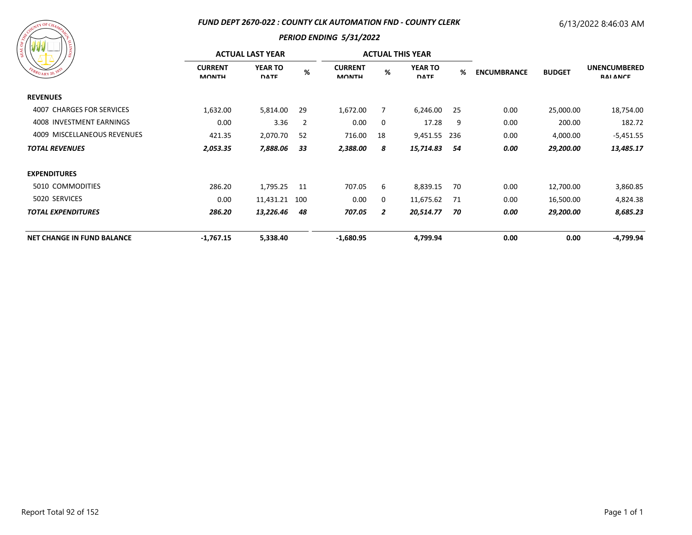### *FUND DEPT 2670-022 : COUNTY CLK AUTOMATION FND - COUNTY CLERK*

# 6/13/2022 8:46:03 AM

| A COUNTILE CHAMAZER<br>FEBRUARY 20, 1833 | SIONIT <sup>1</sup> |
|------------------------------------------|---------------------|
|                                          |                     |

| ၊ ဇ္တ                             | <b>ACTUAL LAST YEAR</b>        |                               |                |                                |                | <b>ACTUAL THIS YEAR</b>       |      |                                     |                                        |             |
|-----------------------------------|--------------------------------|-------------------------------|----------------|--------------------------------|----------------|-------------------------------|------|-------------------------------------|----------------------------------------|-------------|
| EBRUARY 20, 183                   | <b>CURRENT</b><br><b>MONTH</b> | <b>YEAR TO</b><br><b>DATE</b> | %              | <b>CURRENT</b><br><b>MONTH</b> | %              | <b>YEAR TO</b><br><b>DATE</b> | %    | <b>ENCUMBRANCE</b><br><b>BUDGET</b> | <b>UNENCUMBERED</b><br><b>RAI ANCE</b> |             |
| <b>REVENUES</b>                   |                                |                               |                |                                |                |                               |      |                                     |                                        |             |
| 4007 CHARGES FOR SERVICES         | 1,632.00                       | 5,814.00                      | 29             | 1,672.00                       | 7              | 6,246.00                      | 25   | 0.00                                | 25,000.00                              | 18,754.00   |
| 4008 INVESTMENT EARNINGS          | 0.00                           | 3.36                          | $\overline{2}$ | 0.00                           | 0              | 17.28                         | 9    | 0.00                                | 200.00                                 | 182.72      |
| 4009 MISCELLANEOUS REVENUES       | 421.35                         | 2,070.70                      | -52            | 716.00                         | 18             | 9,451.55 236                  |      | 0.00                                | 4,000.00                               | $-5,451.55$ |
| <b>TOTAL REVENUES</b>             | 2,053.35                       | 7,888.06                      | 33             | 2,388.00                       | 8              | 15,714.83                     | 54   | 0.00                                | 29,200.00                              | 13,485.17   |
| <b>EXPENDITURES</b>               |                                |                               |                |                                |                |                               |      |                                     |                                        |             |
| 5010 COMMODITIES                  | 286.20                         | 1,795.25                      | -11            | 707.05                         | 6              | 8,839.15                      | 70   | 0.00                                | 12,700.00                              | 3,860.85    |
| 5020 SERVICES                     | 0.00                           | 11,431.21                     | 100            | 0.00                           | 0              | 11,675.62                     | - 71 | 0.00                                | 16,500.00                              | 4,824.38    |
| <b>TOTAL EXPENDITURES</b>         | 286.20                         | 13,226.46                     | 48             | 707.05                         | $\overline{2}$ | 20,514.77                     | 70   | 0.00                                | 29,200.00                              | 8,685.23    |
| <b>NET CHANGE IN FUND BALANCE</b> | $-1,767.15$                    | 5,338.40                      |                | $-1,680.95$                    |                | 4,799.94                      |      | 0.00                                | 0.00                                   | $-4,799.94$ |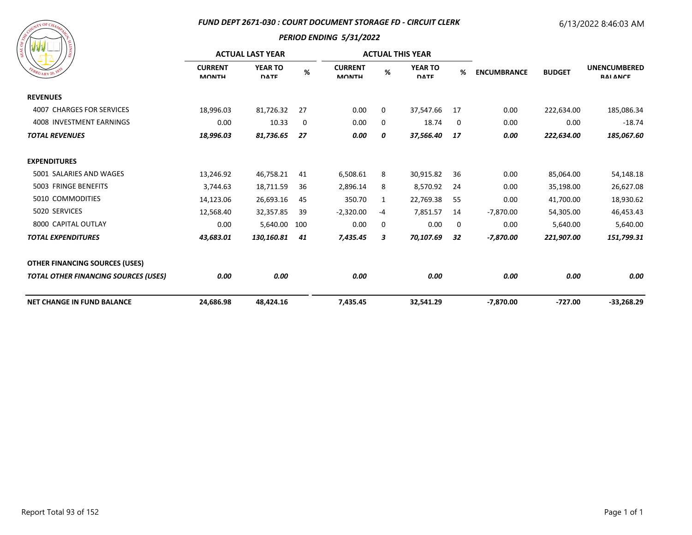### *FUND DEPT 2671-030 : COURT DOCUMENT STORAGE FD - CIRCUIT CLERK*

# 6/13/2022 8:46:03 AM

| ASSESSMANT DECHAMANCE<br>SIONITY<br>EBRUARY 20, 1833 |
|------------------------------------------------------|
|------------------------------------------------------|

| / জঁ                                        | <b>ACTUAL LAST YEAR</b>        |                               |      |                                |    | <b>ACTUAL THIS YEAR</b>       |    |                    |               |                                        |
|---------------------------------------------|--------------------------------|-------------------------------|------|--------------------------------|----|-------------------------------|----|--------------------|---------------|----------------------------------------|
| $W_{R U_{\rm ARY}}$ 20, $^{18}$             | <b>CURRENT</b><br><b>MONTH</b> | <b>YEAR TO</b><br><b>DATE</b> | $\%$ | <b>CURRENT</b><br><b>MONTH</b> | %  | <b>YEAR TO</b><br><b>DATE</b> | %  | <b>ENCUMBRANCE</b> | <b>BUDGET</b> | <b>UNENCUMBERED</b><br><b>RAI ANCE</b> |
| <b>REVENUES</b>                             |                                |                               |      |                                |    |                               |    |                    |               |                                        |
| 4007 CHARGES FOR SERVICES                   | 18,996.03                      | 81,726.32                     | 27   | 0.00                           | 0  | 37,547.66                     | 17 | 0.00               | 222,634.00    | 185,086.34                             |
| 4008 INVESTMENT EARNINGS                    | 0.00                           | 10.33                         | 0    | 0.00                           | 0  | 18.74                         | 0  | 0.00               | 0.00          | $-18.74$                               |
| <b>TOTAL REVENUES</b>                       | 18,996.03                      | 81,736.65                     | 27   | 0.00                           | 0  | 37,566.40                     | 17 | 0.00               | 222,634.00    | 185,067.60                             |
| <b>EXPENDITURES</b>                         |                                |                               |      |                                |    |                               |    |                    |               |                                        |
| 5001 SALARIES AND WAGES                     | 13,246.92                      | 46,758.21                     | 41   | 6,508.61                       | 8  | 30,915.82                     | 36 | 0.00               | 85,064.00     | 54,148.18                              |
| 5003 FRINGE BENEFITS                        | 3,744.63                       | 18,711.59                     | 36   | 2,896.14                       | 8  | 8,570.92                      | 24 | 0.00               | 35,198.00     | 26,627.08                              |
| 5010 COMMODITIES                            | 14,123.06                      | 26,693.16                     | 45   | 350.70                         | 1  | 22,769.38                     | 55 | 0.00               | 41,700.00     | 18,930.62                              |
| 5020 SERVICES                               | 12,568.40                      | 32,357.85                     | -39  | $-2,320.00$                    | -4 | 7,851.57                      | 14 | $-7,870.00$        | 54,305.00     | 46,453.43                              |
| 8000 CAPITAL OUTLAY                         | 0.00                           | 5,640.00                      | 100  | 0.00                           | 0  | 0.00                          | 0  | 0.00               | 5,640.00      | 5,640.00                               |
| <b>TOTAL EXPENDITURES</b>                   | 43,683.01                      | 130,160.81                    | 41   | 7,435.45                       | 3  | 70,107.69                     | 32 | -7,870.00          | 221,907.00    | 151,799.31                             |
| <b>OTHER FINANCING SOURCES (USES)</b>       |                                |                               |      |                                |    |                               |    |                    |               |                                        |
| <b>TOTAL OTHER FINANCING SOURCES (USES)</b> | 0.00                           | 0.00                          |      | 0.00                           |    | 0.00                          |    | 0.00               | 0.00          | 0.00                                   |
| <b>NET CHANGE IN FUND BALANCE</b>           | 24,686.98                      | 48,424.16                     |      | 7,435.45                       |    | 32,541.29                     |    | $-7,870.00$        | $-727.00$     | $-33,268.29$                           |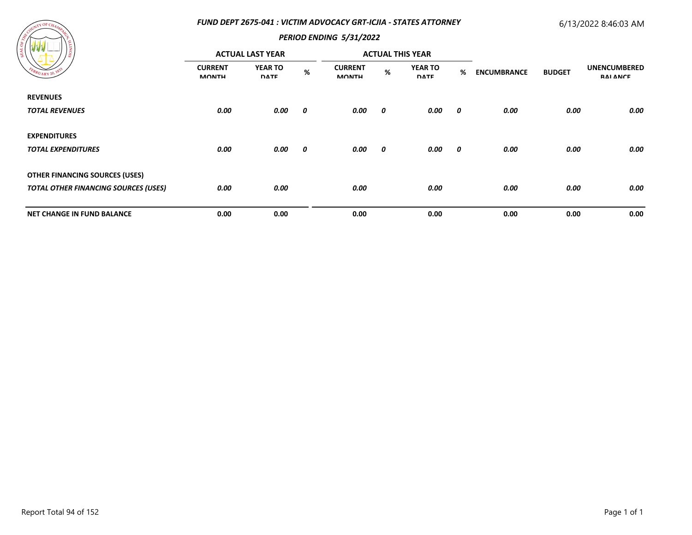### *FUND DEPT 2675-041 : VICTIM ADVOCACY GRT-ICJIA - STATES ATTORNEY*

## 6/13/2022 8:46:03 AM



| ---<br>၊ ဇွ                                 | <b>ACTUAL LAST YEAR</b>        |                               |      | <b>ACTUAL THIS YEAR</b>        |      |                               |                         |                    |               |                                        |
|---------------------------------------------|--------------------------------|-------------------------------|------|--------------------------------|------|-------------------------------|-------------------------|--------------------|---------------|----------------------------------------|
| EBRUARY 20, 183                             | <b>CURRENT</b><br><b>MONTH</b> | <b>YEAR TO</b><br><b>DATE</b> | $\%$ | <b>CURRENT</b><br><b>MONTH</b> | $\%$ | <b>YEAR TO</b><br><b>DATE</b> | %                       | <b>ENCUMBRANCE</b> | <b>BUDGET</b> | <b>UNENCUMBERED</b><br><b>RAI ANCE</b> |
| <b>REVENUES</b>                             |                                |                               |      |                                |      |                               |                         |                    |               |                                        |
| <b>TOTAL REVENUES</b>                       | 0.00                           | 0.00                          | 0    | 0.00                           | 0    | 0.00                          | $\overline{\mathbf{0}}$ | 0.00               | 0.00          | 0.00                                   |
| <b>EXPENDITURES</b>                         |                                |                               |      |                                |      |                               |                         |                    |               |                                        |
| <b>TOTAL EXPENDITURES</b>                   | 0.00                           | 0.00                          | 0    | 0.00                           | 0    | 0.00                          | $\boldsymbol{\theta}$   | 0.00               | 0.00          | 0.00                                   |
| <b>OTHER FINANCING SOURCES (USES)</b>       |                                |                               |      |                                |      |                               |                         |                    |               |                                        |
| <b>TOTAL OTHER FINANCING SOURCES (USES)</b> | 0.00                           | 0.00                          |      | 0.00                           |      | 0.00                          |                         | 0.00               | 0.00          | 0.00                                   |
| <b>NET CHANGE IN FUND BALANCE</b>           | 0.00                           | 0.00                          |      | 0.00                           |      | 0.00                          |                         | 0.00               | 0.00          | 0.00                                   |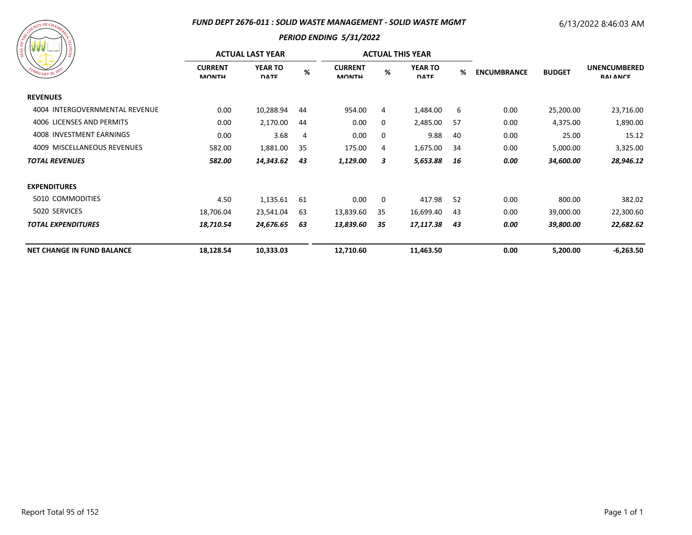#### *FUND DEPT 2676-011 : SOLID WASTE MANAGEMENT - SOLID WASTE MGMT*

# 6/13/2022 8:46:03 AM



| .<br>/ន                           | <b>ACTUAL LAST YEAR</b>        |                               |     |                                |    | <b>ACTUAL THIS YEAR</b>       |     |                                     |                                        |             |
|-----------------------------------|--------------------------------|-------------------------------|-----|--------------------------------|----|-------------------------------|-----|-------------------------------------|----------------------------------------|-------------|
| EBRUARY 20, 1833                  | <b>CURRENT</b><br><b>MONTH</b> | <b>YEAR TO</b><br><b>DATE</b> | %   | <b>CURRENT</b><br><b>MONTH</b> | %  | <b>YEAR TO</b><br><b>DATE</b> | %   | <b>ENCUMBRANCE</b><br><b>BUDGET</b> | <b>UNENCUMBERED</b><br><b>RAI ANCE</b> |             |
| <b>REVENUES</b>                   |                                |                               |     |                                |    |                               |     |                                     |                                        |             |
| 4004 INTERGOVERNMENTAL REVENUE    | 0.00                           | 10,288.94                     | 44  | 954.00                         | 4  | 1,484.00                      | 6   | 0.00                                | 25,200.00                              | 23,716.00   |
| 4006 LICENSES AND PERMITS         | 0.00                           | 2,170.00                      | 44  | 0.00                           | 0  | 2,485.00                      | -57 | 0.00                                | 4,375.00                               | 1,890.00    |
| 4008 INVESTMENT EARNINGS          | 0.00                           | 3.68                          | 4   | 0.00                           | 0  | 9.88                          | 40  | 0.00                                | 25.00                                  | 15.12       |
| 4009 MISCELLANEOUS REVENUES       | 582.00                         | 1,881.00                      | -35 | 175.00                         | 4  | 1,675.00                      | -34 | 0.00                                | 5,000.00                               | 3,325.00    |
| <b>TOTAL REVENUES</b>             | 582.00                         | 14,343.62                     | 43  | 1,129.00                       | 3  | 5,653.88                      | 16  | 0.00                                | 34,600.00                              | 28,946.12   |
| <b>EXPENDITURES</b>               |                                |                               |     |                                |    |                               |     |                                     |                                        |             |
| 5010 COMMODITIES                  | 4.50                           | 1,135.61                      | -61 | 0.00                           | 0  | 417.98                        | 52  | 0.00                                | 800.00                                 | 382.02      |
| 5020 SERVICES                     | 18,706.04                      | 23,541.04                     | 63  | 13,839.60                      | 35 | 16,699.40                     | 43  | 0.00                                | 39,000.00                              | 22,300.60   |
| <b>TOTAL EXPENDITURES</b>         | 18,710.54                      | 24,676.65                     | 63  | 13,839.60                      | 35 | 17,117.38                     | 43  | 0.00                                | 39,800.00                              | 22,682.62   |
| <b>NET CHANGE IN FUND BALANCE</b> | 18,128.54                      | 10,333.03                     |     | 12,710.60                      |    | 11,463.50                     |     | 0.00                                | 5,200.00                               | $-6,263.50$ |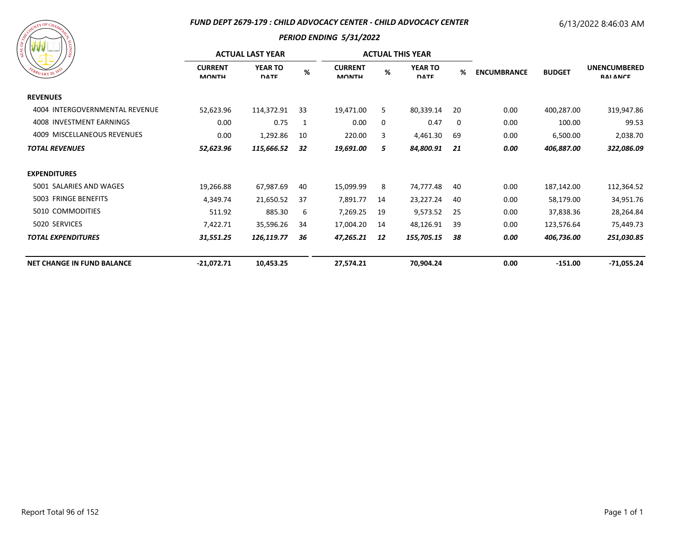### *FUND DEPT 2679-179 : CHILD ADVOCACY CENTER - CHILD ADVOCACY CENTER*

# 6/13/2022 8:46:03 AM

| ASCOUNTING CHAMPICS<br><b>SIONITA</b><br>EBRUARY 20, 1833 |
|-----------------------------------------------------------|
|-----------------------------------------------------------|

|                                   | <b>ACTUAL LAST YEAR</b>        |                               |      |                                |      | <b>ACTUAL THIS YEAR</b>       |     |                    |               |                                        |
|-----------------------------------|--------------------------------|-------------------------------|------|--------------------------------|------|-------------------------------|-----|--------------------|---------------|----------------------------------------|
| EBRUARY 20, 1833                  | <b>CURRENT</b><br><b>MONTH</b> | <b>YEAR TO</b><br><b>DATE</b> | $\%$ | <b>CURRENT</b><br><b>MONTH</b> | $\%$ | <b>YEAR TO</b><br><b>DATE</b> | %   | <b>ENCUMBRANCE</b> | <b>BUDGET</b> | <b>UNENCUMBERED</b><br><b>RAI ANCE</b> |
| <b>REVENUES</b>                   |                                |                               |      |                                |      |                               |     |                    |               |                                        |
| 4004 INTERGOVERNMENTAL REVENUE    | 52,623.96                      | 114,372.91                    | 33   | 19,471.00                      | 5    | 80,339.14                     | 20  | 0.00               | 400,287.00    | 319,947.86                             |
| 4008 INVESTMENT EARNINGS          | 0.00                           | 0.75                          | -1   | 0.00                           | 0    | 0.47                          | 0   | 0.00               | 100.00        | 99.53                                  |
| 4009 MISCELLANEOUS REVENUES       | 0.00                           | 1,292.86                      | 10   | 220.00                         | 3    | 4,461.30                      | 69  | 0.00               | 6,500.00      | 2,038.70                               |
| <b>TOTAL REVENUES</b>             | 52,623.96                      | 115,666.52                    | 32   | 19,691.00                      | 5    | 84,800.91                     | 21  | 0.00               | 406,887.00    | 322,086.09                             |
| <b>EXPENDITURES</b>               |                                |                               |      |                                |      |                               |     |                    |               |                                        |
| 5001 SALARIES AND WAGES           | 19,266.88                      | 67,987.69                     | 40   | 15,099.99                      | 8    | 74,777.48                     | 40  | 0.00               | 187,142.00    | 112,364.52                             |
| 5003 FRINGE BENEFITS              | 4,349.74                       | 21,650.52                     | 37   | 7,891.77                       | 14   | 23,227.24                     | 40  | 0.00               | 58,179.00     | 34,951.76                              |
| 5010 COMMODITIES                  | 511.92                         | 885.30                        | 6    | 7,269.25                       | 19   | 9,573.52                      | -25 | 0.00               | 37,838.36     | 28,264.84                              |
| 5020 SERVICES                     | 7,422.71                       | 35,596.26                     | 34   | 17,004.20                      | 14   | 48,126.91                     | 39  | 0.00               | 123,576.64    | 75,449.73                              |
| <b>TOTAL EXPENDITURES</b>         | 31,551.25                      | 126,119.77                    | 36   | 47,265.21                      | 12   | 155,705.15                    | 38  | 0.00               | 406,736.00    | 251,030.85                             |
| <b>NET CHANGE IN FUND BALANCE</b> | $-21,072.71$                   | 10,453.25                     |      | 27,574.21                      |      | 70,904.24                     |     | 0.00               | $-151.00$     | -71,055.24                             |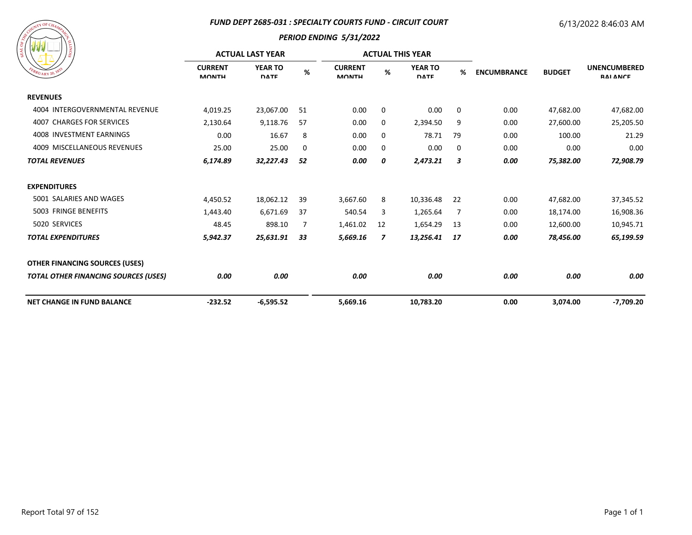#### *FUND DEPT 2685-031 : SPECIALTY COURTS FUND - CIRCUIT COURT*

### 6/13/2022 8:46:03 AM

| FEBRUARY 20, 1835 |
|-------------------|
|-------------------|

|                                             | <b>ACTUAL LAST YEAR</b>        |                               |             |                                | <b>ACTUAL THIS YEAR</b> |                               |             |                    |               |                                        |
|---------------------------------------------|--------------------------------|-------------------------------|-------------|--------------------------------|-------------------------|-------------------------------|-------------|--------------------|---------------|----------------------------------------|
| $R_{UARY\,20}$                              | <b>CURRENT</b><br><b>MONTH</b> | <b>YEAR TO</b><br><b>DATE</b> | %           | <b>CURRENT</b><br><b>MONTH</b> | %                       | <b>YEAR TO</b><br><b>DATE</b> | %           | <b>ENCUMBRANCE</b> | <b>BUDGET</b> | <b>UNENCUMBERED</b><br><b>RAI ANCE</b> |
| <b>REVENUES</b>                             |                                |                               |             |                                |                         |                               |             |                    |               |                                        |
| 4004 INTERGOVERNMENTAL REVENUE              | 4,019.25                       | 23,067.00                     | 51          | 0.00                           | 0                       | 0.00                          | $\mathbf 0$ | 0.00               | 47,682.00     | 47,682.00                              |
| <b>4007 CHARGES FOR SERVICES</b>            | 2,130.64                       | 9,118.76                      | 57          | 0.00                           | 0                       | 2,394.50                      | 9           | 0.00               | 27,600.00     | 25,205.50                              |
| 4008 INVESTMENT EARNINGS                    | 0.00                           | 16.67                         | 8           | 0.00                           | 0                       | 78.71                         | 79          | 0.00               | 100.00        | 21.29                                  |
| 4009 MISCELLANEOUS REVENUES                 | 25.00                          | 25.00                         | $\mathbf 0$ | 0.00                           | 0                       | 0.00                          | 0           | 0.00               | 0.00          | 0.00                                   |
| <b>TOTAL REVENUES</b>                       | 6,174.89                       | 32,227.43                     | 52          | 0.00                           | 0                       | 2,473.21                      | 3           | 0.00               | 75,382.00     | 72,908.79                              |
| <b>EXPENDITURES</b>                         |                                |                               |             |                                |                         |                               |             |                    |               |                                        |
| 5001 SALARIES AND WAGES                     | 4,450.52                       | 18,062.12                     | 39          | 3,667.60                       | 8                       | 10,336.48                     | 22          | 0.00               | 47,682.00     | 37,345.52                              |
| 5003 FRINGE BENEFITS                        | 1,443.40                       | 6,671.69                      | 37          | 540.54                         | 3                       | 1,265.64                      | 7           | 0.00               | 18,174.00     | 16,908.36                              |
| 5020 SERVICES                               | 48.45                          | 898.10                        | 7           | 1,461.02                       | 12                      | 1,654.29                      | 13          | 0.00               | 12,600.00     | 10,945.71                              |
| <b>TOTAL EXPENDITURES</b>                   | 5,942.37                       | 25,631.91                     | 33          | 5,669.16                       | 7                       | 13,256.41                     | 17          | 0.00               | 78,456.00     | 65,199.59                              |
| <b>OTHER FINANCING SOURCES (USES)</b>       |                                |                               |             |                                |                         |                               |             |                    |               |                                        |
| <b>TOTAL OTHER FINANCING SOURCES (USES)</b> | 0.00                           | 0.00                          |             | 0.00                           |                         | 0.00                          |             | 0.00               | 0.00          | 0.00                                   |
| <b>NET CHANGE IN FUND BALANCE</b>           | $-232.52$                      | $-6,595.52$                   |             | 5,669.16                       |                         | 10,783.20                     |             | 0.00               | 3,074.00      | -7,709.20                              |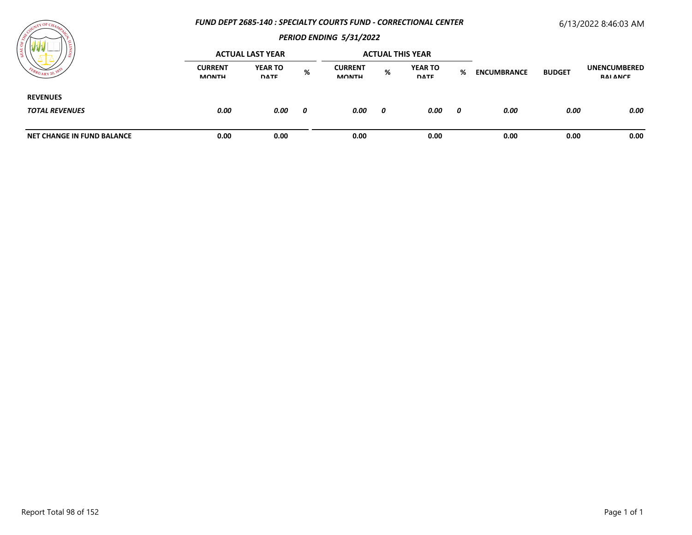### *FUND DEPT 2685-140 : SPECIALTY COURTS FUND - CORRECTIONAL CENTER*

# 6/13/2022 8:46:03 AM



|                                          |                                | <b>ACTUAL LAST YEAR</b>       |   |                                | <b>ACTUAL THIS YEAR</b> |                               |   |                    |               |                                 |
|------------------------------------------|--------------------------------|-------------------------------|---|--------------------------------|-------------------------|-------------------------------|---|--------------------|---------------|---------------------------------|
| $U_{\text{ARY}}$ 20,                     | <b>CURRENT</b><br><b>MONTH</b> | <b>YEAR TO</b><br><b>DATE</b> | % | <b>CURRENT</b><br><b>MONTH</b> | %                       | <b>YEAR TO</b><br><b>DATE</b> | % | <b>ENCUMBRANCE</b> | <b>BUDGET</b> | <b>UNENCUMBERED</b><br>RAI ANCE |
| <b>REVENUES</b><br><b>TOTAL REVENUES</b> | 0.00                           | 0.00                          | 0 | 0.00                           | 0                       | 0.00                          | 0 | 0.00               | 0.00          | 0.00                            |
| <b>NET CHANGE IN FUND BALANCE</b>        | 0.00                           | 0.00                          |   | 0.00                           |                         | 0.00                          |   | 0.00               | 0.00          | 0.00                            |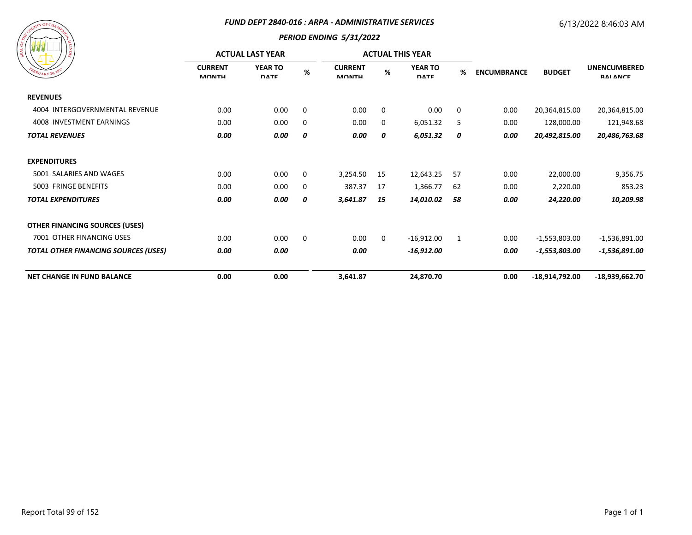#### *FUND DEPT 2840-016 : ARPA - ADMINISTRATIVE SERVICES*

## 6/13/2022 8:46:03 AM



|                                             | <b>ACTUAL LAST YEAR</b>        |                               |          |                                |              | <b>ACTUAL THIS YEAR</b>       |             |                    |                 |                                        |
|---------------------------------------------|--------------------------------|-------------------------------|----------|--------------------------------|--------------|-------------------------------|-------------|--------------------|-----------------|----------------------------------------|
| EBRUARY 20, 18                              | <b>CURRENT</b><br><b>MONTH</b> | <b>YEAR TO</b><br><b>DATE</b> | %        | <b>CURRENT</b><br><b>MONTH</b> | %            | <b>YEAR TO</b><br><b>DATE</b> | %           | <b>ENCUMBRANCE</b> | <b>BUDGET</b>   | <b>UNENCUMBERED</b><br><b>RAI ANCE</b> |
| <b>REVENUES</b>                             |                                |                               |          |                                |              |                               |             |                    |                 |                                        |
| 4004 INTERGOVERNMENTAL REVENUE              | 0.00                           | 0.00                          | $\Omega$ | 0.00                           | $\Omega$     | 0.00                          | $\mathbf 0$ | 0.00               | 20,364,815.00   | 20,364,815.00                          |
| 4008 INVESTMENT EARNINGS                    | 0.00                           | 0.00                          | $\Omega$ | 0.00                           | 0            | 6,051.32                      | 5           | 0.00               | 128,000.00      | 121,948.68                             |
| <b>TOTAL REVENUES</b>                       | 0.00                           | 0.00                          | 0        | 0.00                           | 0            | 6,051.32                      | 0           | 0.00               | 20,492,815.00   | 20,486,763.68                          |
| <b>EXPENDITURES</b>                         |                                |                               |          |                                |              |                               |             |                    |                 |                                        |
| 5001 SALARIES AND WAGES                     | 0.00                           | 0.00                          | 0        | 3,254.50                       | -15          | 12,643.25                     | 57          | 0.00               | 22,000.00       | 9,356.75                               |
| 5003 FRINGE BENEFITS                        | 0.00                           | 0.00                          | 0        | 387.37                         | 17           | 1,366.77                      | 62          | 0.00               | 2,220.00        | 853.23                                 |
| <b>TOTAL EXPENDITURES</b>                   | 0.00                           | 0.00                          | 0        | 3,641.87                       | 15           | 14,010.02                     | 58          | 0.00               | 24,220.00       | 10,209.98                              |
| <b>OTHER FINANCING SOURCES (USES)</b>       |                                |                               |          |                                |              |                               |             |                    |                 |                                        |
| 7001 OTHER FINANCING USES                   | 0.00                           | 0.00                          | $\Omega$ | 0.00                           | $\mathbf{0}$ | $-16,912.00$                  | 1           | 0.00               | $-1,553,803.00$ | $-1,536,891.00$                        |
| <b>TOTAL OTHER FINANCING SOURCES (USES)</b> | 0.00                           | 0.00                          |          | 0.00                           |              | $-16,912.00$                  |             | 0.00               | $-1,553,803.00$ | $-1,536,891.00$                        |
| <b>NET CHANGE IN FUND BALANCE</b>           | 0.00                           | 0.00                          |          | 3,641.87                       |              | 24,870.70                     |             | 0.00               | -18,914,792.00  | $-18,939,662.70$                       |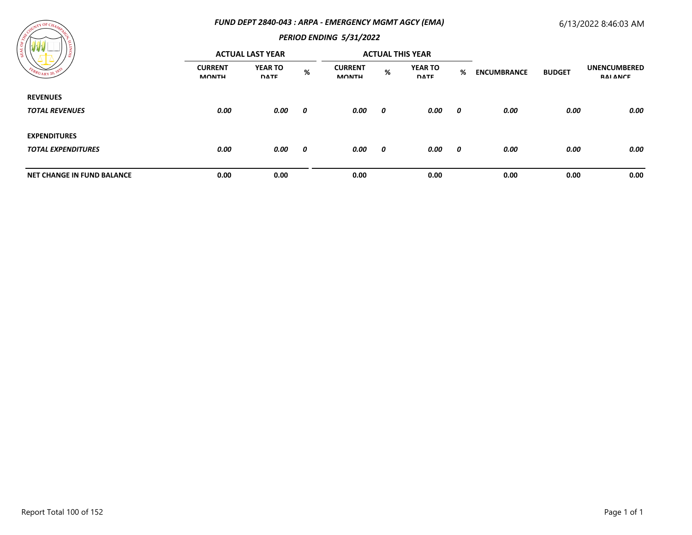### *FUND DEPT 2840-043 : ARPA - EMERGENCY MGMT AGCY (EMA)*

## 6/13/2022 8:46:03 AM



| ----<br>' డ                       | <b>ACTUAL LAST YEAR</b>        |                               |      | <b>ACTUAL THIS YEAR</b>        |      |                               |                       |                    |               |                                        |
|-----------------------------------|--------------------------------|-------------------------------|------|--------------------------------|------|-------------------------------|-----------------------|--------------------|---------------|----------------------------------------|
| FEBRUARY 20,                      | <b>CURRENT</b><br><b>MONTH</b> | <b>YEAR TO</b><br><b>DATE</b> | $\%$ | <b>CURRENT</b><br><b>MONTH</b> | $\%$ | <b>YEAR TO</b><br><b>DATE</b> | %                     | <b>ENCUMBRANCE</b> | <b>BUDGET</b> | <b>UNENCUMBERED</b><br><b>RAI ANCE</b> |
| <b>REVENUES</b>                   |                                |                               |      |                                |      |                               |                       |                    |               |                                        |
| <b>TOTAL REVENUES</b>             | 0.00                           | 0.00                          | 0    | 0.00                           | 0    | 0.00                          | - 0                   | 0.00               | 0.00          | 0.00                                   |
| <b>EXPENDITURES</b>               |                                |                               |      |                                |      |                               |                       |                    |               |                                        |
| <b>TOTAL EXPENDITURES</b>         | 0.00                           | 0.00                          | 0    | 0.00                           | 0    | 0.00                          | $\boldsymbol{\theta}$ | 0.00               | 0.00          | 0.00                                   |
| <b>NET CHANGE IN FUND BALANCE</b> | 0.00                           | 0.00                          |      | 0.00                           |      | 0.00                          |                       | 0.00               | 0.00          | 0.00                                   |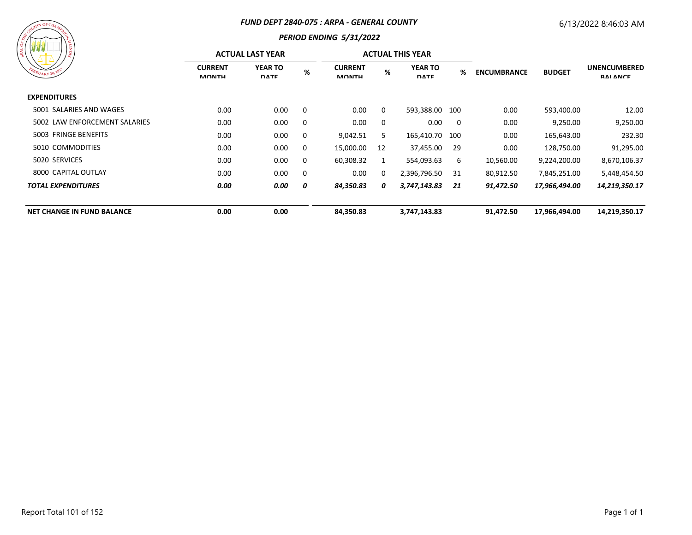#### *FUND DEPT 2840-075 : ARPA - GENERAL COUNTY*

## *PERIOD ENDING 5/31/2022*

| $\mathcal{W} \mathcal{W}$         |                                | <b>ACTUAL LAST YEAR</b>       |          |                                |          | <b>ACTUAL THIS YEAR</b>       |                         |                                     |                                        |               |
|-----------------------------------|--------------------------------|-------------------------------|----------|--------------------------------|----------|-------------------------------|-------------------------|-------------------------------------|----------------------------------------|---------------|
| FEBRUARY 20, 1833                 | <b>CURRENT</b><br><b>MONTH</b> | <b>YEAR TO</b><br><b>DATE</b> | %        | <b>CURRENT</b><br><b>MONTH</b> | %        | <b>YEAR TO</b><br><b>DATE</b> | %                       | <b>ENCUMBRANCE</b><br><b>BUDGET</b> | <b>UNENCUMBERED</b><br><b>RAI ANCE</b> |               |
| <b>EXPENDITURES</b>               |                                |                               |          |                                |          |                               |                         |                                     |                                        |               |
| 5001 SALARIES AND WAGES           | 0.00                           | 0.00                          | - 0      | 0.00                           | 0        | 593,388.00 100                |                         | 0.00                                | 593,400.00                             | 12.00         |
| 5002 LAW ENFORCEMENT SALARIES     | 0.00                           | 0.00                          | $\Omega$ | 0.00                           | $\Omega$ | 0.00                          | $\overline{\mathbf{0}}$ | 0.00                                | 9,250.00                               | 9,250.00      |
| 5003 FRINGE BENEFITS              | 0.00                           | 0.00                          | 0        | 9,042.51                       | 5        | 165,410.70 100                |                         | 0.00                                | 165,643.00                             | 232.30        |
| 5010 COMMODITIES                  | 0.00                           | 0.00                          | $\Omega$ | 15,000.00                      | 12       | 37,455.00                     | 29                      | 0.00                                | 128,750.00                             | 91,295.00     |
| 5020 SERVICES                     | 0.00                           | 0.00                          | $\Omega$ | 60,308.32                      | 1        | 554,093.63                    | 6                       | 10,560.00                           | 9,224,200.00                           | 8,670,106.37  |
| 8000 CAPITAL OUTLAY               | 0.00                           | 0.00                          | 0        | 0.00                           | 0        | 2,396,796.50                  | 31                      | 80,912.50                           | 7,845,251.00                           | 5,448,454.50  |
| <b>TOTAL EXPENDITURES</b>         | 0.00                           | 0.00                          | 0        | 84,350.83                      | 0        | 3,747,143.83                  | 21                      | 91,472.50                           | 17,966,494.00                          | 14,219,350.17 |
| <b>NET CHANGE IN FUND BALANCE</b> | 0.00                           | 0.00                          |          | 84,350.83                      |          | 3,747,143.83                  |                         | 91,472.50                           | 17,966,494.00                          | 14,219,350.17 |

**ATY OF CH**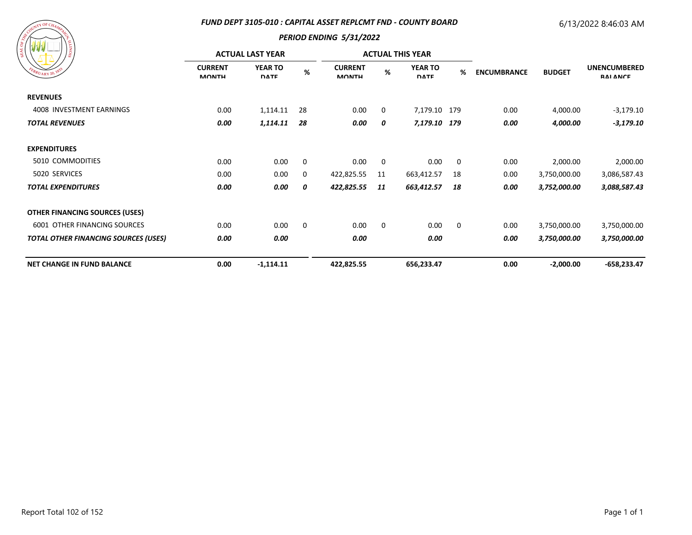### *FUND DEPT 3105-010 : CAPITAL ASSET REPLCMT FND - COUNTY BOARD*

## 6/13/2022 8:46:03 AM



|                                             | <b>ACTUAL LAST YEAR</b>        |                               |             |                                |    | <b>ACTUAL THIS YEAR</b>       |             |                                     |                                        |               |
|---------------------------------------------|--------------------------------|-------------------------------|-------------|--------------------------------|----|-------------------------------|-------------|-------------------------------------|----------------------------------------|---------------|
| EBRUARY 20, 1832                            | <b>CURRENT</b><br><b>MONTH</b> | <b>YEAR TO</b><br><b>DATE</b> | $\%$        | <b>CURRENT</b><br><b>MONTH</b> | %  | <b>YEAR TO</b><br><b>DATE</b> | %           | <b>BUDGET</b><br><b>ENCUMBRANCE</b> | <b>UNENCUMBERED</b><br><b>RAI ANCE</b> |               |
| <b>REVENUES</b>                             |                                |                               |             |                                |    |                               |             |                                     |                                        |               |
| 4008 INVESTMENT EARNINGS                    | 0.00                           | 1,114.11                      | 28          | 0.00                           | 0  | 7,179.10 179                  |             | 0.00                                | 4,000.00                               | $-3,179.10$   |
| <b>TOTAL REVENUES</b>                       | 0.00                           | 1,114.11                      | 28          | 0.00                           | 0  | 7,179.10 179                  |             | 0.00                                | 4,000.00                               | $-3,179.10$   |
| <b>EXPENDITURES</b>                         |                                |                               |             |                                |    |                               |             |                                     |                                        |               |
| 5010 COMMODITIES                            | 0.00                           | 0.00                          | $\mathbf 0$ | 0.00                           | 0  | 0.00                          | 0           | 0.00                                | 2,000.00                               | 2,000.00      |
| 5020 SERVICES                               | 0.00                           | 0.00                          | 0           | 422,825.55                     | 11 | 663,412.57                    | 18          | 0.00                                | 3,750,000.00                           | 3,086,587.43  |
| <b>TOTAL EXPENDITURES</b>                   | 0.00                           | 0.00                          | 0           | 422,825.55                     | 11 | 663,412.57                    | 18          | 0.00                                | 3,752,000.00                           | 3,088,587.43  |
| <b>OTHER FINANCING SOURCES (USES)</b>       |                                |                               |             |                                |    |                               |             |                                     |                                        |               |
| 6001 OTHER FINANCING SOURCES                | 0.00                           | 0.00                          | $\mathbf 0$ | 0.00                           | 0  | 0.00                          | $\mathbf 0$ | 0.00                                | 3,750,000.00                           | 3,750,000.00  |
| <b>TOTAL OTHER FINANCING SOURCES (USES)</b> | 0.00                           | 0.00                          |             | 0.00                           |    | 0.00                          |             | 0.00                                | 3,750,000.00                           | 3,750,000.00  |
| <b>NET CHANGE IN FUND BALANCE</b>           | 0.00                           | $-1,114.11$                   |             | 422,825.55                     |    | 656,233.47                    |             | 0.00                                | $-2,000.00$                            | $-658,233.47$ |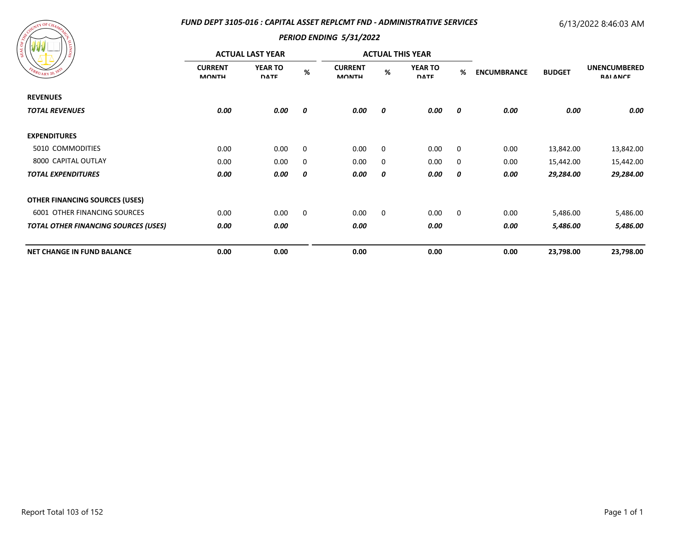### *FUND DEPT 3105-016 : CAPITAL ASSET REPLCMT FND - ADMINISTRATIVE SERVICES*

# 6/13/2022 8:46:03 AM



| ၊ ဇ္တ<br>EBRUARY 20, 1833                   | <b>ACTUAL LAST YEAR</b>        |                               |      |                                |   | <b>ACTUAL THIS YEAR</b>       |                  |                    |               |                                        |
|---------------------------------------------|--------------------------------|-------------------------------|------|--------------------------------|---|-------------------------------|------------------|--------------------|---------------|----------------------------------------|
|                                             | <b>CURRENT</b><br><b>MONTH</b> | <b>YEAR TO</b><br><b>DATE</b> | $\%$ | <b>CURRENT</b><br><b>MONTH</b> | % | <b>YEAR TO</b><br><b>DATE</b> | %                | <b>ENCUMBRANCE</b> | <b>BUDGET</b> | <b>UNENCUMBERED</b><br><b>RAI ANCE</b> |
| <b>REVENUES</b>                             |                                |                               |      |                                |   |                               |                  |                    |               |                                        |
| <b>TOTAL REVENUES</b>                       | 0.00                           | 0.00                          | 0    | 0.00                           | 0 | 0.00                          | $\boldsymbol{o}$ | 0.00               | 0.00          | 0.00                                   |
| <b>EXPENDITURES</b>                         |                                |                               |      |                                |   |                               |                  |                    |               |                                        |
| 5010 COMMODITIES                            | 0.00                           | 0.00                          | 0    | 0.00                           | 0 | 0.00                          | 0                | 0.00               | 13,842.00     | 13,842.00                              |
| 8000 CAPITAL OUTLAY                         | 0.00                           | 0.00                          | 0    | 0.00                           | 0 | 0.00                          | 0                | 0.00               | 15,442.00     | 15,442.00                              |
| <b>TOTAL EXPENDITURES</b>                   | 0.00                           | 0.00                          | 0    | 0.00                           | 0 | 0.00                          | 0                | 0.00               | 29,284.00     | 29,284.00                              |
| <b>OTHER FINANCING SOURCES (USES)</b>       |                                |                               |      |                                |   |                               |                  |                    |               |                                        |
| 6001 OTHER FINANCING SOURCES                | 0.00                           | 0.00                          | 0    | 0.00                           | 0 | 0.00                          | 0                | 0.00               | 5,486.00      | 5,486.00                               |
| <b>TOTAL OTHER FINANCING SOURCES (USES)</b> | 0.00                           | 0.00                          |      | 0.00                           |   | 0.00                          |                  | 0.00               | 5,486.00      | 5,486.00                               |
| <b>NET CHANGE IN FUND BALANCE</b>           | 0.00                           | 0.00                          |      | 0.00                           |   | 0.00                          |                  | 0.00               | 23,798.00     | 23,798.00                              |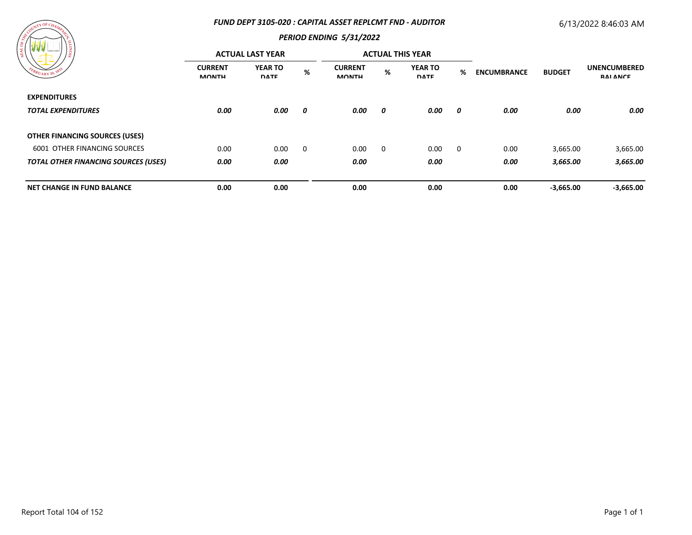#### *FUND DEPT 3105-020 : CAPITAL ASSET REPLCMT FND - AUDITOR*

## 6/13/2022 8:46:03 AM



| 12                                          | <b>ACTUAL LAST YEAR</b>        |                               |                | <b>ACTUAL THIS YEAR</b>        |   |                               |             |                    |               |                                 |
|---------------------------------------------|--------------------------------|-------------------------------|----------------|--------------------------------|---|-------------------------------|-------------|--------------------|---------------|---------------------------------|
|                                             | <b>CURRENT</b><br><b>MONTH</b> | <b>YEAR TO</b><br><b>DATE</b> | %              | <b>CURRENT</b><br><b>MONTH</b> | % | <b>YEAR TO</b><br><b>DATE</b> | %           | <b>ENCUMBRANCE</b> | <b>BUDGET</b> | <b>UNENCUMBERED</b><br>RAI ANCE |
| <b>EXPENDITURES</b>                         |                                |                               |                |                                |   |                               |             |                    |               |                                 |
| <b>TOTAL EXPENDITURES</b>                   | 0.00                           | 0.00                          | 0              | 0.00                           | 0 | 0.00                          | 0           | 0.00               | 0.00          | 0.00                            |
| <b>OTHER FINANCING SOURCES (USES)</b>       |                                |                               |                |                                |   |                               |             |                    |               |                                 |
| 6001 OTHER FINANCING SOURCES                | 0.00                           | 0.00                          | $\overline{0}$ | 0.00                           | 0 | 0.00                          | $\mathbf 0$ | 0.00               | 3,665.00      | 3,665.00                        |
| <b>TOTAL OTHER FINANCING SOURCES (USES)</b> | 0.00                           | 0.00                          |                | 0.00                           |   | 0.00                          |             | 0.00               | 3,665.00      | 3,665.00                        |
| <b>NET CHANGE IN FUND BALANCE</b>           | 0.00                           | 0.00                          |                | 0.00                           |   | 0.00                          |             | 0.00               | $-3,665.00$   | $-3,665.00$                     |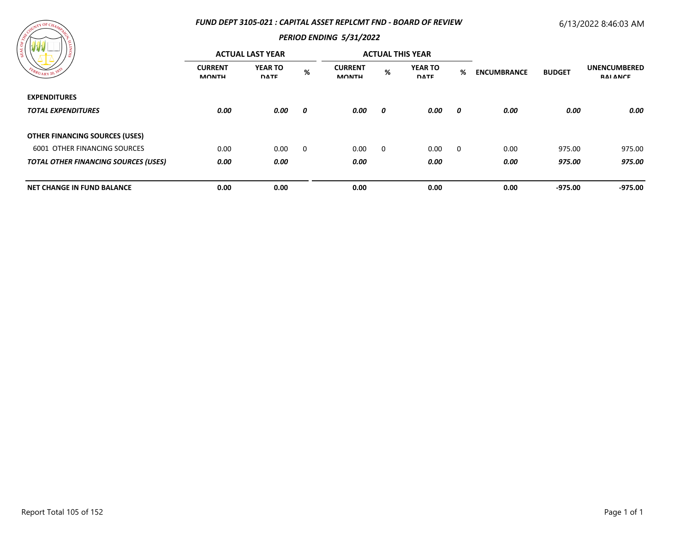### *FUND DEPT 3105-021 : CAPITAL ASSET REPLCMT FND - BOARD OF REVIEW*

# 6/13/2022 8:46:03 AM



|                                             | <b>ACTUAL LAST YEAR</b>        |                               |   |                                |   | <b>ACTUAL THIS YEAR</b>       |   |                    |               |                                        |
|---------------------------------------------|--------------------------------|-------------------------------|---|--------------------------------|---|-------------------------------|---|--------------------|---------------|----------------------------------------|
|                                             | <b>CURRENT</b><br><b>MONTH</b> | <b>YEAR TO</b><br><b>DATE</b> | % | <b>CURRENT</b><br><b>MONTH</b> | % | <b>YEAR TO</b><br><b>DATE</b> | % | <b>ENCUMBRANCE</b> | <b>BUDGET</b> | <b>UNENCUMBERED</b><br><b>RAI ANCE</b> |
| <b>EXPENDITURES</b>                         |                                |                               |   |                                |   |                               |   |                    |               |                                        |
| <b>TOTAL EXPENDITURES</b>                   | 0.00                           | 0.00                          | 0 | 0.00                           | 0 | 0.00                          | 0 | 0.00               | 0.00          | 0.00                                   |
| <b>OTHER FINANCING SOURCES (USES)</b>       |                                |                               |   |                                |   |                               |   |                    |               |                                        |
| 6001 OTHER FINANCING SOURCES                | 0.00                           | 0.00                          | 0 | 0.00                           | 0 | 0.00                          | 0 | 0.00               | 975.00        | 975.00                                 |
| <b>TOTAL OTHER FINANCING SOURCES (USES)</b> | 0.00                           | 0.00                          |   | 0.00                           |   | 0.00                          |   | 0.00               | 975.00        | 975.00                                 |
| <b>NET CHANGE IN FUND BALANCE</b>           | 0.00                           | 0.00                          |   | 0.00                           |   | 0.00                          |   | 0.00               | $-975.00$     | $-975.00$                              |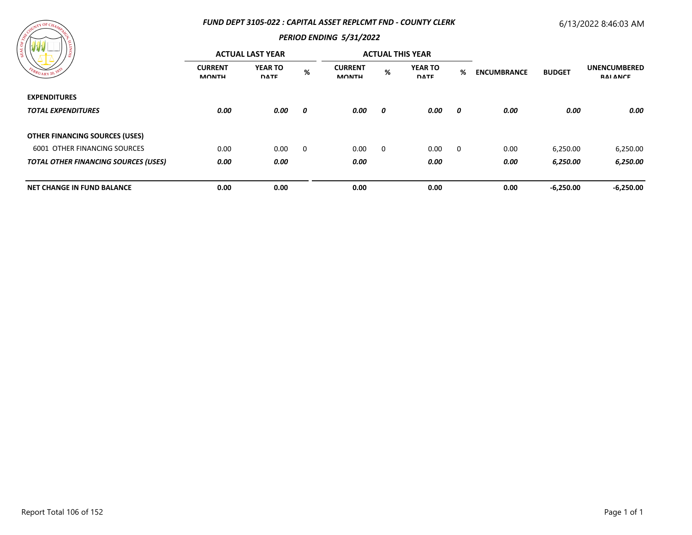### *FUND DEPT 3105-022 : CAPITAL ASSET REPLCMT FND - COUNTY CLERK*

## 6/13/2022 8:46:03 AM



| .<br>၊ ဇွ<br>RUARY 20.                      | <b>ACTUAL LAST YEAR</b>        |                               |             |                                |   | <b>ACTUAL THIS YEAR</b>       |   |                    |               |                                        |
|---------------------------------------------|--------------------------------|-------------------------------|-------------|--------------------------------|---|-------------------------------|---|--------------------|---------------|----------------------------------------|
|                                             | <b>CURRENT</b><br><b>MONTH</b> | <b>YEAR TO</b><br><b>DATE</b> | %           | <b>CURRENT</b><br><b>MONTH</b> | % | <b>YEAR TO</b><br><b>DATE</b> | % | <b>ENCUMBRANCE</b> | <b>BUDGET</b> | <b>UNENCUMBERED</b><br><b>RAI ANCE</b> |
| <b>EXPENDITURES</b>                         |                                |                               |             |                                |   |                               |   |                    |               |                                        |
| <b>TOTAL EXPENDITURES</b>                   | 0.00                           | 0.00                          | 0           | 0.00                           | 0 | 0.00                          | 0 | 0.00               | 0.00          | 0.00                                   |
| <b>OTHER FINANCING SOURCES (USES)</b>       |                                |                               |             |                                |   |                               |   |                    |               |                                        |
| <b>6001 OTHER FINANCING SOURCES</b>         | 0.00                           | 0.00                          | $\mathbf 0$ | 0.00                           | 0 | 0.00                          | 0 | 0.00               | 6,250.00      | 6,250.00                               |
| <b>TOTAL OTHER FINANCING SOURCES (USES)</b> | 0.00                           | 0.00                          |             | 0.00                           |   | 0.00                          |   | 0.00               | 6,250.00      | 6,250.00                               |
| <b>NET CHANGE IN FUND BALANCE</b>           | 0.00                           | 0.00                          |             | 0.00                           |   | 0.00                          |   | 0.00               | $-6,250.00$   | $-6,250.00$                            |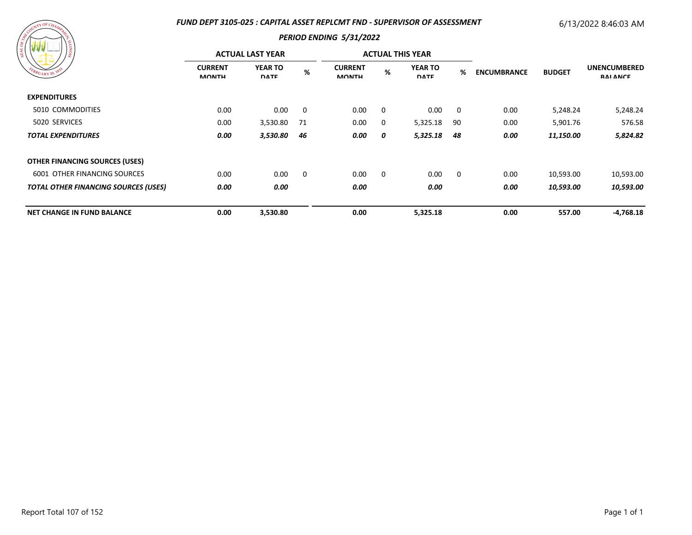### *FUND DEPT 3105-025 : CAPITAL ASSET REPLCMT FND - SUPERVISOR OF ASSESSMENT*

# 6/13/2022 8:46:03 AM

| FEBRUARY 20, 183                            |                                |                               | <b>PERIOD ENDING 5/31/2022</b> |                                |          |                               |    |                    |               |                                        |
|---------------------------------------------|--------------------------------|-------------------------------|--------------------------------|--------------------------------|----------|-------------------------------|----|--------------------|---------------|----------------------------------------|
|                                             | <b>ACTUAL LAST YEAR</b>        |                               |                                | <b>ACTUAL THIS YEAR</b>        |          |                               |    |                    |               |                                        |
|                                             | <b>CURRENT</b><br><b>MONTH</b> | <b>YEAR TO</b><br><b>DATE</b> | %                              | <b>CURRENT</b><br><b>MONTH</b> | %        | <b>YEAR TO</b><br><b>DATE</b> | %  | <b>ENCUMBRANCE</b> | <b>BUDGET</b> | <b>UNENCUMBERED</b><br><b>RAI ANCE</b> |
| <b>EXPENDITURES</b>                         |                                |                               |                                |                                |          |                               |    |                    |               |                                        |
| 5010 COMMODITIES                            | 0.00                           | 0.00                          | 0                              | 0.00                           | $\Omega$ | 0.00                          | 0  | 0.00               | 5,248.24      | 5,248.24                               |
| 5020 SERVICES                               | 0.00                           | 3,530.80                      | 71                             | 0.00                           | 0        | 5,325.18                      | 90 | 0.00               | 5,901.76      | 576.58                                 |
| <b>TOTAL EXPENDITURES</b>                   | 0.00                           | 3,530.80                      | 46                             | 0.00                           | 0        | 5,325.18                      | 48 | 0.00               | 11,150.00     | 5,824.82                               |
| <b>OTHER FINANCING SOURCES (USES)</b>       |                                |                               |                                |                                |          |                               |    |                    |               |                                        |
| <b>6001 OTHER FINANCING SOURCES</b>         | 0.00                           | 0.00                          | 0                              | 0.00                           | 0        | 0.00                          | 0  | 0.00               | 10,593.00     | 10,593.00                              |
| <b>TOTAL OTHER FINANCING SOURCES (USES)</b> | 0.00                           | 0.00                          |                                | 0.00                           |          | 0.00                          |    | 0.00               | 10,593.00     | 10,593.00                              |
| <b>NET CHANGE IN FUND BALANCE</b>           | 0.00                           | 3,530.80                      |                                | 0.00                           |          | 5,325.18                      |    | 0.00               | 557.00        | $-4,768.18$                            |

**UNTY OF CHAM**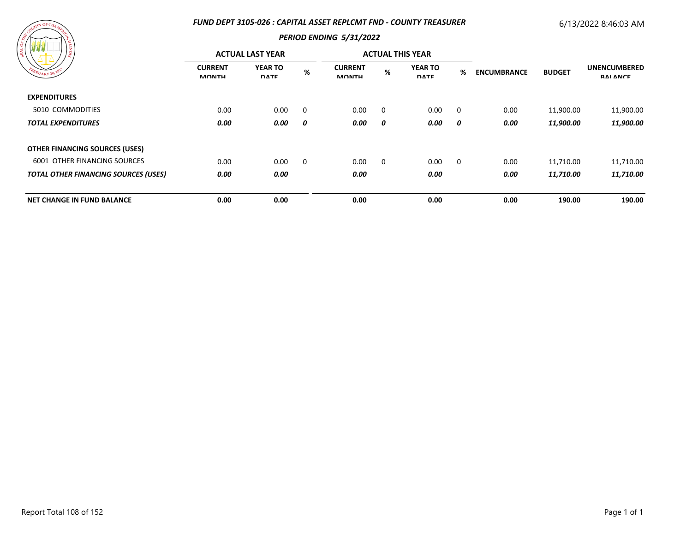### *FUND DEPT 3105-026 : CAPITAL ASSET REPLCMT FND - COUNTY TREASURER*

# 6/13/2022 8:46:03 AM



| l g<br>FEBRUARY 20, 1833                    | <b>ACTUAL LAST YEAR</b>        |                               |   | <b>ACTUAL THIS YEAR</b>        |             |                               |             |                    |               |                                        |
|---------------------------------------------|--------------------------------|-------------------------------|---|--------------------------------|-------------|-------------------------------|-------------|--------------------|---------------|----------------------------------------|
|                                             | <b>CURRENT</b><br><b>MONTH</b> | <b>YEAR TO</b><br><b>DATE</b> | % | <b>CURRENT</b><br><b>MONTH</b> | %           | <b>YEAR TO</b><br><b>DATE</b> | %           | <b>ENCUMBRANCE</b> | <b>BUDGET</b> | <b>UNENCUMBERED</b><br><b>RAI ANCE</b> |
| <b>EXPENDITURES</b>                         |                                |                               |   |                                |             |                               |             |                    |               |                                        |
| 5010 COMMODITIES                            | 0.00                           | 0.00                          | 0 | 0.00                           | 0           | 0.00                          | 0           | 0.00               | 11,900.00     | 11,900.00                              |
| <b>TOTAL EXPENDITURES</b>                   | 0.00                           | 0.00                          | 0 | 0.00                           | 0           | 0.00                          | 0           | 0.00               | 11,900.00     | 11,900.00                              |
| <b>OTHER FINANCING SOURCES (USES)</b>       |                                |                               |   |                                |             |                               |             |                    |               |                                        |
| <b>6001 OTHER FINANCING SOURCES</b>         | 0.00                           | 0.00                          | 0 | 0.00                           | $\mathbf 0$ | 0.00                          | $\mathbf 0$ | 0.00               | 11,710.00     | 11,710.00                              |
| <b>TOTAL OTHER FINANCING SOURCES (USES)</b> | 0.00                           | 0.00                          |   | 0.00                           |             | 0.00                          |             | 0.00               | 11,710.00     | 11,710.00                              |
| <b>NET CHANGE IN FUND BALANCE</b>           | 0.00                           | 0.00                          |   | 0.00                           |             | 0.00                          |             | 0.00               | 190.00        | 190.00                                 |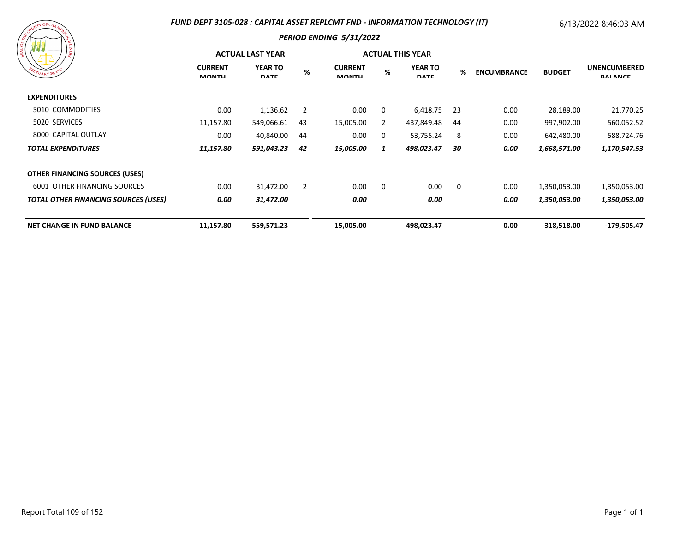# *FUND DEPT 3105-028 : CAPITAL ASSET REPLCMT FND - INFORMATION TECHNOLOGY (IT)*

# 6/13/2022 8:46:03 AM

| EBRUARY 20, 1833 |
|------------------|
|------------------|

| ) š                                         | <b>ACTUAL LAST YEAR</b>        |                               |                |                                |          | <b>ACTUAL THIS YEAR</b>       |      |                    |               |                                        |
|---------------------------------------------|--------------------------------|-------------------------------|----------------|--------------------------------|----------|-------------------------------|------|--------------------|---------------|----------------------------------------|
| FEBRUARY 20, 183                            | <b>CURRENT</b><br><b>MONTH</b> | <b>YEAR TO</b><br><b>DATE</b> | %              | <b>CURRENT</b><br><b>MONTH</b> | %        | <b>YEAR TO</b><br><b>DATE</b> | %    | <b>ENCUMBRANCE</b> | <b>BUDGET</b> | <b>UNENCUMBERED</b><br><b>RAI ANCE</b> |
| <b>EXPENDITURES</b>                         |                                |                               |                |                                |          |                               |      |                    |               |                                        |
| 5010 COMMODITIES                            | 0.00                           | 1,136.62                      | $\overline{2}$ | 0.00                           | 0        | 6,418.75                      | - 23 | 0.00               | 28,189.00     | 21,770.25                              |
| 5020 SERVICES                               | 11,157.80                      | 549,066.61                    | 43             | 15,005.00                      | 2        | 437,849.48                    | 44   | 0.00               | 997,902.00    | 560,052.52                             |
| 8000 CAPITAL OUTLAY                         | 0.00                           | 40,840.00                     | 44             | 0.00                           | 0        | 53,755.24                     | -8   | 0.00               | 642,480.00    | 588,724.76                             |
| <b>TOTAL EXPENDITURES</b>                   | 11,157.80                      | 591,043.23                    | 42             | 15,005.00                      |          | 498,023.47                    | 30   | 0.00               | 1,668,571.00  | 1,170,547.53                           |
| <b>OTHER FINANCING SOURCES (USES)</b>       |                                |                               |                |                                |          |                               |      |                    |               |                                        |
| <b>6001 OTHER FINANCING SOURCES</b>         | 0.00                           | 31,472.00                     | $\overline{2}$ | 0.00                           | $\Omega$ | 0.00                          | 0    | 0.00               | 1,350,053.00  | 1,350,053.00                           |
| <b>TOTAL OTHER FINANCING SOURCES (USES)</b> | 0.00                           | 31,472.00                     |                | 0.00                           |          | 0.00                          |      | 0.00               | 1,350,053.00  | 1,350,053.00                           |
| <b>NET CHANGE IN FUND BALANCE</b>           | 11,157.80                      | 559,571.23                    |                | 15,005.00                      |          | 498,023.47                    |      | 0.00               | 318,518.00    | -179,505.47                            |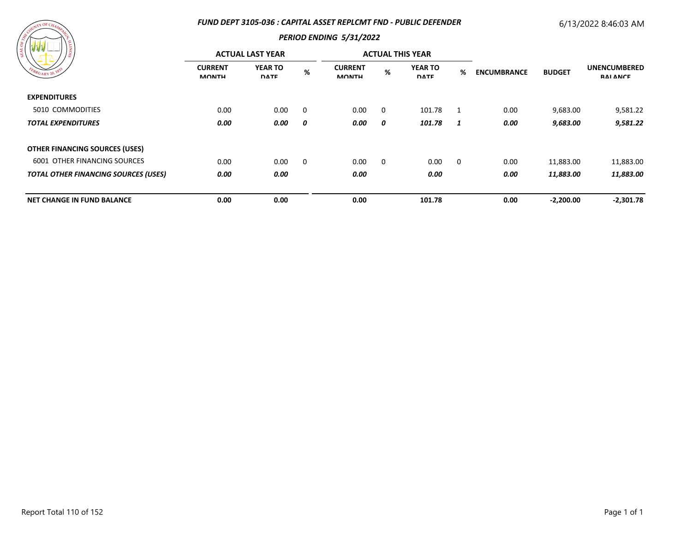## *FUND DEPT 3105-036 : CAPITAL ASSET REPLCMT FND - PUBLIC DEFENDER*

# 6/13/2022 8:46:03 AM



| း                                           | <b>ACTUAL LAST YEAR</b>        |                               |   |                                |             | <b>ACTUAL THIS YEAR</b>       |             |                    |               |                                        |
|---------------------------------------------|--------------------------------|-------------------------------|---|--------------------------------|-------------|-------------------------------|-------------|--------------------|---------------|----------------------------------------|
| FEBRUARY 20, 1835                           | <b>CURRENT</b><br><b>MONTH</b> | <b>YEAR TO</b><br><b>DATE</b> | % | <b>CURRENT</b><br><b>MONTH</b> | %           | <b>YEAR TO</b><br><b>DATE</b> | %           | <b>ENCUMBRANCE</b> | <b>BUDGET</b> | <b>UNENCUMBERED</b><br><b>RAI ANCE</b> |
| <b>EXPENDITURES</b>                         |                                |                               |   |                                |             |                               |             |                    |               |                                        |
| 5010 COMMODITIES                            | 0.00                           | 0.00                          | 0 | 0.00                           | 0           | 101.78                        | 1           | 0.00               | 9,683.00      | 9,581.22                               |
| <b>TOTAL EXPENDITURES</b>                   | 0.00                           | 0.00                          | 0 | 0.00                           | 0           | 101.78                        | 1           | 0.00               | 9,683.00      | 9,581.22                               |
| <b>OTHER FINANCING SOURCES (USES)</b>       |                                |                               |   |                                |             |                               |             |                    |               |                                        |
| <b>6001 OTHER FINANCING SOURCES</b>         | 0.00                           | 0.00                          | 0 | 0.00                           | $\mathbf 0$ | 0.00                          | $\mathbf 0$ | 0.00               | 11,883.00     | 11,883.00                              |
| <b>TOTAL OTHER FINANCING SOURCES (USES)</b> | 0.00                           | 0.00                          |   | 0.00                           |             | 0.00                          |             | 0.00               | 11,883.00     | 11,883.00                              |
| <b>NET CHANGE IN FUND BALANCE</b>           | 0.00                           | 0.00                          |   | 0.00                           |             | 101.78                        |             | 0.00               | $-2,200.00$   | $-2,301.78$                            |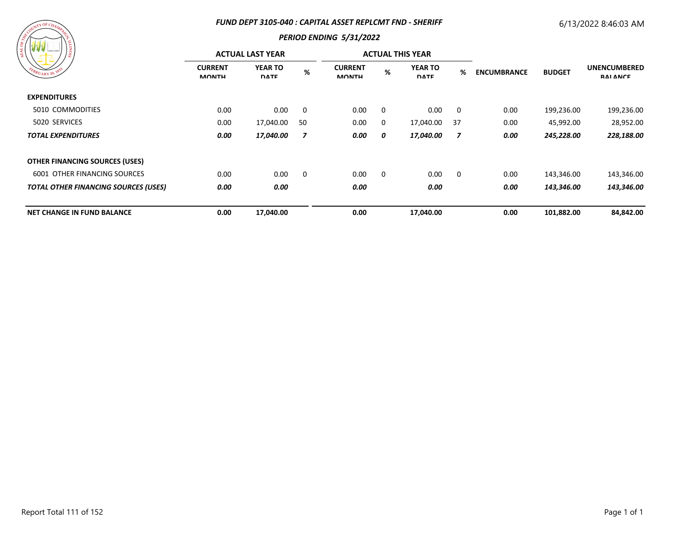#### *FUND DEPT 3105-040 : CAPITAL ASSET REPLCMT FND - SHERIFF*

# 6/13/2022 8:46:03 AM



| 797 Y Y Y Y Y Y<br>၊ ဇ္တ                    | <b>ACTUAL LAST YEAR</b>        |                               |                         |                                |          | <b>ACTUAL THIS YEAR</b>       |                         |                    |               |                                        |
|---------------------------------------------|--------------------------------|-------------------------------|-------------------------|--------------------------------|----------|-------------------------------|-------------------------|--------------------|---------------|----------------------------------------|
| EBRUARY 20, 1835                            | <b>CURRENT</b><br><b>MONTH</b> | <b>YEAR TO</b><br><b>DATE</b> | %                       | <b>CURRENT</b><br><b>MONTH</b> | $\%$     | <b>YEAR TO</b><br><b>DATE</b> | %                       | <b>ENCUMBRANCE</b> | <b>BUDGET</b> | <b>UNENCUMBERED</b><br><b>RAI ANCE</b> |
| <b>EXPENDITURES</b>                         |                                |                               |                         |                                |          |                               |                         |                    |               |                                        |
| 5010 COMMODITIES                            | 0.00                           | 0.00                          | $\overline{\mathbf{0}}$ | 0.00                           | $\Omega$ | 0.00                          | $\overline{\mathbf{0}}$ | 0.00               | 199,236.00    | 199,236.00                             |
| 5020 SERVICES                               | 0.00                           | 17,040.00                     | -50                     | 0.00                           | $\Omega$ | 17,040.00                     | -37                     | 0.00               | 45,992.00     | 28,952.00                              |
| <b>TOTAL EXPENDITURES</b>                   | 0.00                           | 17,040.00                     | 7                       | 0.00                           | 0        | 17,040.00                     | 7                       | 0.00               | 245,228.00    | 228,188.00                             |
| <b>OTHER FINANCING SOURCES (USES)</b>       |                                |                               |                         |                                |          |                               |                         |                    |               |                                        |
| <b>6001 OTHER FINANCING SOURCES</b>         | 0.00                           | 0.00                          | 0                       | 0.00                           | 0        | 0.00                          | $\overline{\mathbf{0}}$ | 0.00               | 143,346.00    | 143,346.00                             |
| <b>TOTAL OTHER FINANCING SOURCES (USES)</b> | 0.00                           | 0.00                          |                         | 0.00                           |          | 0.00                          |                         | 0.00               | 143,346.00    | 143,346.00                             |
| <b>NET CHANGE IN FUND BALANCE</b>           | 0.00                           | 17,040.00                     |                         | 0.00                           |          | 17,040.00                     |                         | 0.00               | 101,882.00    | 84,842.00                              |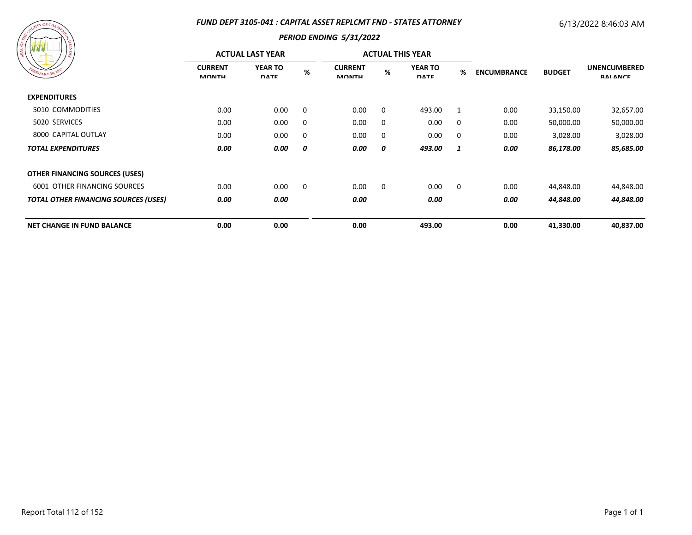## *FUND DEPT 3105-041 : CAPITAL ASSET REPLCMT FND - STATES ATTORNEY*

# 6/13/2022 8:46:03 AM



| .                                           | <b>ACTUAL LAST YEAR</b>        |                               |      |                                |             | <b>ACTUAL THIS YEAR</b>       |             |                    |               |                                        |
|---------------------------------------------|--------------------------------|-------------------------------|------|--------------------------------|-------------|-------------------------------|-------------|--------------------|---------------|----------------------------------------|
| FEBRUARY 20, 1833                           | <b>CURRENT</b><br><b>MONTH</b> | <b>YEAR TO</b><br><b>DATE</b> | $\%$ | <b>CURRENT</b><br><b>MONTH</b> | %           | <b>YEAR TO</b><br><b>DATE</b> | %           | <b>ENCUMBRANCE</b> | <b>BUDGET</b> | <b>UNENCUMBERED</b><br><b>RAI ANCE</b> |
| <b>EXPENDITURES</b>                         |                                |                               |      |                                |             |                               |             |                    |               |                                        |
| 5010 COMMODITIES                            | 0.00                           | 0.00                          | 0    | 0.00                           | 0           | 493.00                        | 1           | 0.00               | 33,150.00     | 32,657.00                              |
| 5020 SERVICES                               | 0.00                           | 0.00                          | 0    | 0.00                           | 0           | 0.00                          | 0           | 0.00               | 50,000.00     | 50,000.00                              |
| 8000 CAPITAL OUTLAY                         | 0.00                           | 0.00                          | 0    | 0.00                           | 0           | 0.00                          | 0           | 0.00               | 3,028.00      | 3,028.00                               |
| <b>TOTAL EXPENDITURES</b>                   | 0.00                           | 0.00                          | 0    | 0.00                           | 0           | 493.00                        | 1           | 0.00               | 86,178.00     | 85,685.00                              |
| <b>OTHER FINANCING SOURCES (USES)</b>       |                                |                               |      |                                |             |                               |             |                    |               |                                        |
| <b>6001 OTHER FINANCING SOURCES</b>         | 0.00                           | 0.00                          | 0    | 0.00                           | $\mathbf 0$ | 0.00                          | $\mathbf 0$ | 0.00               | 44,848.00     | 44,848.00                              |
| <b>TOTAL OTHER FINANCING SOURCES (USES)</b> | 0.00                           | 0.00                          |      | 0.00                           |             | 0.00                          |             | 0.00               | 44,848.00     | 44,848.00                              |
| <b>NET CHANGE IN FUND BALANCE</b>           | 0.00                           | 0.00                          |      | 0.00                           |             | 493.00                        |             | 0.00               | 41,330.00     | 40,837.00                              |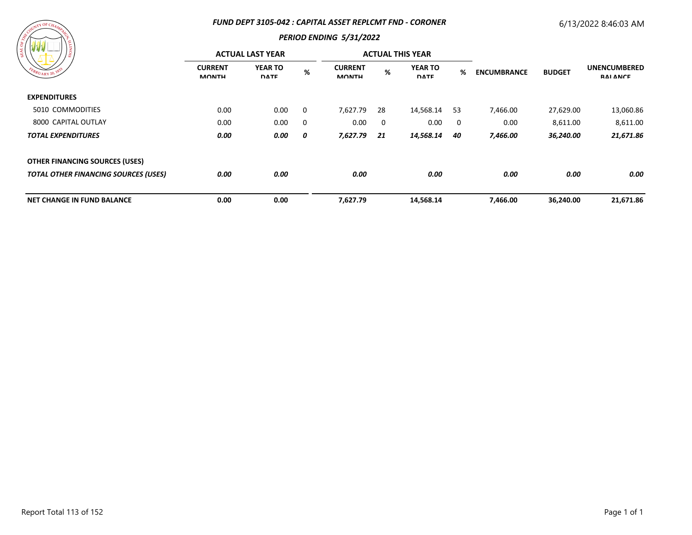#### *FUND DEPT 3105-042 : CAPITAL ASSET REPLCMT FND - CORONER*

# 6/13/2022 8:46:03 AM

# $\sqrt{N}$  OF C

| ' ద                                         | <b>ACTUAL LAST YEAR</b>        |                               |   |                                |    | <b>ACTUAL THIS YEAR</b>       |     |                    |               |                                        |
|---------------------------------------------|--------------------------------|-------------------------------|---|--------------------------------|----|-------------------------------|-----|--------------------|---------------|----------------------------------------|
| FEBRUARY 20, 1833                           | <b>CURRENT</b><br><b>MONTH</b> | <b>YEAR TO</b><br><b>DATE</b> | % | <b>CURRENT</b><br><b>MONTH</b> | %  | <b>YEAR TO</b><br><b>DATE</b> | %   | <b>ENCUMBRANCE</b> | <b>BUDGET</b> | <b>UNENCUMBERED</b><br><b>RAI ANCE</b> |
| <b>EXPENDITURES</b>                         |                                |                               |   |                                |    |                               |     |                    |               |                                        |
| 5010 COMMODITIES                            | 0.00                           | 0.00                          | 0 | 7,627.79                       | 28 | 14,568.14                     | -53 | 7,466.00           | 27,629.00     | 13,060.86                              |
| 8000 CAPITAL OUTLAY                         | 0.00                           | 0.00                          | 0 | 0.00                           | 0  | 0.00                          | 0   | 0.00               | 8,611.00      | 8,611.00                               |
| <b>TOTAL EXPENDITURES</b>                   | 0.00                           | 0.00                          | 0 | 7,627.79                       | 21 | 14,568.14                     | 40  | 7,466.00           | 36,240.00     | 21,671.86                              |
| <b>OTHER FINANCING SOURCES (USES)</b>       |                                |                               |   |                                |    |                               |     |                    |               |                                        |
| <b>TOTAL OTHER FINANCING SOURCES (USES)</b> | 0.00                           | 0.00                          |   | 0.00                           |    | 0.00                          |     | 0.00               | 0.00          | 0.00                                   |
| <b>NET CHANGE IN FUND BALANCE</b>           | 0.00                           | 0.00                          |   | 7,627.79                       |    | 14,568.14                     |     | 7,466.00           | 36,240.00     | 21,671.86                              |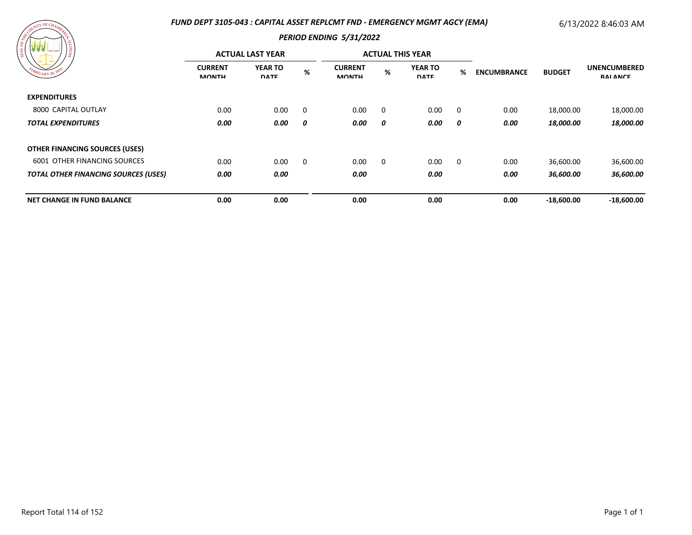## *FUND DEPT 3105-043 : CAPITAL ASSET REPLCMT FND - EMERGENCY MGMT AGCY (EMA)*

# 6/13/2022 8:46:03 AM

| / ដ<br>FEBRUARY 20, 183                     | <b>ACTUAL LAST YEAR</b>        |                               |                         |                                |   | <b>ACTUAL THIS YEAR</b>       |             |                    |                         |                                        |
|---------------------------------------------|--------------------------------|-------------------------------|-------------------------|--------------------------------|---|-------------------------------|-------------|--------------------|-------------------------|----------------------------------------|
|                                             | <b>CURRENT</b><br><b>MONTH</b> | <b>YEAR TO</b><br><b>DATE</b> | %                       | <b>CURRENT</b><br><b>MONTH</b> | % | <b>YEAR TO</b><br><b>DATE</b> | %           | <b>ENCUMBRANCE</b> | <b>BUDGET</b>           | <b>UNENCUMBERED</b><br><b>RAI ANCE</b> |
| <b>EXPENDITURES</b>                         |                                |                               |                         |                                |   |                               |             |                    |                         |                                        |
| 8000 CAPITAL OUTLAY                         | 0.00                           | 0.00                          | $\overline{\mathbf{0}}$ | 0.00                           | 0 | 0.00                          | 0           | 0.00               | 18,000.00               | 18,000.00                              |
| <b>TOTAL EXPENDITURES</b>                   | 0.00                           | 0.00                          | 0                       | 0.00                           | 0 | 0.00                          | 0           | 0.00               | <i><b>18,000.00</b></i> | 18,000.00                              |
| <b>OTHER FINANCING SOURCES (USES)</b>       |                                |                               |                         |                                |   |                               |             |                    |                         |                                        |
| <b>6001 OTHER FINANCING SOURCES</b>         | 0.00                           | 0.00                          | $\mathbf 0$             | 0.00                           | 0 | 0.00                          | $\mathbf 0$ | 0.00               | 36,600.00               | 36,600.00                              |
| <b>TOTAL OTHER FINANCING SOURCES (USES)</b> | 0.00                           | 0.00                          |                         | 0.00                           |   | 0.00                          |             | 0.00               | 36,600.00               | 36,600.00                              |
| <b>NET CHANGE IN FUND BALANCE</b>           | 0.00                           | 0.00                          |                         | 0.00                           |   | 0.00                          |             | 0.00               | $-18,600.00$            | $-18,600.00$                           |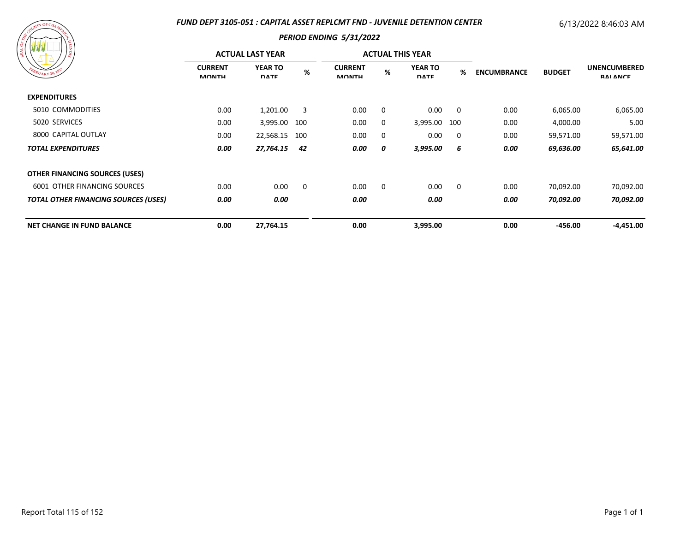## *FUND DEPT 3105-051 : CAPITAL ASSET REPLCMT FND - JUVENILE DETENTION CENTER*

# 6/13/2022 8:46:03 AM

| ASSESSMANT OF CHAMPING<br>SIONITA<br>FEBRUARY 20, 1833 |
|--------------------------------------------------------|
|--------------------------------------------------------|

|                                             | <b>ACTUAL LAST YEAR</b>        |                               |     |                                |          | <b>ACTUAL THIS YEAR</b>       |                         |                    |               |                                        |
|---------------------------------------------|--------------------------------|-------------------------------|-----|--------------------------------|----------|-------------------------------|-------------------------|--------------------|---------------|----------------------------------------|
| EBRUARY 20, 183                             | <b>CURRENT</b><br><b>MONTH</b> | <b>YEAR TO</b><br><b>DATE</b> | %   | <b>CURRENT</b><br><b>MONTH</b> | %        | <b>YEAR TO</b><br><b>DATE</b> | %                       | <b>ENCUMBRANCE</b> | <b>BUDGET</b> | <b>UNENCUMBERED</b><br><b>RAI ANCE</b> |
| <b>EXPENDITURES</b>                         |                                |                               |     |                                |          |                               |                         |                    |               |                                        |
| 5010 COMMODITIES                            | 0.00                           | 1,201.00                      | 3   | 0.00                           | 0        | 0.00                          | $\overline{\mathbf{0}}$ | 0.00               | 6,065.00      | 6,065.00                               |
| 5020 SERVICES                               | 0.00                           | 3,995.00                      | 100 | 0.00                           | 0        | 3,995.00 100                  |                         | 0.00               | 4,000.00      | 5.00                                   |
| 8000 CAPITAL OUTLAY                         | 0.00                           | 22,568.15                     | 100 | 0.00                           | $\Omega$ | 0.00                          | $\overline{\mathbf{0}}$ | 0.00               | 59,571.00     | 59,571.00                              |
| <b>TOTAL EXPENDITURES</b>                   | 0.00                           | 27,764.15                     | 42  | 0.00                           | 0        | 3,995.00                      | 6                       | 0.00               | 69,636.00     | 65,641.00                              |
| <b>OTHER FINANCING SOURCES (USES)</b>       |                                |                               |     |                                |          |                               |                         |                    |               |                                        |
| <b>6001 OTHER FINANCING SOURCES</b>         | 0.00                           | 0.00                          | 0   | 0.00                           | 0        | 0.00                          | $\overline{\mathbf{0}}$ | 0.00               | 70,092.00     | 70,092.00                              |
| <b>TOTAL OTHER FINANCING SOURCES (USES)</b> | 0.00                           | 0.00                          |     | 0.00                           |          | 0.00                          |                         | 0.00               | 70,092.00     | 70,092.00                              |
| <b>NET CHANGE IN FUND BALANCE</b>           | 0.00                           | 27,764.15                     |     | 0.00                           |          | 3,995.00                      |                         | 0.00               | $-456.00$     | $-4,451.00$                            |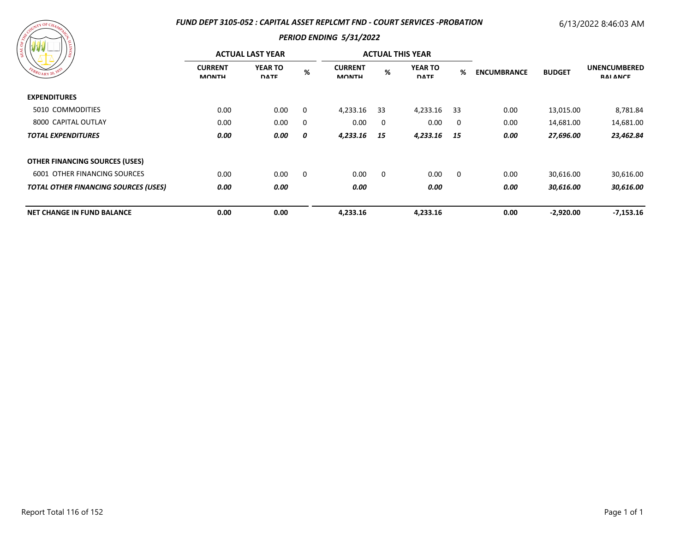## *FUND DEPT 3105-052 : CAPITAL ASSET REPLCMT FND - COURT SERVICES -PROBATION*

# 6/13/2022 8:46:03 AM

| ARANAL UF CHAMARACH<br>SIONIT.<br>FEBRUARY 20, 1833 |
|-----------------------------------------------------|
|                                                     |

|                                             | <b>ACTUAL LAST YEAR</b>        |                               |   |                                |          | <b>ACTUAL THIS YEAR</b>       |             |                    |               |                                        |
|---------------------------------------------|--------------------------------|-------------------------------|---|--------------------------------|----------|-------------------------------|-------------|--------------------|---------------|----------------------------------------|
| FEBRUARY 20, 1833                           | <b>CURRENT</b><br><b>MONTH</b> | <b>YEAR TO</b><br><b>DATE</b> | % | <b>CURRENT</b><br><b>MONTH</b> | %        | <b>YEAR TO</b><br><b>DATE</b> | %           | <b>ENCUMBRANCE</b> | <b>BUDGET</b> | <b>UNENCUMBERED</b><br><b>RAI ANCE</b> |
| <b>EXPENDITURES</b>                         |                                |                               |   |                                |          |                               |             |                    |               |                                        |
| 5010 COMMODITIES                            | 0.00                           | 0.00                          | 0 | 4,233.16                       | -33      | 4,233.16                      | -33         | 0.00               | 13,015.00     | 8,781.84                               |
| 8000 CAPITAL OUTLAY                         | 0.00                           | 0.00                          | 0 | 0.00                           | 0        | 0.00                          | 0           | 0.00               | 14,681.00     | 14,681.00                              |
| <b>TOTAL EXPENDITURES</b>                   | 0.00                           | 0.00                          | 0 | 4,233.16                       | - 15     | 4,233.16                      | - 15        | 0.00               | 27,696.00     | 23,462.84                              |
| <b>OTHER FINANCING SOURCES (USES)</b>       |                                |                               |   |                                |          |                               |             |                    |               |                                        |
| 6001 OTHER FINANCING SOURCES                | 0.00                           | 0.00                          | 0 | 0.00                           | $\Omega$ | 0.00                          | $\mathbf 0$ | 0.00               | 30,616.00     | 30,616.00                              |
| <b>TOTAL OTHER FINANCING SOURCES (USES)</b> | 0.00                           | 0.00                          |   | 0.00                           |          | 0.00                          |             | 0.00               | 30,616.00     | 30,616.00                              |
| <b>NET CHANGE IN FUND BALANCE</b>           | 0.00                           | 0.00                          |   | 4,233.16                       |          | 4,233.16                      |             | 0.00               | $-2,920.00$   | $-7,153.16$                            |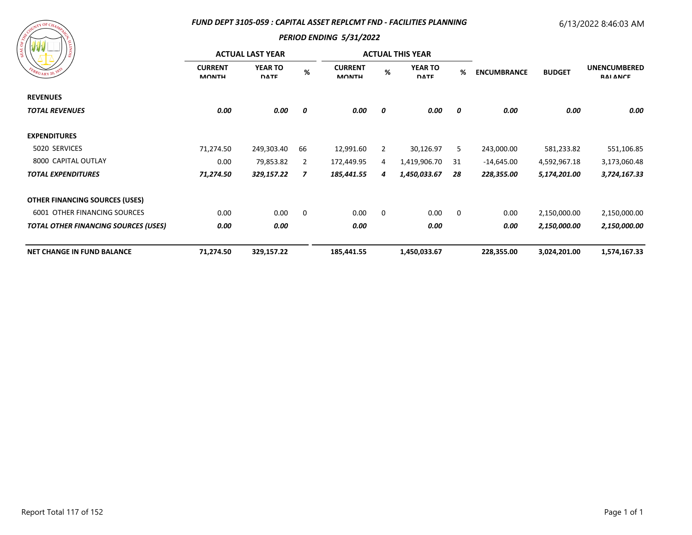## *FUND DEPT 3105-059 : CAPITAL ASSET REPLCMT FND - FACILITIES PLANNING*

# 6/13/2022 8:46:03 AM



| 7\$.                                        |                                | <b>ACTUAL LAST YEAR</b>       |      |                                |                | <b>ACTUAL THIS YEAR</b>       |    |                    |                              |                                            |
|---------------------------------------------|--------------------------------|-------------------------------|------|--------------------------------|----------------|-------------------------------|----|--------------------|------------------------------|--------------------------------------------|
| EBRUARY 20, 1833                            | <b>CURRENT</b><br><b>MONTH</b> | <b>YEAR TO</b><br><b>DATE</b> | $\%$ | <b>CURRENT</b><br><b>MONTH</b> | %              | <b>YEAR TO</b><br><b>DATE</b> | %  | <b>ENCUMBRANCE</b> | <b>BUDGET</b>                | <b>UNENCUMBERED</b><br><b>RAI ANCE</b>     |
| <b>REVENUES</b>                             |                                |                               |      |                                |                |                               |    |                    |                              |                                            |
| <b>TOTAL REVENUES</b>                       | 0.00                           | 0.00                          | 0    | 0.00                           | 0              | 0.00                          | 0  | 0.00               | 0.00                         | 0.00                                       |
| <b>EXPENDITURES</b>                         |                                |                               |      |                                |                |                               |    |                    |                              |                                            |
| 5020 SERVICES<br>8000 CAPITAL OUTLAY        | 71,274.50<br>0.00<br>71,274.50 | 249,303.40                    | 66   | 12,991.60                      | $\overline{2}$ | 30,126.97                     | 5  | 243,000.00         | 581,233.82                   | 551,106.85<br>3,173,060.48<br>3,724,167.33 |
|                                             |                                | 79,853.82                     | 2    | 172,449.95                     | 4              | 1,419,906.70                  | 31 | $-14,645.00$       | 4,592,967.18<br>5,174,201.00 |                                            |
| <b>TOTAL EXPENDITURES</b>                   |                                | 329,157.22                    | 7    | 185,441.55                     | 4              | 1,450,033.67                  | 28 | 228,355.00         |                              |                                            |
| <b>OTHER FINANCING SOURCES (USES)</b>       |                                |                               |      |                                |                |                               |    |                    |                              |                                            |
| 6001 OTHER FINANCING SOURCES                | 0.00                           | 0.00                          | 0    | 0.00                           | $\mathbf 0$    | 0.00                          | 0  | 0.00               | 2,150,000.00                 | 2,150,000.00                               |
| <b>TOTAL OTHER FINANCING SOURCES (USES)</b> | 0.00                           | 0.00                          |      | 0.00                           |                | 0.00                          |    | 0.00               | 2,150,000.00                 | 2,150,000.00                               |
| <b>NET CHANGE IN FUND BALANCE</b>           | 71,274.50                      | 329,157.22                    |      | 185,441.55                     |                | 1,450,033.67                  |    | 228,355.00         | 3,024,201.00                 | 1,574,167.33                               |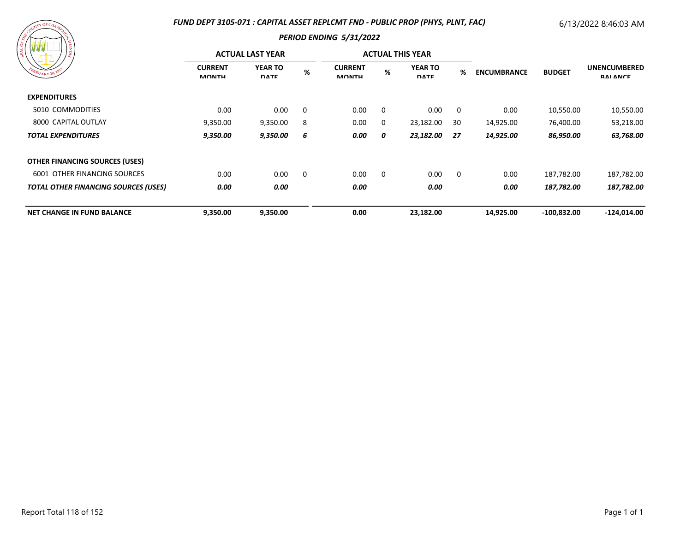## *FUND DEPT 3105-071 : CAPITAL ASSET REPLCMT FND - PUBLIC PROP (PHYS, PLNT, FAC)*

# 6/13/2022 8:46:03 AM

| A Countine Champing<br>SIONIT<br>FBRUARY 20, 1833 |  |
|---------------------------------------------------|--|
|                                                   |  |

| 17 Y Y Y Y Y<br>) ខ្ល                       |                                | <b>ACTUAL LAST YEAR</b>       |          |                                |          | <b>ACTUAL THIS YEAR</b>       |             |                    |               | <b>UNENCUMBERED</b><br><b>RAI ANCE</b> |
|---------------------------------------------|--------------------------------|-------------------------------|----------|--------------------------------|----------|-------------------------------|-------------|--------------------|---------------|----------------------------------------|
| EBRUARY 20, 1833                            | <b>CURRENT</b><br><b>MONTH</b> | <b>YEAR TO</b><br><b>DATE</b> | %        | <b>CURRENT</b><br><b>MONTH</b> | $\%$     | <b>YEAR TO</b><br><b>DATE</b> | %           | <b>ENCUMBRANCE</b> | <b>BUDGET</b> |                                        |
| <b>EXPENDITURES</b>                         |                                |                               |          |                                |          |                               |             |                    |               |                                        |
| 5010 COMMODITIES                            | 0.00                           | 0.00                          | $\Omega$ | 0.00                           | $\Omega$ | 0.00                          | 0           | 0.00               | 10,550.00     | 10,550.00                              |
| 8000 CAPITAL OUTLAY                         | 9,350.00                       | 9,350.00                      | 8        | 0.00                           | 0        | 23,182.00                     | 30          | 14,925.00          | 76,400.00     | 53,218.00                              |
| <b>TOTAL EXPENDITURES</b>                   | 9,350.00                       | 9,350.00                      | -6       | 0.00                           | 0        | 23,182.00                     | - 27        | 14,925.00          | 86,950.00     | 63,768.00                              |
| <b>OTHER FINANCING SOURCES (USES)</b>       |                                |                               |          |                                |          |                               |             |                    |               |                                        |
| <b>6001 OTHER FINANCING SOURCES</b>         | 0.00                           | 0.00                          | 0        | 0.00                           | $\Omega$ | 0.00                          | $\mathbf 0$ | 0.00               | 187,782.00    | 187,782.00                             |
| <b>TOTAL OTHER FINANCING SOURCES (USES)</b> | 0.00                           | 0.00                          |          | 0.00                           |          | 0.00                          |             | 0.00               | 187,782.00    | 187,782.00                             |
| <b>NET CHANGE IN FUND BALANCE</b>           | 9,350.00                       | 9,350.00                      |          | 0.00                           |          | 23,182.00                     |             | 14,925.00          | $-100,832.00$ | $-124,014.00$                          |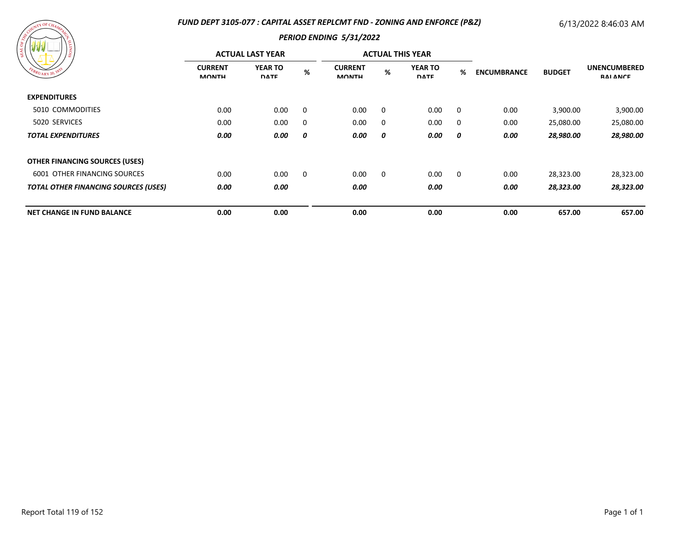## *FUND DEPT 3105-077 : CAPITAL ASSET REPLCMT FND - ZONING AND ENFORCE (P&Z)*

# 6/13/2022 8:46:03 AM

| A SOURIL OF CHAMPY CR<br><b>SIONITY</b><br>EBRUARY 20, 1833 |
|-------------------------------------------------------------|
|-------------------------------------------------------------|

|                                             |                                | <b>ACTUAL LAST YEAR</b>       |     |                                |          | <b>ACTUAL THIS YEAR</b>       |                         |                    |               |                                        |
|---------------------------------------------|--------------------------------|-------------------------------|-----|--------------------------------|----------|-------------------------------|-------------------------|--------------------|---------------|----------------------------------------|
| FEBRUARY 20, 183                            | <b>CURRENT</b><br><b>MONTH</b> | <b>YEAR TO</b><br><b>DATE</b> | %   | <b>CURRENT</b><br><b>MONTH</b> | %        | <b>YEAR TO</b><br><b>DATE</b> | %                       | <b>ENCUMBRANCE</b> | <b>BUDGET</b> | <b>UNENCUMBERED</b><br><b>RAI ANCE</b> |
| <b>EXPENDITURES</b>                         |                                |                               |     |                                |          |                               |                         |                    |               |                                        |
| 5010 COMMODITIES                            | 0.00                           | 0.00                          | - 0 | 0.00                           | $\Omega$ | 0.00                          | $\overline{\mathbf{0}}$ | 0.00               | 3,900.00      | 3,900.00                               |
| 5020 SERVICES                               | 0.00                           | 0.00                          | 0   | 0.00                           | 0        | 0.00                          | $\overline{\mathbf{0}}$ | 0.00               | 25,080.00     | 25,080.00                              |
| <b>TOTAL EXPENDITURES</b>                   | 0.00                           | 0.00                          | 0   | 0.00                           | 0        | 0.00                          | 0                       | 0.00               | 28,980.00     | 28,980.00                              |
| <b>OTHER FINANCING SOURCES (USES)</b>       |                                |                               |     |                                |          |                               |                         |                    |               |                                        |
| <b>6001 OTHER FINANCING SOURCES</b>         | 0.00                           | 0.00                          | - 0 | 0.00                           | $\Omega$ | 0.00                          | $\overline{\mathbf{0}}$ | 0.00               | 28,323.00     | 28,323.00                              |
| <b>TOTAL OTHER FINANCING SOURCES (USES)</b> | 0.00                           | 0.00                          |     | 0.00                           |          | 0.00                          |                         | 0.00               | 28,323.00     | 28,323.00                              |
| <b>NET CHANGE IN FUND BALANCE</b>           | 0.00                           | 0.00                          |     | 0.00                           |          | 0.00                          |                         | 0.00               | 657.00        | 657.00                                 |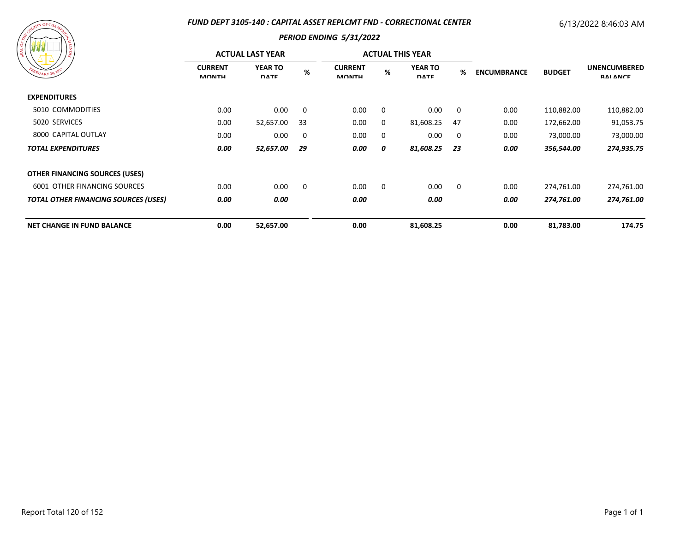## *FUND DEPT 3105-140 : CAPITAL ASSET REPLCMT FND - CORRECTIONAL CENTER*

# 6/13/2022 8:46:03 AM

| ARANTICAMARA<br>FBRUARY 20, 1833 | <b>SIONTI</b> |
|----------------------------------|---------------|
|                                  |               |

|                                             |                                | <b>ACTUAL LAST YEAR</b>       |    |                                |          | <b>ACTUAL THIS YEAR</b>       |                         |                    |               | <b>UNENCUMBERED</b><br><b>RAI ANCE</b> |
|---------------------------------------------|--------------------------------|-------------------------------|----|--------------------------------|----------|-------------------------------|-------------------------|--------------------|---------------|----------------------------------------|
| FBRUARY 20, 183                             | <b>CURRENT</b><br><b>MONTH</b> | <b>YEAR TO</b><br><b>DATE</b> | %  | <b>CURRENT</b><br><b>MONTH</b> | %        | <b>YEAR TO</b><br><b>DATE</b> | %                       | <b>ENCUMBRANCE</b> | <b>BUDGET</b> |                                        |
| <b>EXPENDITURES</b>                         |                                |                               |    |                                |          |                               |                         |                    |               |                                        |
| 5010 COMMODITIES                            | 0.00                           | 0.00                          | 0  | 0.00                           | $\Omega$ | 0.00                          | $\overline{\mathbf{0}}$ | 0.00               | 110,882.00    | 110,882.00                             |
| 5020 SERVICES                               | 0.00                           | 52,657.00                     | 33 | 0.00                           | 0        | 81,608.25                     | -47                     | 0.00               | 172,662.00    | 91,053.75                              |
| 8000 CAPITAL OUTLAY                         | 0.00                           | 0.00                          | 0  | 0.00                           | 0        | 0.00                          | $\overline{0}$          | 0.00               | 73,000.00     | 73,000.00                              |
| <b>TOTAL EXPENDITURES</b>                   | 0.00                           | 52,657.00                     | 29 | 0.00                           | 0        | 81,608.25                     | 23                      | 0.00               | 356,544.00    | 274,935.75                             |
| OTHER FINANCING SOURCES (USES)              |                                |                               |    |                                |          |                               |                         |                    |               |                                        |
| <b>6001 OTHER FINANCING SOURCES</b>         | 0.00                           | 0.00                          | 0  | 0.00                           | 0        | 0.00                          | $\overline{\mathbf{0}}$ | 0.00               | 274,761.00    | 274,761.00                             |
| <b>TOTAL OTHER FINANCING SOURCES (USES)</b> | 0.00                           | 0.00                          |    | 0.00                           |          | 0.00                          |                         | 0.00               | 274,761.00    | 274,761.00                             |
| <b>NET CHANGE IN FUND BALANCE</b>           | 0.00                           | 52,657.00                     |    | 0.00                           |          | 81,608.25                     |                         | 0.00               | 81,783.00     | 174.75                                 |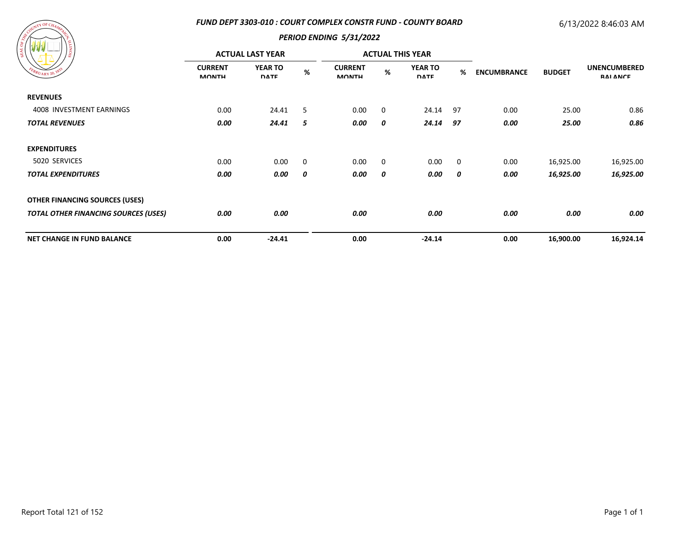## *FUND DEPT 3303-010 : COURT COMPLEX CONSTR FUND - COUNTY BOARD*

# 6/13/2022 8:46:03 AM



|                                             |                                | <b>ACTUAL LAST YEAR</b>       |      |                                |             | <b>ACTUAL THIS YEAR</b>       |             |                    | <b>BUDGET</b> | <b>UNENCUMBERED</b><br><b>RAI ANCE</b> |
|---------------------------------------------|--------------------------------|-------------------------------|------|--------------------------------|-------------|-------------------------------|-------------|--------------------|---------------|----------------------------------------|
| EBRUARY 20, 182                             | <b>CURRENT</b><br><b>MONTH</b> | <b>YEAR TO</b><br><b>DATE</b> | $\%$ | <b>CURRENT</b><br><b>MONTH</b> | $\%$        | <b>YEAR TO</b><br><b>DATE</b> | %           | <b>ENCUMBRANCE</b> |               |                                        |
| <b>REVENUES</b>                             |                                |                               |      |                                |             |                               |             |                    |               |                                        |
| 4008 INVESTMENT EARNINGS                    | 0.00                           | 24.41                         | -5   | 0.00                           | $\mathbf 0$ | 24.14                         | 97          | 0.00               | 25.00         | 0.86                                   |
| <b>TOTAL REVENUES</b>                       | 0.00                           | 24.41                         | 5    | 0.00                           | 0           | 24.14                         | 97          | 0.00               | 25.00         | 0.86                                   |
| <b>EXPENDITURES</b>                         |                                |                               |      |                                |             |                               |             |                    |               |                                        |
| 5020 SERVICES                               | 0.00                           | 0.00                          | 0    | 0.00                           | $\mathbf 0$ | 0.00                          | $\mathbf 0$ | 0.00               | 16,925.00     | 16,925.00                              |
| <b>TOTAL EXPENDITURES</b>                   | 0.00                           | 0.00                          | 0    | 0.00                           | 0           | 0.00                          | 0           | 0.00               | 16,925.00     | 16,925.00                              |
| <b>OTHER FINANCING SOURCES (USES)</b>       |                                |                               |      |                                |             |                               |             |                    |               |                                        |
| <b>TOTAL OTHER FINANCING SOURCES (USES)</b> | 0.00                           | 0.00                          |      | 0.00                           |             | 0.00                          |             | 0.00               | 0.00          | 0.00                                   |
| <b>NET CHANGE IN FUND BALANCE</b>           | 0.00                           | $-24.41$                      |      | 0.00                           |             | $-24.14$                      |             | 0.00               | 16,900.00     | 16,924.14                              |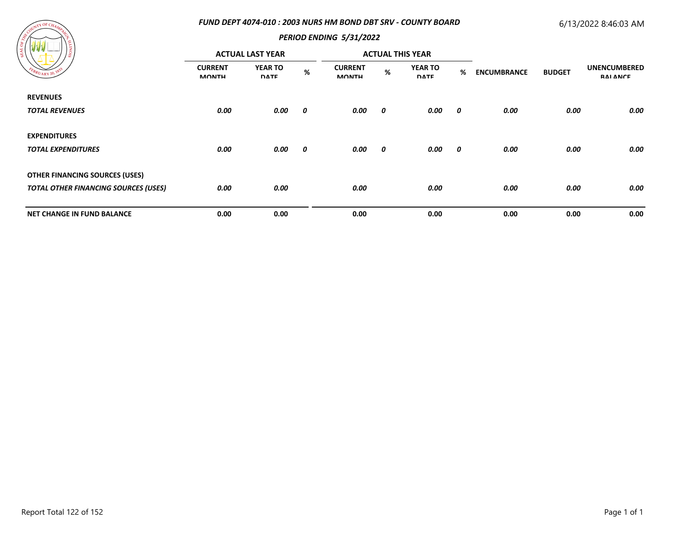## *FUND DEPT 4074-010 : 2003 NURS HM BOND DBT SRV - COUNTY BOARD*

# 6/13/2022 8:46:03 AM



| and a series of the<br>- Se                 |                                | <b>ACTUAL LAST YEAR</b>       |      |                                |                       | <b>ACTUAL THIS YEAR</b>       |                         |                    |               |                                        |
|---------------------------------------------|--------------------------------|-------------------------------|------|--------------------------------|-----------------------|-------------------------------|-------------------------|--------------------|---------------|----------------------------------------|
| EBRUARY 20, 18                              | <b>CURRENT</b><br><b>MONTH</b> | <b>YEAR TO</b><br><b>DATE</b> | $\%$ | <b>CURRENT</b><br><b>MONTH</b> | %                     | <b>YEAR TO</b><br><b>DATE</b> | %                       | <b>ENCUMBRANCE</b> | <b>BUDGET</b> | <b>UNENCUMBERED</b><br><b>RAI ANCE</b> |
| <b>REVENUES</b>                             |                                |                               |      |                                |                       |                               |                         |                    |               |                                        |
| <b>TOTAL REVENUES</b>                       | 0.00                           | 0.00                          | 0    | 0.00                           | $\boldsymbol{\theta}$ | 0.00                          | $\overline{\mathbf{0}}$ | 0.00               | 0.00          | 0.00                                   |
| <b>EXPENDITURES</b>                         |                                |                               |      |                                |                       |                               |                         |                    |               |                                        |
| <b>TOTAL EXPENDITURES</b>                   | 0.00                           | 0.00                          | 0    | 0.00                           | 0                     | 0.00                          | $\boldsymbol{\theta}$   | 0.00               | 0.00          | 0.00                                   |
| <b>OTHER FINANCING SOURCES (USES)</b>       |                                |                               |      |                                |                       |                               |                         |                    |               |                                        |
| <b>TOTAL OTHER FINANCING SOURCES (USES)</b> | 0.00                           | 0.00                          |      | 0.00                           |                       | 0.00                          |                         | 0.00               | 0.00          | 0.00                                   |
| <b>NET CHANGE IN FUND BALANCE</b>           | 0.00                           | 0.00                          |      | 0.00                           |                       | 0.00                          |                         | 0.00               | 0.00          | 0.00                                   |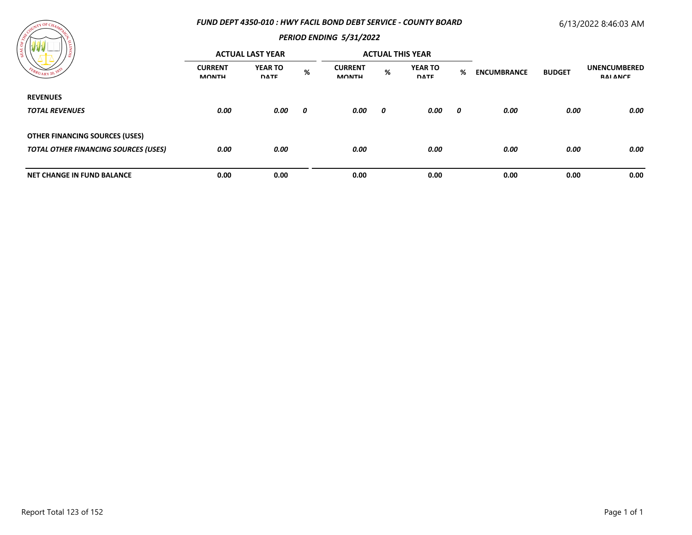## *FUND DEPT 4350-010 : HWY FACIL BOND DEBT SERVICE - COUNTY BOARD*

# 6/13/2022 8:46:03 AM



| ' డ<br>$\epsilon_{B_{RU_{\text{ARY}}}20}$   |                                | <b>ACTUAL LAST YEAR</b>       |   |                                |   | <b>ACTUAL THIS YEAR</b>       |   |                    |               |                                        |
|---------------------------------------------|--------------------------------|-------------------------------|---|--------------------------------|---|-------------------------------|---|--------------------|---------------|----------------------------------------|
|                                             | <b>CURRENT</b><br><b>MONTH</b> | <b>YEAR TO</b><br><b>DATE</b> | % | <b>CURRENT</b><br><b>MONTH</b> | % | <b>YEAR TO</b><br><b>DATE</b> | % | <b>ENCUMBRANCE</b> | <b>BUDGET</b> | <b>UNENCUMBERED</b><br><b>RAI ANCE</b> |
| <b>REVENUES</b>                             |                                |                               |   |                                |   |                               |   |                    |               |                                        |
| <b>TOTAL REVENUES</b>                       | 0.00                           | 0.00                          | 0 | 0.00                           | 0 | 0.00                          | 0 | 0.00               | 0.00          | 0.00                                   |
| <b>OTHER FINANCING SOURCES (USES)</b>       |                                |                               |   |                                |   |                               |   |                    |               |                                        |
| <b>TOTAL OTHER FINANCING SOURCES (USES)</b> | 0.00                           | 0.00                          |   | 0.00                           |   | 0.00                          |   | 0.00               | 0.00          | 0.00                                   |
| <b>NET CHANGE IN FUND BALANCE</b>           | 0.00                           | 0.00                          |   | 0.00                           |   | 0.00                          |   | 0.00               | 0.00          | 0.00                                   |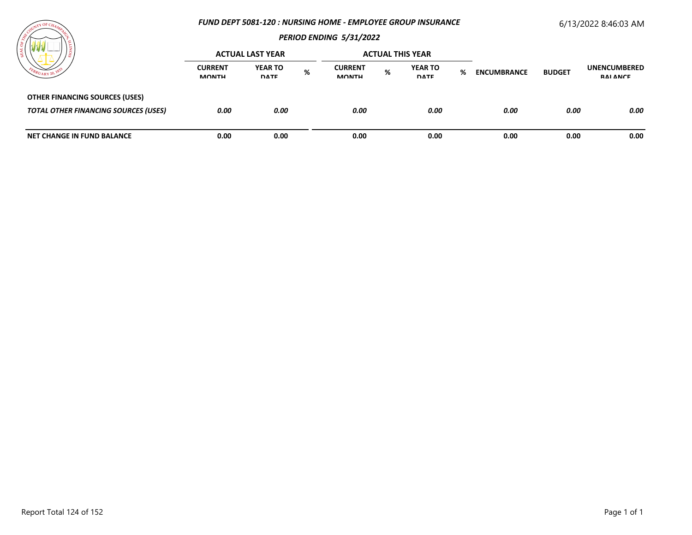### *FUND DEPT 5081-120 : NURSING HOME - EMPLOYEE GROUP INSURANCE*

# 6/13/2022 8:46:03 AM



|                                                                                      | <b>ACTUAL LAST YEAR</b>        |                               |   |                                |   | <b>ACTUAL THIS YEAR</b>       |   |                    |               |                                 |
|--------------------------------------------------------------------------------------|--------------------------------|-------------------------------|---|--------------------------------|---|-------------------------------|---|--------------------|---------------|---------------------------------|
|                                                                                      | <b>CURRENT</b><br><b>MONTH</b> | <b>YEAR TO</b><br><b>DATE</b> | % | <b>CURRENT</b><br><b>MONTH</b> | % | <b>YEAR TO</b><br><b>DATE</b> | % | <b>ENCUMBRANCE</b> | <b>BUDGET</b> | <b>UNENCUMBERED</b><br>RAI ANCE |
| <b>OTHER FINANCING SOURCES (USES)</b><br><b>TOTAL OTHER FINANCING SOURCES (USES)</b> | 0.00                           | 0.00                          |   | 0.00                           |   | 0.00                          |   | 0.00               | 0.00          | 0.00                            |
| <b>NET CHANGE IN FUND BALANCE</b>                                                    | 0.00                           | 0.00                          |   | 0.00                           |   | 0.00                          |   | 0.00               | 0.00          | 0.00                            |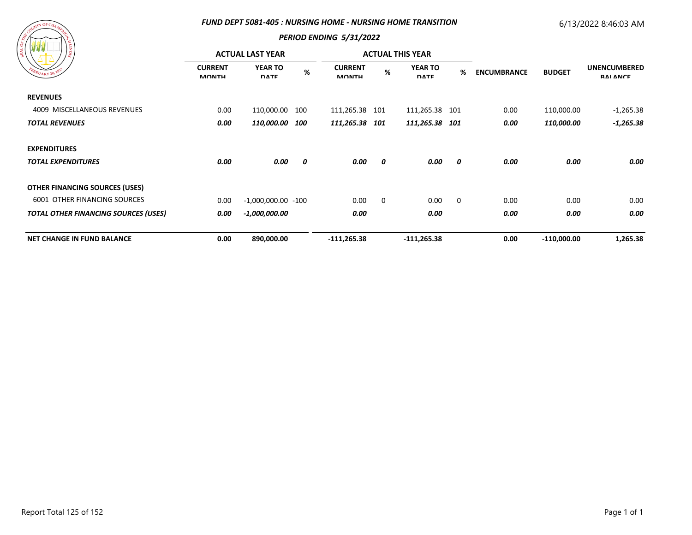#### *FUND DEPT 5081-405 : NURSING HOME - NURSING HOME TRANSITION*

# 6/13/2022 8:46:03 AM

# $\tau Y$  OF C

|                                                           |                                | <b>ACTUAL LAST YEAR</b>       |     |                                |             | <b>ACTUAL THIS YEAR</b>       |                |                                     |               | <b>UNENCUMBERED</b><br><b>RAI ANCE</b> |
|-----------------------------------------------------------|--------------------------------|-------------------------------|-----|--------------------------------|-------------|-------------------------------|----------------|-------------------------------------|---------------|----------------------------------------|
| FEBRUARY 20, 183                                          | <b>CURRENT</b><br><b>MONTH</b> | <b>YEAR TO</b><br><b>DATE</b> | %   | <b>CURRENT</b><br><b>MONTH</b> | %           | <b>YEAR TO</b><br><b>DATE</b> | %              | <b>BUDGET</b><br><b>ENCUMBRANCE</b> |               |                                        |
| <b>REVENUES</b>                                           |                                |                               |     |                                |             |                               |                |                                     |               |                                        |
| 4009 MISCELLANEOUS REVENUES                               | 0.00                           | 110,000.00                    | 100 | 111,265.38 101                 |             | 111,265.38 101                |                | 0.00                                | 110,000.00    | -1,265.38                              |
| 0.00<br><i><b>110,000.00</b></i><br><b>TOTAL REVENUES</b> | 100                            | 111,265.38 101                |     | 111,265.38 101                 |             | 0.00                          | 110,000.00     | $-1,265.38$                         |               |                                        |
| <b>EXPENDITURES</b>                                       |                                |                               |     |                                |             |                               |                |                                     |               |                                        |
| <b>TOTAL EXPENDITURES</b>                                 | 0.00                           | 0.00                          | 0   | 0.00                           | 0           | 0.00                          | 0              | 0.00                                | 0.00          | 0.00                                   |
| <b>OTHER FINANCING SOURCES (USES)</b>                     |                                |                               |     |                                |             |                               |                |                                     |               |                                        |
| <b>6001 OTHER FINANCING SOURCES</b>                       | 0.00                           | $-1,000,000.00 -100$          |     | 0.00                           | $\mathbf 0$ | 0.00                          | $\overline{0}$ | 0.00                                | 0.00          | 0.00                                   |
| <b>TOTAL OTHER FINANCING SOURCES (USES)</b>               | 0.00                           | $-1,000,000.00$               |     | 0.00                           |             | 0.00                          |                | 0.00                                | 0.00          | 0.00                                   |
| <b>NET CHANGE IN FUND BALANCE</b>                         | 0.00                           | 890,000.00                    |     | $-111,265.38$                  |             | $-111,265.38$                 |                | 0.00                                | $-110,000.00$ | 1,265.38                               |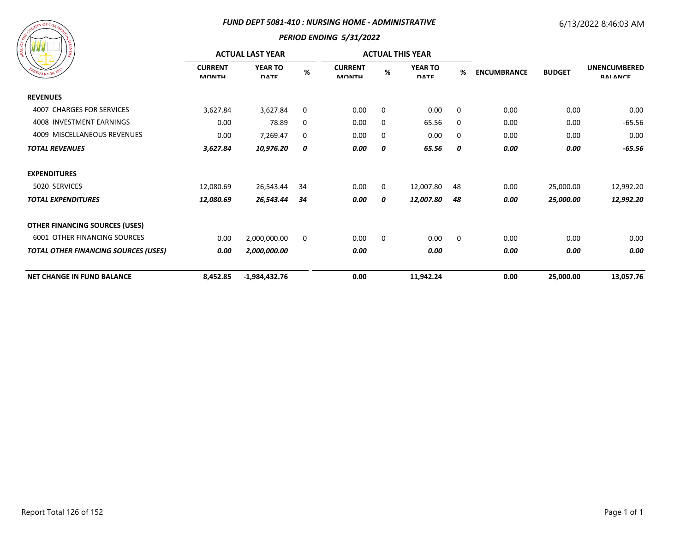#### *FUND DEPT 5081-410 : NURSING HOME - ADMINISTRATIVE*

# 6/13/2022 8:46:03 AM



|                                             |                                | <b>ACTUAL LAST YEAR</b>       |     |                                |   | <b>ACTUAL THIS YEAR</b>       |             |                    |               |                                        |
|---------------------------------------------|--------------------------------|-------------------------------|-----|--------------------------------|---|-------------------------------|-------------|--------------------|---------------|----------------------------------------|
| EBRUARY 20, 183                             | <b>CURRENT</b><br><b>MONTH</b> | <b>YEAR TO</b><br><b>DATE</b> | %   | <b>CURRENT</b><br><b>MONTH</b> | % | <b>YEAR TO</b><br><b>DATE</b> | %           | <b>ENCUMBRANCE</b> | <b>BUDGET</b> | <b>UNENCUMBERED</b><br><b>RAI ANCE</b> |
| <b>REVENUES</b>                             |                                |                               |     |                                |   |                               |             |                    |               |                                        |
| 4007 CHARGES FOR SERVICES                   | 3,627.84                       | 3,627.84                      | 0   | 0.00                           | 0 | 0.00                          | $\mathbf 0$ | 0.00               | 0.00          | 0.00                                   |
| 4008 INVESTMENT EARNINGS                    | 0.00                           | 78.89                         | 0   | 0.00                           | 0 | 65.56                         | 0           | 0.00               | 0.00          | $-65.56$                               |
| 4009 MISCELLANEOUS REVENUES                 | 0.00                           | 7,269.47                      | 0   | 0.00                           | 0 | 0.00                          | 0           | 0.00               | 0.00          | 0.00                                   |
| <b>TOTAL REVENUES</b>                       | 3,627.84                       | 10,976.20                     | 0   | 0.00                           | 0 | 65.56                         | 0           | 0.00               | 0.00          | $-65.56$                               |
| <b>EXPENDITURES</b>                         |                                |                               |     |                                |   |                               |             |                    |               |                                        |
| 5020 SERVICES                               | 12,080.69                      | 26,543.44                     | 34  | 0.00                           | 0 | 12,007.80                     | 48          | 0.00               | 25,000.00     | 12,992.20                              |
| <b>TOTAL EXPENDITURES</b>                   | 12,080.69                      | 26,543.44                     | -34 | 0.00                           | 0 | 12,007.80                     | 48          | 0.00               | 25,000.00     | 12,992.20                              |
| <b>OTHER FINANCING SOURCES (USES)</b>       |                                |                               |     |                                |   |                               |             |                    |               |                                        |
| <b>6001 OTHER FINANCING SOURCES</b>         | 0.00                           | 2,000,000.00                  | 0   | 0.00                           | 0 | 0.00                          | 0           | 0.00               | 0.00          | 0.00                                   |
| <b>TOTAL OTHER FINANCING SOURCES (USES)</b> | 0.00                           | 2,000,000.00                  |     | 0.00                           |   | 0.00                          |             | 0.00               | 0.00          | 0.00                                   |
| <b>NET CHANGE IN FUND BALANCE</b>           | 8,452.85                       | $-1,984,432.76$               |     | 0.00                           |   | 11,942.24                     |             | 0.00               | 25,000.00     | 13,057.76                              |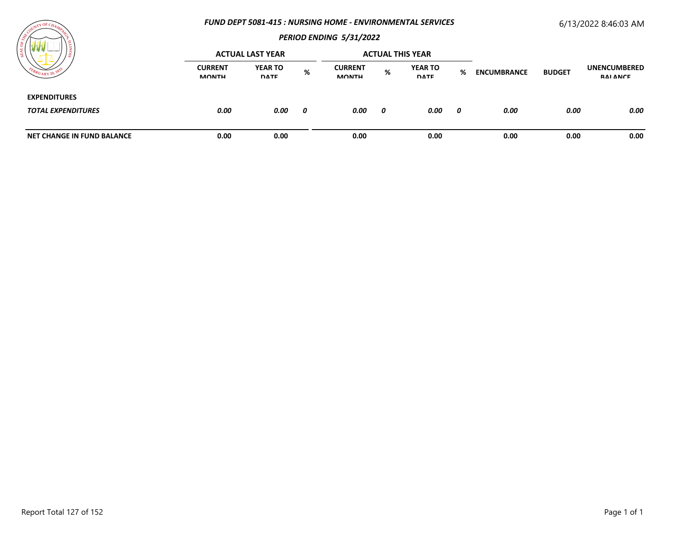#### *FUND DEPT 5081-415 : NURSING HOME - ENVIRONMENTAL SERVICES*

# 6/13/2022 8:46:03 AM



| ≍                                                | <b>ACTUAL LAST YEAR</b>        |                               |   | <b>ACTUAL THIS YEAR</b>        |   |                               |   |                    |               |                                 |
|--------------------------------------------------|--------------------------------|-------------------------------|---|--------------------------------|---|-------------------------------|---|--------------------|---------------|---------------------------------|
| $^{o}R$ UARY 20,                                 | <b>CURRENT</b><br><b>MONTH</b> | <b>YEAR TO</b><br><b>DATE</b> | % | <b>CURRENT</b><br><b>MONTH</b> | % | <b>YEAR TO</b><br><b>DATE</b> | % | <b>ENCUMBRANCE</b> | <b>BUDGET</b> | <b>UNENCUMBERED</b><br>RAI ANCE |
| <b>EXPENDITURES</b><br><b>TOTAL EXPENDITURES</b> | 0.00                           | 0.00                          | 0 | 0.00                           | 0 | 0.00                          | 0 | 0.00               | 0.00          | 0.00                            |
| <b>NET CHANGE IN FUND BALANCE</b>                | 0.00                           | 0.00                          |   | 0.00                           |   | 0.00                          |   | 0.00               | 0.00          | 0.00                            |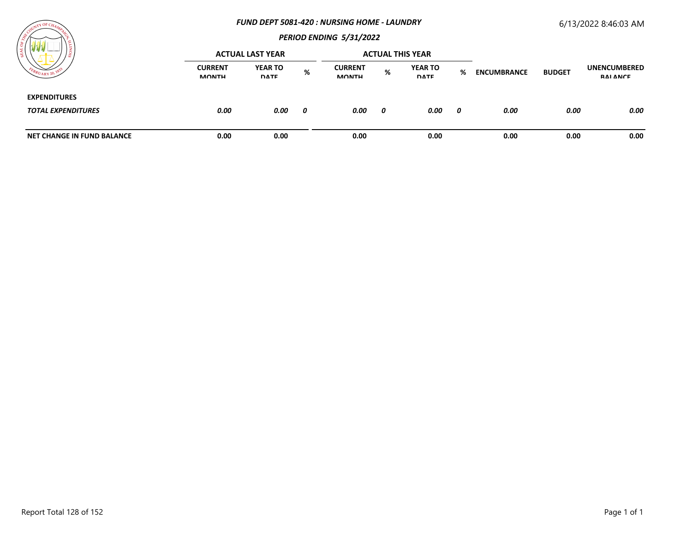#### *FUND DEPT 5081-420 : NURSING HOME - LAUNDRY*

# 6/13/2022 8:46:03 AM



| / ដ                                              | <b>ACTUAL LAST YEAR</b>        |                               |   | <b>ACTUAL THIS YEAR</b>        |   |                               |   |                    |               |                                 |
|--------------------------------------------------|--------------------------------|-------------------------------|---|--------------------------------|---|-------------------------------|---|--------------------|---------------|---------------------------------|
|                                                  | <b>CURRENT</b><br><b>MONTH</b> | <b>YEAR TO</b><br><b>DATE</b> | % | <b>CURRENT</b><br><b>MONTH</b> | % | <b>YEAR TO</b><br><b>DATE</b> | % | <b>ENCUMBRANCE</b> | <b>BUDGET</b> | <b>UNENCUMBERED</b><br>RAI ANCE |
| <b>EXPENDITURES</b><br><b>TOTAL EXPENDITURES</b> | 0.00                           | 0.00                          | 0 | 0.00                           | 0 | 0.00                          | 0 | 0.00               | 0.00          | 0.00                            |
| <b>NET CHANGE IN FUND BALANCE</b>                | 0.00                           | 0.00                          |   | 0.00                           |   | 0.00                          |   | 0.00               | 0.00          | 0.00                            |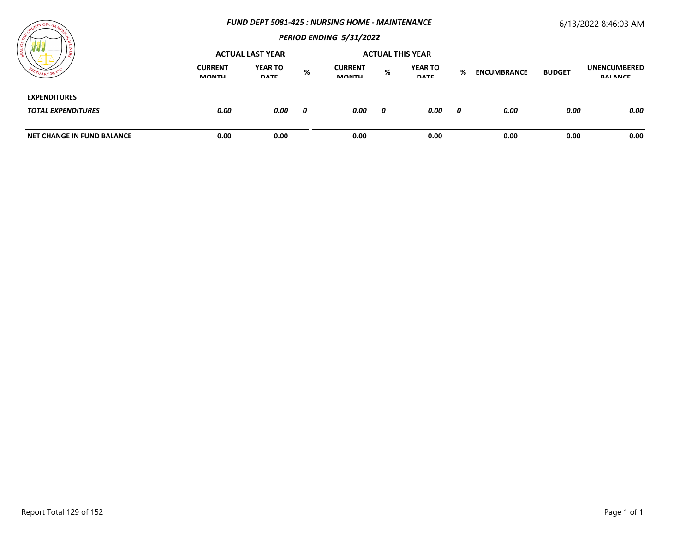#### *FUND DEPT 5081-425 : NURSING HOME - MAINTENANCE*

## 6/13/2022 8:46:03 AM

# *PERIOD ENDING 5/31/2022*

| $WW$ $-$                   | <b>ACTUAL LAST YEAR</b> |                               |   |                                |   | <b>ACTUAL THIS YEAR</b>       |   |                    |               |                                        |
|----------------------------|-------------------------|-------------------------------|---|--------------------------------|---|-------------------------------|---|--------------------|---------------|----------------------------------------|
|                            | <b>CURRENT</b><br>MONTH | <b>YEAR TO</b><br><b>DATE</b> | % | <b>CURRENT</b><br><b>MONTH</b> | % | <b>YEAR TO</b><br><b>DATE</b> | % | <b>ENCUMBRANCE</b> | <b>BUDGET</b> | <b>UNENCUMBERED</b><br><b>RAI ANCE</b> |
| <b>EXPENDITURES</b>        |                         |                               |   |                                |   |                               |   |                    |               |                                        |
| <b>TOTAL EXPENDITURES</b>  | 0.00                    | 0.00                          | 0 | 0.00                           | 0 | 0.00                          | 0 | 0.00               | 0.00          | 0.00                                   |
| NET CHANGE IN FUND BALANCE | 0.00                    | 0.00                          |   | 0.00                           |   | 0.00                          |   | 0.00               | 0.00          | 0.00                                   |

 $\tau Y$  OF C

 $41.11$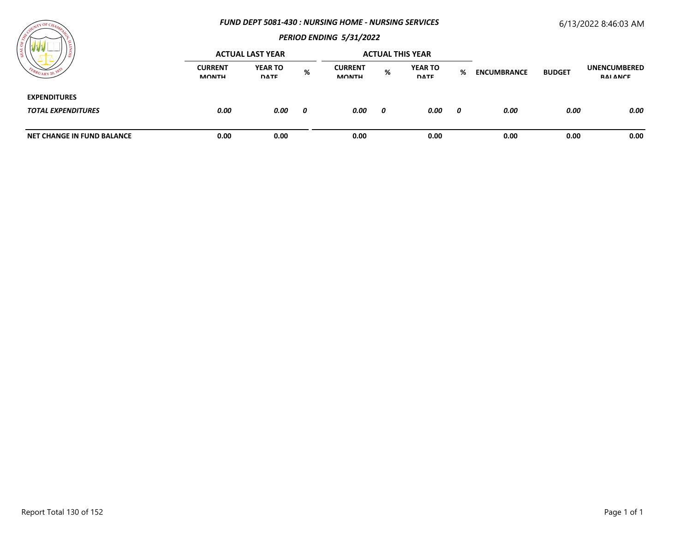#### *FUND DEPT 5081-430 : NURSING HOME - NURSING SERVICES*

# 6/13/2022 8:46:03 AM



| ____<br>) ខ្ល                                    | <b>ACTUAL LAST YEAR</b>        |                               |   | <b>ACTUAL THIS YEAR</b>        |   |                               |   |                    |               |                                 |
|--------------------------------------------------|--------------------------------|-------------------------------|---|--------------------------------|---|-------------------------------|---|--------------------|---------------|---------------------------------|
|                                                  | <b>CURRENT</b><br><b>MONTH</b> | <b>YEAR TO</b><br><b>DATE</b> | % | <b>CURRENT</b><br><b>MONTH</b> | % | <b>YEAR TO</b><br><b>DATE</b> | % | <b>ENCUMBRANCE</b> | <b>BUDGET</b> | <b>UNENCUMBERED</b><br>RAI ANCE |
| <b>EXPENDITURES</b><br><b>TOTAL EXPENDITURES</b> | 0.00                           | 0.00                          | 0 | 0.00                           | 0 | 0.00                          | 0 | 0.00               | 0.00          | 0.00                            |
| NET CHANGE IN FUND BALANCE                       | 0.00                           | 0.00                          |   | 0.00                           |   | 0.00                          |   | 0.00               | 0.00          | 0.00                            |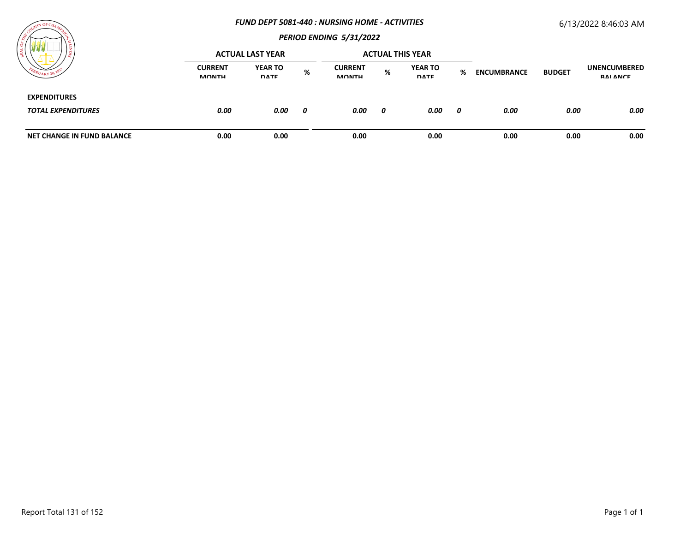#### *FUND DEPT 5081-440 : NURSING HOME - ACTIVITIES*

# 6/13/2022 8:46:03 AM



| / ដ                                              | <b>ACTUAL LAST YEAR</b>        |                               |   | <b>ACTUAL THIS YEAR</b>        |   |                               |   |                    |               |                                 |
|--------------------------------------------------|--------------------------------|-------------------------------|---|--------------------------------|---|-------------------------------|---|--------------------|---------------|---------------------------------|
|                                                  | <b>CURRENT</b><br><b>MONTH</b> | <b>YEAR TO</b><br><b>DATE</b> | % | <b>CURRENT</b><br><b>MONTH</b> | % | <b>YEAR TO</b><br><b>DATE</b> | % | <b>ENCUMBRANCE</b> | <b>BUDGET</b> | <b>UNENCUMBERED</b><br>RAI ANCE |
| <b>EXPENDITURES</b><br><b>TOTAL EXPENDITURES</b> | 0.00                           | 0.00                          | 0 | 0.00                           | 0 | 0.00                          | 0 | 0.00               | 0.00          | 0.00                            |
| <b>NET CHANGE IN FUND BALANCE</b>                | 0.00                           | 0.00                          |   | 0.00                           |   | 0.00                          |   | 0.00               | 0.00          | 0.00                            |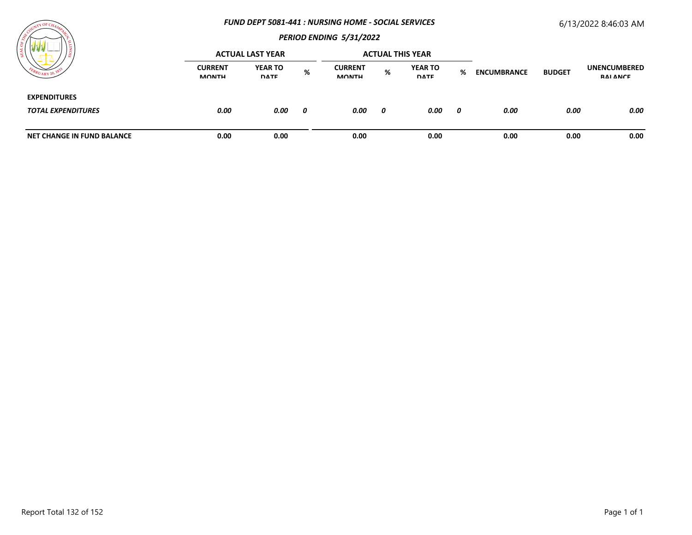#### *FUND DEPT 5081-441 : NURSING HOME - SOCIAL SERVICES*

# 6/13/2022 8:46:03 AM



|                                                  |                                | <b>ACTUAL LAST YEAR</b>       |   |                                |   | <b>ACTUAL THIS YEAR</b>       |   |                    |               |                                 |  |
|--------------------------------------------------|--------------------------------|-------------------------------|---|--------------------------------|---|-------------------------------|---|--------------------|---------------|---------------------------------|--|
| $U_{\rm ARY}$ 20,                                | <b>CURRENT</b><br><b>MONTH</b> | <b>YEAR TO</b><br><b>DATE</b> | % | <b>CURRENT</b><br><b>MONTH</b> | % | <b>YEAR TO</b><br><b>DATE</b> | % | <b>ENCUMBRANCE</b> | <b>BUDGET</b> | <b>UNENCUMBERED</b><br>RAI ANCE |  |
| <b>EXPENDITURES</b><br><b>TOTAL EXPENDITURES</b> | 0.00                           | 0.00                          | 0 | 0.00                           | 0 | 0.00                          | 0 | 0.00               | 0.00          | 0.00                            |  |
| NET CHANGE IN FUND BALANCE                       | 0.00                           | 0.00                          |   | 0.00                           |   | 0.00                          |   | 0.00               | 0.00          | 0.00                            |  |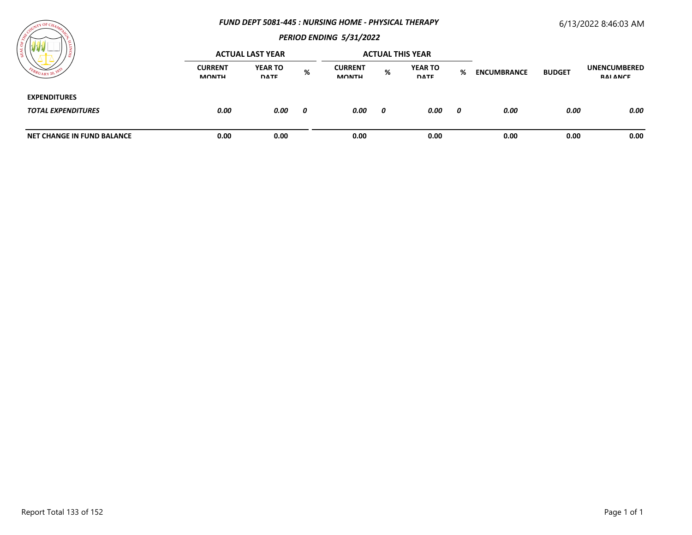#### *FUND DEPT 5081-445 : NURSING HOME - PHYSICAL THERAPY*

# 6/13/2022 8:46:03 AM

# TY OF C

|                                                  |                                | <b>ACTUAL LAST YEAR</b>       |   |                                | <b>ACTUAL THIS YEAR</b> |                               |     |                    |               |                                 |
|--------------------------------------------------|--------------------------------|-------------------------------|---|--------------------------------|-------------------------|-------------------------------|-----|--------------------|---------------|---------------------------------|
| FEBRUARY 20,                                     | <b>CURRENT</b><br><b>MONTH</b> | <b>YEAR TO</b><br><b>DATE</b> | % | <b>CURRENT</b><br><b>MONTH</b> | %                       | <b>YEAR TO</b><br><b>DATE</b> | %   | <b>ENCUMBRANCE</b> | <b>BUDGET</b> | <b>UNENCUMBERED</b><br>RAI ANCE |
| <b>EXPENDITURES</b><br><b>TOTAL EXPENDITURES</b> | 0.00                           | 0.00                          | 0 | 0.00                           | 0                       | 0.00                          | - 0 | 0.00               | 0.00          | 0.00                            |
| <b>NET CHANGE IN FUND BALANCE</b>                | 0.00                           | 0.00                          |   | 0.00                           |                         | 0.00                          |     | 0.00               | 0.00          | 0.00                            |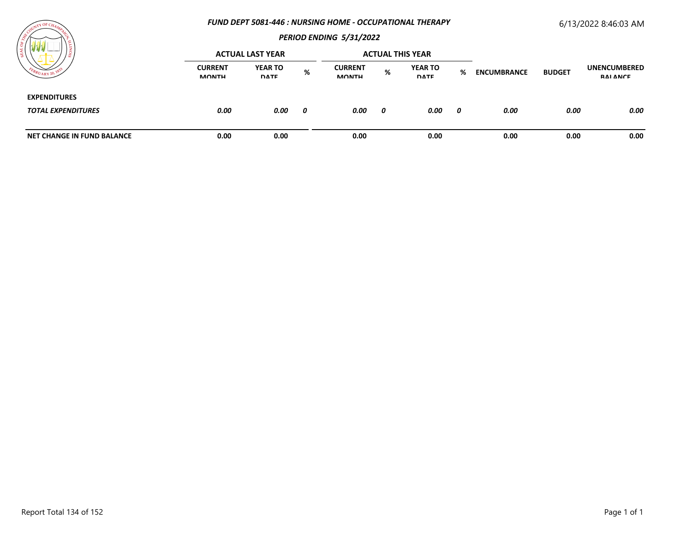### *FUND DEPT 5081-446 : NURSING HOME - OCCUPATIONAL THERAPY*

# 6/13/2022 8:46:03 AM



|                                                  |                                | <b>ACTUAL LAST YEAR</b>       |   |                                |   | <b>ACTUAL THIS YEAR</b>       |   |                    |               |                                 |  |
|--------------------------------------------------|--------------------------------|-------------------------------|---|--------------------------------|---|-------------------------------|---|--------------------|---------------|---------------------------------|--|
|                                                  | <b>CURRENT</b><br><b>MONTH</b> | <b>YEAR TO</b><br><b>DATE</b> | % | <b>CURRENT</b><br><b>MONTH</b> | % | <b>YEAR TO</b><br><b>DATE</b> | % | <b>ENCUMBRANCE</b> | <b>BUDGET</b> | <b>UNENCUMBERED</b><br>RAI ANCE |  |
| <b>EXPENDITURES</b><br><b>TOTAL EXPENDITURES</b> | 0.00                           | 0.00                          | 0 | 0.00                           | 0 | 0.00                          | 0 | 0.00               | 0.00          | 0.00                            |  |
| <b>NET CHANGE IN FUND BALANCE</b>                | 0.00                           | 0.00                          |   | 0.00                           |   | 0.00                          |   | 0.00               | 0.00          | 0.00                            |  |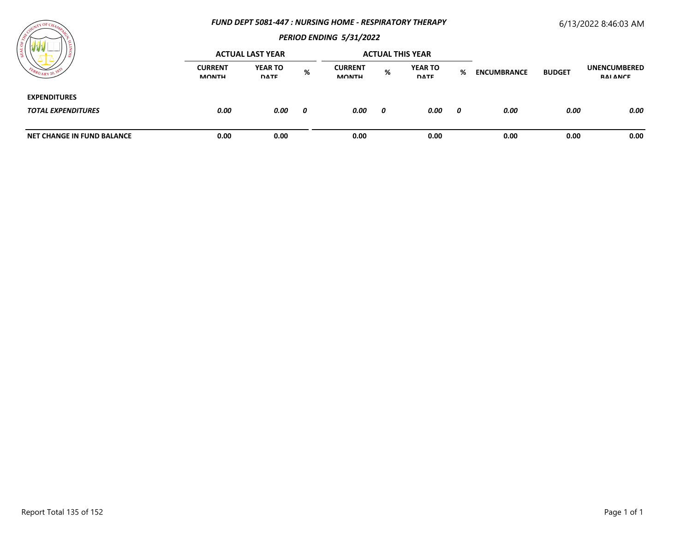#### *FUND DEPT 5081-447 : NURSING HOME - RESPIRATORY THERAPY*

# 6/13/2022 8:46:03 AM



|                                                  | <b>ACTUAL LAST YEAR</b>        |                               |   | <b>ACTUAL THIS YEAR</b>        |   |                               |   |                    |               |                                        |
|--------------------------------------------------|--------------------------------|-------------------------------|---|--------------------------------|---|-------------------------------|---|--------------------|---------------|----------------------------------------|
|                                                  | <b>CURRENT</b><br><b>MONTH</b> | <b>YEAR TO</b><br><b>DATE</b> | % | <b>CURRENT</b><br><b>MONTH</b> | % | <b>YEAR TO</b><br><b>DATE</b> | % | <b>ENCUMBRANCE</b> | <b>BUDGET</b> | <b>UNENCUMBERED</b><br><b>RAI ANCE</b> |
| <b>EXPENDITURES</b><br><b>TOTAL EXPENDITURES</b> | 0.00                           | 0.00                          | 0 | 0.00                           | 0 | 0.00                          | 0 | 0.00               | 0.00          | 0.00                                   |
| NET CHANGE IN FUND BALANCE                       | 0.00                           | 0.00                          |   | 0.00                           |   | 0.00                          |   | 0.00               | 0.00          | 0.00                                   |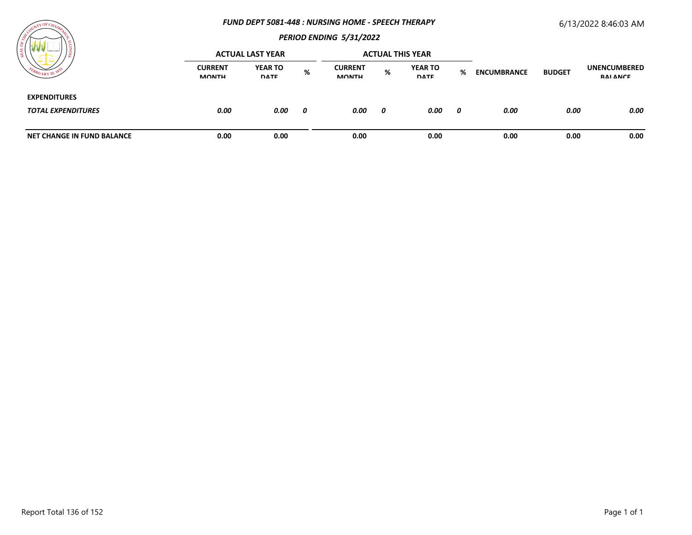#### *FUND DEPT 5081-448 : NURSING HOME - SPEECH THERAPY*

# 6/13/2022 8:46:03 AM



|                                                  | <b>ACTUAL LAST YEAR</b>        |                               |   | <b>ACTUAL THIS YEAR</b>        |   |                               |   |                    |               |                                 |
|--------------------------------------------------|--------------------------------|-------------------------------|---|--------------------------------|---|-------------------------------|---|--------------------|---------------|---------------------------------|
| $U_{\rm ARY}$ 20,                                | <b>CURRENT</b><br><b>MONTH</b> | <b>YEAR TO</b><br><b>DATE</b> | % | <b>CURRENT</b><br><b>MONTH</b> | % | <b>YEAR TO</b><br><b>DATE</b> | % | <b>ENCUMBRANCE</b> | <b>BUDGET</b> | <b>UNENCUMBERED</b><br>RAI ANCE |
| <b>EXPENDITURES</b><br><b>TOTAL EXPENDITURES</b> | 0.00                           | 0.00                          | 0 | 0.00                           | 0 | 0.00                          | 0 | 0.00               | 0.00          | 0.00                            |
| NET CHANGE IN FUND BALANCE                       | 0.00                           | 0.00                          |   | 0.00                           |   | 0.00                          |   | 0.00               | 0.00          | 0.00                            |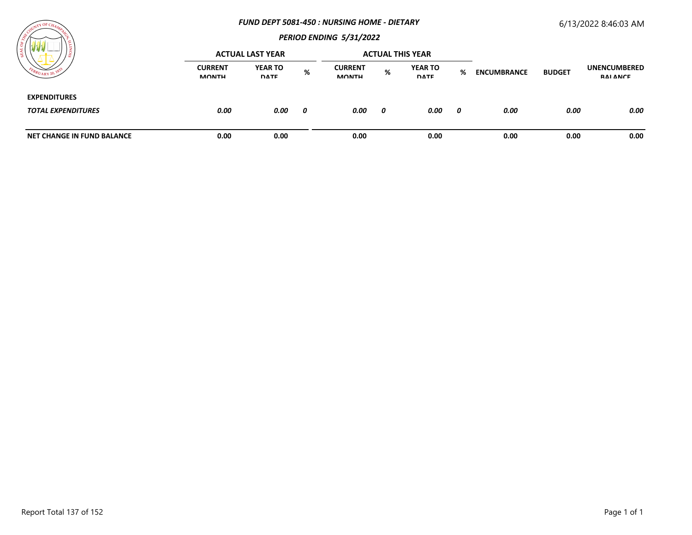#### *FUND DEPT 5081-450 : NURSING HOME - DIETARY*

## 6/13/2022 8:46:03 AM



| WW.<br>$-$                        |                                | <b>ACTUAL LAST YEAR</b>       |   |                                |   | <b>ACTUAL THIS YEAR</b>       |   |                    |               |                                        |
|-----------------------------------|--------------------------------|-------------------------------|---|--------------------------------|---|-------------------------------|---|--------------------|---------------|----------------------------------------|
| $U_{\text{ARY}}$ 20,              | <b>CURRENT</b><br><b>MONTH</b> | <b>YEAR TO</b><br><b>DATE</b> | % | <b>CURRENT</b><br><b>MONTH</b> | % | <b>YEAR TO</b><br><b>DATE</b> | % | <b>ENCUMBRANCE</b> | <b>BUDGET</b> | <b>UNENCUMBERED</b><br><b>RAI ANCE</b> |
| <b>EXPENDITURES</b>               |                                |                               |   |                                |   |                               |   |                    |               |                                        |
| <b>TOTAL EXPENDITURES</b>         | 0.00                           | 0.00                          | 0 | 0.00                           | 0 | 0.00                          | 0 | 0.00               | 0.00          | 0.00                                   |
| <b>NET CHANGE IN FUND BALANCE</b> | 0.00                           | 0.00                          |   | 0.00                           |   | 0.00                          |   | 0.00               | 0.00          | 0.00                                   |

**TY OF CH** 

**LALALA**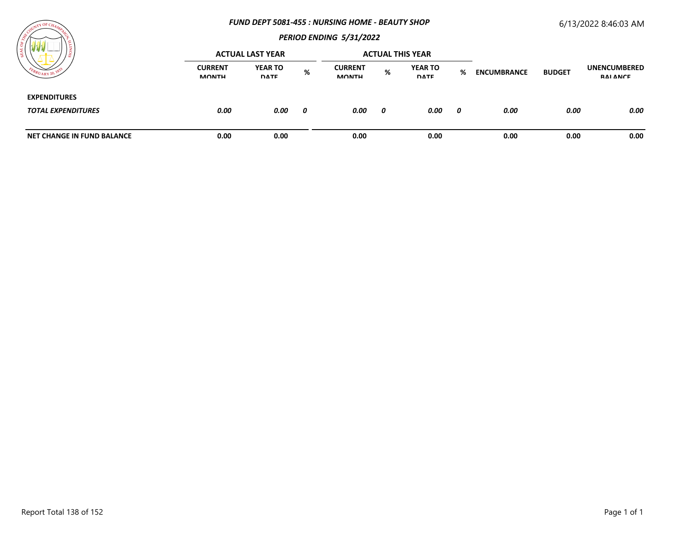#### *FUND DEPT 5081-455 : NURSING HOME - BEAUTY SHOP*

## 6/13/2022 8:46:03 AM

# *PERIOD ENDING 5/31/2022*

| WV                         |                                | <b>ACTUAL LAST YEAR</b>       |   |                                |   | <b>ACTUAL THIS YEAR</b>       |   |                    |               |                                 |
|----------------------------|--------------------------------|-------------------------------|---|--------------------------------|---|-------------------------------|---|--------------------|---------------|---------------------------------|
|                            | <b>CURRENT</b><br><b>MONTH</b> | <b>YEAR TO</b><br><b>DATE</b> | % | <b>CURRENT</b><br><b>MONTH</b> | % | <b>YEAR TO</b><br><b>DATE</b> | % | <b>ENCUMBRANCE</b> | <b>BUDGET</b> | <b>UNENCUMBERED</b><br>RAI ANCE |
| <b>EXPENDITURES</b>        |                                |                               |   |                                |   |                               |   |                    |               |                                 |
| <b>TOTAL EXPENDITURES</b>  | 0.00                           | 0.00                          | 0 | 0.00                           | 0 | 0.00                          | 0 | 0.00               | 0.00          | 0.00                            |
| NET CHANGE IN FUND BALANCE | 0.00                           | 0.00                          |   | 0.00                           |   | 0.00                          |   | 0.00               | 0.00          | 0.00                            |

 $\overline{Y}$  OF  $C_4$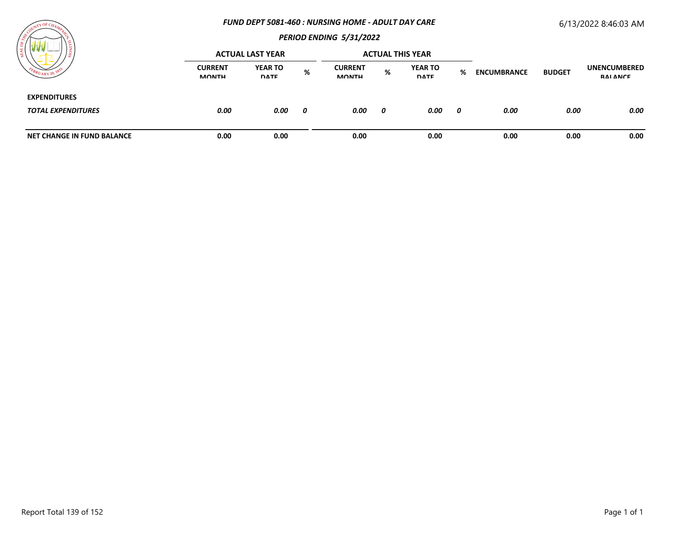#### *FUND DEPT 5081-460 : NURSING HOME - ADULT DAY CARE*

# 6/13/2022 8:46:03 AM



| / ដ                                              |                                | <b>ACTUAL LAST YEAR</b>       |   |                                |   | <b>ACTUAL THIS YEAR</b>       |     |                    |               |                                        |
|--------------------------------------------------|--------------------------------|-------------------------------|---|--------------------------------|---|-------------------------------|-----|--------------------|---------------|----------------------------------------|
|                                                  | <b>CURRENT</b><br><b>MONTH</b> | <b>YEAR TO</b><br><b>DATE</b> | % | <b>CURRENT</b><br><b>MONTH</b> | % | <b>YEAR TO</b><br><b>DATE</b> | %   | <b>ENCUMBRANCE</b> | <b>BUDGET</b> | <b>UNENCUMBERED</b><br><b>RAI ANCE</b> |
| <b>EXPENDITURES</b><br><b>TOTAL EXPENDITURES</b> | 0.00                           | 0.00                          | 0 | 0.00                           | 0 | 0.00                          | - 0 | 0.00               | 0.00          | 0.00                                   |
| <b>NET CHANGE IN FUND BALANCE</b>                | 0.00                           | 0.00                          |   | 0.00                           |   | 0.00                          |     | 0.00               | 0.00          | 0.00                                   |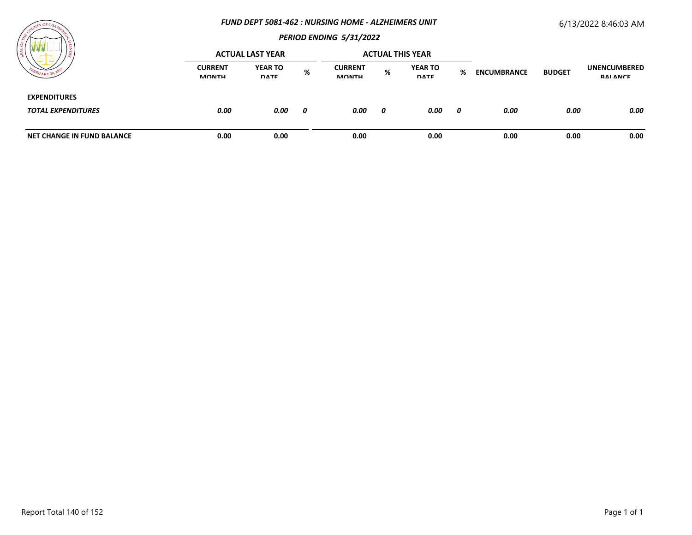#### *FUND DEPT 5081-462 : NURSING HOME - ALZHEIMERS UNIT*

# 6/13/2022 8:46:03 AM



|                                                  |                                | <b>ACTUAL LAST YEAR</b>       |   |                                |   | <b>ACTUAL THIS YEAR</b>       |   |                    |               |                                 |
|--------------------------------------------------|--------------------------------|-------------------------------|---|--------------------------------|---|-------------------------------|---|--------------------|---------------|---------------------------------|
| $\tau$ UARY 20.                                  | <b>CURRENT</b><br><b>MONTH</b> | <b>YEAR TO</b><br><b>DATE</b> | % | <b>CURRENT</b><br><b>MONTH</b> | % | <b>YEAR TO</b><br><b>DATE</b> | % | <b>ENCUMBRANCE</b> | <b>BUDGET</b> | <b>UNENCUMBERED</b><br>RAI ANCE |
| <b>EXPENDITURES</b><br><b>TOTAL EXPENDITURES</b> | 0.00                           | 0.00                          | 0 | 0.00                           | 0 | 0.00                          | 0 | 0.00               | 0.00          | 0.00                            |
| <b>NET CHANGE IN FUND BALANCE</b>                | 0.00                           | 0.00                          |   | 0.00                           |   | 0.00                          |   | 0.00               | 0.00          | 0.00                            |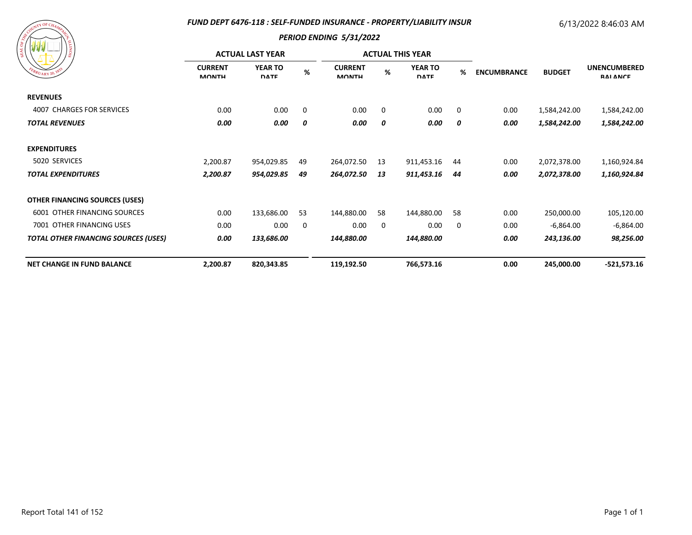## *FUND DEPT 6476-118 : SELF-FUNDED INSURANCE - PROPERTY/LIABILITY INSUR*

# 6/13/2022 8:46:03 AM



| 87 Y Y<br>EBRUARY 20, 183                   |                                | <b>ACTUAL LAST YEAR</b>       |      |                                | <b>ACTUAL THIS YEAR</b> |                               |             |                    |               |                                        |
|---------------------------------------------|--------------------------------|-------------------------------|------|--------------------------------|-------------------------|-------------------------------|-------------|--------------------|---------------|----------------------------------------|
|                                             | <b>CURRENT</b><br><b>MONTH</b> | <b>YEAR TO</b><br><b>DATE</b> | $\%$ | <b>CURRENT</b><br><b>MONTH</b> | %                       | <b>YEAR TO</b><br><b>DATE</b> | %           | <b>ENCUMBRANCE</b> | <b>BUDGET</b> | <b>UNENCUMBERED</b><br><b>RAI ANCE</b> |
| <b>REVENUES</b>                             |                                |                               |      |                                |                         |                               |             |                    |               |                                        |
| 4007 CHARGES FOR SERVICES                   | 0.00                           | 0.00                          | 0    | 0.00                           | $\mathbf 0$             | 0.00                          | $\mathbf 0$ | 0.00               | 1,584,242.00  | 1,584,242.00                           |
| <b>TOTAL REVENUES</b>                       | 0.00                           | 0.00                          | 0    | 0.00                           | 0                       | 0.00                          | 0           | 0.00               | 1,584,242.00  | 1,584,242.00                           |
| <b>EXPENDITURES</b>                         |                                |                               |      |                                |                         |                               |             |                    |               |                                        |
| 5020 SERVICES                               | 2,200.87                       | 954,029.85                    | 49   | 264,072.50                     | 13                      | 911,453.16                    | 44          | 0.00               | 2,072,378.00  | 1,160,924.84                           |
| <b>TOTAL EXPENDITURES</b>                   | 2,200.87                       | 954,029.85                    | 49   | 264,072.50                     | 13                      | 911,453.16                    | 44          | 0.00               | 2,072,378.00  | 1,160,924.84                           |
| <b>OTHER FINANCING SOURCES (USES)</b>       |                                |                               |      |                                |                         |                               |             |                    |               |                                        |
| 6001 OTHER FINANCING SOURCES                | 0.00                           | 133,686.00                    | 53   | 144,880.00                     | 58                      | 144,880.00                    | 58          | 0.00               | 250,000.00    | 105,120.00                             |
| 7001 OTHER FINANCING USES                   | 0.00                           | 0.00                          | 0    | 0.00                           | $\mathbf 0$             | 0.00                          | 0           | 0.00               | $-6,864.00$   | $-6,864.00$                            |
| <b>TOTAL OTHER FINANCING SOURCES (USES)</b> | 0.00                           | 133,686.00                    |      | 144,880.00                     |                         | 144,880.00                    |             | 0.00               | 243,136.00    | 98,256.00                              |
| <b>NET CHANGE IN FUND BALANCE</b>           | 2,200.87                       | 820,343.85                    |      | 119,192.50                     |                         | 766,573.16                    |             | 0.00               | 245,000.00    | $-521,573.16$                          |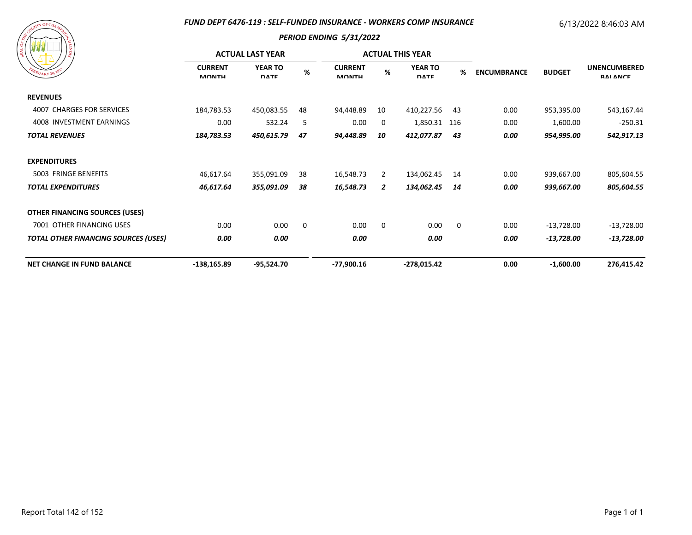## *FUND DEPT 6476-119 : SELF-FUNDED INSURANCE - WORKERS COMP INSURANCE*

# 6/13/2022 8:46:03 AM

| FEBRUARY 20, 1833 |
|-------------------|
|                   |

|                                             | <b>ACTUAL LAST YEAR</b>        |                               |    | <b>ACTUAL THIS YEAR</b>        |             |                               |             |                    |               |                                        |
|---------------------------------------------|--------------------------------|-------------------------------|----|--------------------------------|-------------|-------------------------------|-------------|--------------------|---------------|----------------------------------------|
| EBRUARY 20, 183                             | <b>CURRENT</b><br><b>MONTH</b> | <b>YEAR TO</b><br><b>DATE</b> | %  | <b>CURRENT</b><br><b>MONTH</b> | %           | <b>YEAR TO</b><br><b>DATE</b> | %           | <b>ENCUMBRANCE</b> | <b>BUDGET</b> | <b>UNENCUMBERED</b><br><b>RAI ANCE</b> |
| <b>REVENUES</b>                             |                                |                               |    |                                |             |                               |             |                    |               |                                        |
| 4007 CHARGES FOR SERVICES                   | 184,783.53                     | 450,083.55                    | 48 | 94,448.89                      | 10          | 410,227.56                    | 43          | 0.00               | 953,395.00    | 543,167.44                             |
| 4008 INVESTMENT EARNINGS                    | 0.00                           | 532.24                        | -5 | 0.00                           | 0           | 1,850.31 116                  |             | 0.00               | 1,600.00      | $-250.31$                              |
| <b>TOTAL REVENUES</b>                       | 184,783.53                     | 450,615.79                    | 47 | 94,448.89                      | 10          | 412,077.87                    | 43          | 0.00               | 954,995.00    | 542,917.13                             |
| <b>EXPENDITURES</b>                         |                                |                               |    |                                |             |                               |             |                    |               |                                        |
| 5003 FRINGE BENEFITS                        | 46,617.64                      | 355,091.09                    | 38 | 16,548.73                      | 2           | 134,062.45                    | 14          | 0.00               | 939,667.00    | 805,604.55                             |
| <b>TOTAL EXPENDITURES</b>                   | 46,617.64                      | 355,091.09                    | 38 | 16,548.73                      | 2           | 134,062.45                    | 14          | 0.00               | 939,667.00    | 805,604.55                             |
| <b>OTHER FINANCING SOURCES (USES)</b>       |                                |                               |    |                                |             |                               |             |                    |               |                                        |
| 7001 OTHER FINANCING USES                   | 0.00                           | 0.00                          | 0  | 0.00                           | $\mathbf 0$ | 0.00                          | $\mathbf 0$ | 0.00               | $-13,728.00$  | -13,728.00                             |
| <b>TOTAL OTHER FINANCING SOURCES (USES)</b> | 0.00                           | 0.00                          |    | 0.00                           |             | 0.00                          |             | 0.00               | $-13,728.00$  | -13,728.00                             |
| <b>NET CHANGE IN FUND BALANCE</b>           | $-138,165.89$                  | $-95,524.70$                  |    | -77,900.16                     |             | -278,015.42                   |             | 0.00               | $-1,600.00$   | 276,415.42                             |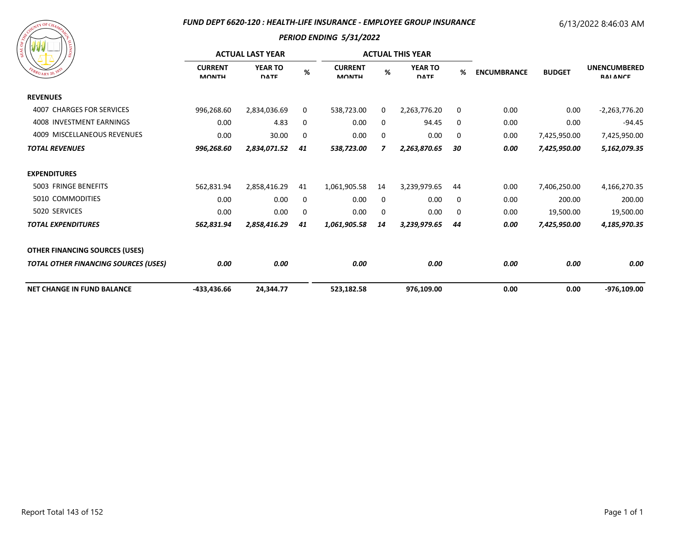## *FUND DEPT 6620-120 : HEALTH-LIFE INSURANCE - EMPLOYEE GROUP INSURANCE*

# 6/13/2022 8:46:03 AM

| A COURT OF CHAMPY CR<br>FEBRUARY 20, 1835 | SIONITY |
|-------------------------------------------|---------|
|                                           |         |

| 77 Y Y<br>/ နွ                              | <b>ACTUAL LAST YEAR</b>        |                               |    |                                |             | <b>ACTUAL THIS YEAR</b>       |    |                    |               |                                        |
|---------------------------------------------|--------------------------------|-------------------------------|----|--------------------------------|-------------|-------------------------------|----|--------------------|---------------|----------------------------------------|
| $B_{RU_{\text{ARY}}}$ 20, $18$              | <b>CURRENT</b><br><b>MONTH</b> | <b>YEAR TO</b><br><b>DATE</b> | %  | <b>CURRENT</b><br><b>MONTH</b> | %           | <b>YEAR TO</b><br><b>DATE</b> | %  | <b>ENCUMBRANCE</b> | <b>BUDGET</b> | <b>UNENCUMBERED</b><br><b>RAI ANCE</b> |
| <b>REVENUES</b>                             |                                |                               |    |                                |             |                               |    |                    |               |                                        |
| 4007 CHARGES FOR SERVICES                   | 996,268.60                     | 2,834,036.69                  | 0  | 538,723.00                     | 0           | 2,263,776.20                  | 0  | 0.00               | 0.00          | $-2,263,776.20$                        |
| 4008 INVESTMENT EARNINGS                    | 0.00                           | 4.83                          | 0  | 0.00                           | 0           | 94.45                         | 0  | 0.00               | 0.00          | $-94.45$                               |
| 4009 MISCELLANEOUS REVENUES                 | 0.00                           | 30.00                         | 0  | 0.00                           | 0           | 0.00                          | 0  | 0.00               | 7,425,950.00  | 7,425,950.00                           |
| <b>TOTAL REVENUES</b>                       | 996,268.60                     | 2,834,071.52                  | 41 | 538,723.00                     | 7           | 2,263,870.65                  | 30 | 0.00               | 7,425,950.00  | 5,162,079.35                           |
| <b>EXPENDITURES</b>                         |                                |                               |    |                                |             |                               |    |                    |               |                                        |
| 5003 FRINGE BENEFITS                        | 562,831.94                     | 2,858,416.29                  | 41 | 1,061,905.58                   | 14          | 3,239,979.65                  | 44 | 0.00               | 7,406,250.00  | 4,166,270.35                           |
| 5010 COMMODITIES                            | 0.00                           | 0.00                          | 0  | 0.00                           | 0           | 0.00                          | 0  | 0.00               | 200.00        | 200.00                                 |
| 5020 SERVICES                               | 0.00                           | 0.00                          | 0  | 0.00                           | $\mathbf 0$ | 0.00                          | 0  | 0.00               | 19,500.00     | 19,500.00                              |
| <b>TOTAL EXPENDITURES</b>                   | 562,831.94                     | 2,858,416.29                  | 41 | 1,061,905.58                   | 14          | 3,239,979.65                  | 44 | 0.00               | 7,425,950.00  | 4,185,970.35                           |
| <b>OTHER FINANCING SOURCES (USES)</b>       |                                |                               |    |                                |             |                               |    |                    |               |                                        |
| <b>TOTAL OTHER FINANCING SOURCES (USES)</b> | 0.00                           | 0.00                          |    | 0.00                           |             | 0.00                          |    | 0.00               | 0.00          | 0.00                                   |
| <b>NET CHANGE IN FUND BALANCE</b>           | -433,436.66                    | 24,344.77                     |    | 523,182.58                     |             | 976,109.00                    |    | 0.00               | 0.00          | -976,109.00                            |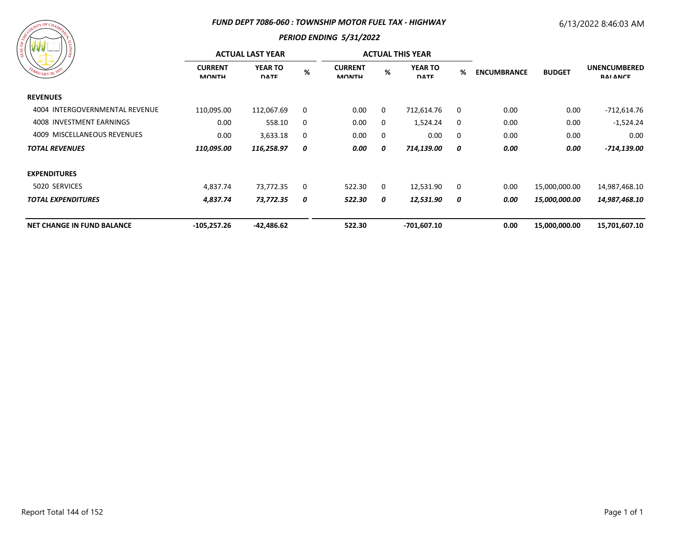#### *FUND DEPT 7086-060 : TOWNSHIP MOTOR FUEL TAX - HIGHWAY*

# 6/13/2022 8:46:03 AM



| <b>AND AND AND AND</b><br>) ន     |                                | <b>ACTUAL LAST YEAR</b>       |   |                                | <b>ACTUAL THIS YEAR</b> |                               |   |                                     | <b>UNENCUMBERED</b><br><b>RAI ANCE</b> |               |
|-----------------------------------|--------------------------------|-------------------------------|---|--------------------------------|-------------------------|-------------------------------|---|-------------------------------------|----------------------------------------|---------------|
| FEBRUARY 20, 1833                 | <b>CURRENT</b><br><b>MONTH</b> | <b>YEAR TO</b><br><b>DATE</b> | % | <b>CURRENT</b><br><b>MONTH</b> | %                       | <b>YEAR TO</b><br><b>DATE</b> | % | <b>BUDGET</b><br><b>ENCUMBRANCE</b> |                                        |               |
| <b>REVENUES</b>                   |                                |                               |   |                                |                         |                               |   |                                     |                                        |               |
| 4004 INTERGOVERNMENTAL REVENUE    | 110,095.00                     | 112,067.69                    | 0 | 0.00                           | 0                       | 712,614.76                    | 0 | 0.00                                | 0.00                                   | $-712,614.76$ |
| 4008 INVESTMENT EARNINGS          | 0.00                           | 558.10                        | 0 | 0.00                           | 0                       | 1,524.24                      | 0 | 0.00                                | 0.00                                   | $-1,524.24$   |
| 4009 MISCELLANEOUS REVENUES       | 0.00                           | 3,633.18                      | 0 | 0.00                           | 0                       | 0.00                          | 0 | 0.00                                | 0.00                                   | 0.00          |
| <b>TOTAL REVENUES</b>             | 110,095.00                     | 116,258.97                    | 0 | 0.00                           | 0                       | 714,139.00                    | 0 | 0.00                                | 0.00                                   | -714,139.00   |
| <b>EXPENDITURES</b>               |                                |                               |   |                                |                         |                               |   |                                     |                                        |               |
| 5020 SERVICES                     | 4,837.74                       | 73,772.35                     | 0 | 522.30                         | 0                       | 12,531.90                     | 0 | 0.00                                | 15,000,000.00                          | 14,987,468.10 |
| <b>TOTAL EXPENDITURES</b>         | 4,837.74                       | 73,772.35                     | 0 | 522.30                         | 0                       | 12,531.90                     | 0 | 0.00                                | <i><b>15,000,000.00</b></i>            | 14,987,468.10 |
| <b>NET CHANGE IN FUND BALANCE</b> | $-105,257.26$                  | $-42,486.62$                  |   | 522.30                         |                         | $-701,607.10$                 |   | 0.00                                | 15,000,000.00                          | 15,701,607.10 |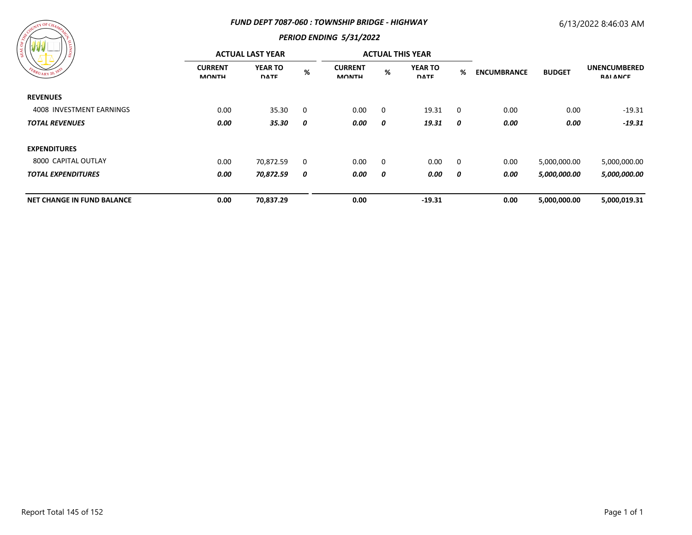#### *FUND DEPT 7087-060 : TOWNSHIP BRIDGE - HIGHWAY*

### 6/13/2022 8:46:03 AM

# *PERIOD ENDING 5/31/2022*

| $\begin{array}{c} \mathbf{w} \mathbf{w} \mathbf{w} \mathbf{w} \mathbf{w} \mathbf{w} \mathbf{w} \mathbf{w} \mathbf{w} \mathbf{w} \mathbf{w} \mathbf{w} \mathbf{w} \mathbf{w} \mathbf{w} \mathbf{w} \mathbf{w} \mathbf{w} \mathbf{w} \mathbf{w} \mathbf{w} \mathbf{w} \mathbf{w} \mathbf{w} \mathbf{w} \mathbf{w} \mathbf{w} \mathbf{w} \mathbf{w} \mathbf{w} \mathbf{w} \mathbf{w} \mathbf{w} \mathbf{w} \mathbf{w} \mathbf$ | <b>ACTUAL LAST YEAR</b>        |                               |             |                                |   | <b>ACTUAL THIS YEAR</b>       |             |                    |               |                                        |
|-----------------------------------------------------------------------------------------------------------------------------------------------------------------------------------------------------------------------------------------------------------------------------------------------------------------------------------------------------------------------------------------------------------------------------|--------------------------------|-------------------------------|-------------|--------------------------------|---|-------------------------------|-------------|--------------------|---------------|----------------------------------------|
| FEBRUARY 20, 1833                                                                                                                                                                                                                                                                                                                                                                                                           | <b>CURRENT</b><br><b>MONTH</b> | <b>YEAR TO</b><br><b>DATE</b> | $\%$        | <b>CURRENT</b><br><b>MONTH</b> | % | <b>YEAR TO</b><br><b>DATE</b> | %           | <b>ENCUMBRANCE</b> | <b>BUDGET</b> | <b>UNENCUMBERED</b><br><b>RAI ANCE</b> |
| <b>REVENUES</b>                                                                                                                                                                                                                                                                                                                                                                                                             |                                |                               |             |                                |   |                               |             |                    |               |                                        |
| 4008 INVESTMENT EARNINGS                                                                                                                                                                                                                                                                                                                                                                                                    | 0.00                           | 35.30                         | $\mathbf 0$ | 0.00                           | 0 | 19.31                         | $\mathbf 0$ | 0.00               | 0.00          | $-19.31$                               |
| <b>TOTAL REVENUES</b>                                                                                                                                                                                                                                                                                                                                                                                                       | 0.00                           | 35.30                         | 0           | 0.00                           | 0 | 19.31                         | 0           | 0.00               | 0.00          | $-19.31$                               |
| <b>EXPENDITURES</b>                                                                                                                                                                                                                                                                                                                                                                                                         |                                |                               |             |                                |   |                               |             |                    |               |                                        |
| 8000 CAPITAL OUTLAY                                                                                                                                                                                                                                                                                                                                                                                                         | 0.00                           | 70,872.59                     | $\mathbf 0$ | 0.00                           | 0 | 0.00                          | $\mathbf 0$ | 0.00               | 5,000,000.00  | 5,000,000.00                           |
| <b>TOTAL EXPENDITURES</b>                                                                                                                                                                                                                                                                                                                                                                                                   | 0.00                           | 70,872.59                     | 0           | 0.00                           | 0 | 0.00                          | 0           | 0.00               | 5,000,000.00  | 5,000,000.00                           |
| <b>NET CHANGE IN FUND BALANCE</b>                                                                                                                                                                                                                                                                                                                                                                                           | 0.00                           | 70,837.29                     |             | 0.00                           |   | $-19.31$                      |             | 0.00               | 5,000,000.00  | 5,000,019.31                           |

 $\overline{Y}$  OF  $C_4$ 

 $1111$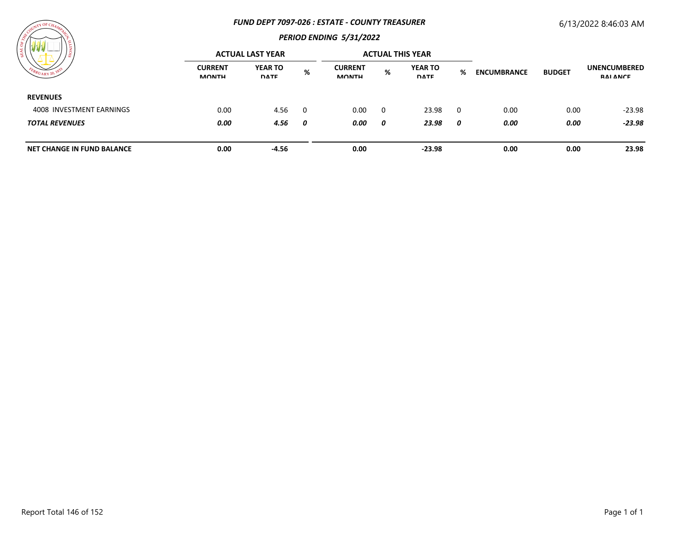#### *FUND DEPT 7097-026 : ESTATE - COUNTY TREASURER*

## 6/13/2022 8:46:03 AM



| .                                         |                                | <b>ACTUAL LAST YEAR</b>       |     |                                |          | <b>ACTUAL THIS YEAR</b>       |   |                    |               |                                        |
|-------------------------------------------|--------------------------------|-------------------------------|-----|--------------------------------|----------|-------------------------------|---|--------------------|---------------|----------------------------------------|
| $\frac{\kappa_{U_{\text{ARY}}}^{20}}{20}$ | <b>CURRENT</b><br><b>MONTH</b> | <b>YEAR TO</b><br><b>DATE</b> | %   | <b>CURRENT</b><br><b>MONTH</b> | %        | <b>YEAR TO</b><br><b>DATE</b> | % | <b>ENCUMBRANCE</b> | <b>BUDGET</b> | <b>UNENCUMBERED</b><br><b>RAI ANCE</b> |
| <b>REVENUES</b>                           |                                |                               |     |                                |          |                               |   |                    |               |                                        |
| 4008 INVESTMENT EARNINGS                  | 0.00                           | 4.56                          | - 0 | 0.00                           | $\Omega$ | 23.98                         | 0 | 0.00               | 0.00          | $-23.98$                               |
| <b>TOTAL REVENUES</b>                     | 0.00                           | 4.56                          | 0   | 0.00                           | 0        | 23.98                         | 0 | 0.00               | 0.00          | $-23.98$                               |
| <b>NET CHANGE IN FUND BALANCE</b>         | 0.00                           | $-4.56$                       |     | 0.00                           |          | $-23.98$                      |   | 0.00               | 0.00          | 23.98                                  |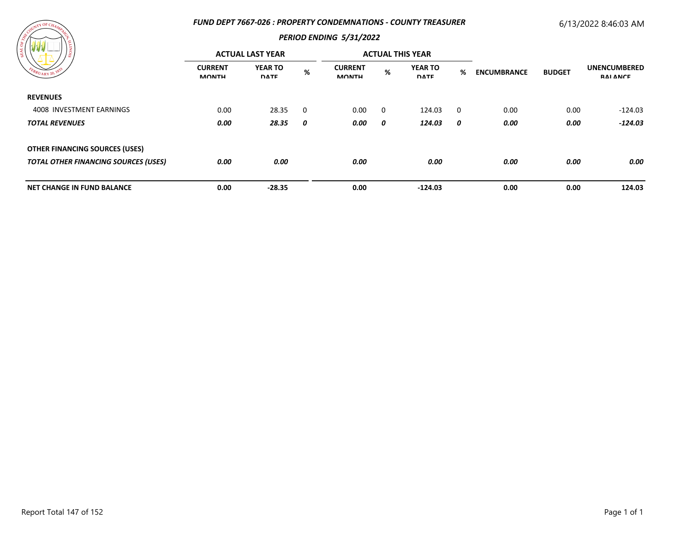### *FUND DEPT 7667-026 : PROPERTY CONDEMNATIONS - COUNTY TREASURER*

# 6/13/2022 8:46:03 AM



| -S<br>EBRUARY 201                           | <b>ACTUAL LAST YEAR</b>        |                               |   |                                |   | <b>ACTUAL THIS YEAR</b>       |             |                    |               |                                        |
|---------------------------------------------|--------------------------------|-------------------------------|---|--------------------------------|---|-------------------------------|-------------|--------------------|---------------|----------------------------------------|
|                                             | <b>CURRENT</b><br><b>MONTH</b> | <b>YEAR TO</b><br><b>DATE</b> | % | <b>CURRENT</b><br><b>MONTH</b> | % | <b>YEAR TO</b><br><b>DATE</b> | %           | <b>ENCUMBRANCE</b> | <b>BUDGET</b> | <b>UNENCUMBERED</b><br><b>RAI ANCE</b> |
| <b>REVENUES</b>                             |                                |                               |   |                                |   |                               |             |                    |               |                                        |
| 4008 INVESTMENT EARNINGS                    | 0.00                           | 28.35                         | 0 | 0.00                           | 0 | 124.03                        | $\mathbf 0$ | 0.00               | 0.00          | $-124.03$                              |
| <b>TOTAL REVENUES</b>                       | 0.00                           | 28.35                         | 0 | 0.00                           | 0 | 124.03                        | 0           | 0.00               | 0.00          | $-124.03$                              |
| <b>OTHER FINANCING SOURCES (USES)</b>       |                                |                               |   |                                |   |                               |             |                    |               |                                        |
| <b>TOTAL OTHER FINANCING SOURCES (USES)</b> | 0.00                           | 0.00                          |   | 0.00                           |   | 0.00                          |             | 0.00               | 0.00          | 0.00                                   |
| <b>NET CHANGE IN FUND BALANCE</b>           | 0.00                           | $-28.35$                      |   | 0.00                           |   | $-124.03$                     |             | 0.00               | 0.00          | 124.03                                 |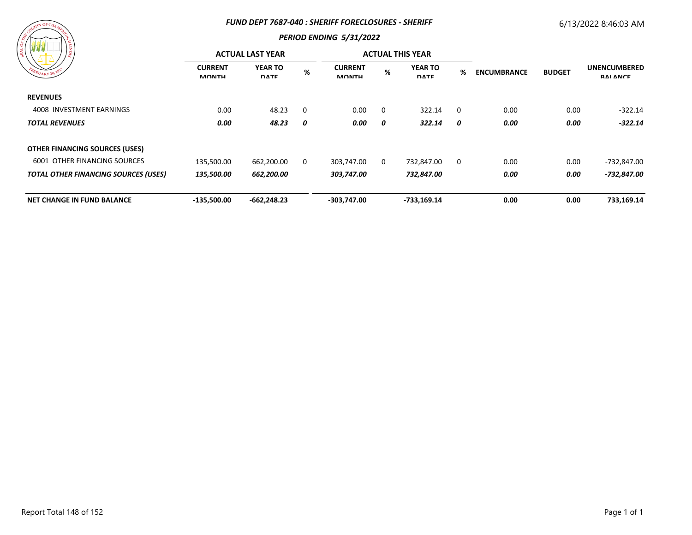#### *FUND DEPT 7687-040 : SHERIFF FORECLOSURES - SHERIFF*

## 6/13/2022 8:46:03 AM



| / ≋                                         | <b>ACTUAL LAST YEAR</b>        |                               |   |                                |   | <b>ACTUAL THIS YEAR</b>       |             |                    |               |                                        |
|---------------------------------------------|--------------------------------|-------------------------------|---|--------------------------------|---|-------------------------------|-------------|--------------------|---------------|----------------------------------------|
| PEBRUARY 20, 1833                           | <b>CURRENT</b><br><b>MONTH</b> | <b>YEAR TO</b><br><b>DATE</b> | % | <b>CURRENT</b><br><b>MONTH</b> | % | <b>YEAR TO</b><br><b>DATE</b> | %           | <b>ENCUMBRANCE</b> | <b>BUDGET</b> | <b>UNENCUMBERED</b><br><b>RAI ANCE</b> |
| <b>REVENUES</b>                             |                                |                               |   |                                |   |                               |             |                    |               |                                        |
| 4008 INVESTMENT EARNINGS                    | 0.00                           | 48.23                         | 0 | 0.00                           | 0 | 322.14                        | $\mathbf 0$ | 0.00               | 0.00          | $-322.14$                              |
| <b>TOTAL REVENUES</b>                       | 0.00                           | 48.23                         | 0 | 0.00                           | 0 | 322.14                        | 0           | 0.00               | 0.00          | $-322.14$                              |
| <b>OTHER FINANCING SOURCES (USES)</b>       |                                |                               |   |                                |   |                               |             |                    |               |                                        |
| <b>6001 OTHER FINANCING SOURCES</b>         | 135,500.00                     | 662,200.00                    | 0 | 303,747.00                     | 0 | 732,847.00                    | 0           | 0.00               | 0.00          | -732,847.00                            |
| <b>TOTAL OTHER FINANCING SOURCES (USES)</b> | 135,500.00                     | 662,200.00                    |   | 303,747.00                     |   | 732,847.00                    |             | 0.00               | 0.00          | -732,847.00                            |
| <b>NET CHANGE IN FUND BALANCE</b>           | $-135,500.00$                  | $-662,248.23$                 |   | $-303,747.00$                  |   | -733,169.14                   |             | 0.00               | 0.00          | 733,169.14                             |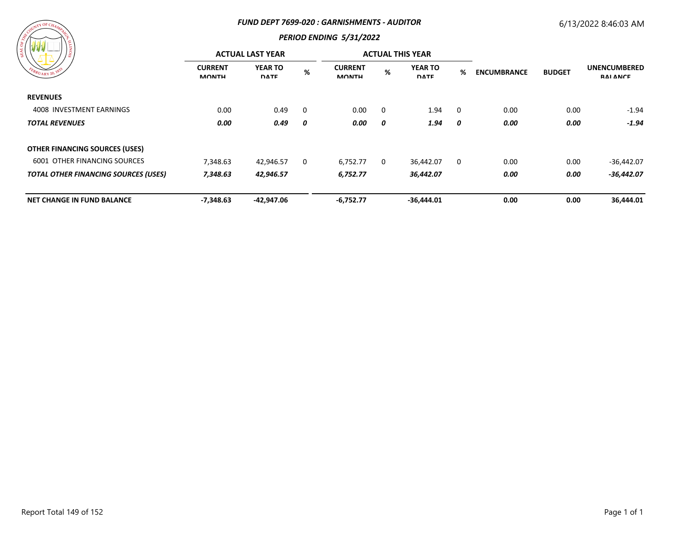#### *FUND DEPT 7699-020 : GARNISHMENTS - AUDITOR*

## 6/13/2022 8:46:03 AM



| / క్ల                                       | <b>ACTUAL LAST YEAR</b>        |                               |          |                                |          | <b>ACTUAL THIS YEAR</b>       |          |                    |               |                                        |
|---------------------------------------------|--------------------------------|-------------------------------|----------|--------------------------------|----------|-------------------------------|----------|--------------------|---------------|----------------------------------------|
| FEBRUARY 20, 1833                           | <b>CURRENT</b><br><b>MONTH</b> | <b>YEAR TO</b><br><b>DATE</b> | $\%$     | <b>CURRENT</b><br><b>MONTH</b> | %        | <b>YEAR TO</b><br><b>DATE</b> | %        | <b>ENCUMBRANCE</b> | <b>BUDGET</b> | <b>UNENCUMBERED</b><br><b>RAI ANCE</b> |
| <b>REVENUES</b>                             |                                |                               |          |                                |          |                               |          |                    |               |                                        |
| 4008 INVESTMENT EARNINGS                    | 0.00                           | 0.49                          | $\Omega$ | 0.00                           | $\Omega$ | 1.94                          | $\Omega$ | 0.00               | 0.00          | $-1.94$                                |
| <b>TOTAL REVENUES</b>                       | 0.00                           | 0.49                          | 0        | 0.00                           | 0        | 1.94                          | 0        | 0.00               | 0.00          | $-1.94$                                |
| <b>OTHER FINANCING SOURCES (USES)</b>       |                                |                               |          |                                |          |                               |          |                    |               |                                        |
| <b>6001 OTHER FINANCING SOURCES</b>         | 7,348.63                       | 42,946.57                     | 0        | 6,752.77                       | 0        | 36,442.07                     | 0        | 0.00               | 0.00          | $-36,442.07$                           |
| <b>TOTAL OTHER FINANCING SOURCES (USES)</b> | 7,348.63                       | 42,946.57                     |          | 6,752.77                       |          | 36,442.07                     |          | 0.00               | 0.00          | $-36,442.07$                           |
| <b>NET CHANGE IN FUND BALANCE</b>           | $-7,348.63$                    | $-42,947.06$                  |          | $-6,752.77$                    |          | $-36,444.01$                  |          | 0.00               | 0.00          | 36,444.01                              |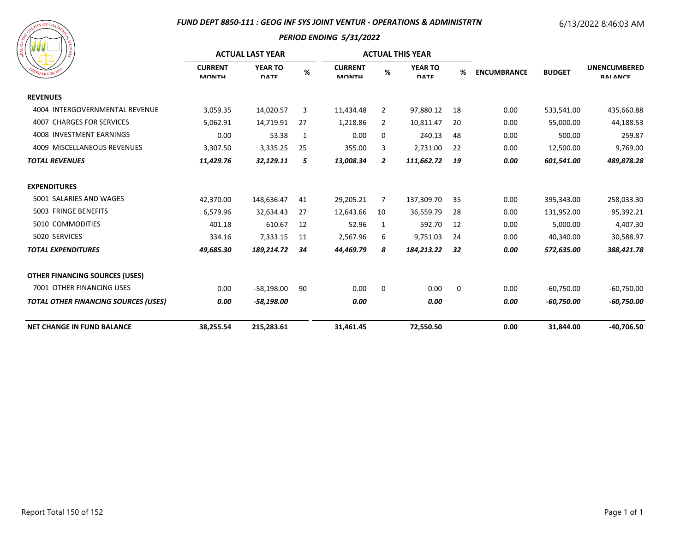### *FUND DEPT 8850-111 : GEOG INF SYS JOINT VENTUR - OPERATIONS & ADMINISTRTN*

# 6/13/2022 8:46:03 AM



|                                             | <b>ACTUAL LAST YEAR</b>        |                               |    |                                |                | <b>ACTUAL THIS YEAR</b>       |    |                    |               |                                        |
|---------------------------------------------|--------------------------------|-------------------------------|----|--------------------------------|----------------|-------------------------------|----|--------------------|---------------|----------------------------------------|
| $R_{UARY}$ 20, $\mathcal{V}$                | <b>CURRENT</b><br><b>MONTH</b> | <b>YEAR TO</b><br><b>DATE</b> | %  | <b>CURRENT</b><br><b>MONTH</b> | %              | <b>YEAR TO</b><br><b>DATE</b> | %  | <b>ENCUMBRANCE</b> | <b>BUDGET</b> | <b>UNENCUMBERED</b><br><b>RAI ANCE</b> |
| <b>REVENUES</b>                             |                                |                               |    |                                |                |                               |    |                    |               |                                        |
| 4004 INTERGOVERNMENTAL REVENUE              | 3,059.35                       | 14,020.57                     | 3  | 11,434.48                      | 2              | 97,880.12                     | 18 | 0.00               | 533,541.00    | 435,660.88                             |
| <b>4007 CHARGES FOR SERVICES</b>            | 5,062.91                       | 14,719.91                     | 27 | 1,218.86                       | $\overline{2}$ | 10,811.47                     | 20 | 0.00               | 55,000.00     | 44,188.53                              |
| 4008 INVESTMENT EARNINGS                    | 0.00                           | 53.38                         | 1  | 0.00                           | 0              | 240.13                        | 48 | 0.00               | 500.00        | 259.87                                 |
| 4009 MISCELLANEOUS REVENUES                 | 3,307.50                       | 3,335.25                      | 25 | 355.00                         | 3              | 2,731.00                      | 22 | 0.00               | 12,500.00     | 9,769.00                               |
| <b>TOTAL REVENUES</b>                       | 11,429.76                      | 32,129.11                     | 5  | 13,008.34                      | 2              | 111,662.72                    | 19 | 0.00               | 601,541.00    | 489,878.28                             |
| <b>EXPENDITURES</b>                         |                                |                               |    |                                |                |                               |    |                    |               |                                        |
| 5001 SALARIES AND WAGES                     | 42,370.00                      | 148,636.47                    | 41 | 29,205.21                      | 7              | 137,309.70                    | 35 | 0.00               | 395,343.00    | 258,033.30                             |
| 5003 FRINGE BENEFITS                        | 6,579.96                       | 32,634.43                     | 27 | 12,643.66                      | 10             | 36,559.79                     | 28 | 0.00               | 131,952.00    | 95,392.21                              |
| 5010 COMMODITIES                            | 401.18                         | 610.67                        | 12 | 52.96                          | 1              | 592.70                        | 12 | 0.00               | 5,000.00      | 4,407.30                               |
| 5020 SERVICES                               | 334.16                         | 7,333.15                      | 11 | 2,567.96                       | 6              | 9,751.03                      | 24 | 0.00               | 40,340.00     | 30,588.97                              |
| <b>TOTAL EXPENDITURES</b>                   | 49,685.30                      | 189,214.72                    | 34 | 44,469.79                      | 8              | 184,213.22                    | 32 | 0.00               | 572,635.00    | 388,421.78                             |
| <b>OTHER FINANCING SOURCES (USES)</b>       |                                |                               |    |                                |                |                               |    |                    |               |                                        |
| 7001 OTHER FINANCING USES                   | 0.00                           | $-58,198.00$                  | 90 | 0.00                           | 0              | 0.00                          | 0  | 0.00               | $-60,750.00$  | $-60,750.00$                           |
| <b>TOTAL OTHER FINANCING SOURCES (USES)</b> | 0.00                           | $-58,198.00$                  |    | 0.00                           |                | 0.00                          |    | 0.00               | $-60,750.00$  | $-60,750.00$                           |
| <b>NET CHANGE IN FUND BALANCE</b>           | 38,255.54                      | 215,283.61                    |    | 31,461.45                      |                | 72.550.50                     |    | 0.00               | 31,844.00     | $-40.706.50$                           |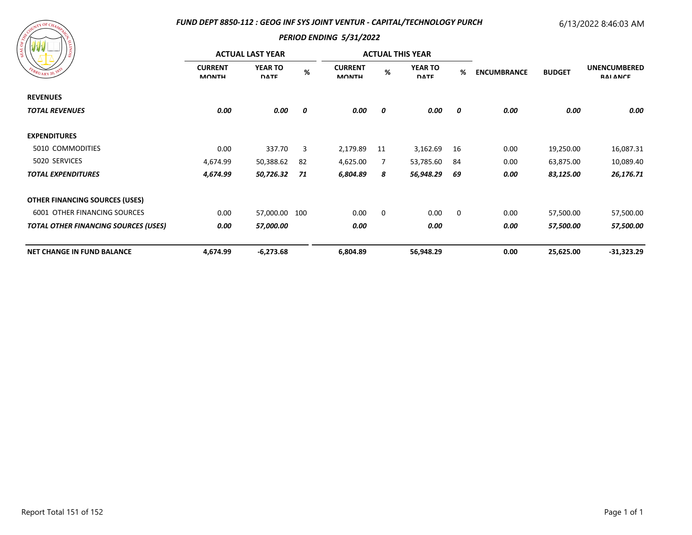### *FUND DEPT 8850-112 : GEOG INF SYS JOINT VENTUR - CAPITAL/TECHNOLOGY PURCH*

## 6/13/2022 8:46:03 AM



| දූ                                          | <b>ACTUAL LAST YEAR</b>        |                               |          |                                |    | <b>ACTUAL THIS YEAR</b>       |    |                    |                        |                                        |
|---------------------------------------------|--------------------------------|-------------------------------|----------|--------------------------------|----|-------------------------------|----|--------------------|------------------------|----------------------------------------|
| EBRUARY 20, 183.<br><b>REVENUES</b>         | <b>CURRENT</b><br><b>MONTH</b> | <b>YEAR TO</b><br><b>DATE</b> | $\%$     | <b>CURRENT</b><br><b>MONTH</b> | %  | <b>YEAR TO</b><br><b>DATE</b> | %  | <b>ENCUMBRANCE</b> | <b>BUDGET</b>          | <b>UNENCUMBERED</b><br><b>RAI ANCE</b> |
|                                             |                                |                               |          |                                |    |                               |    |                    |                        |                                        |
| <b>TOTAL REVENUES</b>                       | 0.00                           | 0.00                          | 0        | 0.00                           | 0  | 0.00                          | 0  | 0.00               | 0.00                   | 0.00                                   |
| <b>EXPENDITURES</b>                         |                                |                               |          |                                |    |                               |    |                    |                        |                                        |
| 5010 COMMODITIES                            | 0.00                           | 337.70                        | 3        | 2,179.89                       | 11 | 3,162.69                      | 16 | 0.00               | 19,250.00              | 16,087.31                              |
| 5020 SERVICES                               | 4,674.99                       | 50,388.62                     | 82<br>71 | 4,625.00                       | 7  | 53,785.60<br>56,948.29        | 84 | 0.00               | 63,875.00<br>83,125.00 | 10,089.40                              |
| <b>TOTAL EXPENDITURES</b>                   | 4,674.99                       | 50,726.32                     |          | 6,804.89                       | 8  |                               | 69 | 0.00               |                        | 26,176.71                              |
| <b>OTHER FINANCING SOURCES (USES)</b>       |                                |                               |          |                                |    |                               |    |                    |                        |                                        |
| 6001 OTHER FINANCING SOURCES                | 0.00                           | 57,000.00 100                 |          | 0.00                           | 0  | 0.00                          | 0  | 0.00               | 57,500.00              | 57,500.00                              |
| <b>TOTAL OTHER FINANCING SOURCES (USES)</b> | 0.00                           | 57,000.00                     |          | 0.00                           |    | 0.00                          |    | 0.00               | 57,500.00              | 57,500.00                              |
| <b>NET CHANGE IN FUND BALANCE</b>           | 4,674.99                       | $-6,273.68$                   |          | 6,804.89                       |    | 56,948.29                     |    | 0.00               | 25,625.00              | $-31,323.29$                           |